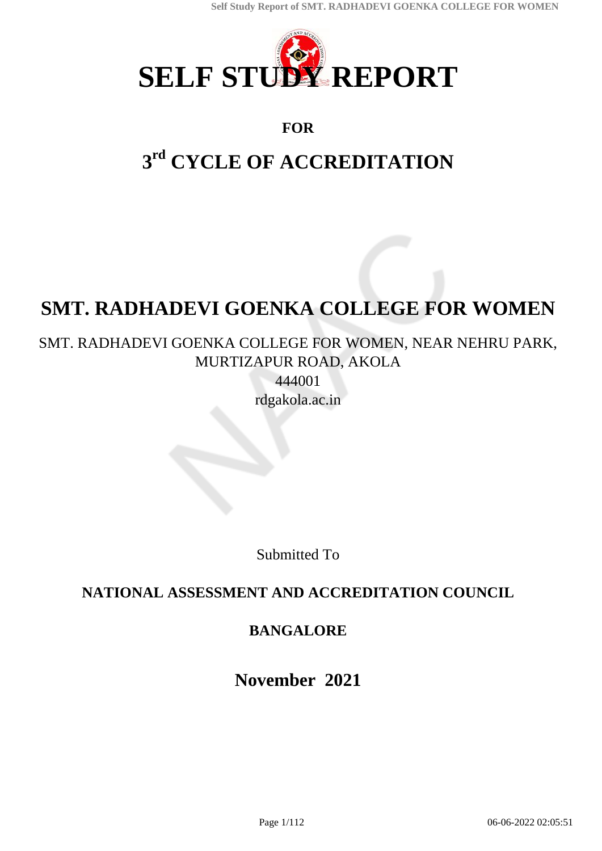

### **FOR**

# **3 rd CYCLE OF ACCREDITATION**

# **SMT. RADHADEVI GOENKA COLLEGE FOR WOMEN**

## SMT. RADHADEVI GOENKA COLLEGE FOR WOMEN, NEAR NEHRU PARK, MURTIZAPUR ROAD, AKOLA

444001 rdgakola.ac.in

Submitted To

## **NATIONAL ASSESSMENT AND ACCREDITATION COUNCIL**

### **BANGALORE**

**November 2021**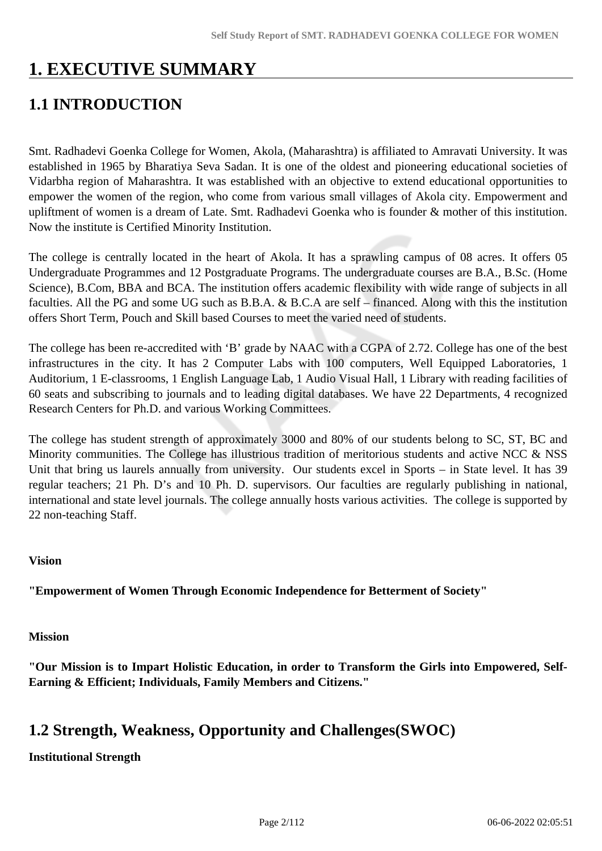## **1. EXECUTIVE SUMMARY**

## **1.1 INTRODUCTION**

Smt. Radhadevi Goenka College for Women, Akola, (Maharashtra) is affiliated to Amravati University. It was established in 1965 by Bharatiya Seva Sadan. It is one of the oldest and pioneering educational societies of Vidarbha region of Maharashtra. It was established with an objective to extend educational opportunities to empower the women of the region, who come from various small villages of Akola city. Empowerment and upliftment of women is a dream of Late. Smt. Radhadevi Goenka who is founder & mother of this institution. Now the institute is Certified Minority Institution.

The college is centrally located in the heart of Akola. It has a sprawling campus of 08 acres. It offers 05 Undergraduate Programmes and 12 Postgraduate Programs. The undergraduate courses are B.A., B.Sc. (Home Science), B.Com, BBA and BCA. The institution offers academic flexibility with wide range of subjects in all faculties. All the PG and some UG such as B.B.A. & B.C.A are self – financed. Along with this the institution offers Short Term, Pouch and Skill based Courses to meet the varied need of students.

The college has been re-accredited with 'B' grade by NAAC with a CGPA of 2.72. College has one of the best infrastructures in the city. It has 2 Computer Labs with 100 computers, Well Equipped Laboratories, 1 Auditorium, 1 E-classrooms, 1 English Language Lab, 1 Audio Visual Hall, 1 Library with reading facilities of 60 seats and subscribing to journals and to leading digital databases. We have 22 Departments, 4 recognized Research Centers for Ph.D. and various Working Committees.

The college has student strength of approximately 3000 and 80% of our students belong to SC, ST, BC and Minority communities. The College has illustrious tradition of meritorious students and active NCC & NSS Unit that bring us laurels annually from university. Our students excel in Sports – in State level. It has 39 regular teachers; 21 Ph. D's and 10 Ph. D. supervisors. Our faculties are regularly publishing in national, international and state level journals. The college annually hosts various activities. The college is supported by 22 non-teaching Staff.

### **Vision**

**"Empowerment of Women Through Economic Independence for Betterment of Society"**

### **Mission**

**"Our Mission is to Impart Holistic Education, in order to Transform the Girls into Empowered, Self-Earning & Efficient; Individuals, Family Members and Citizens."**

### **1.2 Strength, Weakness, Opportunity and Challenges(SWOC)**

### **Institutional Strength**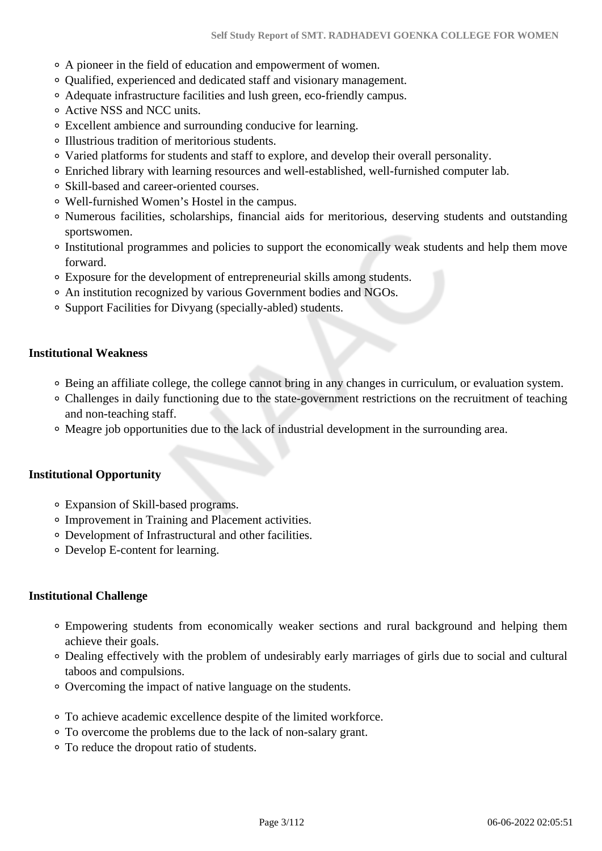- A pioneer in the field of education and empowerment of women.
- Qualified, experienced and dedicated staff and visionary management.
- Adequate infrastructure facilities and lush green, eco-friendly campus.
- Active NSS and NCC units.
- Excellent ambience and surrounding conducive for learning.
- Illustrious tradition of meritorious students.
- Varied platforms for students and staff to explore, and develop their overall personality.
- Enriched library with learning resources and well-established, well-furnished computer lab.
- Skill-based and career-oriented courses.
- Well-furnished Women's Hostel in the campus.
- Numerous facilities, scholarships, financial aids for meritorious, deserving students and outstanding sportswomen.
- Institutional programmes and policies to support the economically weak students and help them move forward.
- Exposure for the development of entrepreneurial skills among students.
- An institution recognized by various Government bodies and NGOs.
- Support Facilities for Divyang (specially-abled) students.

### **Institutional Weakness**

- Being an affiliate college, the college cannot bring in any changes in curriculum, or evaluation system.
- Challenges in daily functioning due to the state-government restrictions on the recruitment of teaching and non-teaching staff.
- Meagre job opportunities due to the lack of industrial development in the surrounding area.

### **Institutional Opportunity**

- Expansion of Skill-based programs.
- Improvement in Training and Placement activities.
- Development of Infrastructural and other facilities.
- Develop E-content for learning.

### **Institutional Challenge**

- Empowering students from economically weaker sections and rural background and helping them achieve their goals.
- Dealing effectively with the problem of undesirably early marriages of girls due to social and cultural taboos and compulsions.
- Overcoming the impact of native language on the students.
- To achieve academic excellence despite of the limited workforce.
- To overcome the problems due to the lack of non-salary grant.
- To reduce the dropout ratio of students.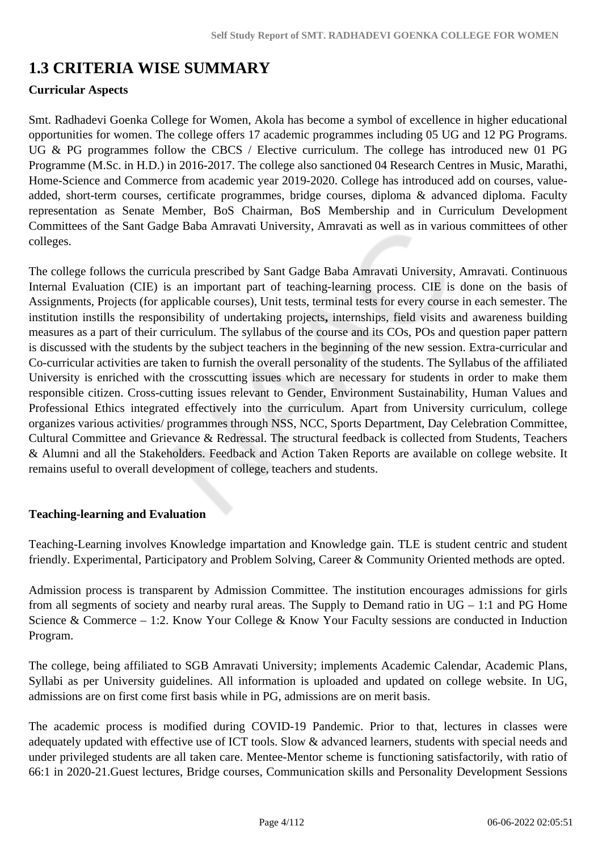## **1.3 CRITERIA WISE SUMMARY**

### **Curricular Aspects**

Smt. Radhadevi Goenka College for Women, Akola has become a symbol of excellence in higher educational opportunities for women. The college offers 17 academic programmes including 05 UG and 12 PG Programs. UG & PG programmes follow the CBCS / Elective curriculum. The college has introduced new 01 PG Programme (M.Sc. in H.D.) in 2016-2017. The college also sanctioned 04 Research Centres in Music, Marathi, Home-Science and Commerce from academic year 2019-2020. College has introduced add on courses, valueadded, short-term courses, certificate programmes, bridge courses, diploma & advanced diploma. Faculty representation as Senate Member, BoS Chairman, BoS Membership and in Curriculum Development Committees of the Sant Gadge Baba Amravati University, Amravati as well as in various committees of other colleges.

The college follows the curricula prescribed by Sant Gadge Baba Amravati University, Amravati. Continuous Internal Evaluation (CIE) is an important part of teaching-learning process. CIE is done on the basis of Assignments, Projects (for applicable courses), Unit tests, terminal tests for every course in each semester. The institution instills the responsibility of undertaking projects**,** internships, field visits and awareness building measures as a part of their curriculum. The syllabus of the course and its COs, POs and question paper pattern is discussed with the students by the subject teachers in the beginning of the new session. Extra-curricular and Co-curricular activities are taken to furnish the overall personality of the students. The Syllabus of the affiliated University is enriched with the crosscutting issues which are necessary for students in order to make them responsible citizen. Cross-cutting issues relevant to Gender, Environment Sustainability, Human Values and Professional Ethics integrated effectively into the curriculum. Apart from University curriculum, college organizes various activities/ programmes through NSS, NCC, Sports Department, Day Celebration Committee, Cultural Committee and Grievance & Redressal. The structural feedback is collected from Students, Teachers & Alumni and all the Stakeholders. Feedback and Action Taken Reports are available on college website. It remains useful to overall development of college, teachers and students.

### **Teaching-learning and Evaluation**

Teaching-Learning involves Knowledge impartation and Knowledge gain. TLE is student centric and student friendly. Experimental, Participatory and Problem Solving, Career & Community Oriented methods are opted.

Admission process is transparent by Admission Committee. The institution encourages admissions for girls from all segments of society and nearby rural areas. The Supply to Demand ratio in UG – 1:1 and PG Home Science & Commerce – 1:2. Know Your College & Know Your Faculty sessions are conducted in Induction Program.

The college, being affiliated to SGB Amravati University; implements Academic Calendar, Academic Plans, Syllabi as per University guidelines. All information is uploaded and updated on college website. In UG, admissions are on first come first basis while in PG, admissions are on merit basis.

The academic process is modified during COVID-19 Pandemic. Prior to that, lectures in classes were adequately updated with effective use of ICT tools. Slow & advanced learners, students with special needs and under privileged students are all taken care. Mentee-Mentor scheme is functioning satisfactorily, with ratio of 66:1 in 2020-21.Guest lectures, Bridge courses, Communication skills and Personality Development Sessions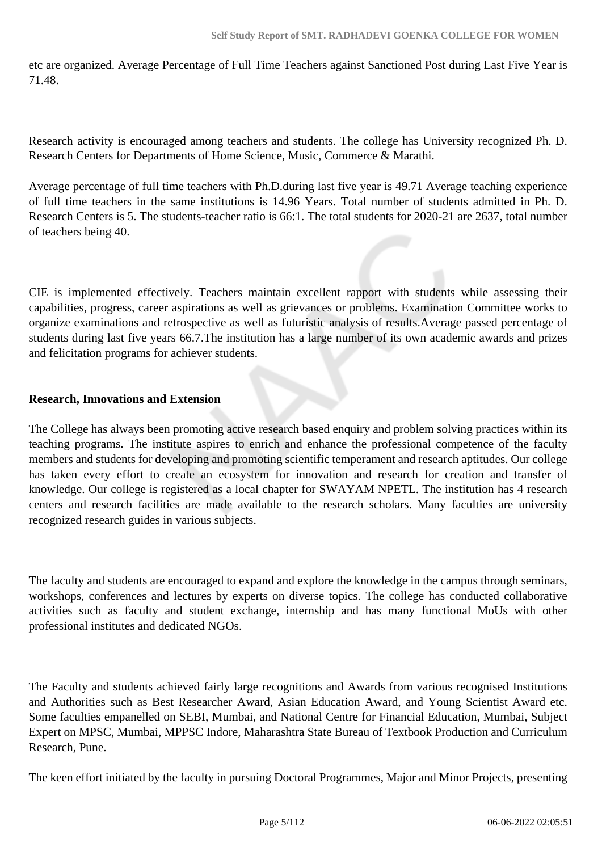etc are organized. Average Percentage of Full Time Teachers against Sanctioned Post during Last Five Year is 71.48.

Research activity is encouraged among teachers and students. The college has University recognized Ph. D. Research Centers for Departments of Home Science, Music, Commerce & Marathi.

Average percentage of full time teachers with Ph.D.during last five year is 49.71 Average teaching experience of full time teachers in the same institutions is 14.96 Years. Total number of students admitted in Ph. D. Research Centers is 5. The students-teacher ratio is 66:1. The total students for 2020-21 are 2637, total number of teachers being 40.

CIE is implemented effectively. Teachers maintain excellent rapport with students while assessing their capabilities, progress, career aspirations as well as grievances or problems. Examination Committee works to organize examinations and retrospective as well as futuristic analysis of results.Average passed percentage of students during last five years 66.7.The institution has a large number of its own academic awards and prizes and felicitation programs for achiever students.

### **Research, Innovations and Extension**

The College has always been promoting active research based enquiry and problem solving practices within its teaching programs. The institute aspires to enrich and enhance the professional competence of the faculty members and students for developing and promoting scientific temperament and research aptitudes. Our college has taken every effort to create an ecosystem for innovation and research for creation and transfer of knowledge. Our college is registered as a local chapter for SWAYAM NPETL. The institution has 4 research centers and research facilities are made available to the research scholars. Many faculties are university recognized research guides in various subjects.

The faculty and students are encouraged to expand and explore the knowledge in the campus through seminars, workshops, conferences and lectures by experts on diverse topics. The college has conducted collaborative activities such as faculty and student exchange, internship and has many functional MoUs with other professional institutes and dedicated NGOs.

The Faculty and students achieved fairly large recognitions and Awards from various recognised Institutions and Authorities such as Best Researcher Award, Asian Education Award, and Young Scientist Award etc. Some faculties empanelled on SEBI, Mumbai, and National Centre for Financial Education, Mumbai, Subject Expert on MPSC, Mumbai, MPPSC Indore, Maharashtra State Bureau of Textbook Production and Curriculum Research, Pune.

The keen effort initiated by the faculty in pursuing Doctoral Programmes, Major and Minor Projects, presenting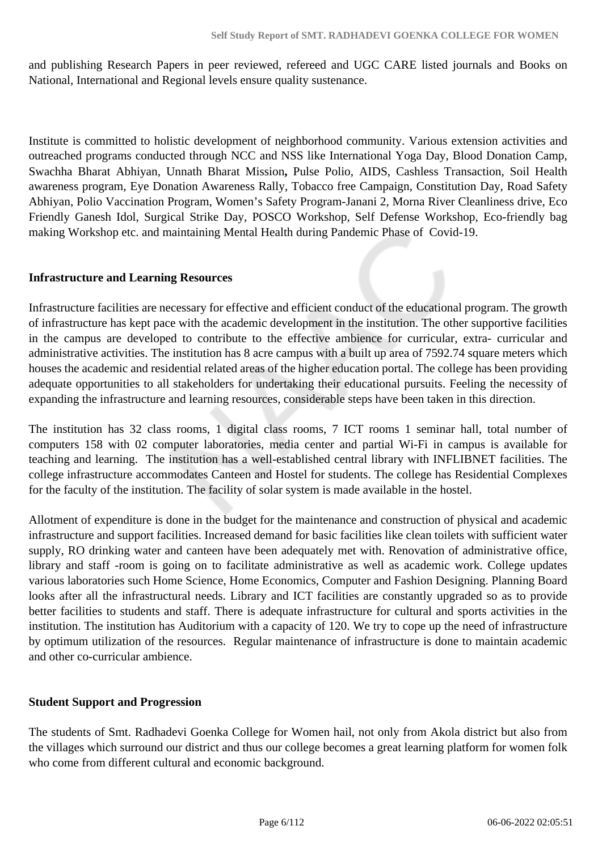and publishing Research Papers in peer reviewed, refereed and UGC CARE listed journals and Books on National, International and Regional levels ensure quality sustenance.

Institute is committed to holistic development of neighborhood community. Various extension activities and outreached programs conducted through NCC and NSS like International Yoga Day, Blood Donation Camp, Swachha Bharat Abhiyan, Unnath Bharat Mission**,** Pulse Polio, AIDS, Cashless Transaction, Soil Health awareness program, Eye Donation Awareness Rally, Tobacco free Campaign, Constitution Day, Road Safety Abhiyan, Polio Vaccination Program, Women's Safety Program-Janani 2, Morna River Cleanliness drive, Eco Friendly Ganesh Idol, Surgical Strike Day, POSCO Workshop, Self Defense Workshop, Eco-friendly bag making Workshop etc. and maintaining Mental Health during Pandemic Phase of Covid-19.

### **Infrastructure and Learning Resources**

Infrastructure facilities are necessary for effective and efficient conduct of the educational program. The growth of infrastructure has kept pace with the academic development in the institution. The other supportive facilities in the campus are developed to contribute to the effective ambience for curricular, extra- curricular and administrative activities. The institution has 8 acre campus with a built up area of 7592.74 square meters which houses the academic and residential related areas of the higher education portal. The college has been providing adequate opportunities to all stakeholders for undertaking their educational pursuits. Feeling the necessity of expanding the infrastructure and learning resources, considerable steps have been taken in this direction.

The institution has 32 class rooms, 1 digital class rooms, 7 ICT rooms 1 seminar hall, total number of computers 158 with 02 computer laboratories, media center and partial Wi-Fi in campus is available for teaching and learning. The institution has a well-established central library with INFLIBNET facilities. The college infrastructure accommodates Canteen and Hostel for students. The college has Residential Complexes for the faculty of the institution. The facility of solar system is made available in the hostel.

Allotment of expenditure is done in the budget for the maintenance and construction of physical and academic infrastructure and support facilities. Increased demand for basic facilities like clean toilets with sufficient water supply, RO drinking water and canteen have been adequately met with. Renovation of administrative office, library and staff -room is going on to facilitate administrative as well as academic work. College updates various laboratories such Home Science, Home Economics, Computer and Fashion Designing. Planning Board looks after all the infrastructural needs. Library and ICT facilities are constantly upgraded so as to provide better facilities to students and staff. There is adequate infrastructure for cultural and sports activities in the institution. The institution has Auditorium with a capacity of 120. We try to cope up the need of infrastructure by optimum utilization of the resources. Regular maintenance of infrastructure is done to maintain academic and other co-curricular ambience.

### **Student Support and Progression**

The students of Smt. Radhadevi Goenka College for Women hail, not only from Akola district but also from the villages which surround our district and thus our college becomes a great learning platform for women folk who come from different cultural and economic background.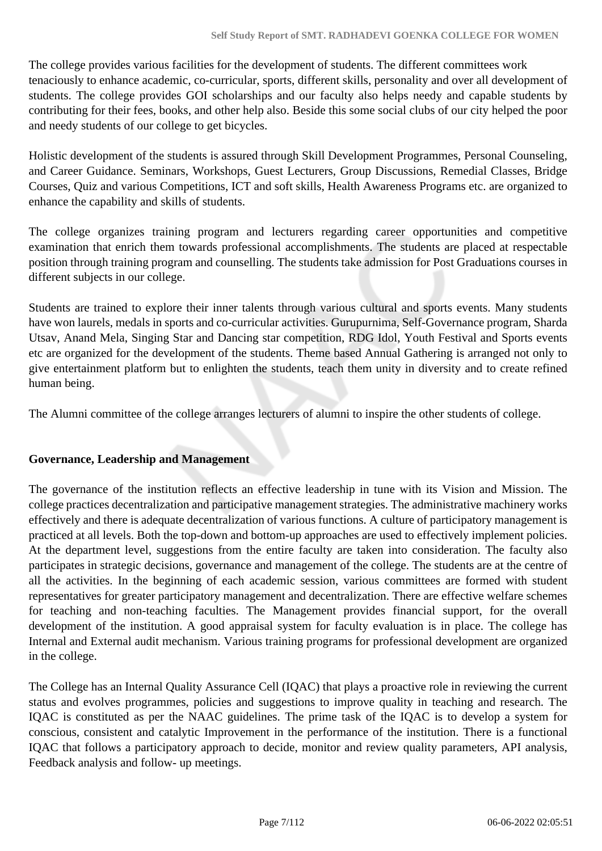The college provides various facilities for the development of students. The different committees work tenaciously to enhance academic, co-curricular, sports, different skills, personality and over all development of students. The college provides GOI scholarships and our faculty also helps needy and capable students by contributing for their fees, books, and other help also. Beside this some social clubs of our city helped the poor and needy students of our college to get bicycles.

Holistic development of the students is assured through Skill Development Programmes, Personal Counseling, and Career Guidance. Seminars, Workshops, Guest Lecturers, Group Discussions, Remedial Classes, Bridge Courses, Quiz and various Competitions, ICT and soft skills, Health Awareness Programs etc. are organized to enhance the capability and skills of students.

The college organizes training program and lecturers regarding career opportunities and competitive examination that enrich them towards professional accomplishments. The students are placed at respectable position through training program and counselling. The students take admission for Post Graduations courses in different subjects in our college.

Students are trained to explore their inner talents through various cultural and sports events. Many students have won laurels, medals in sports and co-curricular activities. Gurupurnima, Self-Governance program, Sharda Utsav, Anand Mela, Singing Star and Dancing star competition, RDG Idol, Youth Festival and Sports events etc are organized for the development of the students. Theme based Annual Gathering is arranged not only to give entertainment platform but to enlighten the students, teach them unity in diversity and to create refined human being.

The Alumni committee of the college arranges lecturers of alumni to inspire the other students of college.

### **Governance, Leadership and Management**

The governance of the institution reflects an effective leadership in tune with its Vision and Mission. The college practices decentralization and participative management strategies. The administrative machinery works effectively and there is adequate decentralization of various functions. A culture of participatory management is practiced at all levels. Both the top-down and bottom-up approaches are used to effectively implement policies. At the department level, suggestions from the entire faculty are taken into consideration. The faculty also participates in strategic decisions, governance and management of the college. The students are at the centre of all the activities. In the beginning of each academic session, various committees are formed with student representatives for greater participatory management and decentralization. There are effective welfare schemes for teaching and non-teaching faculties. The Management provides financial support, for the overall development of the institution. A good appraisal system for faculty evaluation is in place. The college has Internal and External audit mechanism. Various training programs for professional development are organized in the college.

The College has an Internal Quality Assurance Cell (IQAC) that plays a proactive role in reviewing the current status and evolves programmes, policies and suggestions to improve quality in teaching and research. The IQAC is constituted as per the NAAC guidelines. The prime task of the IQAC is to develop a system for conscious, consistent and catalytic Improvement in the performance of the institution. There is a functional IQAC that follows a participatory approach to decide, monitor and review quality parameters, API analysis, Feedback analysis and follow- up meetings.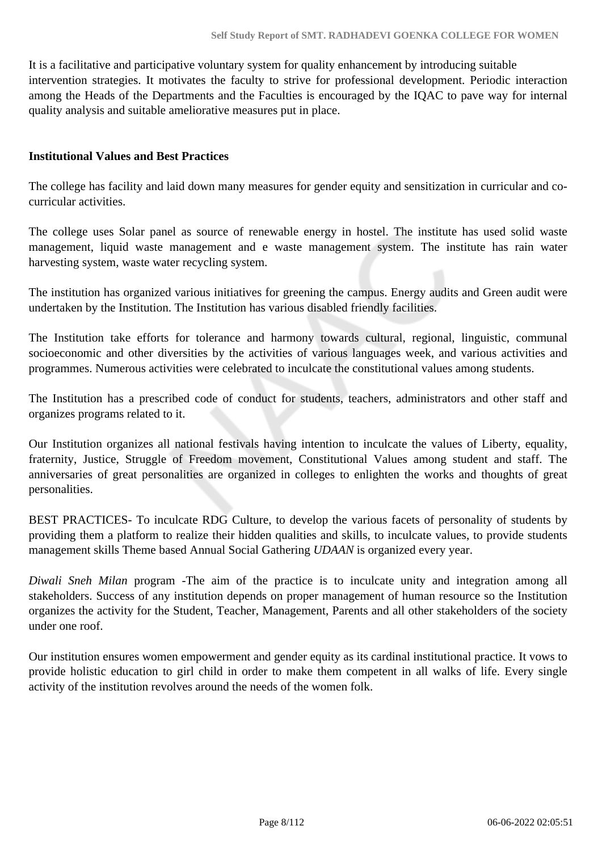It is a facilitative and participative voluntary system for quality enhancement by introducing suitable intervention strategies. It motivates the faculty to strive for professional development. Periodic interaction among the Heads of the Departments and the Faculties is encouraged by the IQAC to pave way for internal quality analysis and suitable ameliorative measures put in place.

### **Institutional Values and Best Practices**

The college has facility and laid down many measures for gender equity and sensitization in curricular and cocurricular activities.

The college uses Solar panel as source of renewable energy in hostel. The institute has used solid waste management, liquid waste management and e waste management system. The institute has rain water harvesting system, waste water recycling system.

The institution has organized various initiatives for greening the campus. Energy audits and Green audit were undertaken by the Institution. The Institution has various disabled friendly facilities.

The Institution take efforts for tolerance and harmony towards cultural, regional, linguistic, communal socioeconomic and other diversities by the activities of various languages week, and various activities and programmes. Numerous activities were celebrated to inculcate the constitutional values among students.

The Institution has a prescribed code of conduct for students, teachers, administrators and other staff and organizes programs related to it.

Our Institution organizes all national festivals having intention to inculcate the values of Liberty, equality, fraternity, Justice, Struggle of Freedom movement, Constitutional Values among student and staff. The anniversaries of great personalities are organized in colleges to enlighten the works and thoughts of great personalities.

BEST PRACTICES- To inculcate RDG Culture, to develop the various facets of personality of students by providing them a platform to realize their hidden qualities and skills, to inculcate values, to provide students management skills Theme based Annual Social Gathering *UDAAN* is organized every year.

*Diwali Sneh Milan* program -The aim of the practice is to inculcate unity and integration among all stakeholders. Success of any institution depends on proper management of human resource so the Institution organizes the activity for the Student, Teacher, Management, Parents and all other stakeholders of the society under one roof.

Our institution ensures women empowerment and gender equity as its cardinal institutional practice. It vows to provide holistic education to girl child in order to make them competent in all walks of life. Every single activity of the institution revolves around the needs of the women folk.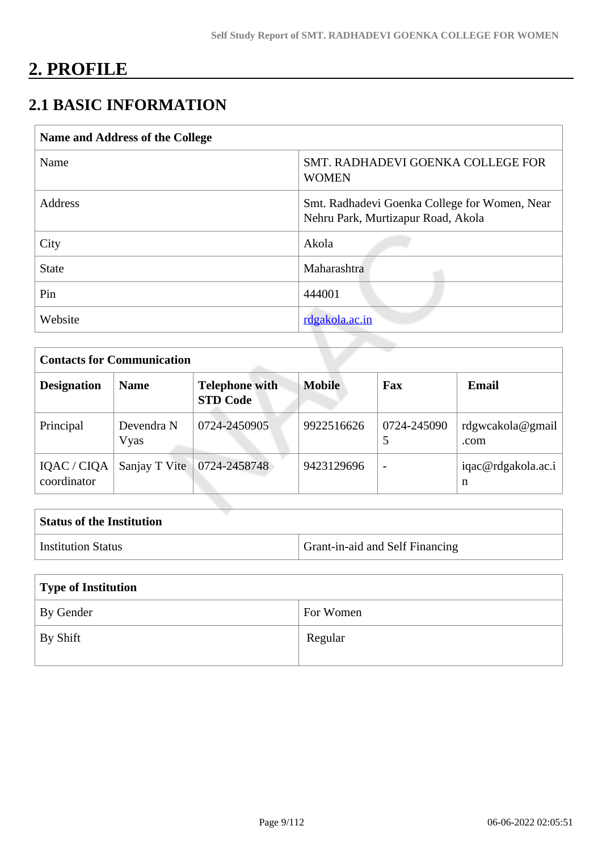## **2. PROFILE**

## **2.1 BASIC INFORMATION**

| Name and Address of the College |                                                                                     |
|---------------------------------|-------------------------------------------------------------------------------------|
| Name                            | SMT. RADHADEVI GOENKA COLLEGE FOR<br><b>WOMEN</b>                                   |
| Address                         | Smt. Radhadevi Goenka College for Women, Near<br>Nehru Park, Murtizapur Road, Akola |
| City                            | Akola                                                                               |
| <b>State</b>                    | Maharashtra                                                                         |
| Pin                             | 444001                                                                              |
| Website                         | rdgakola.ac.in                                                                      |
|                                 |                                                                                     |

| <b>Contacts for Communication</b> |                    |                                          |               |             |                          |
|-----------------------------------|--------------------|------------------------------------------|---------------|-------------|--------------------------|
| <b>Designation</b>                | <b>Name</b>        | <b>Telephone with</b><br><b>STD Code</b> | <b>Mobile</b> | Fax         | Email                    |
| Principal                         | Devendra N<br>Vyas | 0724-2450905                             | 9922516626    | 0724-245090 | rdgwcakola@gmail<br>.com |
| IQAC / CIQA<br>coordinator        | Sanjay T Vite      | 0724-2458748                             | 9423129696    |             | iqac@rdgakola.ac.i<br>n  |

| <b>Status of the Institution</b> |                                        |
|----------------------------------|----------------------------------------|
| <b>Institution Status</b>        | <b>Grant-in-aid and Self Financing</b> |
|                                  |                                        |

| Type of Institution |           |  |
|---------------------|-----------|--|
| By Gender           | For Women |  |
| By Shift            | Regular   |  |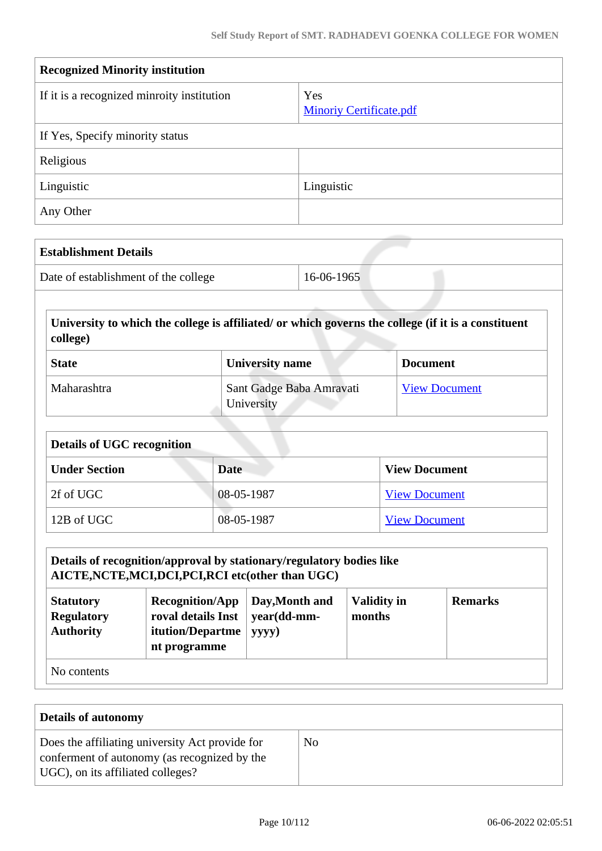| <b>Recognized Minority institution</b>     |                                       |  |
|--------------------------------------------|---------------------------------------|--|
| If it is a recognized minroity institution | Yes<br><b>Minoriy Certificate.pdf</b> |  |
| If Yes, Specify minority status            |                                       |  |
| Religious                                  |                                       |  |
| Linguistic                                 | Linguistic                            |  |
| Any Other                                  |                                       |  |

| <b>Establishment Details</b>         |            |
|--------------------------------------|------------|
| Date of establishment of the college | 16-06-1965 |

 **University to which the college is affiliated/ or which governs the college (if it is a constituent college)**

| <b>State</b> | <b>University name</b>                 | <b>Document</b>      |
|--------------|----------------------------------------|----------------------|
| Maharashtra  | Sant Gadge Baba Amravati<br>University | <b>View Document</b> |

| <b>Details of UGC recognition</b> |            |                      |  |
|-----------------------------------|------------|----------------------|--|
| <b>Under Section</b>              | Date       | <b>View Document</b> |  |
| 2f of UGC                         | 08-05-1987 | <b>View Document</b> |  |
| 12B of UGC                        | 08-05-1987 | <b>View Document</b> |  |

## **Details of recognition/approval by stationary/regulatory bodies like AICTE,NCTE,MCI,DCI,PCI,RCI etc(other than UGC)**

| <b>Statutory</b><br><b>Regulatory</b><br><b>Authority</b> | $Recognition/App$ Day, Month and<br>roval details Inst $\vert$ year(dd-mm-<br><b>itution/Departme</b><br>nt programme | $ $ yyyy) | <b>Validity in</b><br>months | <b>Remarks</b> |  |
|-----------------------------------------------------------|-----------------------------------------------------------------------------------------------------------------------|-----------|------------------------------|----------------|--|
| $\rm N_{\Omega}$ contents                                 |                                                                                                                       |           |                              |                |  |

No contents

| Details of autonomy                                                                                                                  |    |  |
|--------------------------------------------------------------------------------------------------------------------------------------|----|--|
| Does the affiliating university Act provide for<br>conferment of autonomy (as recognized by the<br>UGC), on its affiliated colleges? | No |  |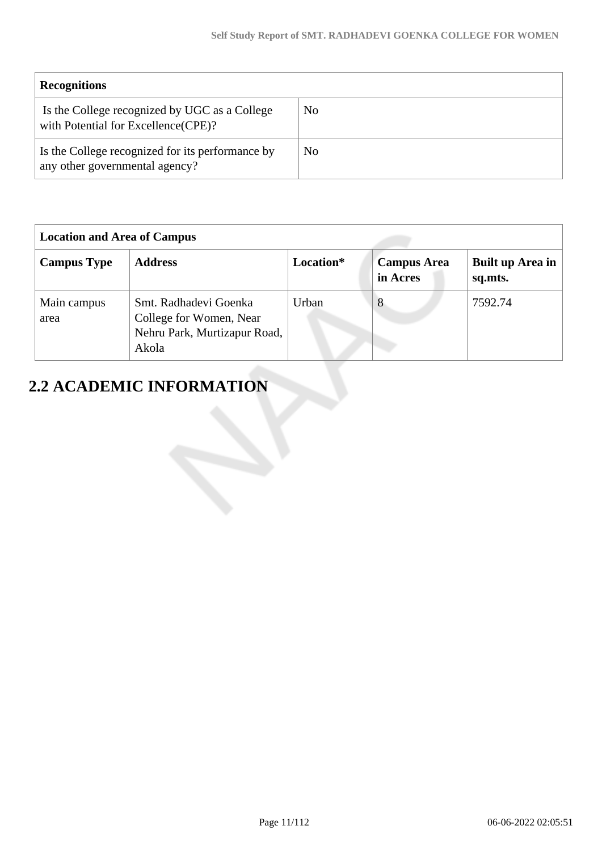| <b>Recognitions</b>                                                                   |    |
|---------------------------------------------------------------------------------------|----|
| Is the College recognized by UGC as a College<br>with Potential for Excellence (CPE)? | No |
| Is the College recognized for its performance by<br>any other governmental agency?    | No |

| <b>Location and Area of Campus</b> |                                                                                           |           |                                |                                    |
|------------------------------------|-------------------------------------------------------------------------------------------|-----------|--------------------------------|------------------------------------|
| <b>Campus Type</b>                 | <b>Address</b>                                                                            | Location* | <b>Campus Area</b><br>in Acres | <b>Built up Area in</b><br>sq.mts. |
| Main campus<br>area                | Smt. Radhadevi Goenka<br>College for Women, Near<br>Nehru Park, Murtizapur Road,<br>Akola | Urban     | 8                              | 7592.74                            |

# **2.2 ACADEMIC INFORMATION**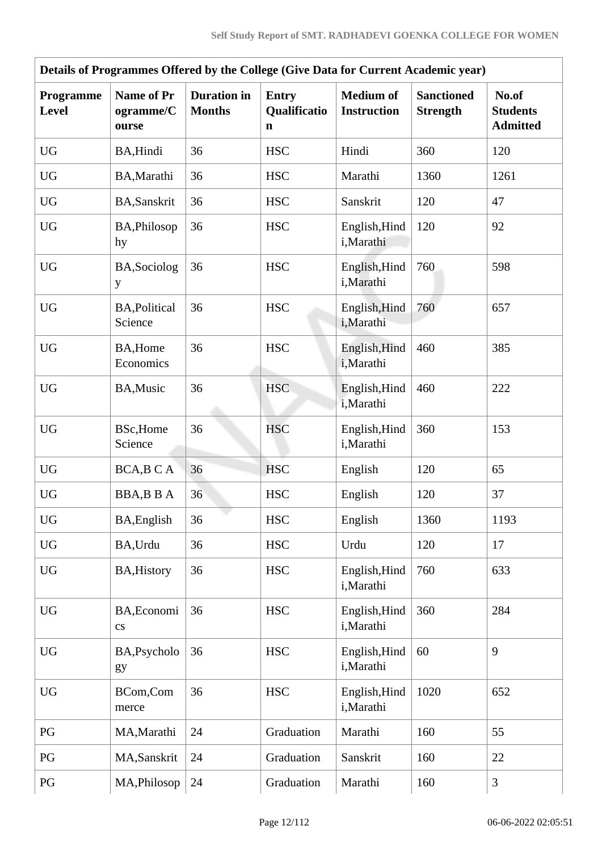|                           |                                         |                                     |                                   | Details of Programmes Offered by the College (Give Data for Current Academic year) |                                      |                                             |
|---------------------------|-----------------------------------------|-------------------------------------|-----------------------------------|------------------------------------------------------------------------------------|--------------------------------------|---------------------------------------------|
| Programme<br><b>Level</b> | <b>Name of Pr</b><br>ogramme/C<br>ourse | <b>Duration</b> in<br><b>Months</b> | <b>Entry</b><br>Qualificatio<br>n | <b>Medium</b> of<br><b>Instruction</b>                                             | <b>Sanctioned</b><br><b>Strength</b> | No.of<br><b>Students</b><br><b>Admitted</b> |
| <b>UG</b>                 | BA, Hindi                               | 36                                  | <b>HSC</b>                        | Hindi                                                                              | 360                                  | 120                                         |
| <b>UG</b>                 | BA, Marathi                             | 36                                  | <b>HSC</b>                        | Marathi                                                                            | 1360                                 | 1261                                        |
| <b>UG</b>                 | <b>BA,Sanskrit</b>                      | 36                                  | <b>HSC</b>                        | Sanskrit                                                                           | 120                                  | 47                                          |
| <b>UG</b>                 | BA, Philosop<br>hy                      | 36                                  | <b>HSC</b>                        | English, Hind<br>i, Marathi                                                        | 120                                  | 92                                          |
| <b>UG</b>                 | BA, Sociolog<br>y                       | 36                                  | <b>HSC</b>                        | English, Hind<br>i,Marathi                                                         | 760                                  | 598                                         |
| <b>UG</b>                 | <b>BA, Political</b><br>Science         | 36                                  | <b>HSC</b>                        | English, Hind<br>i, Marathi                                                        | 760                                  | 657                                         |
| ${\rm U}{\rm G}$          | BA, Home<br>Economics                   | 36                                  | <b>HSC</b>                        | English, Hind<br>i, Marathi                                                        | 460                                  | 385                                         |
| <b>UG</b>                 | BA, Music                               | 36                                  | <b>HSC</b>                        | English, Hind<br>i, Marathi                                                        | 460                                  | 222                                         |
| <b>UG</b>                 | <b>BSc, Home</b><br>Science             | 36                                  | <b>HSC</b>                        | English, Hind<br>i,Marathi                                                         | 360                                  | 153                                         |
| ${\rm U}{\rm G}$          | BCA, B C A                              | 36                                  | <b>HSC</b>                        | English                                                                            | 120                                  | 65                                          |
| <b>UG</b>                 | <b>BBA,BBA</b>                          | 36                                  | <b>HSC</b>                        | English                                                                            | 120                                  | 37                                          |
| <b>UG</b>                 | <b>BA, English</b>                      | 36                                  | <b>HSC</b>                        | English                                                                            | 1360                                 | 1193                                        |
| <b>UG</b>                 | BA, Urdu                                | 36                                  | <b>HSC</b>                        | Urdu                                                                               | 120                                  | 17                                          |
| <b>UG</b>                 | <b>BA, History</b>                      | 36                                  | <b>HSC</b>                        | English, Hind<br>i, Marathi                                                        | 760                                  | 633                                         |
| <b>UG</b>                 | BA, Economi<br>$\mathbf{c}\mathbf{s}$   | 36                                  | <b>HSC</b>                        | English, Hind<br>i, Marathi                                                        | 360                                  | 284                                         |
| <b>UG</b>                 | BA, Psycholo<br>gy                      | 36                                  | <b>HSC</b>                        | English, Hind<br>i, Marathi                                                        | 60                                   | 9                                           |
| <b>UG</b>                 | BCom,Com<br>merce                       | 36                                  | <b>HSC</b>                        | English, Hind<br>i, Marathi                                                        | 1020                                 | 652                                         |
| PG                        | MA, Marathi                             | 24                                  | Graduation                        | Marathi                                                                            | 160                                  | 55                                          |
| PG                        | MA, Sanskrit                            | 24                                  | Graduation                        | Sanskrit                                                                           | 160                                  | 22                                          |
| PG                        | MA, Philosop                            | 24                                  | Graduation                        | Marathi                                                                            | 160                                  | 3                                           |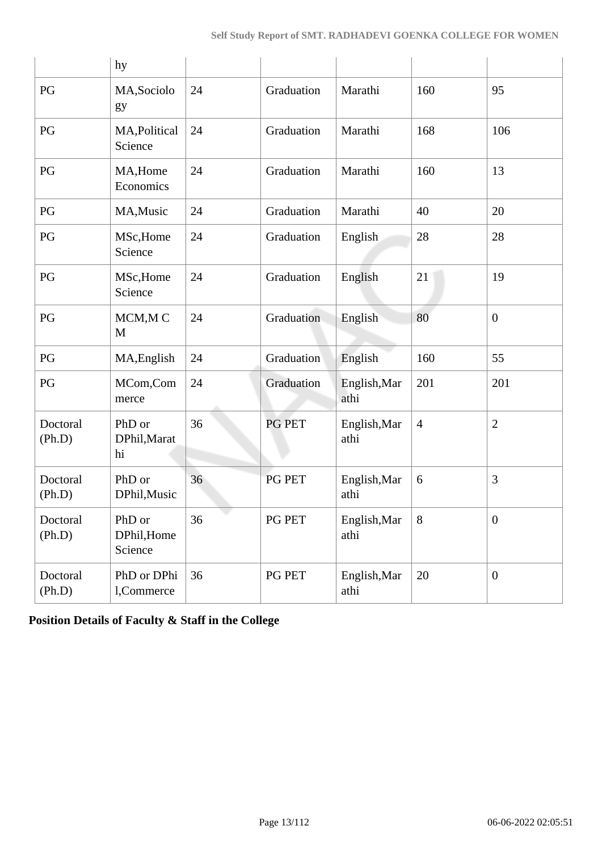|                    | hy                               |    |            |                      |                |                  |
|--------------------|----------------------------------|----|------------|----------------------|----------------|------------------|
| PG                 | MA, Sociolo<br>gy                | 24 | Graduation | Marathi              | 160            | 95               |
| PG                 | MA, Political<br>Science         | 24 | Graduation | Marathi              | 168            | 106              |
| PG                 | MA, Home<br>Economics            | 24 | Graduation | Marathi              | 160            | 13               |
| PG                 | MA, Music                        | 24 | Graduation | Marathi              | 40             | 20               |
| PG                 | MSc, Home<br>Science             | 24 | Graduation | English              | 28             | 28               |
| PG                 | MSc, Home<br>Science             | 24 | Graduation | English              | 21             | 19               |
| PG                 | MCM, MC<br>M                     | 24 | Graduation | English              | 80             | $\boldsymbol{0}$ |
| PG                 | MA, English                      | 24 | Graduation | English              | 160            | 55               |
| PG                 | MCom,Com<br>merce                | 24 | Graduation | English, Mar<br>athi | 201            | 201              |
| Doctoral<br>(Ph.D) | PhD or<br>DPhil, Marat<br>hi     | 36 | PG PET     | English, Mar<br>athi | $\overline{4}$ | $\overline{2}$   |
| Doctoral<br>(Ph.D) | PhD or<br>DPhil, Music           | 36 | PG PET     | English, Mar<br>athi | 6              | 3                |
| Doctoral<br>(Ph.D) | PhD or<br>DPhil, Home<br>Science | 36 | PG PET     | English, Mar<br>athi | 8              | $\boldsymbol{0}$ |
| Doctoral<br>(Ph.D) | PhD or DPhi<br>1,Commerce        | 36 | PG PET     | English, Mar<br>athi | 20             | $\boldsymbol{0}$ |

**Position Details of Faculty & Staff in the College**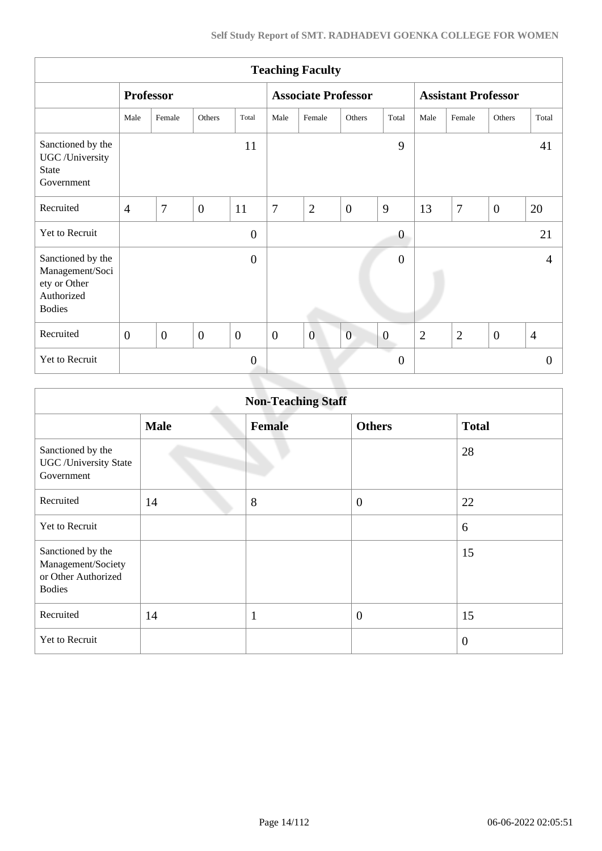|                                                                                     |                  |                |                |                |                  | <b>Teaching Faculty</b>    |                |                         |                |                            |                |                |
|-------------------------------------------------------------------------------------|------------------|----------------|----------------|----------------|------------------|----------------------------|----------------|-------------------------|----------------|----------------------------|----------------|----------------|
|                                                                                     | <b>Professor</b> |                |                |                |                  | <b>Associate Professor</b> |                |                         |                | <b>Assistant Professor</b> |                |                |
|                                                                                     | Male             | Female         | Others         | Total          | Male             | Female                     | Others         | Total                   | Male           | Female                     | Others         | Total          |
| Sanctioned by the<br>UGC /University<br><b>State</b><br>Government                  |                  |                |                | 11             |                  |                            |                | 9                       |                |                            |                | 41             |
| Recruited                                                                           | $\overline{4}$   | 7              | $\mathbf{0}$   | 11             | $\overline{7}$   | $\overline{2}$             | $\overline{0}$ | 9                       | 13             | 7                          | $\overline{0}$ | 20             |
| Yet to Recruit                                                                      |                  |                |                | $\overline{0}$ |                  |                            |                | $\boldsymbol{0}$        |                |                            |                | 21             |
| Sanctioned by the<br>Management/Soci<br>ety or Other<br>Authorized<br><b>Bodies</b> |                  |                |                | $\overline{0}$ |                  |                            |                | $\overline{0}$          |                |                            |                | 4              |
| Recruited                                                                           | $\mathbf{0}$     | $\overline{0}$ | $\overline{0}$ | $\mathbf{0}$   | $\boldsymbol{0}$ | $\overline{0}$             | $\mathbf{0}$   | $\boldsymbol{0}$        | $\overline{2}$ | $\overline{2}$             | $\overline{0}$ | $\overline{4}$ |
| Yet to Recruit                                                                      |                  |                |                | $\overline{0}$ |                  |                            |                | e d<br>$\boldsymbol{0}$ |                |                            |                | $\overline{0}$ |
|                                                                                     |                  |                |                |                |                  |                            |                |                         |                |                            |                |                |

|                                                                                 |             | <b>Non-Teaching Staff</b> |                  |              |
|---------------------------------------------------------------------------------|-------------|---------------------------|------------------|--------------|
|                                                                                 | <b>Male</b> | <b>Female</b>             | <b>Others</b>    | <b>Total</b> |
| Sanctioned by the<br><b>UGC</b> / University State<br>Government                |             |                           |                  | 28           |
| Recruited                                                                       | 14          | 8                         | $\boldsymbol{0}$ | 22           |
| Yet to Recruit                                                                  |             |                           |                  | 6            |
| Sanctioned by the<br>Management/Society<br>or Other Authorized<br><b>Bodies</b> |             |                           |                  | 15           |
| Recruited                                                                       | 14          | $\mathbf{1}$              | $\overline{0}$   | 15           |
| Yet to Recruit                                                                  |             |                           |                  | $\theta$     |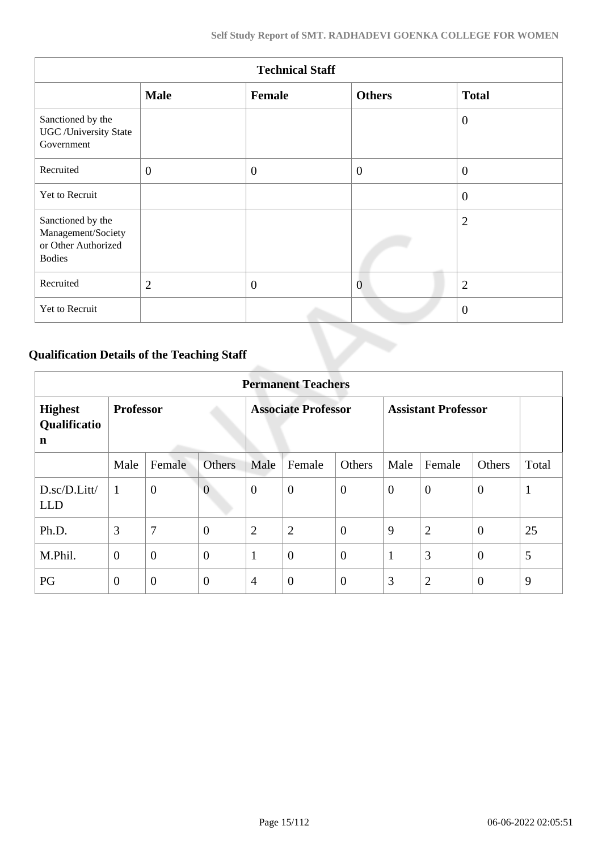|                                                                                 |                | <b>Technical Staff</b> |                |                |
|---------------------------------------------------------------------------------|----------------|------------------------|----------------|----------------|
|                                                                                 | <b>Male</b>    | Female                 | <b>Others</b>  | <b>Total</b>   |
| Sanctioned by the<br><b>UGC</b> / University State<br>Government                |                |                        |                | $\overline{0}$ |
| Recruited                                                                       | $\overline{0}$ | $\overline{0}$         | $\overline{0}$ | $\theta$       |
| Yet to Recruit                                                                  |                |                        |                | $\theta$       |
| Sanctioned by the<br>Management/Society<br>or Other Authorized<br><b>Bodies</b> |                |                        |                | $\overline{2}$ |
| Recruited                                                                       | $\overline{2}$ | $\overline{0}$         | $\overline{0}$ | $\overline{2}$ |
| Yet to Recruit                                                                  |                |                        |                | $\overline{0}$ |

## **Qualification Details of the Teaching Staff**

|                                     |                  |                  |                |                            | <b>Permanent Teachers</b> |                |                            |                |                |              |
|-------------------------------------|------------------|------------------|----------------|----------------------------|---------------------------|----------------|----------------------------|----------------|----------------|--------------|
| <b>Highest</b><br>Qualificatio<br>n | <b>Professor</b> |                  |                | <b>Associate Professor</b> |                           |                | <b>Assistant Professor</b> |                |                |              |
|                                     | Male             | Female           | <b>Others</b>  | Male                       | Female                    | Others         | Male                       | Female         | Others         | Total        |
| D.sc/D.Litt/<br><b>LLD</b>          | 1                | $\boldsymbol{0}$ | $\overline{0}$ | $\mathbf{0}$               | $\boldsymbol{0}$          | $\overline{0}$ | $\theta$                   | $\overline{0}$ | $\overline{0}$ | $\mathbf{1}$ |
| Ph.D.                               | 3                | $\overline{7}$   | $\overline{0}$ | $\overline{2}$             | $\overline{2}$            | $\theta$       | 9                          | $\overline{2}$ | $\overline{0}$ | 25           |
| M.Phil.                             | $\boldsymbol{0}$ | $\overline{0}$   | $\overline{0}$ | $\mathbf{1}$               | $\overline{0}$            | $\overline{0}$ | 1                          | 3              | $\theta$       | 5            |
| PG                                  | $\overline{0}$   | $\overline{0}$   | $\overline{0}$ | $\overline{4}$             | $\overline{0}$            | $\overline{0}$ | 3                          | $\overline{2}$ | $\overline{0}$ | 9            |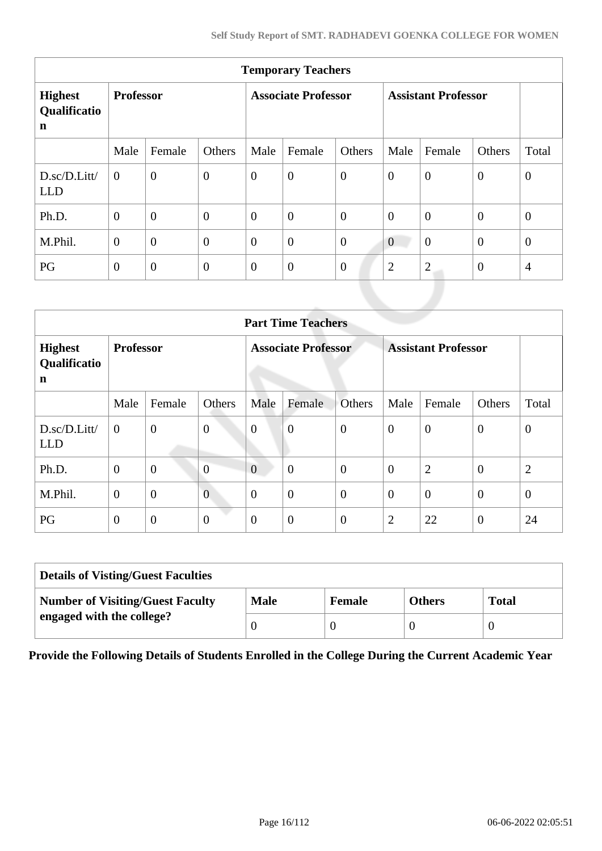| <b>Temporary Teachers</b>                     |                  |                |                  |                            |                  |                |                            |                |                |                |  |
|-----------------------------------------------|------------------|----------------|------------------|----------------------------|------------------|----------------|----------------------------|----------------|----------------|----------------|--|
| <b>Highest</b><br>Qualificatio<br>$\mathbf n$ | <b>Professor</b> |                |                  | <b>Associate Professor</b> |                  |                | <b>Assistant Professor</b> |                |                |                |  |
|                                               | Male             | Female         | Others           | Male                       | Female           | Others         | Male                       | Female         | Others         | Total          |  |
| D.sc/D.Litt/<br><b>LLD</b>                    | $\overline{0}$   | $\overline{0}$ | $\overline{0}$   | $\boldsymbol{0}$           | $\boldsymbol{0}$ | $\overline{0}$ | $\mathbf{0}$               | $\overline{0}$ | $\mathbf{0}$   | $\mathbf{0}$   |  |
| Ph.D.                                         | $\overline{0}$   | $\overline{0}$ | $\overline{0}$   | $\theta$                   | $\overline{0}$   | $\overline{0}$ | $\overline{0}$             | $\overline{0}$ | $\overline{0}$ | $\mathbf{0}$   |  |
| M.Phil.                                       | $\overline{0}$   | $\overline{0}$ | $\overline{0}$   | $\theta$                   | $\overline{0}$   | $\overline{0}$ | $\theta$                   | $\overline{0}$ | $\overline{0}$ | $\mathbf{0}$   |  |
| PG                                            | $\mathbf{0}$     | $\overline{0}$ | $\boldsymbol{0}$ | $\overline{0}$             | $\boldsymbol{0}$ | $\theta$       | $\overline{2}$             | $\overline{2}$ | $\overline{0}$ | $\overline{4}$ |  |
|                                               |                  |                |                  |                            |                  |                |                            |                |                |                |  |

|                                     | <b>Part Time Teachers</b> |                |                  |                            |                  |                |                            |                |                |                |  |  |
|-------------------------------------|---------------------------|----------------|------------------|----------------------------|------------------|----------------|----------------------------|----------------|----------------|----------------|--|--|
| <b>Highest</b><br>Qualificatio<br>n | <b>Professor</b>          |                |                  | <b>Associate Professor</b> |                  |                | <b>Assistant Professor</b> |                |                |                |  |  |
|                                     | Male                      | Female         | Others           | Male                       | Female           | <b>Others</b>  | Male                       | Female         | Others         | Total          |  |  |
| D.sc/D.Litt/<br><b>LLD</b>          | $\overline{0}$            | $\overline{0}$ | $\boldsymbol{0}$ | $\overline{0}$             | $\overline{0}$   | $\overline{0}$ | $\overline{0}$             | $\overline{0}$ | $\overline{0}$ | $\mathbf{0}$   |  |  |
| Ph.D.                               | $\mathbf{0}$              | $\overline{0}$ | $\overline{0}$   | $\overline{0}$             | $\overline{0}$   | $\overline{0}$ | $\theta$                   | $\overline{2}$ | $\overline{0}$ | $\overline{2}$ |  |  |
| M.Phil.                             | $\mathbf{0}$              | $\overline{0}$ | $\overline{0}$   | $\overline{0}$             | $\overline{0}$   | $\overline{0}$ | $\overline{0}$             | $\overline{0}$ | $\overline{0}$ | $\theta$       |  |  |
| PG                                  | $\mathbf{0}$              | $\mathbf{0}$   | $\boldsymbol{0}$ | $\overline{0}$             | $\boldsymbol{0}$ | $\overline{0}$ | $\overline{2}$             | 22             | $\theta$       | 24             |  |  |

| <b>Details of Visting/Guest Faculties</b> |             |               |               |              |  |  |  |  |
|-------------------------------------------|-------------|---------------|---------------|--------------|--|--|--|--|
| <b>Number of Visiting/Guest Faculty</b>   | <b>Male</b> | <b>Female</b> | <b>Others</b> | <b>Total</b> |  |  |  |  |
| engaged with the college?                 |             |               |               |              |  |  |  |  |

**Provide the Following Details of Students Enrolled in the College During the Current Academic Year**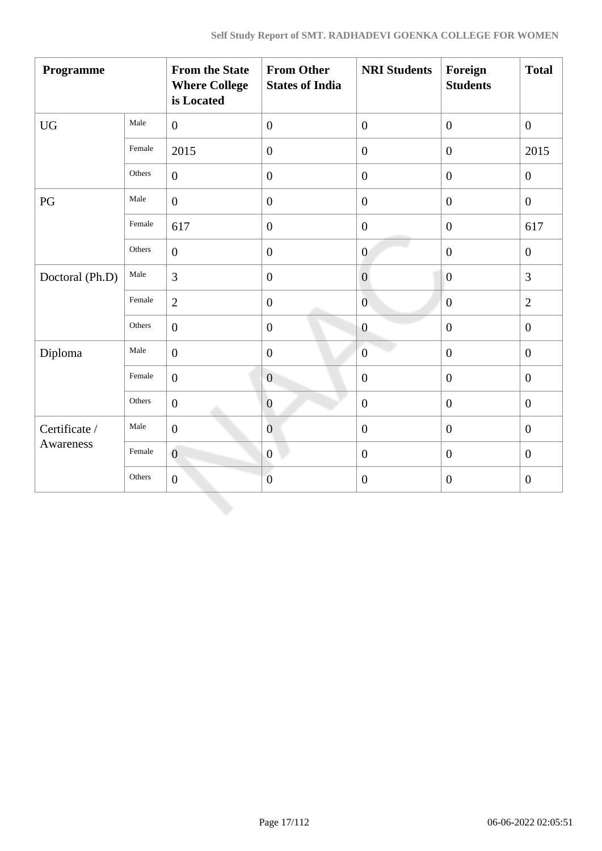| Programme        |        | <b>From the State</b><br><b>Where College</b><br>is Located | <b>From Other</b><br><b>States of India</b> | <b>NRI Students</b> | Foreign<br><b>Students</b> | <b>Total</b>     |
|------------------|--------|-------------------------------------------------------------|---------------------------------------------|---------------------|----------------------------|------------------|
| ${\rm U}{\rm G}$ | Male   | $\overline{0}$                                              | $\overline{0}$                              | $\overline{0}$      | $\overline{0}$             | $\boldsymbol{0}$ |
|                  | Female | 2015                                                        | $\boldsymbol{0}$                            | $\boldsymbol{0}$    | $\boldsymbol{0}$           | 2015             |
|                  | Others | $\overline{0}$                                              | $\boldsymbol{0}$                            | $\boldsymbol{0}$    | $\boldsymbol{0}$           | $\overline{0}$   |
| PG               | Male   | $\overline{0}$                                              | $\boldsymbol{0}$                            | $\overline{0}$      | $\overline{0}$             | $\mathbf{0}$     |
|                  | Female | 617                                                         | $\boldsymbol{0}$                            | $\overline{0}$      | $\overline{0}$             | 617              |
|                  | Others | $\overline{0}$                                              | $\boldsymbol{0}$                            | $\boldsymbol{0}$    | $\overline{0}$             | $\boldsymbol{0}$ |
| Doctoral (Ph.D)  | Male   | $\overline{3}$                                              | $\boldsymbol{0}$                            | $\boldsymbol{0}$    | $\boldsymbol{0}$           | 3                |
|                  | Female | $\overline{2}$                                              | $\boldsymbol{0}$                            | $\overline{0}$      | $\mathbf{0}$               | $\overline{2}$   |
|                  | Others | $\overline{0}$                                              | $\boldsymbol{0}$                            | $\boldsymbol{0}$    | $\mathbf{0}$               | $\boldsymbol{0}$ |
| Diploma          | Male   | $\overline{0}$                                              | $\mathbf{0}$                                | $\overline{0}$      | $\mathbf{0}$               | $\overline{0}$   |
|                  | Female | $\overline{0}$                                              | $\overline{0}$                              | $\boldsymbol{0}$    | $\boldsymbol{0}$           | $\boldsymbol{0}$ |
|                  | Others | $\boldsymbol{0}$                                            | $\boldsymbol{0}$                            | $\boldsymbol{0}$    | $\boldsymbol{0}$           | $\boldsymbol{0}$ |
| Certificate /    | Male   | $\mathbf{0}$                                                | $\overline{0}$                              | $\boldsymbol{0}$    | $\overline{0}$             | $\overline{0}$   |
| Awareness        | Female | $\overline{0}$                                              | $\boldsymbol{0}$                            | $\overline{0}$      | $\mathbf{0}$               | $\overline{0}$   |
|                  | Others | $\overline{0}$                                              | $\overline{0}$                              | $\overline{0}$      | $\mathbf{0}$               | $\boldsymbol{0}$ |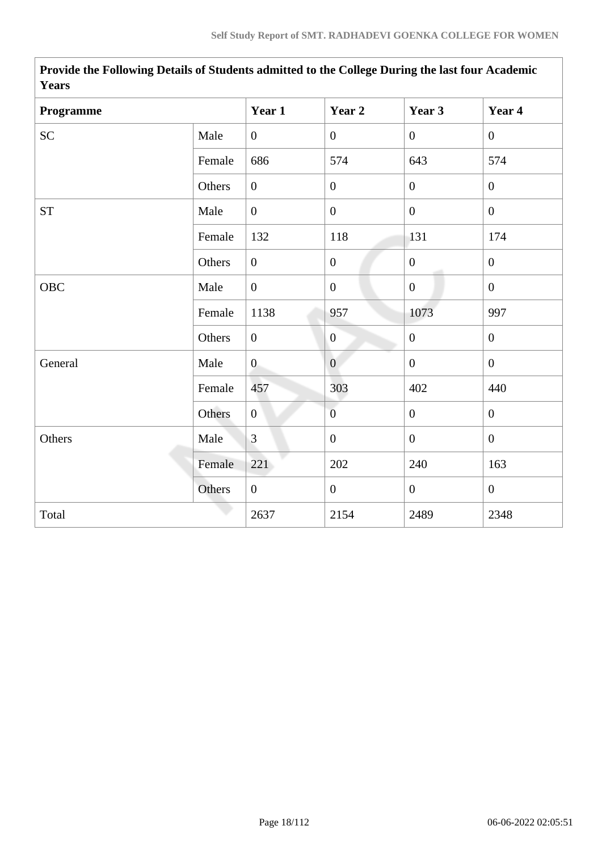| Programme  |        | Year 1           | Year 2           | Year 3           | Year 4           |
|------------|--------|------------------|------------------|------------------|------------------|
| <b>SC</b>  | Male   | $\overline{0}$   | $\overline{0}$   | $\overline{0}$   | $\overline{0}$   |
|            | Female | 686              | 574              | 643              | 574              |
|            | Others | $\boldsymbol{0}$ | $\boldsymbol{0}$ | $\overline{0}$   | $\mathbf{0}$     |
| <b>ST</b>  | Male   | $\overline{0}$   | $\mathbf{0}$     | $\mathbf{0}$     | $\overline{0}$   |
|            | Female | 132              | 118              | 131              | 174              |
|            | Others | $\overline{0}$   | $\boldsymbol{0}$ | $\mathbf{0}$     | $\mathbf{0}$     |
| <b>OBC</b> | Male   | $\overline{0}$   | $\overline{0}$   | $\overline{0}$   | $\overline{0}$   |
|            | Female | 1138             | 957              | 1073             | 997              |
|            | Others | $\overline{0}$   | $\overline{0}$   | $\boldsymbol{0}$ | $\mathbf{0}$     |
| General    | Male   | $\overline{0}$   | $\boldsymbol{0}$ | $\overline{0}$   | $\boldsymbol{0}$ |
|            | Female | 457              | 303              | 402              | 440              |
|            | Others | $\boldsymbol{0}$ | $\overline{0}$   | $\boldsymbol{0}$ | $\boldsymbol{0}$ |
| Others     | Male   | $\overline{3}$   | $\mathbf{0}$     | $\overline{0}$   | $\overline{0}$   |
|            | Female | 221              | 202              | 240              | 163              |
|            | Others | $\overline{0}$   | $\overline{0}$   | $\overline{0}$   | $\mathbf{0}$     |
| Total      |        | 2637             | 2154             | 2489             | 2348             |

**Provide the Following Details of Students admitted to the College During the last four Academic Years**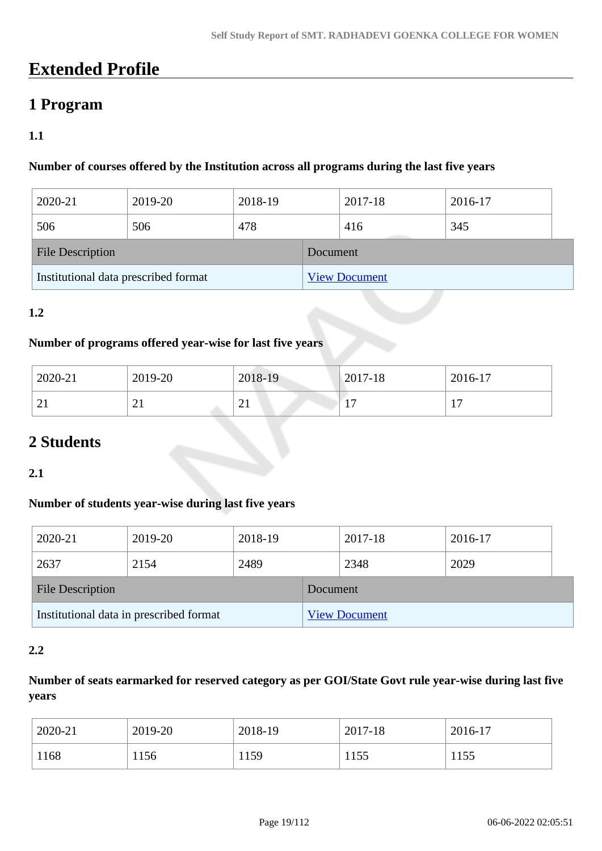## **Extended Profile**

### **1 Program**

### **1.1**

### **Number of courses offered by the Institution across all programs during the last five years**

| 2020-21                              | 2019-20 | 2018-19 |  | 2017-18              | 2016-17 |  |
|--------------------------------------|---------|---------|--|----------------------|---------|--|
| 506                                  | 506     | 478     |  | 416                  | 345     |  |
| <b>File Description</b>              |         |         |  | Document             |         |  |
| Institutional data prescribed format |         |         |  | <b>View Document</b> |         |  |

### **1.2**

### **Number of programs offered year-wise for last five years**

| 2020-21  | 2019-20  | 2018-19  | $2017 - 18$              | 2016-17 |
|----------|----------|----------|--------------------------|---------|
| $\sim$   | $\sim$ 1 | ⌒        | $\overline{\phantom{0}}$ | -       |
| $\sim$ 1 |          | $\sim$ 1 |                          | . .     |

## **2 Students**

### **2.1**

### **Number of students year-wise during last five years**

| 2020-21                                 | 2019-20 | 2018-19  |                      | 2017-18 | 2016-17 |  |
|-----------------------------------------|---------|----------|----------------------|---------|---------|--|
| 2637                                    | 2154    | 2489     |                      | 2348    | 2029    |  |
| <b>File Description</b>                 |         | Document |                      |         |         |  |
| Institutional data in prescribed format |         |          | <b>View Document</b> |         |         |  |

### **2.2**

### **Number of seats earmarked for reserved category as per GOI/State Govt rule year-wise during last five years**

| 2020-21 | 2019-20 | 2018-19 | 2017-18     | 2016-17 |
|---------|---------|---------|-------------|---------|
| 1168    | 1156    | 1159    | 155<br>11JJ | 1155    |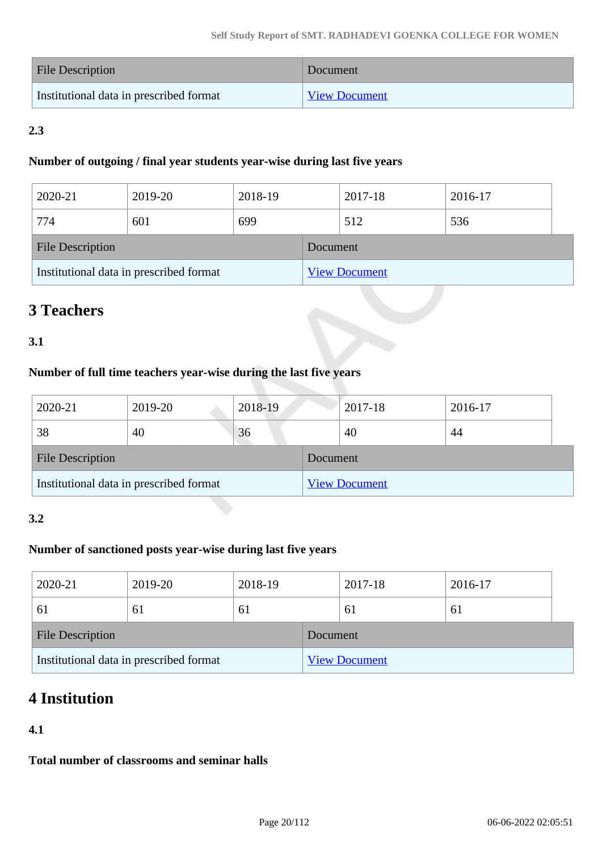| <b>File Description</b>                 | Document             |
|-----------------------------------------|----------------------|
| Institutional data in prescribed format | <b>View Document</b> |

### **2.3**

### **Number of outgoing / final year students year-wise during last five years**

| 2020-21                                 | 2019-20 | 2018-19  |                      | 2017-18 | 2016-17 |  |
|-----------------------------------------|---------|----------|----------------------|---------|---------|--|
| 774                                     | 601     | 699      |                      | 512     | 536     |  |
| <b>File Description</b>                 |         | Document |                      |         |         |  |
| Institutional data in prescribed format |         |          | <b>View Document</b> |         |         |  |

## **3 Teachers**

### **3.1**

### **Number of full time teachers year-wise during the last five years**

| 2020-21                                 | 2019-20 | 2018-19  |                      | 2017-18 | 2016-17 |
|-----------------------------------------|---------|----------|----------------------|---------|---------|
| 38                                      | 40      | 36       |                      | 40      | 44      |
| <b>File Description</b>                 |         | Document |                      |         |         |
| Institutional data in prescribed format |         |          | <b>View Document</b> |         |         |

### **3.2**

### **Number of sanctioned posts year-wise during last five years**

| 2020-21                                 | 2019-20 | 2018-19  |                      | 2017-18 | 2016-17 |  |
|-----------------------------------------|---------|----------|----------------------|---------|---------|--|
| 61                                      | 61      | 61       |                      | 61      | 61      |  |
| <b>File Description</b>                 |         | Document |                      |         |         |  |
| Institutional data in prescribed format |         |          | <b>View Document</b> |         |         |  |

## **4 Institution**

### **4.1**

**Total number of classrooms and seminar halls**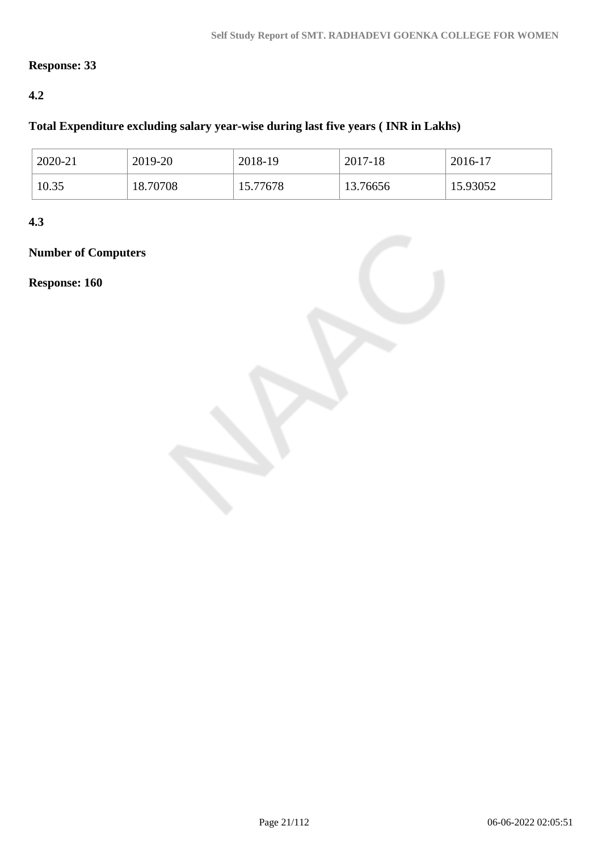### **Response: 33**

### **4.2**

### **Total Expenditure excluding salary year-wise during last five years ( INR in Lakhs)**

| 2020-21 | 2019-20  | 2018-19  | 2017-18  | 2016-17  |
|---------|----------|----------|----------|----------|
| 10.35   | 18.70708 | 15.77678 | 13.76656 | 15.93052 |

**4.3**

## **Number of Computers**

**Response: 160**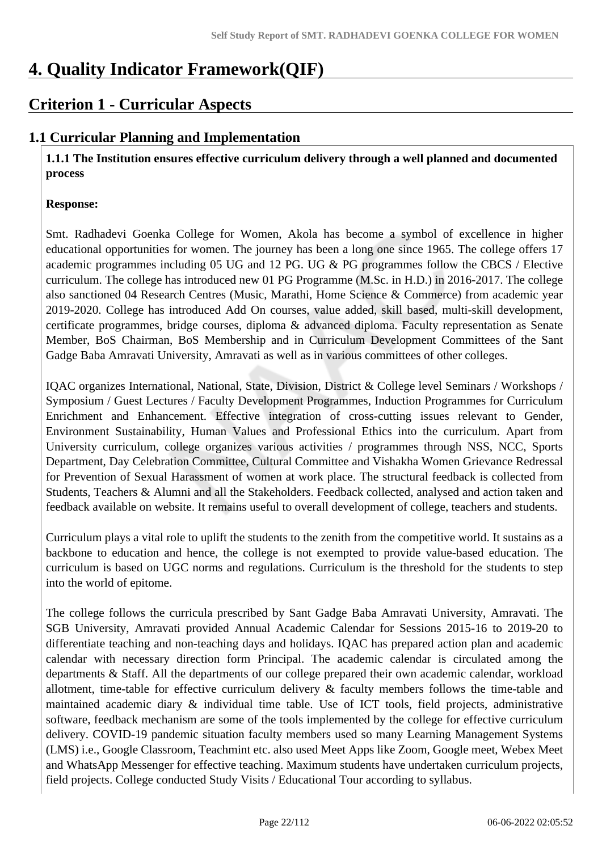## **4. Quality Indicator Framework(QIF)**

## **Criterion 1 - Curricular Aspects**

### **1.1 Curricular Planning and Implementation**

 **1.1.1 The Institution ensures effective curriculum delivery through a well planned and documented process**

### **Response:**

Smt. Radhadevi Goenka College for Women, Akola has become a symbol of excellence in higher educational opportunities for women. The journey has been a long one since 1965. The college offers 17 academic programmes including 05 UG and 12 PG. UG & PG programmes follow the CBCS / Elective curriculum. The college has introduced new 01 PG Programme (M.Sc. in H.D.) in 2016-2017. The college also sanctioned 04 Research Centres (Music, Marathi, Home Science & Commerce) from academic year 2019-2020. College has introduced Add On courses, value added, skill based, multi-skill development, certificate programmes, bridge courses, diploma & advanced diploma. Faculty representation as Senate Member, BoS Chairman, BoS Membership and in Curriculum Development Committees of the Sant Gadge Baba Amravati University, Amravati as well as in various committees of other colleges.

IQAC organizes International, National, State, Division, District & College level Seminars / Workshops / Symposium / Guest Lectures / Faculty Development Programmes, Induction Programmes for Curriculum Enrichment and Enhancement. Effective integration of cross-cutting issues relevant to Gender, Environment Sustainability, Human Values and Professional Ethics into the curriculum. Apart from University curriculum, college organizes various activities / programmes through NSS, NCC, Sports Department, Day Celebration Committee, Cultural Committee and Vishakha Women Grievance Redressal for Prevention of Sexual Harassment of women at work place. The structural feedback is collected from Students, Teachers & Alumni and all the Stakeholders. Feedback collected, analysed and action taken and feedback available on website. It remains useful to overall development of college, teachers and students.

Curriculum plays a vital role to uplift the students to the zenith from the competitive world. It sustains as a backbone to education and hence, the college is not exempted to provide value-based education. The curriculum is based on UGC norms and regulations. Curriculum is the threshold for the students to step into the world of epitome.

The college follows the curricula prescribed by Sant Gadge Baba Amravati University, Amravati. The SGB University, Amravati provided Annual Academic Calendar for Sessions 2015-16 to 2019-20 to differentiate teaching and non-teaching days and holidays. IQAC has prepared action plan and academic calendar with necessary direction form Principal. The academic calendar is circulated among the departments & Staff. All the departments of our college prepared their own academic calendar, workload allotment, time-table for effective curriculum delivery & faculty members follows the time-table and maintained academic diary & individual time table. Use of ICT tools, field projects, administrative software, feedback mechanism are some of the tools implemented by the college for effective curriculum delivery. COVID-19 pandemic situation faculty members used so many Learning Management Systems (LMS) i.e., Google Classroom, Teachmint etc. also used Meet Apps like Zoom, Google meet, Webex Meet and WhatsApp Messenger for effective teaching. Maximum students have undertaken curriculum projects, field projects. College conducted Study Visits / Educational Tour according to syllabus.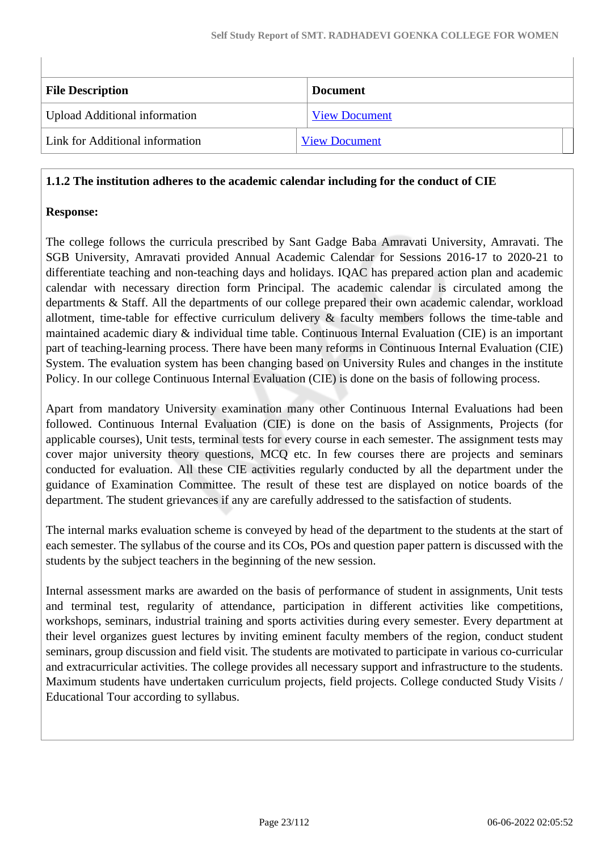| <b>File Description</b>              | <b>Document</b>      |
|--------------------------------------|----------------------|
| <b>Upload Additional information</b> | <b>View Document</b> |
| Link for Additional information      | <b>View Document</b> |

### **1.1.2 The institution adheres to the academic calendar including for the conduct of CIE**

### **Response:**

The college follows the curricula prescribed by Sant Gadge Baba Amravati University, Amravati. The SGB University, Amravati provided Annual Academic Calendar for Sessions 2016-17 to 2020-21 to differentiate teaching and non-teaching days and holidays. IQAC has prepared action plan and academic calendar with necessary direction form Principal. The academic calendar is circulated among the departments & Staff. All the departments of our college prepared their own academic calendar, workload allotment, time-table for effective curriculum delivery & faculty members follows the time-table and maintained academic diary & individual time table. Continuous Internal Evaluation (CIE) is an important part of teaching-learning process. There have been many reforms in Continuous Internal Evaluation (CIE) System. The evaluation system has been changing based on University Rules and changes in the institute Policy. In our college Continuous Internal Evaluation (CIE) is done on the basis of following process.

Apart from mandatory University examination many other Continuous Internal Evaluations had been followed. Continuous Internal Evaluation (CIE) is done on the basis of Assignments, Projects (for applicable courses), Unit tests, terminal tests for every course in each semester. The assignment tests may cover major university theory questions, MCQ etc. In few courses there are projects and seminars conducted for evaluation. All these CIE activities regularly conducted by all the department under the guidance of Examination Committee. The result of these test are displayed on notice boards of the department. The student grievances if any are carefully addressed to the satisfaction of students.

The internal marks evaluation scheme is conveyed by head of the department to the students at the start of each semester. The syllabus of the course and its COs, POs and question paper pattern is discussed with the students by the subject teachers in the beginning of the new session.

Internal assessment marks are awarded on the basis of performance of student in assignments, Unit tests and terminal test, regularity of attendance, participation in different activities like competitions, workshops, seminars, industrial training and sports activities during every semester. Every department at their level organizes guest lectures by inviting eminent faculty members of the region, conduct student seminars, group discussion and field visit. The students are motivated to participate in various co-curricular and extracurricular activities. The college provides all necessary support and infrastructure to the students. Maximum students have undertaken curriculum projects, field projects. College conducted Study Visits / Educational Tour according to syllabus.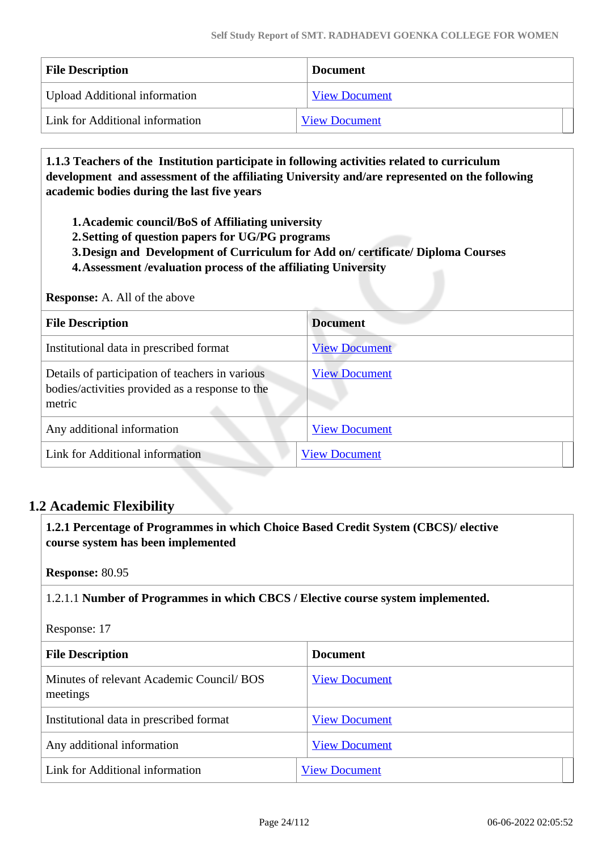| <b>File Description</b>              | <b>Document</b>      |
|--------------------------------------|----------------------|
| <b>Upload Additional information</b> | <b>View Document</b> |
| Link for Additional information      | <b>View Document</b> |

 **1.1.3 Teachers of the Institution participate in following activities related to curriculum development and assessment of the affiliating University and/are represented on the following academic bodies during the last five years** 

**1.Academic council/BoS of Affiliating university**

- **2.Setting of question papers for UG/PG programs**
- **3.Design and Development of Curriculum for Add on/ certificate/ Diploma Courses**
- **4.Assessment /evaluation process of the affiliating University**

#### **Response:** A. All of the above

| <b>File Description</b>                                                                                      | <b>Document</b>      |
|--------------------------------------------------------------------------------------------------------------|----------------------|
| Institutional data in prescribed format                                                                      | <b>View Document</b> |
| Details of participation of teachers in various<br>bodies/activities provided as a response to the<br>metric | <b>View Document</b> |
| Any additional information                                                                                   | <b>View Document</b> |
| Link for Additional information                                                                              | <b>View Document</b> |

### **1.2 Academic Flexibility**

 **1.2.1 Percentage of Programmes in which Choice Based Credit System (CBCS)/ elective course system has been implemented** 

**Response:** 80.95

1.2.1.1 **Number of Programmes in which CBCS / Elective course system implemented.**

Response: 17

| <b>File Description</b>                               | <b>Document</b>      |
|-------------------------------------------------------|----------------------|
| Minutes of relevant Academic Council/ BOS<br>meetings | <b>View Document</b> |
| Institutional data in prescribed format               | <b>View Document</b> |
| Any additional information                            | <b>View Document</b> |
| Link for Additional information                       | <b>View Document</b> |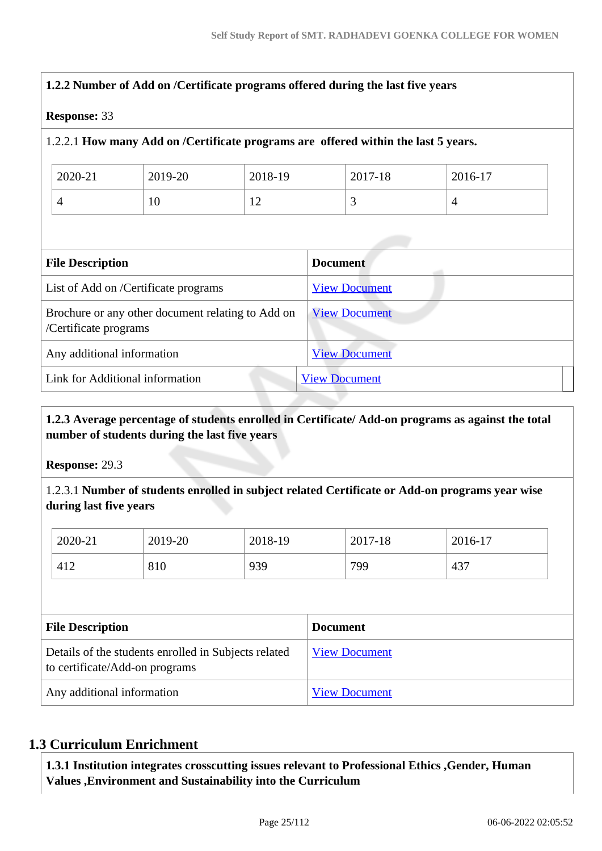| <b>Response: 33</b>        |                                                   |         |                                                                                    |                |
|----------------------------|---------------------------------------------------|---------|------------------------------------------------------------------------------------|----------------|
|                            |                                                   |         | 1.2.2.1 How many Add on /Certificate programs are offered within the last 5 years. |                |
| 2020-21                    | 2019-20                                           | 2018-19 | 2017-18                                                                            | 2016-17        |
| 4                          | 10                                                | 12      | 3                                                                                  | $\overline{4}$ |
| <b>File Description</b>    |                                                   |         | <b>Document</b>                                                                    |                |
|                            | List of Add on /Certificate programs              |         | <b>View Document</b>                                                               |                |
| /Certificate programs      | Brochure or any other document relating to Add on |         | <b>View Document</b>                                                               |                |
| Any additional information |                                                   |         | <b>View Document</b>                                                               |                |
|                            | Link for Additional information                   |         | <b>View Document</b>                                                               |                |

### **1.2.3 Average percentage of students enrolled in Certificate/ Add-on programs as against the total number of students during the last five years**

**Response:** 29.3

1.2.3.1 **Number of students enrolled in subject related Certificate or Add-on programs year wise during last five years**

| 2020-21 | 2019-20 | 2018-19 | 2017-18 | 2016-17 |
|---------|---------|---------|---------|---------|
| 412     | 810     | 939     | 799     | 437     |

| <b>File Description</b>                                                                | <b>Document</b>      |
|----------------------------------------------------------------------------------------|----------------------|
| Details of the students enrolled in Subjects related<br>to certificate/Add-on programs | <b>View Document</b> |
| Any additional information                                                             | <b>View Document</b> |

### **1.3 Curriculum Enrichment**

 **1.3.1 Institution integrates crosscutting issues relevant to Professional Ethics ,Gender, Human Values ,Environment and Sustainability into the Curriculum**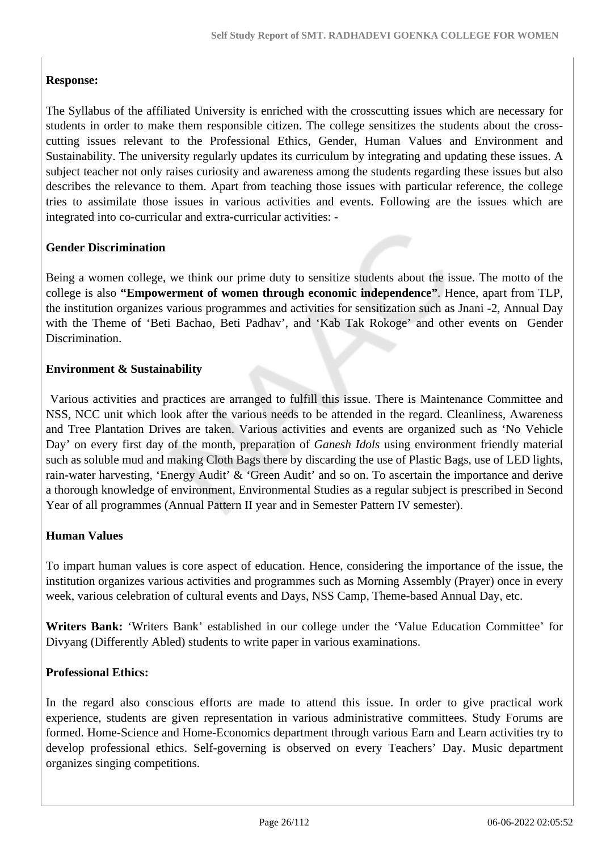### **Response:**

The Syllabus of the affiliated University is enriched with the crosscutting issues which are necessary for students in order to make them responsible citizen. The college sensitizes the students about the crosscutting issues relevant to the Professional Ethics, Gender, Human Values and Environment and Sustainability. The university regularly updates its curriculum by integrating and updating these issues. A subject teacher not only raises curiosity and awareness among the students regarding these issues but also describes the relevance to them. Apart from teaching those issues with particular reference, the college tries to assimilate those issues in various activities and events. Following are the issues which are integrated into co-curricular and extra-curricular activities: -

### **Gender Discrimination**

Being a women college, we think our prime duty to sensitize students about the issue. The motto of the college is also **"Empowerment of women through economic independence"**. Hence, apart from TLP, the institution organizes various programmes and activities for sensitization such as Jnani -2, Annual Day with the Theme of 'Beti Bachao, Beti Padhav', and 'Kab Tak Rokoge' and other events on Gender Discrimination.

### **Environment & Sustainability**

 Various activities and practices are arranged to fulfill this issue. There is Maintenance Committee and NSS, NCC unit which look after the various needs to be attended in the regard. Cleanliness, Awareness and Tree Plantation Drives are taken. Various activities and events are organized such as 'No Vehicle Day' on every first day of the month, preparation of *Ganesh Idols* using environment friendly material such as soluble mud and making Cloth Bags there by discarding the use of Plastic Bags, use of LED lights, rain-water harvesting, 'Energy Audit' & 'Green Audit' and so on. To ascertain the importance and derive a thorough knowledge of environment, Environmental Studies as a regular subject is prescribed in Second Year of all programmes (Annual Pattern II year and in Semester Pattern IV semester).

### **Human Values**

To impart human values is core aspect of education. Hence, considering the importance of the issue, the institution organizes various activities and programmes such as Morning Assembly (Prayer) once in every week, various celebration of cultural events and Days, NSS Camp, Theme-based Annual Day, etc.

**Writers Bank:** 'Writers Bank' established in our college under the 'Value Education Committee' for Divyang (Differently Abled) students to write paper in various examinations.

### **Professional Ethics:**

In the regard also conscious efforts are made to attend this issue. In order to give practical work experience, students are given representation in various administrative committees. Study Forums are formed. Home-Science and Home-Economics department through various Earn and Learn activities try to develop professional ethics. Self-governing is observed on every Teachers' Day. Music department organizes singing competitions.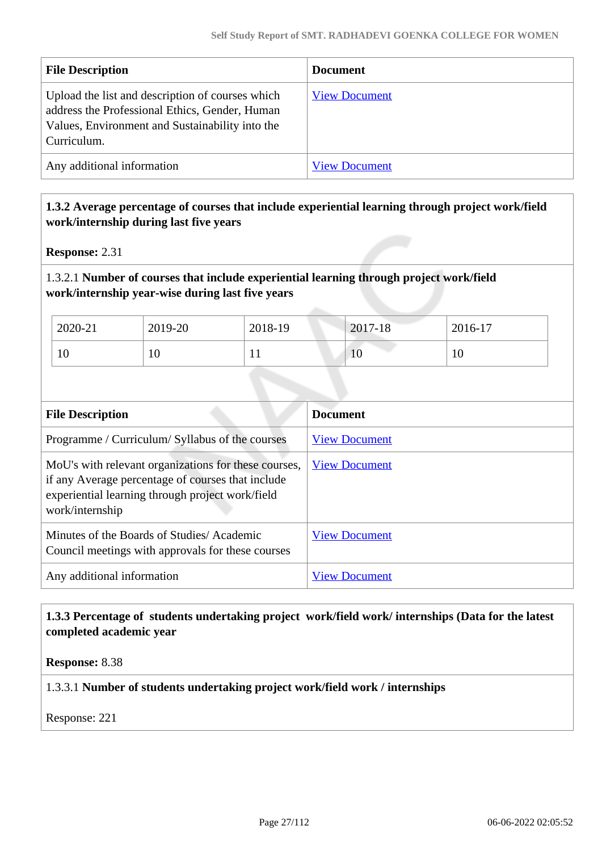| <b>File Description</b>                                                                                                                                              | <b>Document</b>      |
|----------------------------------------------------------------------------------------------------------------------------------------------------------------------|----------------------|
| Upload the list and description of courses which<br>address the Professional Ethics, Gender, Human<br>Values, Environment and Sustainability into the<br>Curriculum. | <b>View Document</b> |
| Any additional information                                                                                                                                           | <b>View Document</b> |

### **1.3.2 Average percentage of courses that include experiential learning through project work/field work/internship during last five years**

**Response:** 2.31

### 1.3.2.1 **Number of courses that include experiential learning through project work/field work/internship year-wise during last five years**

| 2020-21 | 2019-20 | 2018-19 | 2017-18 | 2016-17 |
|---------|---------|---------|---------|---------|
| 10      | 10      | T T     | 1U      | 10      |

| <b>File Description</b>                                                                                                                                                          | <b>Document</b>      |
|----------------------------------------------------------------------------------------------------------------------------------------------------------------------------------|----------------------|
| Programme / Curriculum/ Syllabus of the courses                                                                                                                                  | <b>View Document</b> |
| MoU's with relevant organizations for these courses,<br>if any Average percentage of courses that include<br>experiential learning through project work/field<br>work/internship | <b>View Document</b> |
| Minutes of the Boards of Studies/Academic<br>Council meetings with approvals for these courses                                                                                   | <b>View Document</b> |
| Any additional information                                                                                                                                                       | View Document        |

### **1.3.3 Percentage of students undertaking project work/field work/ internships (Data for the latest completed academic year**

**Response:** 8.38

### 1.3.3.1 **Number of students undertaking project work/field work / internships**

Response: 221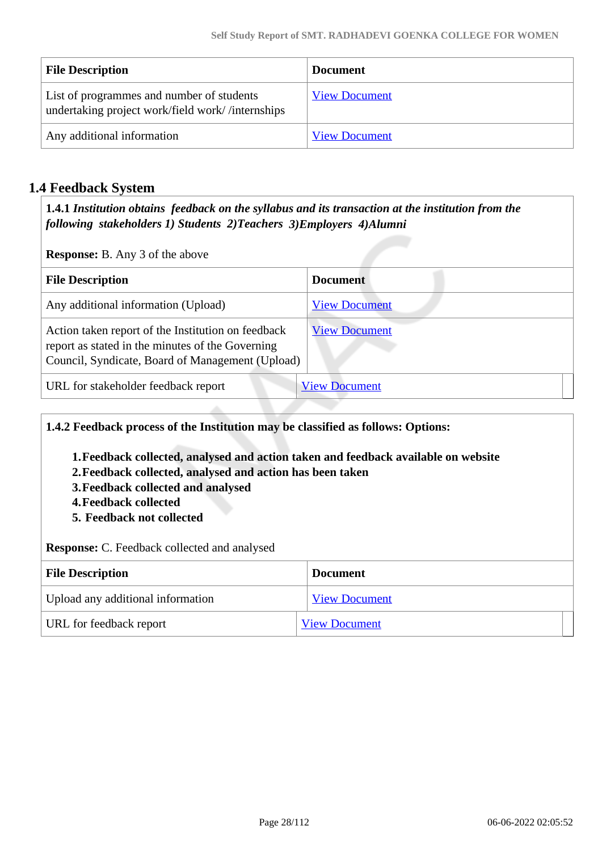| <b>File Description</b>                                                                       | <b>Document</b>      |
|-----------------------------------------------------------------------------------------------|----------------------|
| List of programmes and number of students<br>undertaking project work/field work//internships | <b>View Document</b> |
| Any additional information                                                                    | <b>View Document</b> |

### **1.4 Feedback System**

 **1.4.1** *Institution obtains feedback on the syllabus and its transaction at the institution from the following stakeholders 1) Students 2)Teachers 3)Employers 4)Alumni* 

**Response:** B. Any 3 of the above

| <b>File Description</b>                                                                                                                                    | <b>Document</b>      |
|------------------------------------------------------------------------------------------------------------------------------------------------------------|----------------------|
| Any additional information (Upload)                                                                                                                        | <b>View Document</b> |
| Action taken report of the Institution on feedback<br>report as stated in the minutes of the Governing<br>Council, Syndicate, Board of Management (Upload) | <b>View Document</b> |
| URL for stakeholder feedback report                                                                                                                        | <b>View Document</b> |

**1.4.2 Feedback process of the Institution may be classified as follows: Options:**

- **1.Feedback collected, analysed and action taken and feedback available on website**
- **2.Feedback collected, analysed and action has been taken**
- **3.Feedback collected and analysed**
- **4.Feedback collected**
- **5. Feedback not collected**

**Response:** C. Feedback collected and analysed

| <b>File Description</b>           | <b>Document</b>      |
|-----------------------------------|----------------------|
| Upload any additional information | <b>View Document</b> |
| URL for feedback report           | <b>View Document</b> |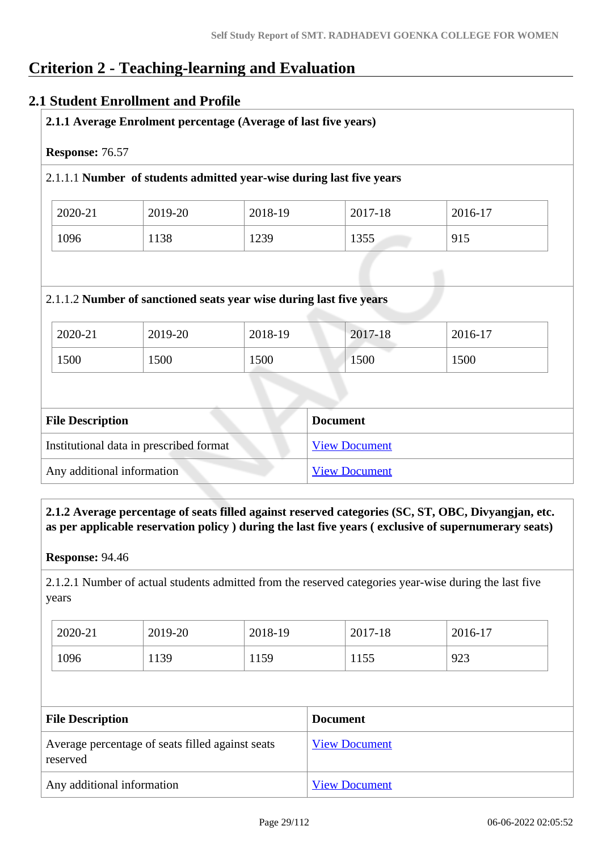## **Criterion 2 - Teaching-learning and Evaluation**

### **2.1 Student Enrollment and Profile**

| Response: 76.57 |         | 2.1.1.1 Number of students admitted year-wise during last five years |         |         |
|-----------------|---------|----------------------------------------------------------------------|---------|---------|
| 2020-21         | 2019-20 | 2018-19                                                              | 2017-18 | 2016-17 |
| 1096            | 1138    | 1239                                                                 | 1355    | 915     |
|                 |         | 2.1.1.2 Number of sanctioned seats year wise during last five years  |         |         |
| 2020-21         | 2019-20 | 2018-19                                                              | 2017-18 | 2016-17 |

| Institutional data in prescribed format | <b>View Document</b> |
|-----------------------------------------|----------------------|
| Any additional information              | <b>View Document</b> |

 **2.1.2 Average percentage of seats filled against reserved categories (SC, ST, OBC, Divyangjan, etc. as per applicable reservation policy ) during the last five years ( exclusive of supernumerary seats)**

**Response:** 94.46

2.1.2.1 Number of actual students admitted from the reserved categories year-wise during the last five years

| 2020-21 | 2019-20 | 2018-19 | 2017-18 | 2016-17 |
|---------|---------|---------|---------|---------|
| 1096    | 1139    | 1159    | 1155    | 923     |

| <b>File Description</b>                                      | <b>Document</b>      |
|--------------------------------------------------------------|----------------------|
| Average percentage of seats filled against seats<br>reserved | <b>View Document</b> |
| Any additional information                                   | <b>View Document</b> |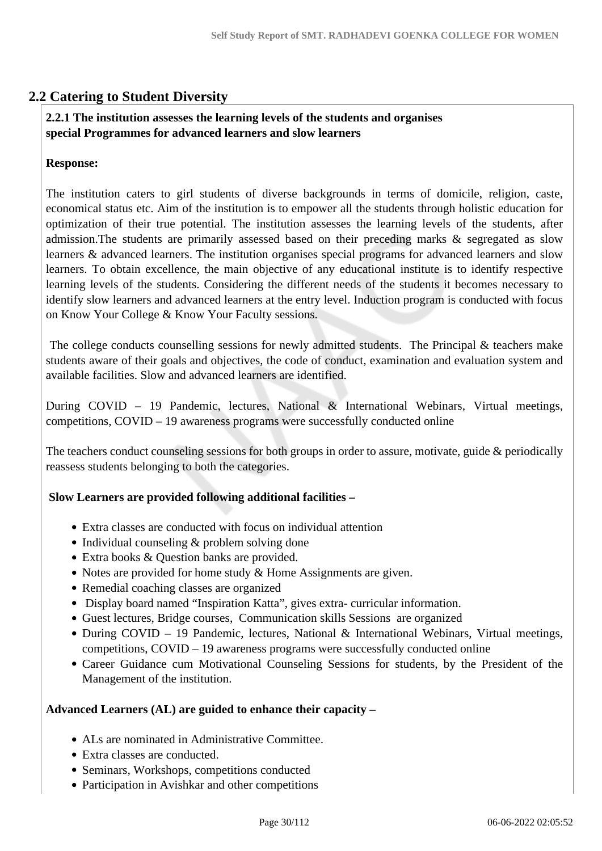### **2.2 Catering to Student Diversity**

### **2.2.1 The institution assesses the learning levels of the students and organises special Programmes for advanced learners and slow learners**

### **Response:**

The institution caters to girl students of diverse backgrounds in terms of domicile, religion, caste, economical status etc. Aim of the institution is to empower all the students through holistic education for optimization of their true potential. The institution assesses the learning levels of the students, after admission.The students are primarily assessed based on their preceding marks & segregated as slow learners & advanced learners. The institution organises special programs for advanced learners and slow learners. To obtain excellence, the main objective of any educational institute is to identify respective learning levels of the students. Considering the different needs of the students it becomes necessary to identify slow learners and advanced learners at the entry level. Induction program is conducted with focus on Know Your College & Know Your Faculty sessions.

 The college conducts counselling sessions for newly admitted students. The Principal & teachers make students aware of their goals and objectives, the code of conduct, examination and evaluation system and available facilities. Slow and advanced learners are identified.

During COVID – 19 Pandemic, lectures, National & International Webinars, Virtual meetings, competitions, COVID – 19 awareness programs were successfully conducted online

The teachers conduct counseling sessions for both groups in order to assure, motivate, guide & periodically reassess students belonging to both the categories.

### **Slow Learners are provided following additional facilities –**

- Extra classes are conducted with focus on individual attention
- Individual counseling & problem solving done
- Extra books & Question banks are provided.
- Notes are provided for home study & Home Assignments are given.
- Remedial coaching classes are organized
- Display board named "Inspiration Katta", gives extra- curricular information.
- Guest lectures, Bridge courses, Communication skills Sessions are organized
- During COVID 19 Pandemic, lectures, National & International Webinars, Virtual meetings, competitions, COVID – 19 awareness programs were successfully conducted online
- Career Guidance cum Motivational Counseling Sessions for students, by the President of the Management of the institution.

### **Advanced Learners (AL) are guided to enhance their capacity –**

- ALs are nominated in Administrative Committee.
- Extra classes are conducted.
- Seminars, Workshops, competitions conducted
- Participation in Avishkar and other competitions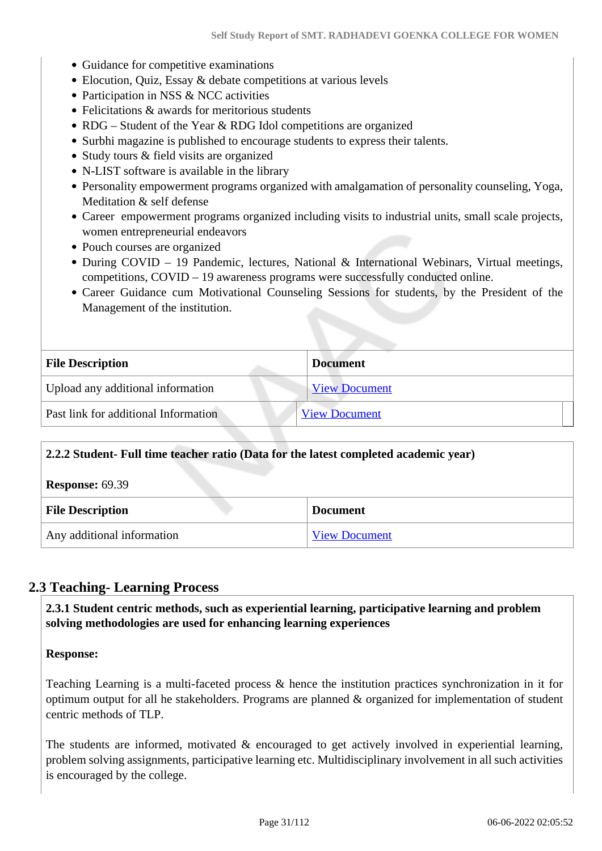- Guidance for competitive examinations
- Elocution, Quiz, Essay & debate competitions at various levels
- Participation in NSS & NCC activities
- Felicitations & awards for meritorious students
- RDG Student of the Year & RDG Idol competitions are organized
- Surbhi magazine is published to encourage students to express their talents.
- Study tours & field visits are organized
- N-LIST software is available in the library
- Personality empowerment programs organized with amalgamation of personality counseling, Yoga, Meditation & self defense
- Career empowerment programs organized including visits to industrial units, small scale projects, women entrepreneurial endeavors
- Pouch courses are organized
- During COVID 19 Pandemic, lectures, National & International Webinars, Virtual meetings, competitions, COVID – 19 awareness programs were successfully conducted online.
- Career Guidance cum Motivational Counseling Sessions for students, by the President of the Management of the institution.

| <b>File Description</b>              | <b>Document</b>      |
|--------------------------------------|----------------------|
| Upload any additional information    | <b>View Document</b> |
| Past link for additional Information | <b>View Document</b> |

| 2.2.2 Student- Full time teacher ratio (Data for the latest completed academic year) |                      |
|--------------------------------------------------------------------------------------|----------------------|
| <b>Response: 69.39</b>                                                               |                      |
| <b>File Description</b>                                                              | <b>Document</b>      |
| Any additional information                                                           | <b>View Document</b> |

### **2.3 Teaching- Learning Process**

 **2.3.1 Student centric methods, such as experiential learning, participative learning and problem solving methodologies are used for enhancing learning experiences**

### **Response:**

Teaching Learning is a multi-faceted process & hence the institution practices synchronization in it for optimum output for all he stakeholders. Programs are planned & organized for implementation of student centric methods of TLP.

The students are informed, motivated  $\&$  encouraged to get actively involved in experiential learning, problem solving assignments, participative learning etc. Multidisciplinary involvement in all such activities is encouraged by the college.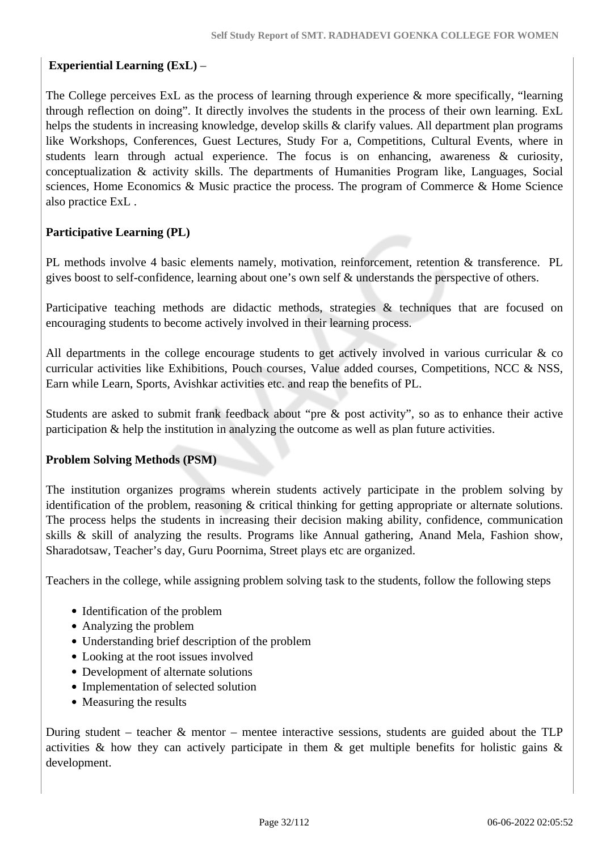### **Experiential Learning (ExL)** –

The College perceives ExL as the process of learning through experience & more specifically, "learning through reflection on doing". It directly involves the students in the process of their own learning. ExL helps the students in increasing knowledge, develop skills & clarify values. All department plan programs like Workshops, Conferences, Guest Lectures, Study For a, Competitions, Cultural Events, where in students learn through actual experience. The focus is on enhancing, awareness & curiosity, conceptualization & activity skills. The departments of Humanities Program like, Languages, Social sciences, Home Economics & Music practice the process. The program of Commerce & Home Science also practice ExL .

### **Participative Learning (PL)**

PL methods involve 4 basic elements namely, motivation, reinforcement, retention & transference. PL gives boost to self-confidence, learning about one's own self & understands the perspective of others.

Participative teaching methods are didactic methods, strategies & techniques that are focused on encouraging students to become actively involved in their learning process.

All departments in the college encourage students to get actively involved in various curricular & co curricular activities like Exhibitions, Pouch courses, Value added courses, Competitions, NCC & NSS, Earn while Learn, Sports, Avishkar activities etc. and reap the benefits of PL.

Students are asked to submit frank feedback about "pre & post activity", so as to enhance their active participation & help the institution in analyzing the outcome as well as plan future activities.

### **Problem Solving Methods (PSM)**

The institution organizes programs wherein students actively participate in the problem solving by identification of the problem, reasoning & critical thinking for getting appropriate or alternate solutions. The process helps the students in increasing their decision making ability, confidence, communication skills & skill of analyzing the results. Programs like Annual gathering, Anand Mela, Fashion show, Sharadotsaw, Teacher's day, Guru Poornima, Street plays etc are organized.

Teachers in the college, while assigning problem solving task to the students, follow the following steps

- Identification of the problem
- Analyzing the problem
- Understanding brief description of the problem
- Looking at the root issues involved
- Development of alternate solutions
- Implementation of selected solution
- Measuring the results

During student – teacher  $\&$  mentor – mentee interactive sessions, students are guided about the TLP activities & how they can actively participate in them & get multiple benefits for holistic gains & development.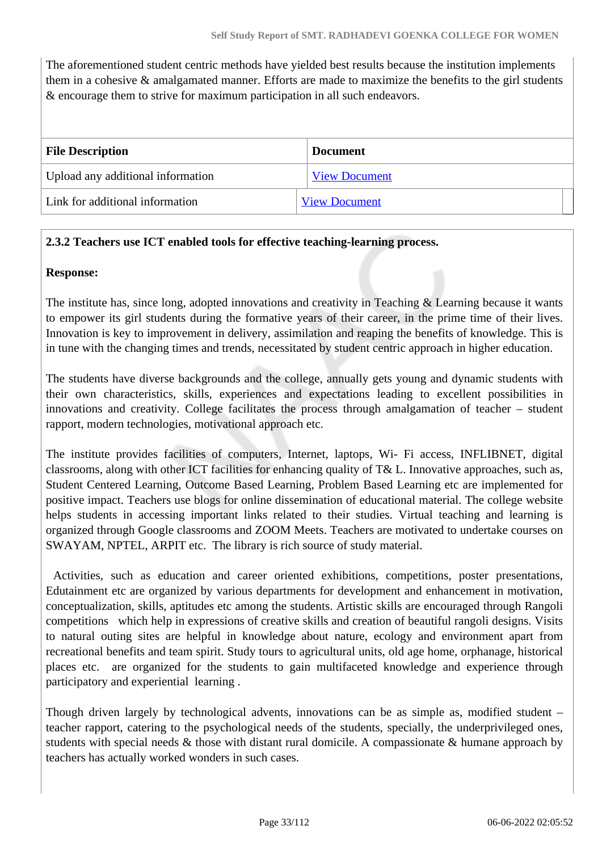The aforementioned student centric methods have yielded best results because the institution implements them in a cohesive & amalgamated manner. Efforts are made to maximize the benefits to the girl students & encourage them to strive for maximum participation in all such endeavors.

| <b>File Description</b>           | <b>Document</b>      |
|-----------------------------------|----------------------|
| Upload any additional information | <b>View Document</b> |
| Link for additional information   | <b>View Document</b> |

### **2.3.2 Teachers use ICT enabled tools for effective teaching-learning process.**

### **Response:**

The institute has, since long, adopted innovations and creativity in Teaching  $\&$  Learning because it wants to empower its girl students during the formative years of their career, in the prime time of their lives. Innovation is key to improvement in delivery, assimilation and reaping the benefits of knowledge. This is in tune with the changing times and trends, necessitated by student centric approach in higher education.

The students have diverse backgrounds and the college, annually gets young and dynamic students with their own characteristics, skills, experiences and expectations leading to excellent possibilities in innovations and creativity. College facilitates the process through amalgamation of teacher – student rapport, modern technologies, motivational approach etc.

The institute provides facilities of computers, Internet, laptops, Wi- Fi access, INFLIBNET, digital classrooms, along with other ICT facilities for enhancing quality of T& L. Innovative approaches, such as, Student Centered Learning, Outcome Based Learning, Problem Based Learning etc are implemented for positive impact. Teachers use blogs for online dissemination of educational material. The college website helps students in accessing important links related to their studies. Virtual teaching and learning is organized through Google classrooms and ZOOM Meets. Teachers are motivated to undertake courses on SWAYAM, NPTEL, ARPIT etc. The library is rich source of study material.

 Activities, such as education and career oriented exhibitions, competitions, poster presentations, Edutainment etc are organized by various departments for development and enhancement in motivation, conceptualization, skills, aptitudes etc among the students. Artistic skills are encouraged through Rangoli competitions which help in expressions of creative skills and creation of beautiful rangoli designs. Visits to natural outing sites are helpful in knowledge about nature, ecology and environment apart from recreational benefits and team spirit. Study tours to agricultural units, old age home, orphanage, historical places etc. are organized for the students to gain multifaceted knowledge and experience through participatory and experiential learning .

Though driven largely by technological advents, innovations can be as simple as, modified student – teacher rapport, catering to the psychological needs of the students, specially, the underprivileged ones, students with special needs & those with distant rural domicile. A compassionate & humane approach by teachers has actually worked wonders in such cases.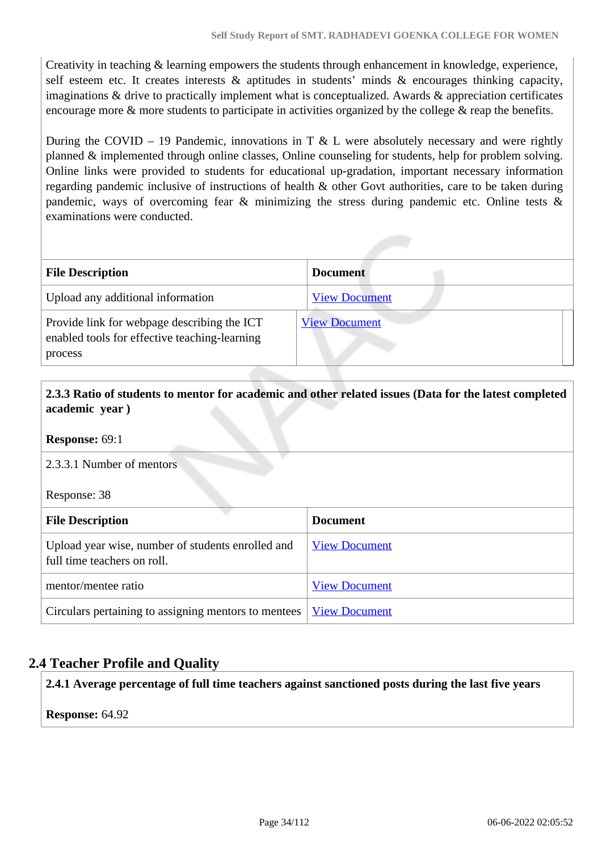Creativity in teaching & learning empowers the students through enhancement in knowledge, experience, self esteem etc. It creates interests & aptitudes in students' minds & encourages thinking capacity, imaginations  $\&$  drive to practically implement what is conceptualized. Awards  $\&$  appreciation certificates encourage more & more students to participate in activities organized by the college & reap the benefits.

During the COVID – 19 Pandemic, innovations in T  $\&$  L were absolutely necessary and were rightly planned & implemented through online classes, Online counseling for students, help for problem solving. Online links were provided to students for educational up-gradation, important necessary information regarding pandemic inclusive of instructions of health & other Govt authorities, care to be taken during pandemic, ways of overcoming fear & minimizing the stress during pandemic etc. Online tests & examinations were conducted.

| <b>File Description</b>                                                                                 | <b>Document</b>      |
|---------------------------------------------------------------------------------------------------------|----------------------|
| Upload any additional information                                                                       | <b>View Document</b> |
| Provide link for webpage describing the ICT<br>enabled tools for effective teaching-learning<br>process | <b>View Document</b> |

### **2.3.3 Ratio of students to mentor for academic and other related issues (Data for the latest completed academic year )**

**Response:** 69:1

2.3.3.1 Number of mentors

Response: 38

| <b>File Description</b>                                                          | <b>Document</b>      |
|----------------------------------------------------------------------------------|----------------------|
| Upload year wise, number of students enrolled and<br>full time teachers on roll. | <b>View Document</b> |
| mentor/mentee ratio                                                              | <b>View Document</b> |
| Circulars pertaining to assigning mentors to mentees   View Document             |                      |

### **2.4 Teacher Profile and Quality**

**2.4.1 Average percentage of full time teachers against sanctioned posts during the last five years**

**Response:** 64.92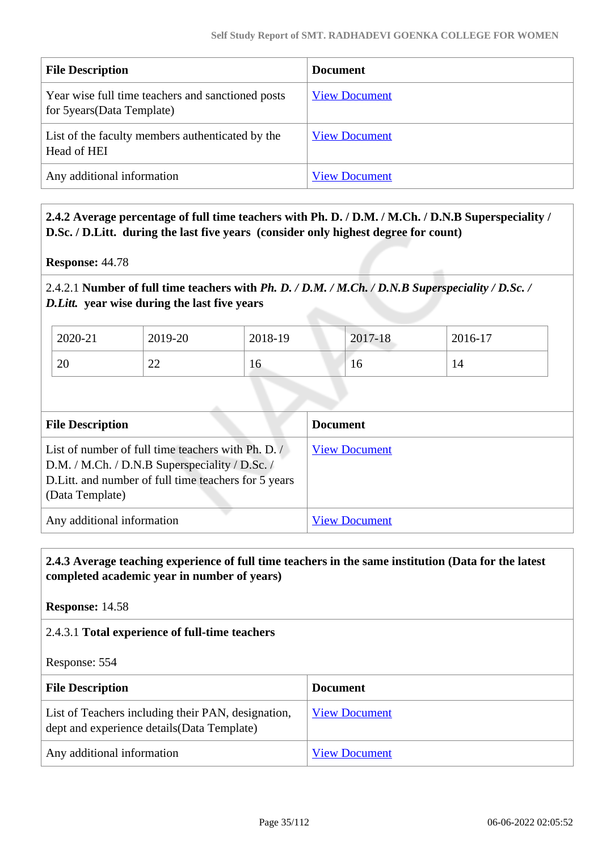| <b>File Description</b>                                                          | <b>Document</b>      |
|----------------------------------------------------------------------------------|----------------------|
| Year wise full time teachers and sanctioned posts<br>for 5 years (Data Template) | <b>View Document</b> |
| List of the faculty members authenticated by the<br>Head of HEI                  | <b>View Document</b> |
| Any additional information                                                       | <b>View Document</b> |

 **2.4.2 Average percentage of full time teachers with Ph. D. / D.M. / M.Ch. / D.N.B Superspeciality / D.Sc. / D.Litt. during the last five years (consider only highest degree for count)**

**Response:** 44.78

2.4.2.1 **Number of full time teachers with** *Ph. D. / D.M. / M.Ch. / D.N.B Superspeciality / D.Sc. / D.Litt.* **year wise during the last five years**

| 2020-21 | 2019-20          | 2018-19  | 2017-18 | 2016-17 |
|---------|------------------|----------|---------|---------|
| 20      | $\bigcap$<br>سىس | r<br>1 V | ιv      | 14      |

| <b>File Description</b>                                                                                                                                                          | <b>Document</b>      |
|----------------------------------------------------------------------------------------------------------------------------------------------------------------------------------|----------------------|
| List of number of full time teachers with Ph. D. /<br>D.M. / M.Ch. / D.N.B Superspeciality / D.Sc. /<br>D. Litt. and number of full time teachers for 5 years<br>(Data Template) | <b>View Document</b> |
| Any additional information                                                                                                                                                       | <b>View Document</b> |

### **2.4.3 Average teaching experience of full time teachers in the same institution (Data for the latest completed academic year in number of years)**

**Response:** 14.58

### 2.4.3.1 **Total experience of full-time teachers**

Response: 554

| <b>File Description</b>                                                                           | <b>Document</b>      |
|---------------------------------------------------------------------------------------------------|----------------------|
| List of Teachers including their PAN, designation,<br>dept and experience details (Data Template) | <b>View Document</b> |
| Any additional information                                                                        | <b>View Document</b> |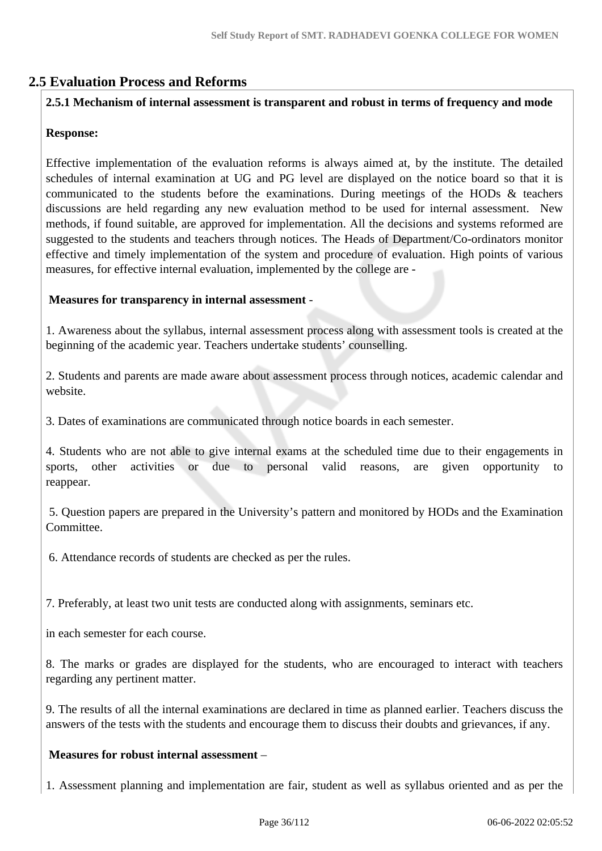### **2.5 Evaluation Process and Reforms**

### **2.5.1 Mechanism of internal assessment is transparent and robust in terms of frequency and mode**

### **Response:**

Effective implementation of the evaluation reforms is always aimed at, by the institute. The detailed schedules of internal examination at UG and PG level are displayed on the notice board so that it is communicated to the students before the examinations. During meetings of the HODs & teachers discussions are held regarding any new evaluation method to be used for internal assessment. New methods, if found suitable, are approved for implementation. All the decisions and systems reformed are suggested to the students and teachers through notices. The Heads of Department/Co-ordinators monitor effective and timely implementation of the system and procedure of evaluation. High points of various measures, for effective internal evaluation, implemented by the college are -

### **Measures for transparency in internal assessment** -

1. Awareness about the syllabus, internal assessment process along with assessment tools is created at the beginning of the academic year. Teachers undertake students' counselling.

2. Students and parents are made aware about assessment process through notices, academic calendar and website.

3. Dates of examinations are communicated through notice boards in each semester.

4. Students who are not able to give internal exams at the scheduled time due to their engagements in sports, other activities or due to personal valid reasons, are given opportunity to reappear.

 5. Question papers are prepared in the University's pattern and monitored by HODs and the Examination Committee.

6. Attendance records of students are checked as per the rules.

7. Preferably, at least two unit tests are conducted along with assignments, seminars etc.

in each semester for each course.

8. The marks or grades are displayed for the students, who are encouraged to interact with teachers regarding any pertinent matter.

9. The results of all the internal examinations are declared in time as planned earlier. Teachers discuss the answers of the tests with the students and encourage them to discuss their doubts and grievances, if any.

### **Measures for robust internal assessment** –

1. Assessment planning and implementation are fair, student as well as syllabus oriented and as per the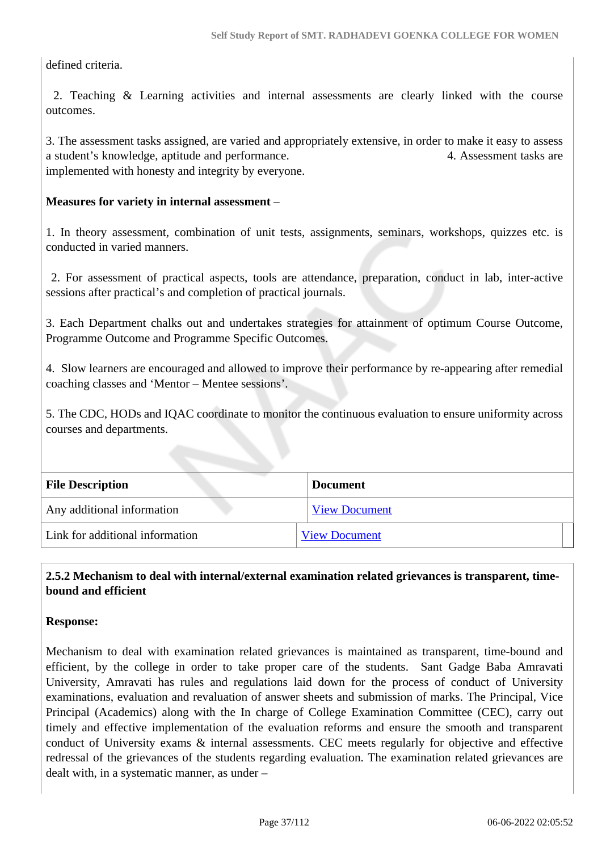defined criteria.

 2. Teaching & Learning activities and internal assessments are clearly linked with the course outcomes.

3. The assessment tasks assigned, are varied and appropriately extensive, in order to make it easy to assess a student's knowledge, aptitude and performance. 4. Assessment tasks are implemented with honesty and integrity by everyone.

#### **Measures for variety in internal assessment** –

1. In theory assessment, combination of unit tests, assignments, seminars, workshops, quizzes etc. is conducted in varied manners.

 2. For assessment of practical aspects, tools are attendance, preparation, conduct in lab, inter-active sessions after practical's and completion of practical journals.

3. Each Department chalks out and undertakes strategies for attainment of optimum Course Outcome, Programme Outcome and Programme Specific Outcomes.

4. Slow learners are encouraged and allowed to improve their performance by re-appearing after remedial coaching classes and 'Mentor – Mentee sessions'.

5. The CDC, HODs and IQAC coordinate to monitor the continuous evaluation to ensure uniformity across courses and departments.

| <b>File Description</b>         | <b>Document</b>      |
|---------------------------------|----------------------|
| Any additional information      | <b>View Document</b> |
| Link for additional information | <b>View Document</b> |

## **2.5.2 Mechanism to deal with internal/external examination related grievances is transparent, timebound and efficient**

#### **Response:**

Mechanism to deal with examination related grievances is maintained as transparent, time-bound and efficient, by the college in order to take proper care of the students. Sant Gadge Baba Amravati University, Amravati has rules and regulations laid down for the process of conduct of University examinations, evaluation and revaluation of answer sheets and submission of marks. The Principal, Vice Principal (Academics) along with the In charge of College Examination Committee (CEC), carry out timely and effective implementation of the evaluation reforms and ensure the smooth and transparent conduct of University exams & internal assessments. CEC meets regularly for objective and effective redressal of the grievances of the students regarding evaluation. The examination related grievances are dealt with, in a systematic manner, as under –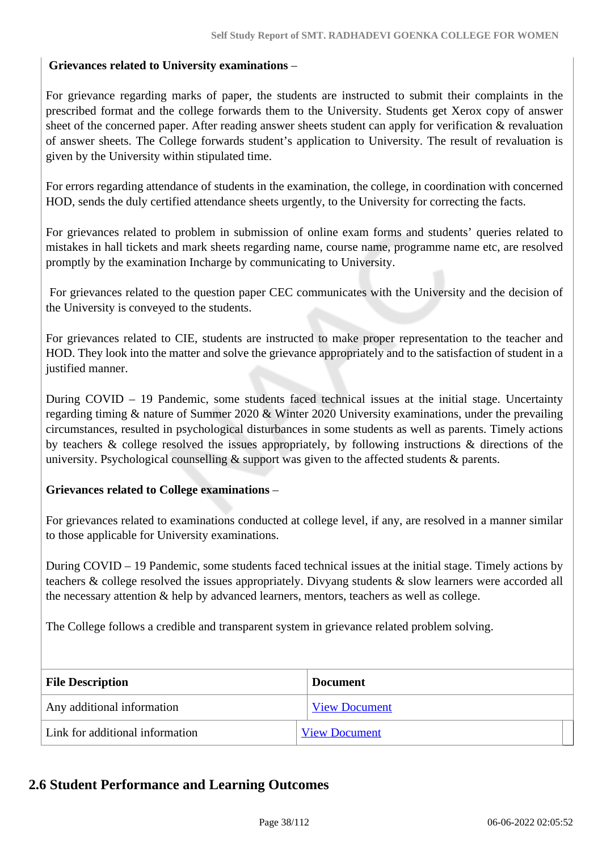## **Grievances related to University examinations** –

For grievance regarding marks of paper, the students are instructed to submit their complaints in the prescribed format and the college forwards them to the University. Students get Xerox copy of answer sheet of the concerned paper. After reading answer sheets student can apply for verification & revaluation of answer sheets. The College forwards student's application to University. The result of revaluation is given by the University within stipulated time.

For errors regarding attendance of students in the examination, the college, in coordination with concerned HOD, sends the duly certified attendance sheets urgently, to the University for correcting the facts.

For grievances related to problem in submission of online exam forms and students' queries related to mistakes in hall tickets and mark sheets regarding name, course name, programme name etc, are resolved promptly by the examination Incharge by communicating to University.

 For grievances related to the question paper CEC communicates with the University and the decision of the University is conveyed to the students.

For grievances related to CIE, students are instructed to make proper representation to the teacher and HOD. They look into the matter and solve the grievance appropriately and to the satisfaction of student in a justified manner.

During COVID – 19 Pandemic, some students faced technical issues at the initial stage. Uncertainty regarding timing & nature of Summer 2020 & Winter 2020 University examinations, under the prevailing circumstances, resulted in psychological disturbances in some students as well as parents. Timely actions by teachers & college resolved the issues appropriately, by following instructions & directions of the university. Psychological counselling  $\&$  support was given to the affected students  $\&$  parents.

## **Grievances related to College examinations** –

For grievances related to examinations conducted at college level, if any, are resolved in a manner similar to those applicable for University examinations.

During COVID – 19 Pandemic, some students faced technical issues at the initial stage. Timely actions by teachers & college resolved the issues appropriately. Divyang students & slow learners were accorded all the necessary attention & help by advanced learners, mentors, teachers as well as college.

The College follows a credible and transparent system in grievance related problem solving.

| <b>File Description</b>         | <b>Document</b>      |
|---------------------------------|----------------------|
| Any additional information      | <b>View Document</b> |
| Link for additional information | <b>View Document</b> |

## **2.6 Student Performance and Learning Outcomes**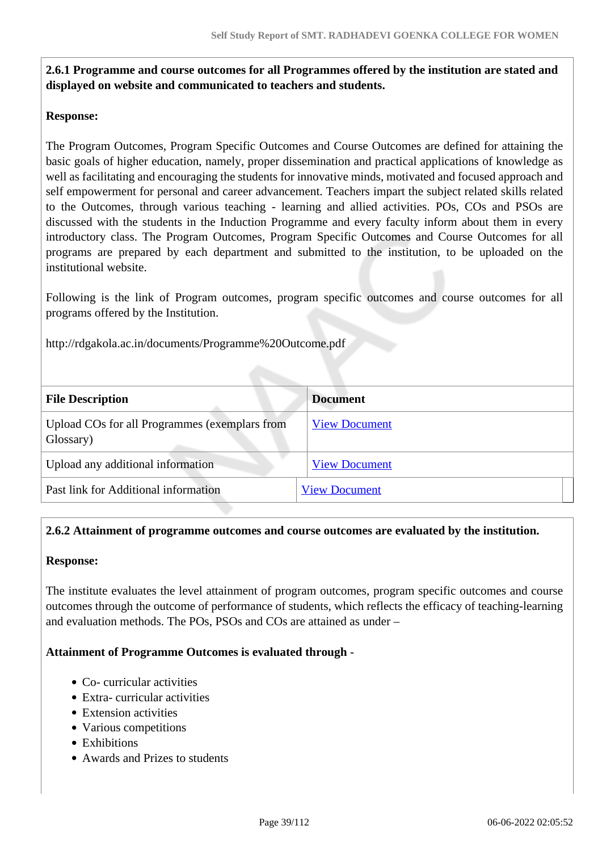## **2.6.1 Programme and course outcomes for all Programmes offered by the institution are stated and displayed on website and communicated to teachers and students.**

## **Response:**

The Program Outcomes, Program Specific Outcomes and Course Outcomes are defined for attaining the basic goals of higher education, namely, proper dissemination and practical applications of knowledge as well as facilitating and encouraging the students for innovative minds, motivated and focused approach and self empowerment for personal and career advancement. Teachers impart the subject related skills related to the Outcomes, through various teaching - learning and allied activities. POs, COs and PSOs are discussed with the students in the Induction Programme and every faculty inform about them in every introductory class. The Program Outcomes, Program Specific Outcomes and Course Outcomes for all programs are prepared by each department and submitted to the institution, to be uploaded on the institutional website.

Following is the link of Program outcomes, program specific outcomes and course outcomes for all programs offered by the Institution.

http://rdgakola.ac.in/documents/Programme%20Outcome.pdf

| <b>File Description</b>                                    | <b>Document</b>      |
|------------------------------------------------------------|----------------------|
| Upload COs for all Programmes (exemplars from<br>Glossary) | <b>View Document</b> |
| Upload any additional information                          | <b>View Document</b> |
| Past link for Additional information                       | <b>View Document</b> |

## **2.6.2 Attainment of programme outcomes and course outcomes are evaluated by the institution.**

#### **Response:**

The institute evaluates the level attainment of program outcomes, program specific outcomes and course outcomes through the outcome of performance of students, which reflects the efficacy of teaching-learning and evaluation methods. The POs, PSOs and COs are attained as under –

## **Attainment of Programme Outcomes is evaluated through** -

- Co- curricular activities
- Extra- curricular activities
- Extension activities
- Various competitions
- Exhibitions
- Awards and Prizes to students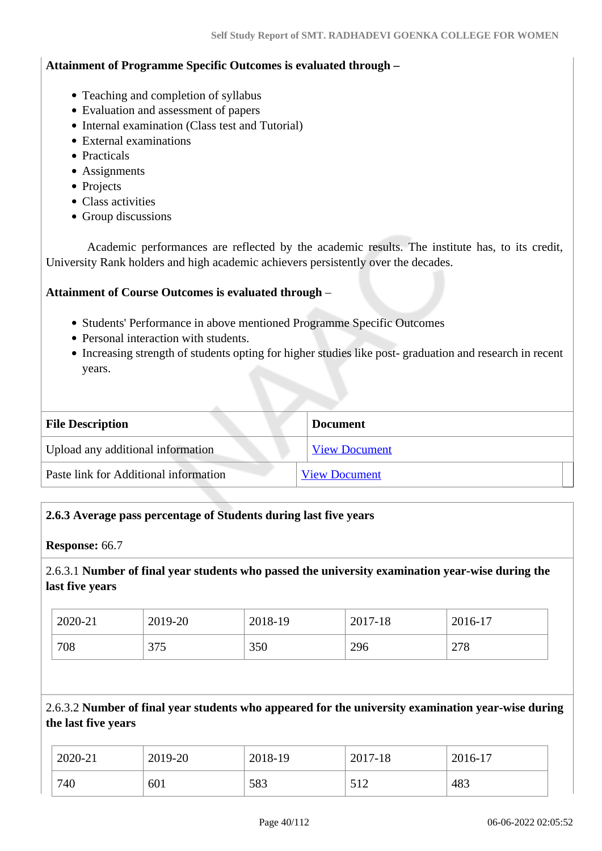#### **Attainment of Programme Specific Outcomes is evaluated through –**

- Teaching and completion of syllabus
- Evaluation and assessment of papers
- Internal examination (Class test and Tutorial)
- External examinations
- Practicals
- Assignments
- Projects
- Class activities
- Group discussions

 Academic performances are reflected by the academic results. The institute has, to its credit, University Rank holders and high academic achievers persistently over the decades.

#### **Attainment of Course Outcomes is evaluated through** –

- Students' Performance in above mentioned Programme Specific Outcomes
- Personal interaction with students.
- Increasing strength of students opting for higher studies like post-graduation and research in recent years.

| <b>File Description</b>               | <b>Document</b>      |
|---------------------------------------|----------------------|
| Upload any additional information     | <b>View Document</b> |
| Paste link for Additional information | <b>View Document</b> |

## **2.6.3 Average pass percentage of Students during last five years**

#### **Response:** 66.7

2.6.3.1 **Number of final year students who passed the university examination year-wise during the last five years**

| 2020-21 | 2019-20                | 2018-19 | 2017-18 | 1 <sub>7</sub><br>$2016 - 17$ |
|---------|------------------------|---------|---------|-------------------------------|
| 708     | $\sim$ $\sim$<br>ں ر ر | 350     | 296     | 278                           |

2.6.3.2 **Number of final year students who appeared for the university examination year-wise during the last five years**

| 2020-21 | 2019-20 | 2018-19 | 2017-18    | $2016-17$ |
|---------|---------|---------|------------|-----------|
| 740     | 601     | 583     | 510<br>214 | 483       |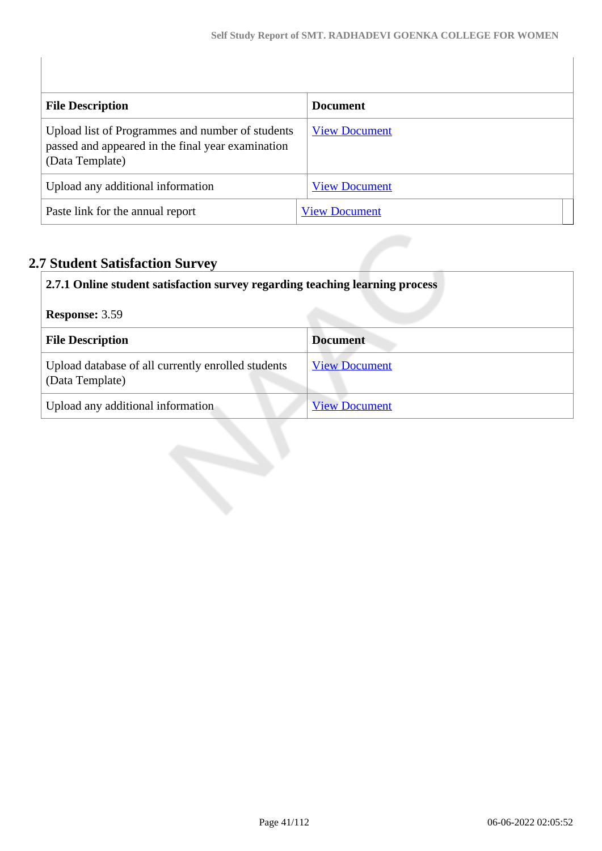| <b>File Description</b>                                                                                                  | <b>Document</b>      |
|--------------------------------------------------------------------------------------------------------------------------|----------------------|
| Upload list of Programmes and number of students<br>passed and appeared in the final year examination<br>(Data Template) | <b>View Document</b> |
| Upload any additional information                                                                                        | <b>View Document</b> |
| Paste link for the annual report                                                                                         | <b>View Document</b> |
|                                                                                                                          |                      |
| <b>7 Student Satisfaction Survey</b>                                                                                     |                      |

# **2.7 Student Satisfaction Survey**

| 2.7.1 Online student satisfaction survey regarding teaching learning process |                      |  |
|------------------------------------------------------------------------------|----------------------|--|
| <b>Response: 3.59</b>                                                        |                      |  |
| <b>File Description</b>                                                      | <b>Document</b>      |  |
| Upload database of all currently enrolled students<br>(Data Template)        | <b>View Document</b> |  |
| Upload any additional information                                            | <b>View Document</b> |  |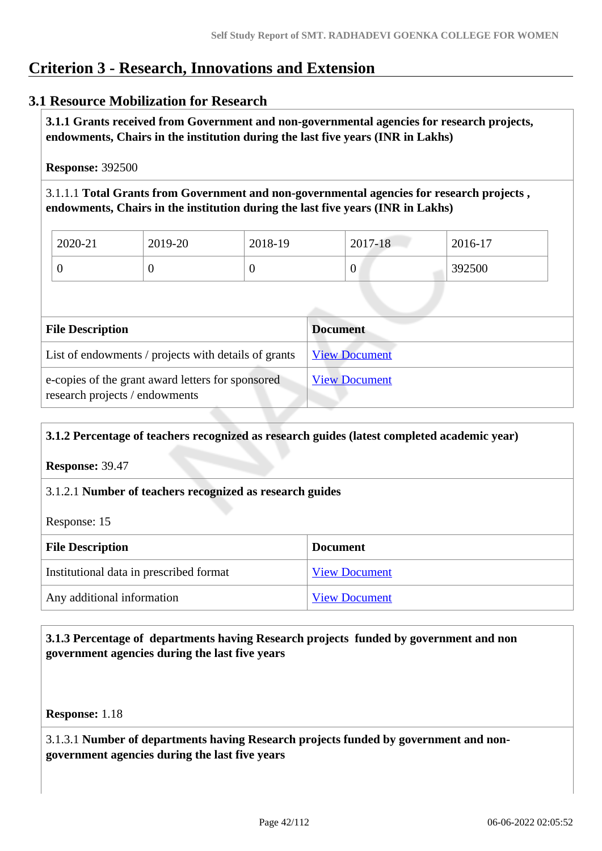# **Criterion 3 - Research, Innovations and Extension**

# **3.1 Resource Mobilization for Research**

 **3.1.1 Grants received from Government and non-governmental agencies for research projects, endowments, Chairs in the institution during the last five years (INR in Lakhs)** 

**Response:** 392500

3.1.1.1 **Total Grants from Government and non-governmental agencies for research projects , endowments, Chairs in the institution during the last five years (INR in Lakhs)**

| 2020-21 | 2019-20 | 2018-19 | 2017-18 | 2016-17 |
|---------|---------|---------|---------|---------|
|         | U       |         | 0       | 392500  |

| <b>File Description</b>                                                             | <b>Document</b>      |
|-------------------------------------------------------------------------------------|----------------------|
| List of endowments / projects with details of grants                                | <b>View Document</b> |
| e-copies of the grant award letters for sponsored<br>research projects / endowments | <b>View Document</b> |

## **3.1.2 Percentage of teachers recognized as research guides (latest completed academic year)**

**Response:** 39.47

## 3.1.2.1 **Number of teachers recognized as research guides**

Response: 15

| <b>File Description</b>                 | <b>Document</b>      |
|-----------------------------------------|----------------------|
| Institutional data in prescribed format | <b>View Document</b> |
| Any additional information              | <b>View Document</b> |

## **3.1.3 Percentage of departments having Research projects funded by government and non government agencies during the last five years**

**Response:** 1.18

3.1.3.1 **Number of departments having Research projects funded by government and nongovernment agencies during the last five years**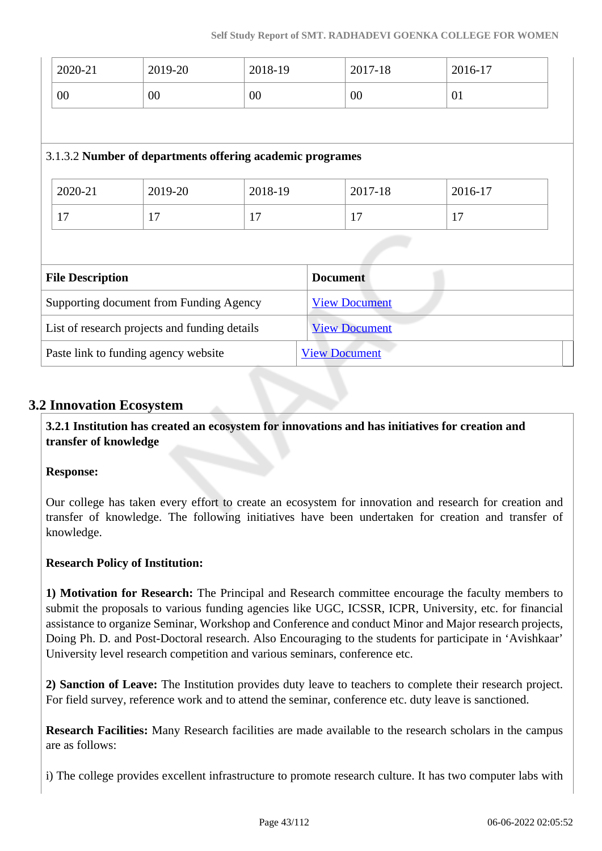| 2020-21                                       | 2019-20 | 2018-19                                                   | 2017-18              | 2016-17 |  |
|-----------------------------------------------|---------|-----------------------------------------------------------|----------------------|---------|--|
| $00\,$                                        | $00\,$  | 00                                                        | $00\,$               | 01      |  |
|                                               |         |                                                           |                      |         |  |
|                                               |         | 3.1.3.2 Number of departments offering academic programes |                      |         |  |
|                                               |         |                                                           |                      |         |  |
| 2020-21                                       | 2019-20 | 2018-19                                                   | 2017-18              | 2016-17 |  |
| 17                                            | 17      | 17                                                        | 17                   | 17      |  |
|                                               |         |                                                           |                      |         |  |
| <b>File Description</b>                       |         |                                                           | <b>Document</b>      |         |  |
| Supporting document from Funding Agency       |         |                                                           | <b>View Document</b> |         |  |
| List of research projects and funding details |         |                                                           | <b>View Document</b> |         |  |
| Paste link to funding agency website          |         |                                                           | <b>View Document</b> |         |  |

## **3.2 Innovation Ecosystem**

 **3.2.1 Institution has created an ecosystem for innovations and has initiatives for creation and transfer of knowledge**

## **Response:**

Our college has taken every effort to create an ecosystem for innovation and research for creation and transfer of knowledge. The following initiatives have been undertaken for creation and transfer of knowledge.

## **Research Policy of Institution:**

**1) Motivation for Research:** The Principal and Research committee encourage the faculty members to submit the proposals to various funding agencies like UGC, ICSSR, ICPR, University, etc. for financial assistance to organize Seminar, Workshop and Conference and conduct Minor and Major research projects, Doing Ph. D. and Post-Doctoral research. Also Encouraging to the students for participate in 'Avishkaar' University level research competition and various seminars, conference etc.

**2) Sanction of Leave:** The Institution provides duty leave to teachers to complete their research project. For field survey, reference work and to attend the seminar, conference etc. duty leave is sanctioned.

**Research Facilities:** Many Research facilities are made available to the research scholars in the campus are as follows:

i) The college provides excellent infrastructure to promote research culture. It has two computer labs with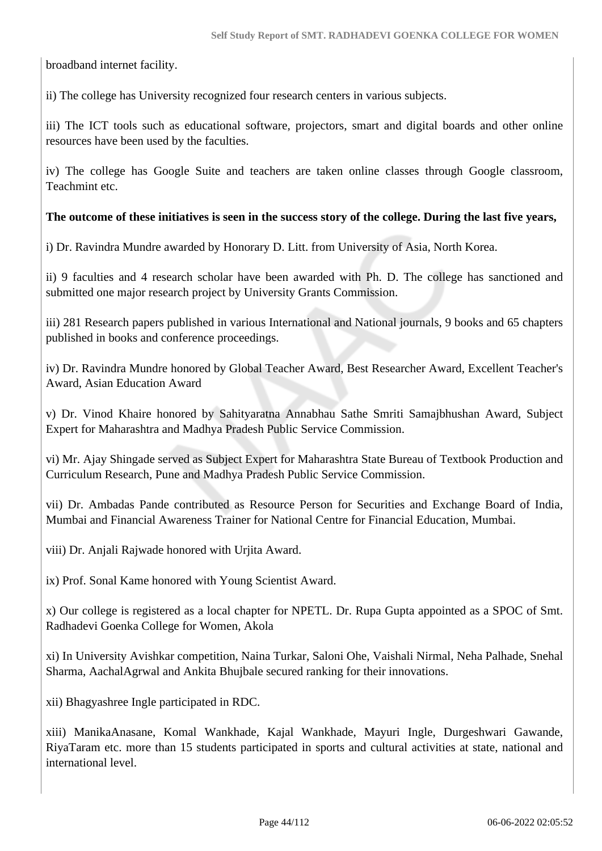broadband internet facility.

ii) The college has University recognized four research centers in various subjects.

iii) The ICT tools such as educational software, projectors, smart and digital boards and other online resources have been used by the faculties.

iv) The college has Google Suite and teachers are taken online classes through Google classroom, Teachmint etc.

## **The outcome of these initiatives is seen in the success story of the college. During the last five years,**

i) Dr. Ravindra Mundre awarded by Honorary D. Litt. from University of Asia, North Korea.

ii) 9 faculties and 4 research scholar have been awarded with Ph. D. The college has sanctioned and submitted one major research project by University Grants Commission.

iii) 281 Research papers published in various International and National journals, 9 books and 65 chapters published in books and conference proceedings.

iv) Dr. Ravindra Mundre honored by Global Teacher Award, Best Researcher Award, Excellent Teacher's Award, Asian Education Award

v) Dr. Vinod Khaire honored by Sahityaratna Annabhau Sathe Smriti Samajbhushan Award, Subject Expert for Maharashtra and Madhya Pradesh Public Service Commission.

vi) Mr. Ajay Shingade served as Subject Expert for Maharashtra State Bureau of Textbook Production and Curriculum Research, Pune and Madhya Pradesh Public Service Commission.

vii) Dr. Ambadas Pande contributed as Resource Person for Securities and Exchange Board of India, Mumbai and Financial Awareness Trainer for National Centre for Financial Education, Mumbai.

viii) Dr. Anjali Rajwade honored with Urjita Award.

ix) Prof. Sonal Kame honored with Young Scientist Award.

x) Our college is registered as a local chapter for NPETL. Dr. Rupa Gupta appointed as a SPOC of Smt. Radhadevi Goenka College for Women, Akola

xi) In University Avishkar competition, Naina Turkar, Saloni Ohe, Vaishali Nirmal, Neha Palhade, Snehal Sharma, AachalAgrwal and Ankita Bhujbale secured ranking for their innovations.

xii) Bhagyashree Ingle participated in RDC.

xiii) ManikaAnasane, Komal Wankhade, Kajal Wankhade, Mayuri Ingle, Durgeshwari Gawande, RiyaTaram etc. more than 15 students participated in sports and cultural activities at state, national and international level.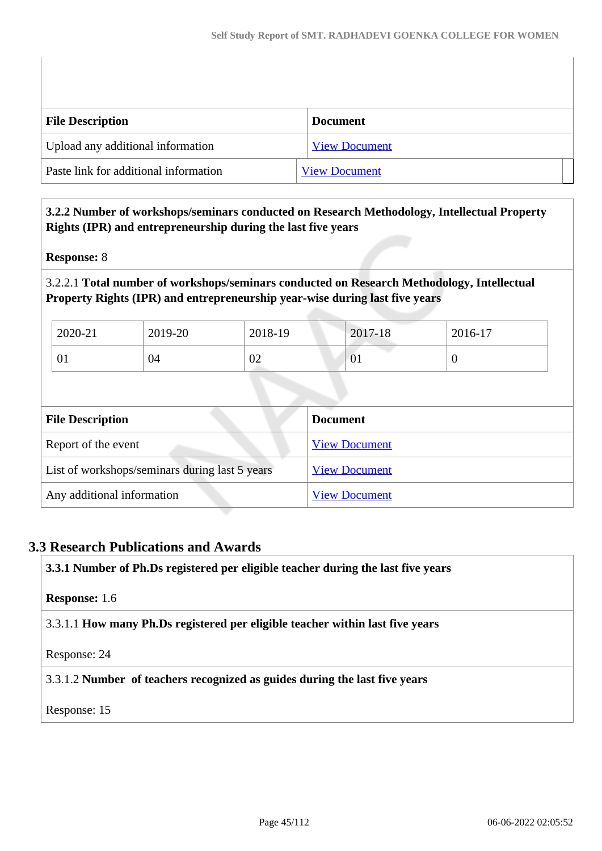| <b>File Description</b>               | <b>Document</b>      |
|---------------------------------------|----------------------|
| Upload any additional information     | <b>View Document</b> |
| Paste link for additional information | <b>View Document</b> |

## **3.2.2 Number of workshops/seminars conducted on Research Methodology, Intellectual Property Rights (IPR) and entrepreneurship during the last five years**

## **Response:** 8

3.2.2.1 **Total number of workshops/seminars conducted on Research Methodology, Intellectual Property Rights (IPR) and entrepreneurship year-wise during last five years** 

| 2020-21 | 2019-20 | 2018-19 | 2017-18        | $2016-17$ |
|---------|---------|---------|----------------|-----------|
| 01      | 04      | 02      | $\overline{0}$ | ◡         |

| <b>File Description</b>                        | <b>Document</b>      |
|------------------------------------------------|----------------------|
| Report of the event                            | <b>View Document</b> |
| List of workshops/seminars during last 5 years | <b>View Document</b> |
| Any additional information                     | <b>View Document</b> |

## **3.3 Research Publications and Awards**

**3.3.1 Number of Ph.Ds registered per eligible teacher during the last five years**

## **Response:** 1.6

3.3.1.1 **How many Ph.Ds registered per eligible teacher within last five years**

Response: 24

3.3.1.2 **Number of teachers recognized as guides during the last five years**

Response: 15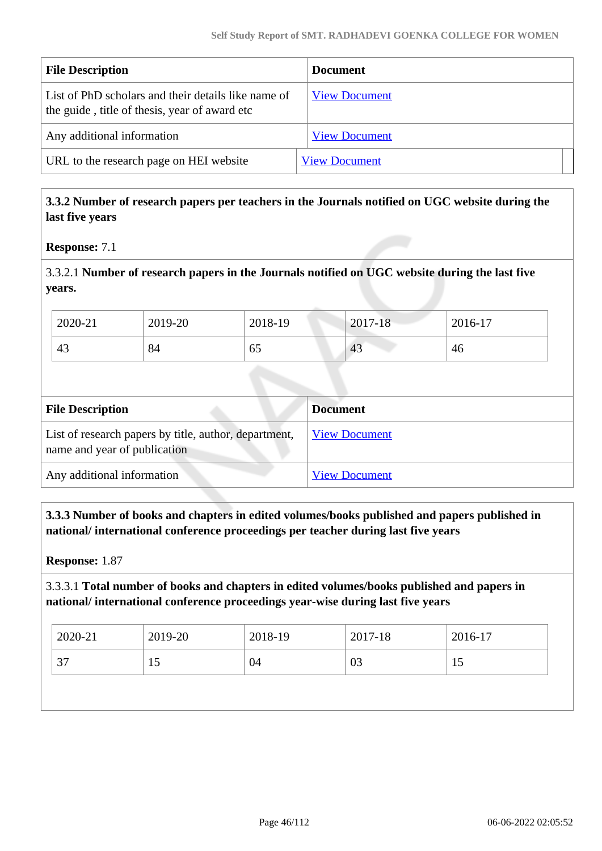| <b>File Description</b>                                                                              | <b>Document</b>      |
|------------------------------------------------------------------------------------------------------|----------------------|
| List of PhD scholars and their details like name of<br>the guide, title of thesis, year of award etc | <b>View Document</b> |
| Any additional information                                                                           | <b>View Document</b> |
| URL to the research page on HEI website                                                              | <b>View Document</b> |

## **3.3.2 Number of research papers per teachers in the Journals notified on UGC website during the last five years**

**Response:** 7.1

3.3.2.1 **Number of research papers in the Journals notified on UGC website during the last five years.**

| 2020-21 | 2019-20 | 2018-19   | $2017 - 18$ | 2016-17 |
|---------|---------|-----------|-------------|---------|
| 43      | 84      | - -<br>ნა | 43          | 46      |

| <b>File Description</b>                                                               | <b>Document</b>      |
|---------------------------------------------------------------------------------------|----------------------|
| List of research papers by title, author, department,<br>name and year of publication | <b>View Document</b> |
| Any additional information                                                            | <b>View Document</b> |

 **3.3.3 Number of books and chapters in edited volumes/books published and papers published in national/ international conference proceedings per teacher during last five years**

**Response:** 1.87

## 3.3.3.1 **Total number of books and chapters in edited volumes/books published and papers in national/ international conference proceedings year-wise during last five years**

| $2020 - 21$ | 2019-20 | 2018-19 | 2017-18 | 2016-17 |
|-------------|---------|---------|---------|---------|
| っっ<br>، ب   | ⊥ັ      | 04      | 03      | 10      |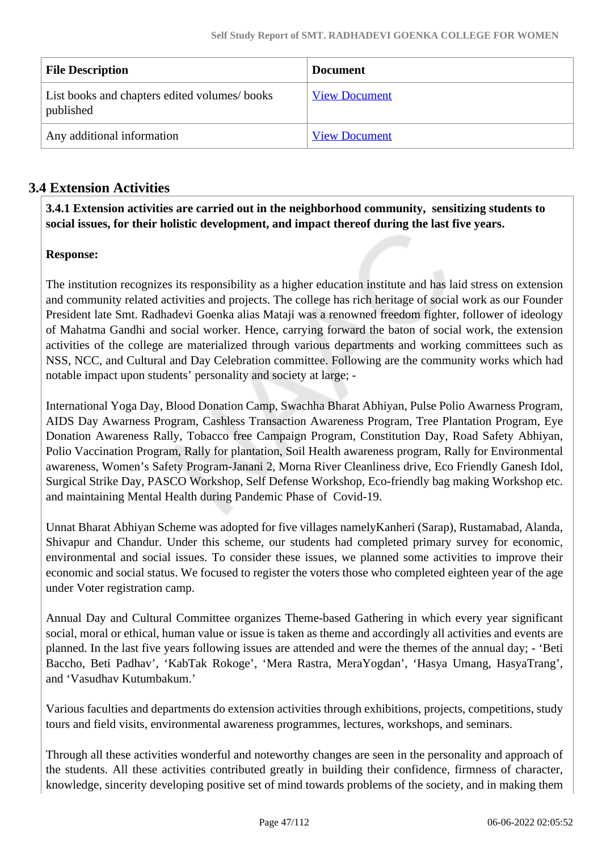| <b>File Description</b>                                   | <b>Document</b>      |
|-----------------------------------------------------------|----------------------|
| List books and chapters edited volumes/books<br>published | <b>View Document</b> |
| Any additional information                                | <b>View Document</b> |

# **3.4 Extension Activities**

 **3.4.1 Extension activities are carried out in the neighborhood community, sensitizing students to social issues, for their holistic development, and impact thereof during the last five years.**

## **Response:**

The institution recognizes its responsibility as a higher education institute and has laid stress on extension and community related activities and projects. The college has rich heritage of social work as our Founder President late Smt. Radhadevi Goenka alias Mataji was a renowned freedom fighter, follower of ideology of Mahatma Gandhi and social worker. Hence, carrying forward the baton of social work, the extension activities of the college are materialized through various departments and working committees such as NSS, NCC, and Cultural and Day Celebration committee. Following are the community works which had notable impact upon students' personality and society at large; -

International Yoga Day, Blood Donation Camp, Swachha Bharat Abhiyan, Pulse Polio Awarness Program, AIDS Day Awarness Program, Cashless Transaction Awareness Program, Tree Plantation Program, Eye Donation Awareness Rally, Tobacco free Campaign Program, Constitution Day, Road Safety Abhiyan, Polio Vaccination Program, Rally for plantation, Soil Health awareness program, Rally for Environmental awareness, Women's Safety Program-Janani 2, Morna River Cleanliness drive, Eco Friendly Ganesh Idol, Surgical Strike Day, PASCO Workshop, Self Defense Workshop, Eco-friendly bag making Workshop etc. and maintaining Mental Health during Pandemic Phase of Covid-19.

Unnat Bharat Abhiyan Scheme was adopted for five villages namelyKanheri (Sarap), Rustamabad, Alanda, Shivapur and Chandur. Under this scheme, our students had completed primary survey for economic, environmental and social issues. To consider these issues, we planned some activities to improve their economic and social status. We focused to register the voters those who completed eighteen year of the age under Voter registration camp.

Annual Day and Cultural Committee organizes Theme-based Gathering in which every year significant social, moral or ethical, human value or issue is taken as theme and accordingly all activities and events are planned. In the last five years following issues are attended and were the themes of the annual day; - 'Beti Baccho, Beti Padhav', 'KabTak Rokoge', 'Mera Rastra, MeraYogdan', 'Hasya Umang, HasyaTrang', and 'Vasudhav Kutumbakum.'

Various faculties and departments do extension activities through exhibitions, projects, competitions, study tours and field visits, environmental awareness programmes, lectures, workshops, and seminars.

Through all these activities wonderful and noteworthy changes are seen in the personality and approach of the students. All these activities contributed greatly in building their confidence, firmness of character, knowledge, sincerity developing positive set of mind towards problems of the society, and in making them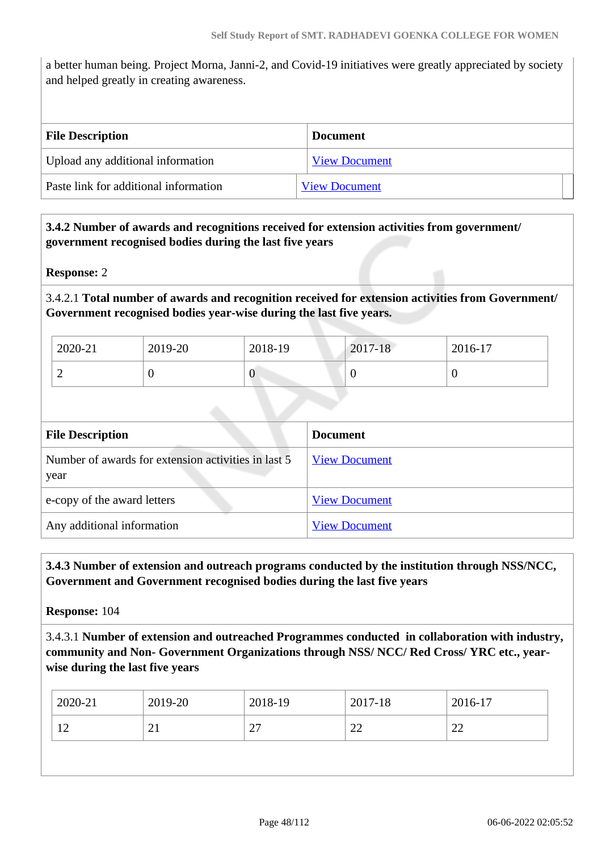a better human being. Project Morna, Janni-2, and Covid-19 initiatives were greatly appreciated by society and helped greatly in creating awareness.

| <b>File Description</b>               | <b>Document</b>      |
|---------------------------------------|----------------------|
| Upload any additional information     | <b>View Document</b> |
| Paste link for additional information | <b>View Document</b> |

## **3.4.2 Number of awards and recognitions received for extension activities from government/ government recognised bodies during the last five years**

## **Response:** 2

3.4.2.1 **Total number of awards and recognition received for extension activities from Government/ Government recognised bodies year-wise during the last five years.**

| 2020-21                  | 2019-20 | 2018-19 | 2017-18 | 2016-17 |
|--------------------------|---------|---------|---------|---------|
| $\overline{\phantom{0}}$ |         | ν       |         | ν       |

| <b>File Description</b>                                     | <b>Document</b>      |
|-------------------------------------------------------------|----------------------|
| Number of awards for extension activities in last 5<br>year | <b>View Document</b> |
| e-copy of the award letters                                 | <b>View Document</b> |
| Any additional information                                  | <b>View Document</b> |

## **3.4.3 Number of extension and outreach programs conducted by the institution through NSS/NCC, Government and Government recognised bodies during the last five years**

**Response:** 104

3.4.3.1 **Number of extension and outreached Programmes conducted in collaboration with industry, community and Non- Government Organizations through NSS/ NCC/ Red Cross/ YRC etc., yearwise during the last five years**

| 27<br>22<br>22<br>21 |  |
|----------------------|--|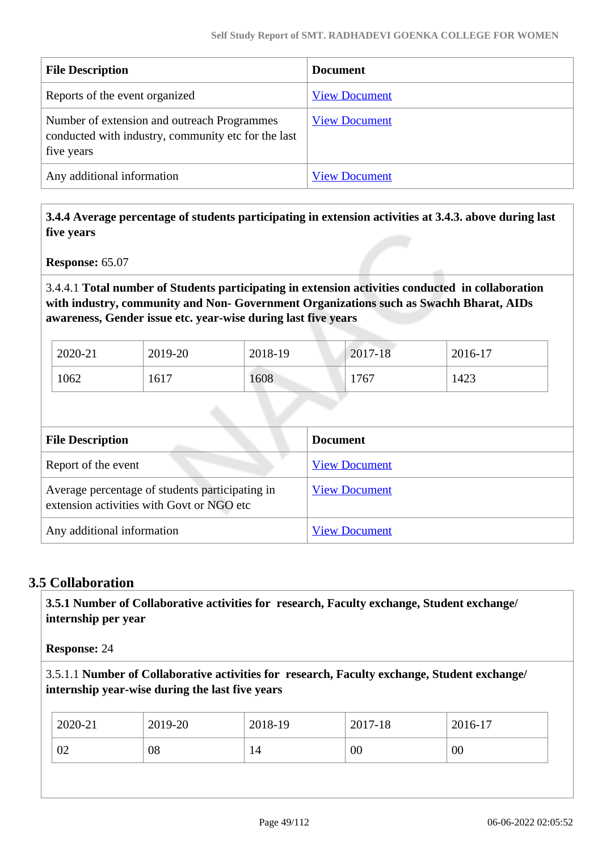| <b>File Description</b>                                                                                          | <b>Document</b>      |
|------------------------------------------------------------------------------------------------------------------|----------------------|
| Reports of the event organized                                                                                   | <b>View Document</b> |
| Number of extension and outreach Programmes<br>conducted with industry, community etc for the last<br>five years | <b>View Document</b> |
| Any additional information                                                                                       | <b>View Document</b> |

 **3.4.4 Average percentage of students participating in extension activities at 3.4.3. above during last five years**

**Response:** 65.07

## 3.4.4.1 **Total number of Students participating in extension activities conducted in collaboration with industry, community and Non- Government Organizations such as Swachh Bharat, AIDs awareness, Gender issue etc. year-wise during last five years**

| 2020-21 | 2019-20 | 2018-19 | 2017-18 | 2016-17 |
|---------|---------|---------|---------|---------|
| 1062    | 1617    | 1608    | 1767    | 1423    |

| <b>File Description</b>                                                                      | <b>Document</b>      |
|----------------------------------------------------------------------------------------------|----------------------|
| Report of the event                                                                          | <b>View Document</b> |
| Average percentage of students participating in<br>extension activities with Govt or NGO etc | <b>View Document</b> |
| Any additional information                                                                   | <b>View Document</b> |

## **3.5 Collaboration**

 **3.5.1 Number of Collaborative activities for research, Faculty exchange, Student exchange/ internship per year**

**Response:** 24

3.5.1.1 **Number of Collaborative activities for research, Faculty exchange, Student exchange/ internship year-wise during the last five years**

| 00<br>02<br>08<br>00<br>14 |  |
|----------------------------|--|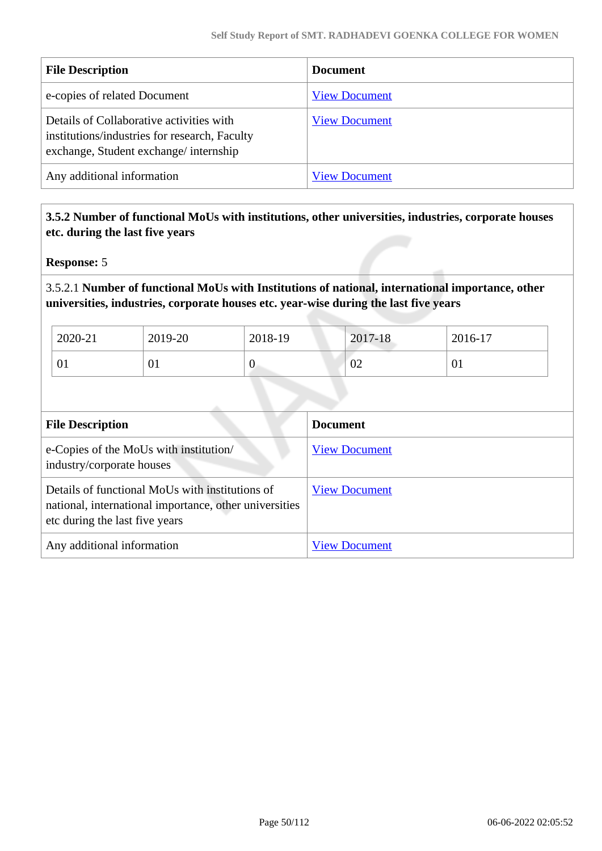| <b>File Description</b>                                                                                                            | <b>Document</b>      |
|------------------------------------------------------------------------------------------------------------------------------------|----------------------|
| e-copies of related Document                                                                                                       | <b>View Document</b> |
| Details of Collaborative activities with<br>institutions/industries for research, Faculty<br>exchange, Student exchange/internship | <b>View Document</b> |
| Any additional information                                                                                                         | <b>View Document</b> |

 **3.5.2 Number of functional MoUs with institutions, other universities, industries, corporate houses etc. during the last five years** 

**Response:** 5

## 3.5.2.1 **Number of functional MoUs with Institutions of national, international importance, other universities, industries, corporate houses etc. year-wise during the last five years**

| 2020-21 | 2019-20        | 2018-19 | 2017-18      | 2016-17 |
|---------|----------------|---------|--------------|---------|
| UI      | $\overline{0}$ | ◡       | $\sim$<br>VZ | 01      |

| <b>File Description</b>                                                                                                                     | <b>Document</b>      |
|---------------------------------------------------------------------------------------------------------------------------------------------|----------------------|
| e-Copies of the MoUs with institution/<br>industry/corporate houses                                                                         | <b>View Document</b> |
| Details of functional MoUs with institutions of<br>national, international importance, other universities<br>etc during the last five years | <b>View Document</b> |
| Any additional information                                                                                                                  | <b>View Document</b> |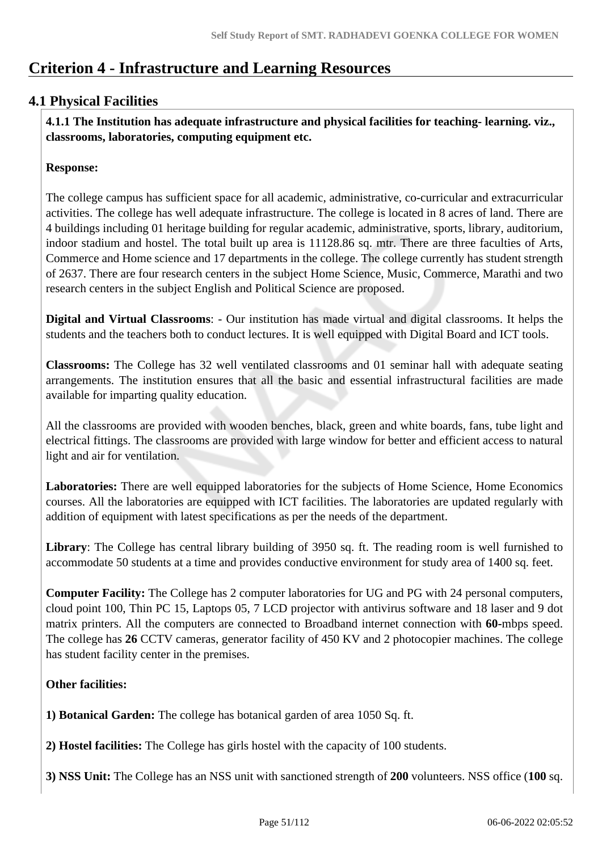# **Criterion 4 - Infrastructure and Learning Resources**

# **4.1 Physical Facilities**

 **4.1.1 The Institution has adequate infrastructure and physical facilities for teaching- learning. viz., classrooms, laboratories, computing equipment etc.** 

## **Response:**

The college campus has sufficient space for all academic, administrative, co-curricular and extracurricular activities. The college has well adequate infrastructure. The college is located in 8 acres of land. There are 4 buildings including 01 heritage building for regular academic, administrative, sports, library, auditorium, indoor stadium and hostel. The total built up area is 11128.86 sq. mtr. There are three faculties of Arts, Commerce and Home science and 17 departments in the college. The college currently has student strength of 2637. There are four research centers in the subject Home Science, Music, Commerce, Marathi and two research centers in the subject English and Political Science are proposed.

**Digital and Virtual Classrooms**: - Our institution has made virtual and digital classrooms. It helps the students and the teachers both to conduct lectures. It is well equipped with Digital Board and ICT tools.

**Classrooms:** The College has 32 well ventilated classrooms and 01 seminar hall with adequate seating arrangements. The institution ensures that all the basic and essential infrastructural facilities are made available for imparting quality education.

All the classrooms are provided with wooden benches, black, green and white boards, fans, tube light and electrical fittings. The classrooms are provided with large window for better and efficient access to natural light and air for ventilation.

Laboratories: There are well equipped laboratories for the subjects of Home Science, Home Economics courses. All the laboratories are equipped with ICT facilities. The laboratories are updated regularly with addition of equipment with latest specifications as per the needs of the department.

**Library**: The College has central library building of 3950 sq. ft. The reading room is well furnished to accommodate 50 students at a time and provides conductive environment for study area of 1400 sq. feet.

**Computer Facility:** The College has 2 computer laboratories for UG and PG with 24 personal computers, cloud point 100, Thin PC 15, Laptops 05, 7 LCD projector with antivirus software and 18 laser and 9 dot matrix printers. All the computers are connected to Broadband internet connection with **60-**mbps speed. The college has **26** CCTV cameras, generator facility of 450 KV and 2 photocopier machines. The college has student facility center in the premises.

## **Other facilities:**

**1) Botanical Garden:** The college has botanical garden of area 1050 Sq. ft.

**2) Hostel facilities:** The College has girls hostel with the capacity of 100 students.

**3) NSS Unit:** The College has an NSS unit with sanctioned strength of **200** volunteers. NSS office (**100** sq.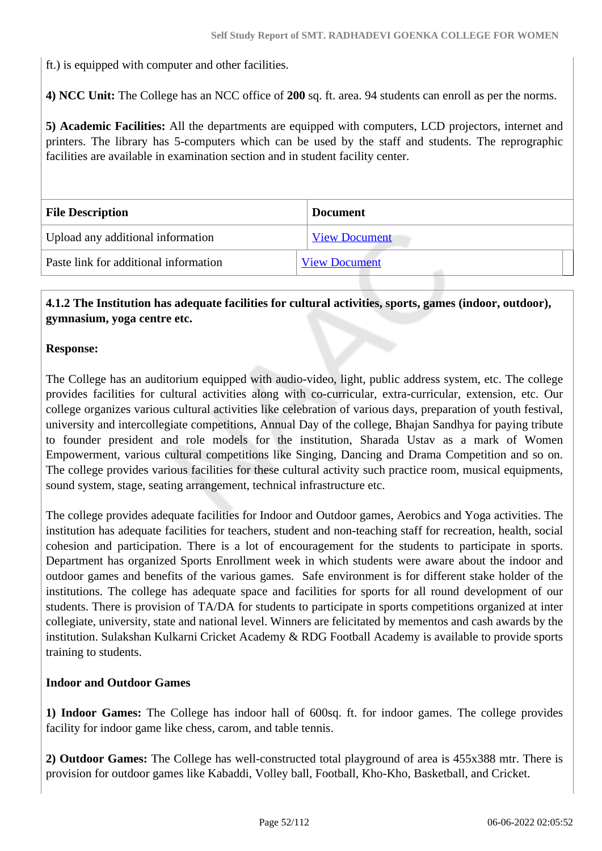ft.) is equipped with computer and other facilities.

**4) NCC Unit:** The College has an NCC office of **200** sq. ft. area. 94 students can enroll as per the norms.

**5) Academic Facilities:** All the departments are equipped with computers, LCD projectors, internet and printers. The library has 5-computers which can be used by the staff and students. The reprographic facilities are available in examination section and in student facility center.

| <b>File Description</b>               | <b>Document</b>      |  |
|---------------------------------------|----------------------|--|
| Upload any additional information     | <b>View Document</b> |  |
| Paste link for additional information | <b>View Document</b> |  |

## **4.1.2 The Institution has adequate facilities for cultural activities, sports, games (indoor, outdoor), gymnasium, yoga centre etc.**

## **Response:**

The College has an auditorium equipped with audio-video, light, public address system, etc. The college provides facilities for cultural activities along with co-curricular, extra-curricular, extension, etc. Our college organizes various cultural activities like celebration of various days, preparation of youth festival, university and intercollegiate competitions, Annual Day of the college, Bhajan Sandhya for paying tribute to founder president and role models for the institution, Sharada Ustav as a mark of Women Empowerment, various cultural competitions like Singing, Dancing and Drama Competition and so on. The college provides various facilities for these cultural activity such practice room, musical equipments, sound system, stage, seating arrangement, technical infrastructure etc.

The college provides adequate facilities for Indoor and Outdoor games, Aerobics and Yoga activities. The institution has adequate facilities for teachers, student and non-teaching staff for recreation, health, social cohesion and participation. There is a lot of encouragement for the students to participate in sports. Department has organized Sports Enrollment week in which students were aware about the indoor and outdoor games and benefits of the various games. Safe environment is for different stake holder of the institutions. The college has adequate space and facilities for sports for all round development of our students. There is provision of TA/DA for students to participate in sports competitions organized at inter collegiate, university, state and national level. Winners are felicitated by mementos and cash awards by the institution. Sulakshan Kulkarni Cricket Academy & RDG Football Academy is available to provide sports training to students.

## **Indoor and Outdoor Games**

**1) Indoor Games:** The College has indoor hall of 600sq. ft. for indoor games. The college provides facility for indoor game like chess, carom, and table tennis.

**2) Outdoor Games:** The College has well-constructed total playground of area is 455x388 mtr. There is provision for outdoor games like Kabaddi, Volley ball, Football, Kho-Kho, Basketball, and Cricket.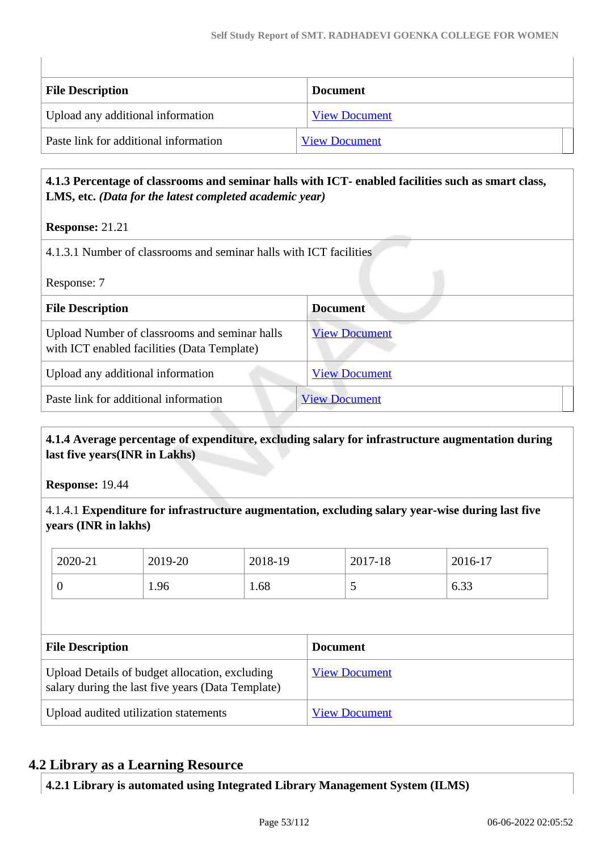| <b>File Description</b>               | <b>Document</b>      |
|---------------------------------------|----------------------|
| Upload any additional information     | <b>View Document</b> |
| Paste link for additional information | <b>View Document</b> |

## **4.1.3 Percentage of classrooms and seminar halls with ICT- enabled facilities such as smart class, LMS, etc.** *(Data for the latest completed academic year)*

**Response:** 21.21

| 4.1.3.1 Number of classrooms and seminar halls with ICT facilities                           |                      |  |
|----------------------------------------------------------------------------------------------|----------------------|--|
| Response: 7                                                                                  |                      |  |
| <b>File Description</b>                                                                      | <b>Document</b>      |  |
| Upload Number of classrooms and seminar halls<br>with ICT enabled facilities (Data Template) | <b>View Document</b> |  |
| Upload any additional information                                                            | <b>View Document</b> |  |
| Paste link for additional information                                                        | <b>View Document</b> |  |

## **4.1.4 Average percentage of expenditure, excluding salary for infrastructure augmentation during last five years(INR in Lakhs)**

**Response:** 19.44

4.1.4.1 **Expenditure for infrastructure augmentation, excluding salary year-wise during last five years (INR in lakhs)**

| 2020-21                 | 2019-20                                                                                             | 2018-19 |                 | 2017-18              | 2016-17 |
|-------------------------|-----------------------------------------------------------------------------------------------------|---------|-----------------|----------------------|---------|
| 0                       | 1.96                                                                                                | 1.68    |                 | 5                    | 6.33    |
|                         |                                                                                                     |         |                 |                      |         |
| <b>File Description</b> |                                                                                                     |         |                 |                      |         |
|                         |                                                                                                     |         | <b>Document</b> |                      |         |
|                         | Upload Details of budget allocation, excluding<br>salary during the last five years (Data Template) |         |                 | <b>View Document</b> |         |

# **4.2 Library as a Learning Resource**

**4.2.1 Library is automated using Integrated Library Management System (ILMS)**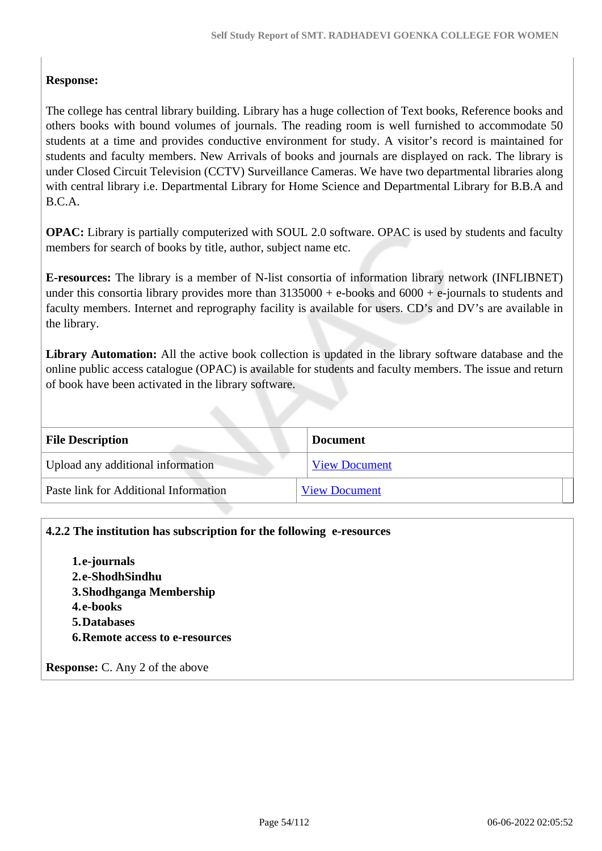## **Response:**

The college has central library building. Library has a huge collection of Text books, Reference books and others books with bound volumes of journals. The reading room is well furnished to accommodate 50 students at a time and provides conductive environment for study. A visitor's record is maintained for students and faculty members. New Arrivals of books and journals are displayed on rack. The library is under Closed Circuit Television (CCTV) Surveillance Cameras. We have two departmental libraries along with central library i.e. Departmental Library for Home Science and Departmental Library for B.B.A and B.C.A.

**OPAC:** Library is partially computerized with SOUL 2.0 software. OPAC is used by students and faculty members for search of books by title, author, subject name etc.

**E-resources:** The library is a member of N-list consortia of information library network (INFLIBNET) under this consortia library provides more than  $3135000 + e$ -books and  $6000 + e$ -journals to students and faculty members. Internet and reprography facility is available for users. CD's and DV's are available in the library.

**Library Automation:** All the active book collection is updated in the library software database and the online public access catalogue (OPAC) is available for students and faculty members. The issue and return of book have been activated in the library software.

| <b>File Description</b>               | <b>Document</b>      |
|---------------------------------------|----------------------|
| Upload any additional information     | <b>View Document</b> |
| Paste link for Additional Information | <b>View Document</b> |

## **4.2.2 The institution has subscription for the following e-resources**

**1.e-journals 2.e-ShodhSindhu 3.Shodhganga Membership 4.e-books 5.Databases 6.Remote access to e-resources**

**Response:** C. Any 2 of the above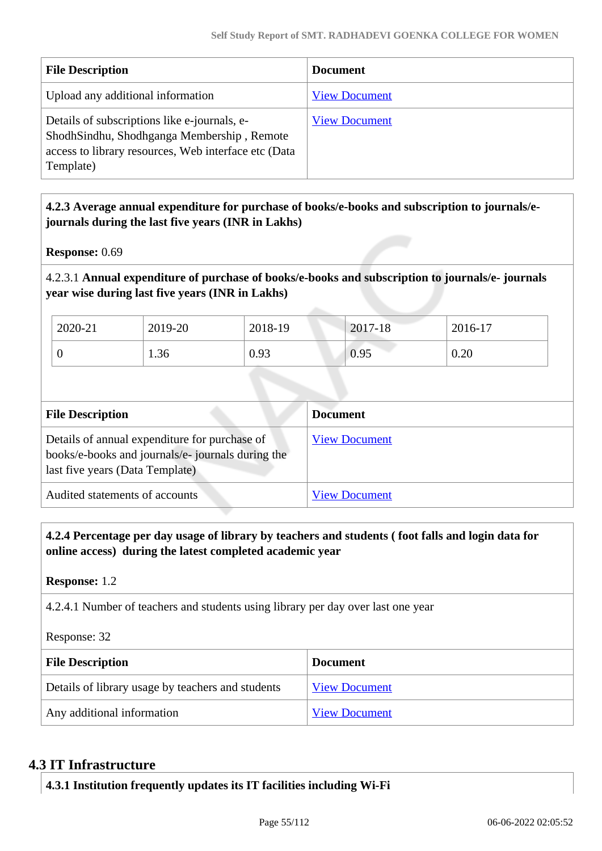| <b>File Description</b>                                                                                                                                         | <b>Document</b>      |
|-----------------------------------------------------------------------------------------------------------------------------------------------------------------|----------------------|
| Upload any additional information                                                                                                                               | <b>View Document</b> |
| Details of subscriptions like e-journals, e-<br>ShodhSindhu, Shodhganga Membership, Remote<br>access to library resources, Web interface etc (Data<br>Template) | <b>View Document</b> |

## **4.2.3 Average annual expenditure for purchase of books/e-books and subscription to journals/ejournals during the last five years (INR in Lakhs)**

**Response:** 0.69

4.2.3.1 **Annual expenditure of purchase of books/e-books and subscription to journals/e- journals year wise during last five years (INR in Lakhs)**

| 2020-21 | 2019-20 | 2018-19 | 2017-18 | 2016-17 |
|---------|---------|---------|---------|---------|
|         | 1.36    | 0.93    | 0.95    | 0.20    |

| <b>File Description</b>                                                                                                              | <b>Document</b>      |
|--------------------------------------------------------------------------------------------------------------------------------------|----------------------|
| Details of annual expenditure for purchase of<br>books/e-books and journals/e-journals during the<br>last five years (Data Template) | <b>View Document</b> |
| Audited statements of accounts                                                                                                       | <b>View Document</b> |

 **4.2.4 Percentage per day usage of library by teachers and students ( foot falls and login data for online access) during the latest completed academic year**

**Response:** 1.2

4.2.4.1 Number of teachers and students using library per day over last one year

Response: 32

| <b>File Description</b>                           | <b>Document</b>      |
|---------------------------------------------------|----------------------|
| Details of library usage by teachers and students | <b>View Document</b> |
| Any additional information                        | <b>View Document</b> |

## **4.3 IT Infrastructure**

**4.3.1 Institution frequently updates its IT facilities including Wi-Fi**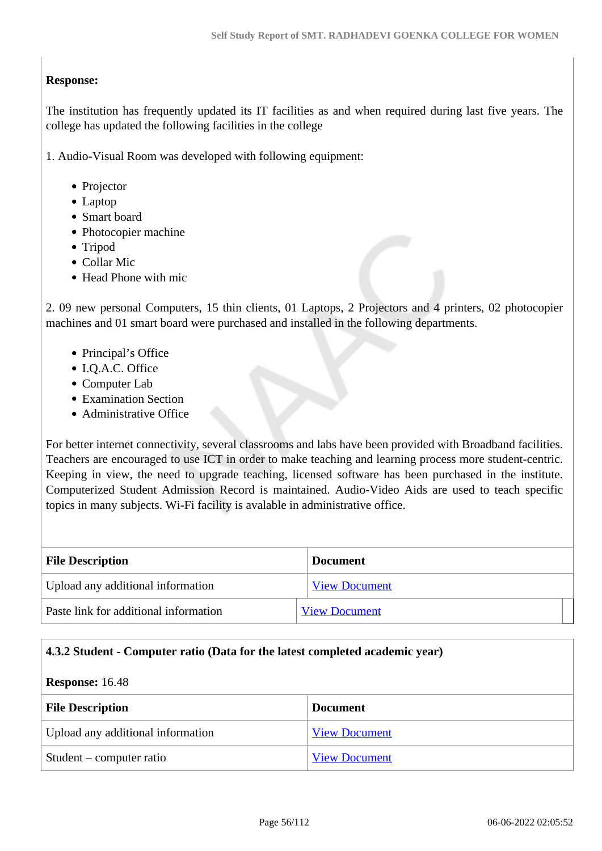## **Response:**

The institution has frequently updated its IT facilities as and when required during last five years. The college has updated the following facilities in the college

1. Audio-Visual Room was developed with following equipment:

- Projector
- Laptop
- Smart board
- Photocopier machine
- Tripod
- Collar Mic
- Head Phone with mic

2. 09 new personal Computers, 15 thin clients, 01 Laptops, 2 Projectors and 4 printers, 02 photocopier machines and 01 smart board were purchased and installed in the following departments.

- Principal's Office
- I.Q.A.C. Office
- Computer Lab
- Examination Section
- Administrative Office

For better internet connectivity, several classrooms and labs have been provided with Broadband facilities. Teachers are encouraged to use ICT in order to make teaching and learning process more student-centric. Keeping in view, the need to upgrade teaching, licensed software has been purchased in the institute. Computerized Student Admission Record is maintained. Audio-Video Aids are used to teach specific topics in many subjects. Wi-Fi facility is avalable in administrative office.

| <b>File Description</b>               | <b>Document</b>      |  |
|---------------------------------------|----------------------|--|
| Upload any additional information     | <b>View Document</b> |  |
| Paste link for additional information | <b>View Document</b> |  |

#### **4.3.2 Student - Computer ratio (Data for the latest completed academic year)**

#### **Response:** 16.48

| <b>File Description</b>           | <b>Document</b>      |
|-----------------------------------|----------------------|
| Upload any additional information | <b>View Document</b> |
| Student – computer ratio          | <b>View Document</b> |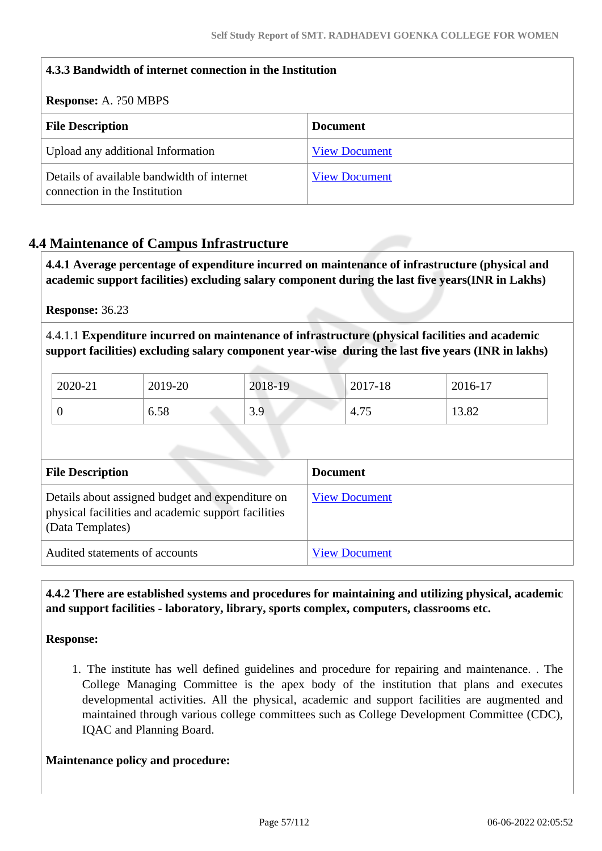| 4.3.3 Bandwidth of internet connection in the Institution                   |                      |
|-----------------------------------------------------------------------------|----------------------|
| <b>Response:</b> A. 250 MBPS                                                |                      |
| <b>File Description</b>                                                     | <b>Document</b>      |
| Upload any additional Information                                           | <b>View Document</b> |
| Details of available bandwidth of internet<br>connection in the Institution | <b>View Document</b> |

# **4.4 Maintenance of Campus Infrastructure**

 **4.4.1 Average percentage of expenditure incurred on maintenance of infrastructure (physical and academic support facilities) excluding salary component during the last five years(INR in Lakhs)**

**Response:** 36.23

4.4.1.1 **Expenditure incurred on maintenance of infrastructure (physical facilities and academic support facilities) excluding salary component year-wise during the last five years (INR in lakhs)**

| 2020-21 | 2019-20 | 2018-19 | 2017-18                         | 2016-17 |
|---------|---------|---------|---------------------------------|---------|
|         | 6.58    | 3.9     | $\overline{\phantom{m}}$<br>4.1 | 13.82   |

| <b>File Description</b>                                                                                                     | <b>Document</b>      |
|-----------------------------------------------------------------------------------------------------------------------------|----------------------|
| Details about assigned budget and expenditure on<br>physical facilities and academic support facilities<br>(Data Templates) | <b>View Document</b> |
| Audited statements of accounts                                                                                              | <b>View Document</b> |

 **4.4.2 There are established systems and procedures for maintaining and utilizing physical, academic and support facilities - laboratory, library, sports complex, computers, classrooms etc.**

**Response:** 

1. The institute has well defined guidelines and procedure for repairing and maintenance. . The College Managing Committee is the apex body of the institution that plans and executes developmental activities. All the physical, academic and support facilities are augmented and maintained through various college committees such as College Development Committee (CDC), IQAC and Planning Board.

## **Maintenance policy and procedure:**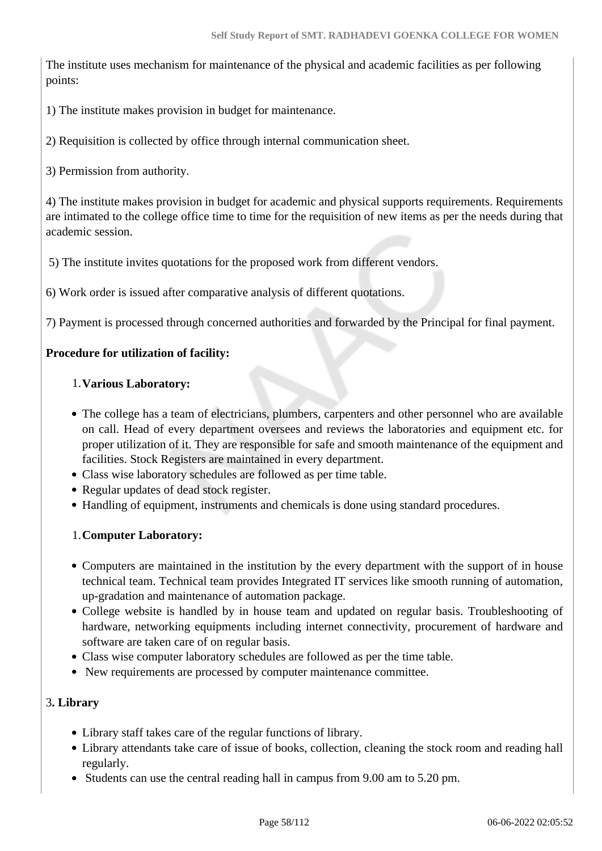The institute uses mechanism for maintenance of the physical and academic facilities as per following points:

1) The institute makes provision in budget for maintenance.

2) Requisition is collected by office through internal communication sheet.

3) Permission from authority.

4) The institute makes provision in budget for academic and physical supports requirements. Requirements are intimated to the college office time to time for the requisition of new items as per the needs during that academic session.

5) The institute invites quotations for the proposed work from different vendors.

6) Work order is issued after comparative analysis of different quotations.

7) Payment is processed through concerned authorities and forwarded by the Principal for final payment.

## **Procedure for utilization of facility:**

## 1.**Various Laboratory:**

- The college has a team of electricians, plumbers, carpenters and other personnel who are available on call. Head of every department oversees and reviews the laboratories and equipment etc. for proper utilization of it. They are responsible for safe and smooth maintenance of the equipment and facilities. Stock Registers are maintained in every department.
- Class wise laboratory schedules are followed as per time table.
- Regular updates of dead stock register.
- Handling of equipment, instruments and chemicals is done using standard procedures.

## 1.**Computer Laboratory:**

- Computers are maintained in the institution by the every department with the support of in house technical team. Technical team provides Integrated IT services like smooth running of automation, up-gradation and maintenance of automation package.
- College website is handled by in house team and updated on regular basis. Troubleshooting of hardware, networking equipments including internet connectivity, procurement of hardware and software are taken care of on regular basis.
- Class wise computer laboratory schedules are followed as per the time table.
- New requirements are processed by computer maintenance committee.

## 3**. Library**

- Library staff takes care of the regular functions of library.
- Library attendants take care of issue of books, collection, cleaning the stock room and reading hall regularly.
- Students can use the central reading hall in campus from 9.00 am to 5.20 pm.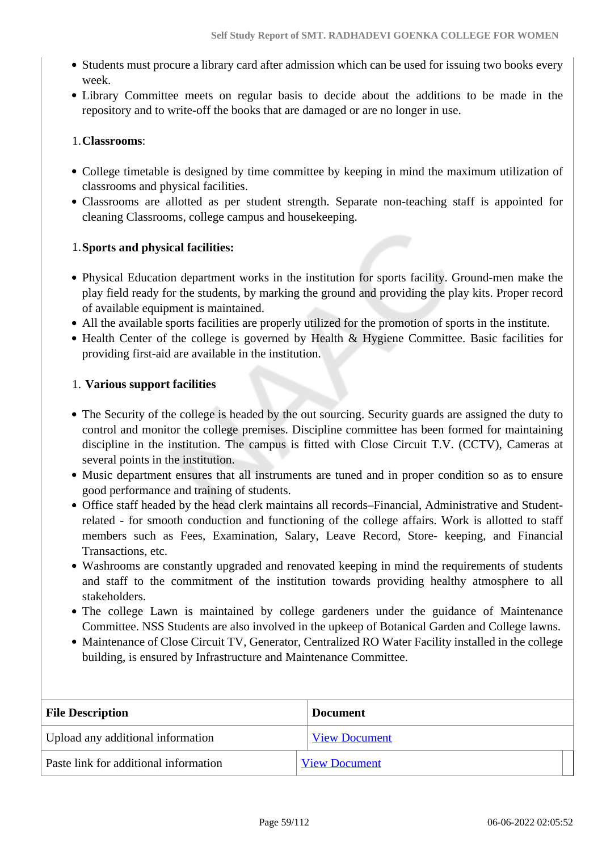- Students must procure a library card after admission which can be used for issuing two books every week.
- Library Committee meets on regular basis to decide about the additions to be made in the repository and to write-off the books that are damaged or are no longer in use.

## 1.**Classrooms**:

- College timetable is designed by time committee by keeping in mind the maximum utilization of classrooms and physical facilities.
- Classrooms are allotted as per student strength. Separate non-teaching staff is appointed for cleaning Classrooms, college campus and housekeeping.

## 1.**Sports and physical facilities:**

- Physical Education department works in the institution for sports facility. Ground-men make the play field ready for the students, by marking the ground and providing the play kits. Proper record of available equipment is maintained.
- All the available sports facilities are properly utilized for the promotion of sports in the institute.
- $\bullet$  Health Center of the college is governed by Health & Hygiene Committee. Basic facilities for providing first-aid are available in the institution.

## 1. **Various support facilities**

- The Security of the college is headed by the out sourcing. Security guards are assigned the duty to control and monitor the college premises. Discipline committee has been formed for maintaining discipline in the institution. The campus is fitted with Close Circuit T.V. (CCTV), Cameras at several points in the institution.
- Music department ensures that all instruments are tuned and in proper condition so as to ensure good performance and training of students.
- Office staff headed by the head clerk maintains all records–Financial, Administrative and Studentrelated - for smooth conduction and functioning of the college affairs. Work is allotted to staff members such as Fees, Examination, Salary, Leave Record, Store- keeping, and Financial Transactions, etc.
- Washrooms are constantly upgraded and renovated keeping in mind the requirements of students and staff to the commitment of the institution towards providing healthy atmosphere to all stakeholders.
- The college Lawn is maintained by college gardeners under the guidance of Maintenance Committee. NSS Students are also involved in the upkeep of Botanical Garden and College lawns.
- Maintenance of Close Circuit TV, Generator, Centralized RO Water Facility installed in the college building, is ensured by Infrastructure and Maintenance Committee.

| <b>File Description</b>               | <b>Document</b>      |
|---------------------------------------|----------------------|
| Upload any additional information     | <b>View Document</b> |
| Paste link for additional information | <b>View Document</b> |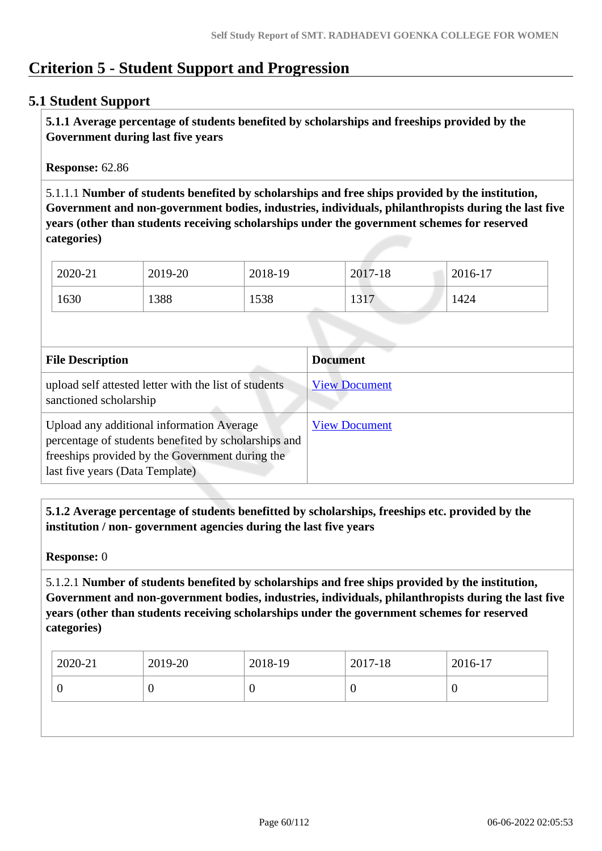# **Criterion 5 - Student Support and Progression**

## **5.1 Student Support**

 **5.1.1 Average percentage of students benefited by scholarships and freeships provided by the Government during last five years** 

**Response:** 62.86

5.1.1.1 **Number of students benefited by scholarships and free ships provided by the institution, Government and non-government bodies, industries, individuals, philanthropists during the last five years (other than students receiving scholarships under the government schemes for reserved categories)** 

| 2020-21 | 2019-20 | 2018-19 | 2017-18      | $2016-17$ |
|---------|---------|---------|--------------|-----------|
| 1630    | 1388    | 1538    | 1217<br>1917 | 1424      |

| <b>File Description</b>                                                                                                                                                                 | <b>Document</b>      |
|-----------------------------------------------------------------------------------------------------------------------------------------------------------------------------------------|----------------------|
| upload self attested letter with the list of students<br>sanctioned scholarship                                                                                                         | <b>View Document</b> |
| Upload any additional information Average<br>percentage of students benefited by scholarships and<br>freeships provided by the Government during the<br>last five years (Data Template) | <b>View Document</b> |

 **5.1.2 Average percentage of students benefitted by scholarships, freeships etc. provided by the institution / non- government agencies during the last five years**

**Response:** 0

5.1.2.1 **Number of students benefited by scholarships and free ships provided by the institution, Government and non-government bodies, industries, individuals, philanthropists during the last five years (other than students receiving scholarships under the government schemes for reserved categories)** 

| v<br>ν<br>v | $12020 - 21$ | $2019 - 20$ | $2018-19$ | 2017-18 | 2016-17 |
|-------------|--------------|-------------|-----------|---------|---------|
|             |              |             |           |         |         |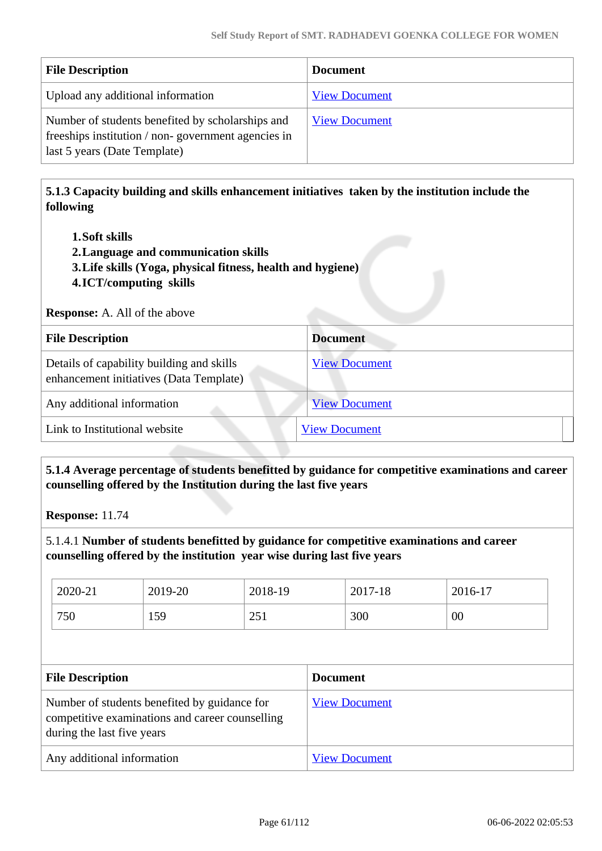| <b>File Description</b>                                                                                                                | <b>Document</b>      |
|----------------------------------------------------------------------------------------------------------------------------------------|----------------------|
| Upload any additional information                                                                                                      | <b>View Document</b> |
| Number of students benefited by scholarships and<br>freeships institution / non-government agencies in<br>last 5 years (Date Template) | <b>View Document</b> |

 **5.1.3 Capacity building and skills enhancement initiatives taken by the institution include the following**

- **1.Soft skills**
- **2.Language and communication skills**
- **3.Life skills (Yoga, physical fitness, health and hygiene)**
- **4.ICT/computing skills**

**Response:** A. All of the above

| <b>File Description</b>                                                              | <b>Document</b>      |
|--------------------------------------------------------------------------------------|----------------------|
| Details of capability building and skills<br>enhancement initiatives (Data Template) | <b>View Document</b> |
| Any additional information                                                           | <b>View Document</b> |
| Link to Institutional website                                                        | <b>View Document</b> |

 **5.1.4 Average percentage of students benefitted by guidance for competitive examinations and career counselling offered by the Institution during the last five years**

**Response:** 11.74

5.1.4.1 **Number of students benefitted by guidance for competitive examinations and career counselling offered by the institution year wise during last five years**

| 2020-21 | 2019-20 | 2018-19                                       | 2017-18 | 2016-17 |
|---------|---------|-----------------------------------------------|---------|---------|
| 750     | 159     | . $\cap$ $\subset$ $\sim$<br>$\omega_{\rm J}$ | 300     | 00      |

| <b>File Description</b>                                                                                                       | <b>Document</b>      |
|-------------------------------------------------------------------------------------------------------------------------------|----------------------|
| Number of students benefited by guidance for<br>competitive examinations and career counselling<br>during the last five years | <b>View Document</b> |
| Any additional information                                                                                                    | <b>View Document</b> |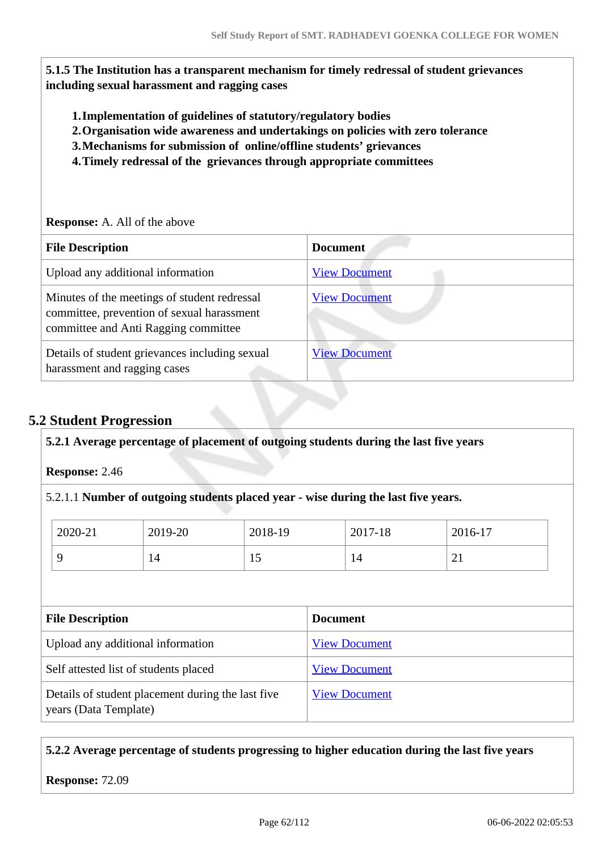**5.1.5 The Institution has a transparent mechanism for timely redressal of student grievances including sexual harassment and ragging cases**

- **1.Implementation of guidelines of statutory/regulatory bodies**
- **2.Organisation wide awareness and undertakings on policies with zero tolerance**
- **3.Mechanisms for submission of online/offline students' grievances**
- **4.Timely redressal of the grievances through appropriate committees**

#### **Response:** A. All of the above

| <b>File Description</b>                                                                                                            | <b>Document</b>      |
|------------------------------------------------------------------------------------------------------------------------------------|----------------------|
| Upload any additional information                                                                                                  | <b>View Document</b> |
| Minutes of the meetings of student redressal<br>committee, prevention of sexual harassment<br>committee and Anti Ragging committee | <b>View Document</b> |
| Details of student grievances including sexual<br>harassment and ragging cases                                                     | <b>View Document</b> |

# **5.2 Student Progression**

#### **5.2.1 Average percentage of placement of outgoing students during the last five years**

**Response:** 2.46

## 5.2.1.1 **Number of outgoing students placed year - wise during the last five years.**

| 2020-21 | 2019-20 | 2018-19 | 2017-18 | 2016-17  |
|---------|---------|---------|---------|----------|
|         | 1 T     | ΤÛ      | 14      | $\sim$ 1 |

| <b>File Description</b>                                                    | <b>Document</b>      |
|----------------------------------------------------------------------------|----------------------|
| Upload any additional information                                          | <b>View Document</b> |
| Self attested list of students placed                                      | <b>View Document</b> |
| Details of student placement during the last five<br>years (Data Template) | <b>View Document</b> |

## **5.2.2 Average percentage of students progressing to higher education during the last five years**

**Response:** 72.09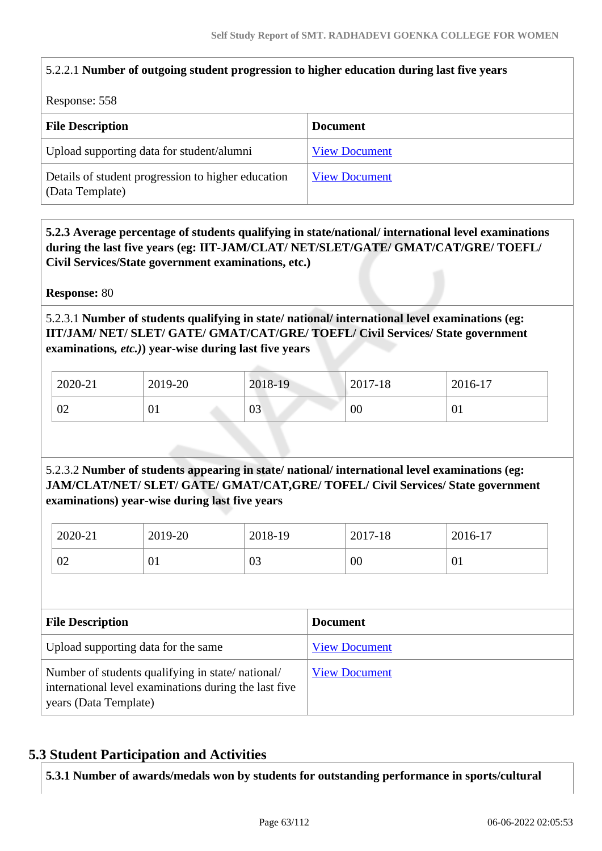## 5.2.2.1 **Number of outgoing student progression to higher education during last five years**

Response: 558

| <b>File Description</b>                                               | <b>Document</b>      |
|-----------------------------------------------------------------------|----------------------|
| Upload supporting data for student/alumni                             | <b>View Document</b> |
| Details of student progression to higher education<br>(Data Template) | <b>View Document</b> |

 **5.2.3 Average percentage of students qualifying in state/national/ international level examinations during the last five years (eg: IIT-JAM/CLAT/ NET/SLET/GATE/ GMAT/CAT/GRE/ TOEFL/ Civil Services/State government examinations, etc.)**

**Response:** 80

5.2.3.1 **Number of students qualifying in state/ national/ international level examinations (eg: IIT/JAM/ NET/ SLET/ GATE/ GMAT/CAT/GRE/ TOEFL/ Civil Services/ State government examinations***, etc.)***) year-wise during last five years**

| 2020-21 | 2019-20              | 2018-19 | 2017-18 | 2016-17 |
|---------|----------------------|---------|---------|---------|
| 02      | $\mathbf{0}_{\perp}$ | 03      | 00      | 01      |

5.2.3.2 **Number of students appearing in state/ national/ international level examinations (eg: JAM/CLAT/NET/ SLET/ GATE/ GMAT/CAT,GRE/ TOFEL/ Civil Services/ State government examinations) year-wise during last five years**

| 2020-21        | 2019-20 | 2018-19 | 2017-18 | 2016-17 |
|----------------|---------|---------|---------|---------|
| $\Omega$<br>UZ | 01      | 03      | 00      | VI.     |

| <b>File Description</b>                                                                                                            | <b>Document</b>      |
|------------------------------------------------------------------------------------------------------------------------------------|----------------------|
| Upload supporting data for the same                                                                                                | <b>View Document</b> |
| Number of students qualifying in state/national/<br>international level examinations during the last five<br>years (Data Template) | <b>View Document</b> |

# **5.3 Student Participation and Activities**

**5.3.1 Number of awards/medals won by students for outstanding performance in sports/cultural**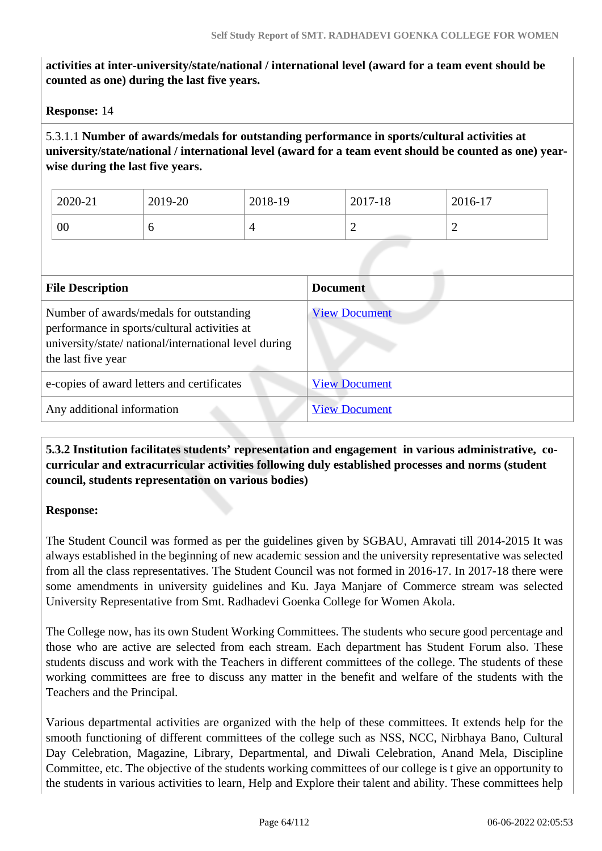**activities at inter-university/state/national / international level (award for a team event should be counted as one) during the last five years.**

**Response:** 14

5.3.1.1 **Number of awards/medals for outstanding performance in sports/cultural activities at university/state/national / international level (award for a team event should be counted as one) yearwise during the last five years.**

| 2020-21 | 2019-20 | 2018-19    | 2017-18 | 2016-17 |
|---------|---------|------------|---------|---------|
| 00      |         | $\sqrt{2}$ | ∼       | ∼       |

| <b>File Description</b>                                                                                                                                                | <b>Document</b>      |
|------------------------------------------------------------------------------------------------------------------------------------------------------------------------|----------------------|
| Number of awards/medals for outstanding<br>performance in sports/cultural activities at<br>university/state/ national/international level during<br>the last five year | <b>View Document</b> |
| e-copies of award letters and certificates                                                                                                                             | <b>View Document</b> |
| Any additional information                                                                                                                                             | <b>View Document</b> |

## **5.3.2 Institution facilitates students' representation and engagement in various administrative, cocurricular and extracurricular activities following duly established processes and norms (student council, students representation on various bodies)**

## **Response:**

The Student Council was formed as per the guidelines given by SGBAU, Amravati till 2014-2015 It was always established in the beginning of new academic session and the university representative was selected from all the class representatives. The Student Council was not formed in 2016-17. In 2017-18 there were some amendments in university guidelines and Ku. Jaya Manjare of Commerce stream was selected University Representative from Smt. Radhadevi Goenka College for Women Akola.

The College now, has its own Student Working Committees. The students who secure good percentage and those who are active are selected from each stream. Each department has Student Forum also. These students discuss and work with the Teachers in different committees of the college. The students of these working committees are free to discuss any matter in the benefit and welfare of the students with the Teachers and the Principal.

Various departmental activities are organized with the help of these committees. It extends help for the smooth functioning of different committees of the college such as NSS, NCC, Nirbhaya Bano, Cultural Day Celebration, Magazine, Library, Departmental, and Diwali Celebration, Anand Mela, Discipline Committee, etc. The objective of the students working committees of our college is t give an opportunity to the students in various activities to learn, Help and Explore their talent and ability. These committees help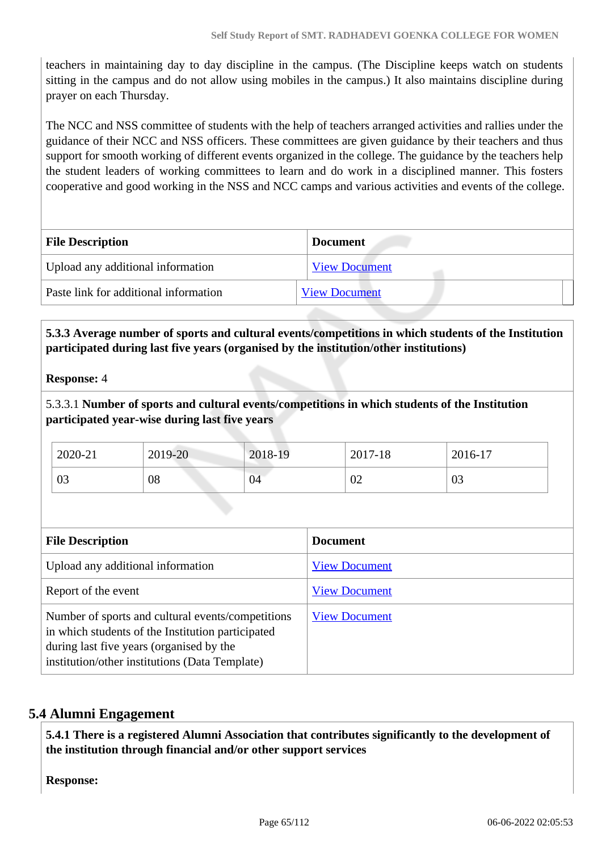teachers in maintaining day to day discipline in the campus. (The Discipline keeps watch on students sitting in the campus and do not allow using mobiles in the campus.) It also maintains discipline during prayer on each Thursday.

The NCC and NSS committee of students with the help of teachers arranged activities and rallies under the guidance of their NCC and NSS officers. These committees are given guidance by their teachers and thus support for smooth working of different events organized in the college. The guidance by the teachers help the student leaders of working committees to learn and do work in a disciplined manner. This fosters cooperative and good working in the NSS and NCC camps and various activities and events of the college.

| <b>File Description</b>               | <b>Document</b>      |  |
|---------------------------------------|----------------------|--|
| Upload any additional information     | <b>View Document</b> |  |
| Paste link for additional information | <b>View Document</b> |  |
|                                       |                      |  |

## **5.3.3 Average number of sports and cultural events/competitions in which students of the Institution participated during last five years (organised by the institution/other institutions)**

## **Response:** 4

5.3.3.1 **Number of sports and cultural events/competitions in which students of the Institution participated year-wise during last five years**

| 2020-21      | 2019-20 | 2018-19 | 2017-18 | 2016-17 |
|--------------|---------|---------|---------|---------|
| $\cap$<br>US | 08      | 04      | 02      | 03      |

| <b>File Description</b>                                                                                                                                                                              | <b>Document</b>      |
|------------------------------------------------------------------------------------------------------------------------------------------------------------------------------------------------------|----------------------|
| Upload any additional information                                                                                                                                                                    | <b>View Document</b> |
| Report of the event                                                                                                                                                                                  | <b>View Document</b> |
| Number of sports and cultural events/competitions<br>in which students of the Institution participated<br>during last five years (organised by the<br>institution/other institutions (Data Template) | <b>View Document</b> |

## **5.4 Alumni Engagement**

 **5.4.1 There is a registered Alumni Association that contributes significantly to the development of the institution through financial and/or other support services**

**Response:**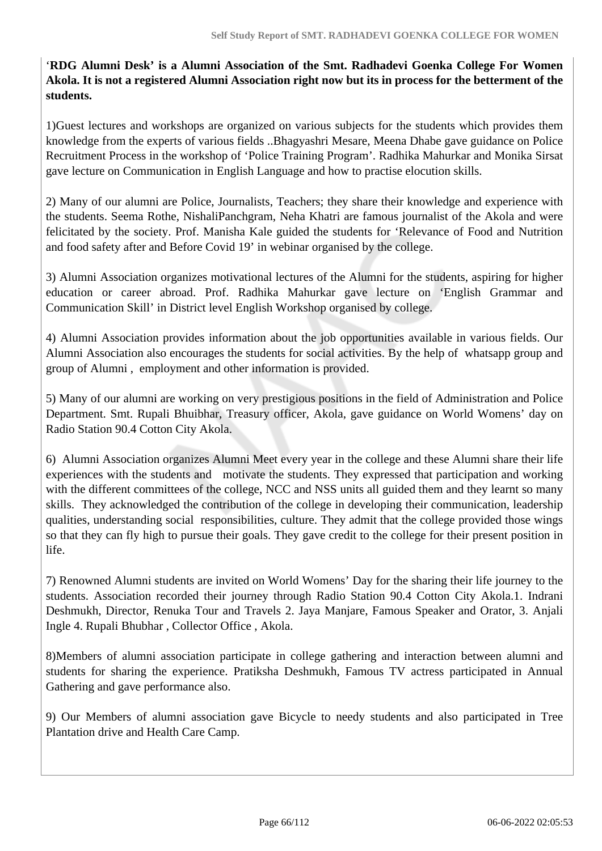'**RDG Alumni Desk' is a Alumni Association of the Smt. Radhadevi Goenka College For Women Akola. It is not a registered Alumni Association right now but its in process for the betterment of the students.** 

1)Guest lectures and workshops are organized on various subjects for the students which provides them knowledge from the experts of various fields ..Bhagyashri Mesare, Meena Dhabe gave guidance on Police Recruitment Process in the workshop of 'Police Training Program'. Radhika Mahurkar and Monika Sirsat gave lecture on Communication in English Language and how to practise elocution skills.

2) Many of our alumni are Police, Journalists, Teachers; they share their knowledge and experience with the students. Seema Rothe, NishaliPanchgram, Neha Khatri are famous journalist of the Akola and were felicitated by the society. Prof. Manisha Kale guided the students for 'Relevance of Food and Nutrition and food safety after and Before Covid 19' in webinar organised by the college.

3) Alumni Association organizes motivational lectures of the Alumni for the students, aspiring for higher education or career abroad. Prof. Radhika Mahurkar gave lecture on 'English Grammar and Communication Skill' in District level English Workshop organised by college.

4) Alumni Association provides information about the job opportunities available in various fields. Our Alumni Association also encourages the students for social activities. By the help of whatsapp group and group of Alumni , employment and other information is provided.

5) Many of our alumni are working on very prestigious positions in the field of Administration and Police Department. Smt. Rupali Bhuibhar, Treasury officer, Akola, gave guidance on World Womens' day on Radio Station 90.4 Cotton City Akola.

6) Alumni Association organizes Alumni Meet every year in the college and these Alumni share their life experiences with the students and motivate the students. They expressed that participation and working with the different committees of the college, NCC and NSS units all guided them and they learnt so many skills. They acknowledged the contribution of the college in developing their communication, leadership qualities, understanding social responsibilities, culture. They admit that the college provided those wings so that they can fly high to pursue their goals. They gave credit to the college for their present position in life.

7) Renowned Alumni students are invited on World Womens' Day for the sharing their life journey to the students. Association recorded their journey through Radio Station 90.4 Cotton City Akola.1. Indrani Deshmukh, Director, Renuka Tour and Travels 2. Jaya Manjare, Famous Speaker and Orator, 3. Anjali Ingle 4. Rupali Bhubhar , Collector Office , Akola.

8)Members of alumni association participate in college gathering and interaction between alumni and students for sharing the experience. Pratiksha Deshmukh, Famous TV actress participated in Annual Gathering and gave performance also.

9) Our Members of alumni association gave Bicycle to needy students and also participated in Tree Plantation drive and Health Care Camp.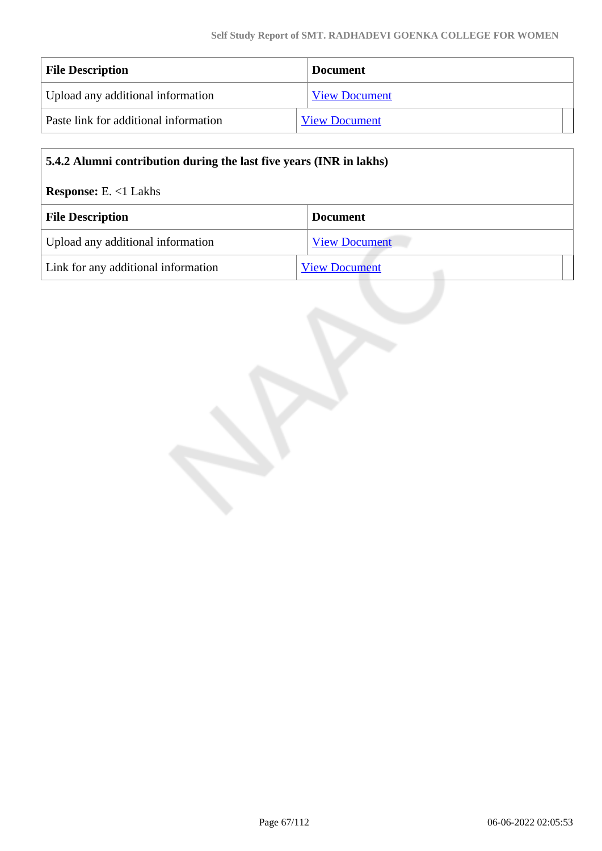| <b>File Description</b>               | <b>Document</b>      |
|---------------------------------------|----------------------|
| Upload any additional information     | <b>View Document</b> |
| Paste link for additional information | <b>View Document</b> |

| 5.4.2 Alumni contribution during the last five years (INR in lakhs) |                      |  |
|---------------------------------------------------------------------|----------------------|--|
| <b>Response:</b> E. $<1$ Lakhs                                      |                      |  |
| <b>File Description</b>                                             | <b>Document</b>      |  |
| Upload any additional information                                   | <b>View Document</b> |  |
| Link for any additional information                                 | <b>View Document</b> |  |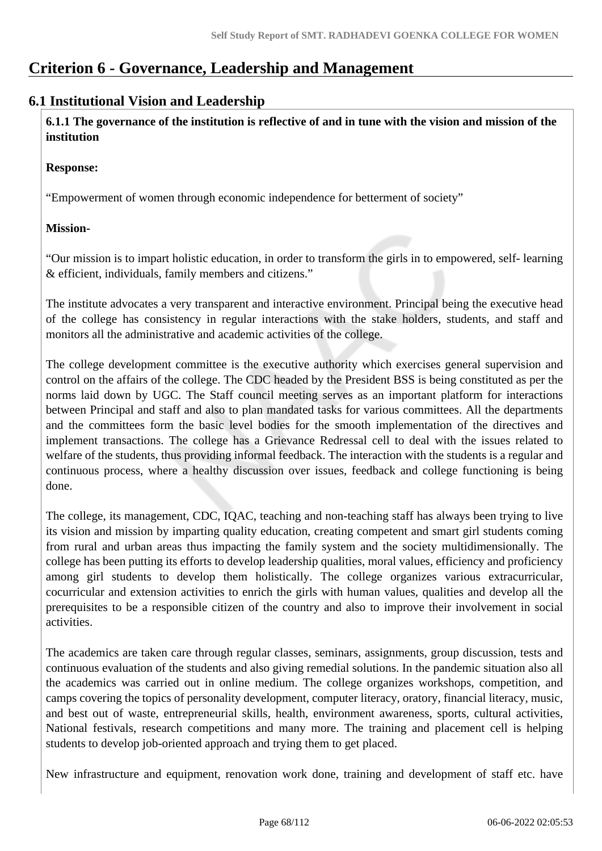# **Criterion 6 - Governance, Leadership and Management**

## **6.1 Institutional Vision and Leadership**

 **6.1.1 The governance of the institution is reflective of and in tune with the vision and mission of the institution**

#### **Response:**

"Empowerment of women through economic independence for betterment of society"

## **Mission-**

"Our mission is to impart holistic education, in order to transform the girls in to empowered, self- learning & efficient, individuals, family members and citizens."

The institute advocates a very transparent and interactive environment. Principal being the executive head of the college has consistency in regular interactions with the stake holders, students, and staff and monitors all the administrative and academic activities of the college.

The college development committee is the executive authority which exercises general supervision and control on the affairs of the college. The CDC headed by the President BSS is being constituted as per the norms laid down by UGC. The Staff council meeting serves as an important platform for interactions between Principal and staff and also to plan mandated tasks for various committees. All the departments and the committees form the basic level bodies for the smooth implementation of the directives and implement transactions. The college has a Grievance Redressal cell to deal with the issues related to welfare of the students, thus providing informal feedback. The interaction with the students is a regular and continuous process, where a healthy discussion over issues, feedback and college functioning is being done.

The college, its management, CDC, IQAC, teaching and non-teaching staff has always been trying to live its vision and mission by imparting quality education, creating competent and smart girl students coming from rural and urban areas thus impacting the family system and the society multidimensionally. The college has been putting its efforts to develop leadership qualities, moral values, efficiency and proficiency among girl students to develop them holistically. The college organizes various extracurricular, cocurricular and extension activities to enrich the girls with human values, qualities and develop all the prerequisites to be a responsible citizen of the country and also to improve their involvement in social activities.

The academics are taken care through regular classes, seminars, assignments, group discussion, tests and continuous evaluation of the students and also giving remedial solutions. In the pandemic situation also all the academics was carried out in online medium. The college organizes workshops, competition, and camps covering the topics of personality development, computer literacy, oratory, financial literacy, music, and best out of waste, entrepreneurial skills, health, environment awareness, sports, cultural activities, National festivals, research competitions and many more. The training and placement cell is helping students to develop job-oriented approach and trying them to get placed.

New infrastructure and equipment, renovation work done, training and development of staff etc. have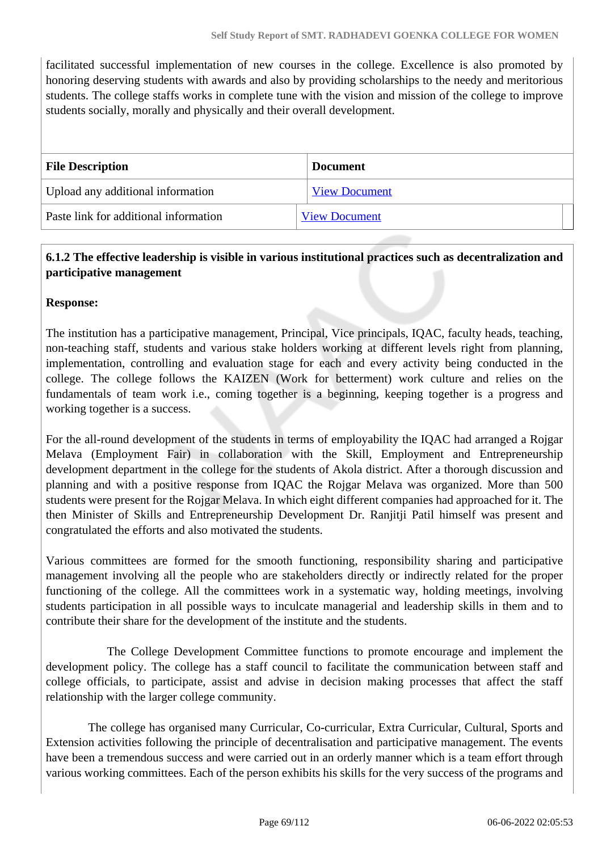facilitated successful implementation of new courses in the college. Excellence is also promoted by honoring deserving students with awards and also by providing scholarships to the needy and meritorious students. The college staffs works in complete tune with the vision and mission of the college to improve students socially, morally and physically and their overall development.

| <b>File Description</b>               | <b>Document</b>      |
|---------------------------------------|----------------------|
| Upload any additional information     | <b>View Document</b> |
| Paste link for additional information | <b>View Document</b> |

## **6.1.2 The effective leadership is visible in various institutional practices such as decentralization and participative management**

## **Response:**

The institution has a participative management, Principal, Vice principals, IQAC, faculty heads, teaching, non-teaching staff, students and various stake holders working at different levels right from planning, implementation, controlling and evaluation stage for each and every activity being conducted in the college. The college follows the KAIZEN (Work for betterment) work culture and relies on the fundamentals of team work i.e., coming together is a beginning, keeping together is a progress and working together is a success.

For the all-round development of the students in terms of employability the IQAC had arranged a Rojgar Melava (Employment Fair) in collaboration with the Skill, Employment and Entrepreneurship development department in the college for the students of Akola district. After a thorough discussion and planning and with a positive response from IQAC the Rojgar Melava was organized. More than 500 students were present for the Rojgar Melava. In which eight different companies had approached for it. The then Minister of Skills and Entrepreneurship Development Dr. Ranjitji Patil himself was present and congratulated the efforts and also motivated the students.

Various committees are formed for the smooth functioning, responsibility sharing and participative management involving all the people who are stakeholders directly or indirectly related for the proper functioning of the college. All the committees work in a systematic way, holding meetings, involving students participation in all possible ways to inculcate managerial and leadership skills in them and to contribute their share for the development of the institute and the students.

 The College Development Committee functions to promote encourage and implement the development policy. The college has a staff council to facilitate the communication between staff and college officials, to participate, assist and advise in decision making processes that affect the staff relationship with the larger college community.

 The college has organised many Curricular, Co-curricular, Extra Curricular, Cultural, Sports and Extension activities following the principle of decentralisation and participative management. The events have been a tremendous success and were carried out in an orderly manner which is a team effort through various working committees. Each of the person exhibits his skills for the very success of the programs and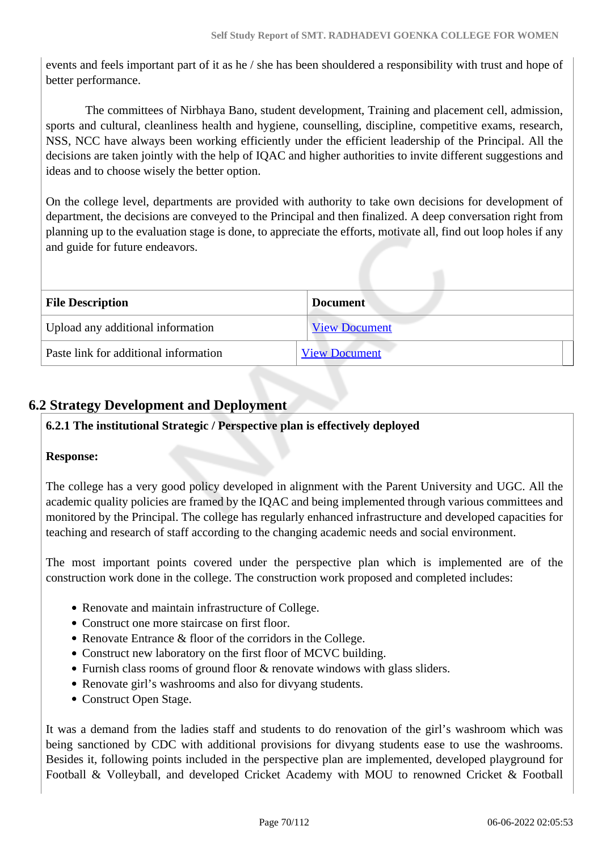events and feels important part of it as he / she has been shouldered a responsibility with trust and hope of better performance.

 The committees of Nirbhaya Bano, student development, Training and placement cell, admission, sports and cultural, cleanliness health and hygiene, counselling, discipline, competitive exams, research, NSS, NCC have always been working efficiently under the efficient leadership of the Principal. All the decisions are taken jointly with the help of IQAC and higher authorities to invite different suggestions and ideas and to choose wisely the better option.

On the college level, departments are provided with authority to take own decisions for development of department, the decisions are conveyed to the Principal and then finalized. A deep conversation right from planning up to the evaluation stage is done, to appreciate the efforts, motivate all, find out loop holes if any and guide for future endeavors.

| <b>File Description</b>               | <b>Document</b>      |
|---------------------------------------|----------------------|
| Upload any additional information     | <b>View Document</b> |
| Paste link for additional information | <b>View Document</b> |

# **6.2 Strategy Development and Deployment**

## **6.2.1 The institutional Strategic / Perspective plan is effectively deployed**

## **Response:**

The college has a very good policy developed in alignment with the Parent University and UGC. All the academic quality policies are framed by the IQAC and being implemented through various committees and monitored by the Principal. The college has regularly enhanced infrastructure and developed capacities for teaching and research of staff according to the changing academic needs and social environment.

The most important points covered under the perspective plan which is implemented are of the construction work done in the college. The construction work proposed and completed includes:

- Renovate and maintain infrastructure of College.
- Construct one more staircase on first floor.
- Renovate Entrance & floor of the corridors in the College.
- Construct new laboratory on the first floor of MCVC building.
- Furnish class rooms of ground floor & renovate windows with glass sliders.
- Renovate girl's washrooms and also for divyang students.
- Construct Open Stage.

It was a demand from the ladies staff and students to do renovation of the girl's washroom which was being sanctioned by CDC with additional provisions for divyang students ease to use the washrooms. Besides it, following points included in the perspective plan are implemented, developed playground for Football & Volleyball, and developed Cricket Academy with MOU to renowned Cricket & Football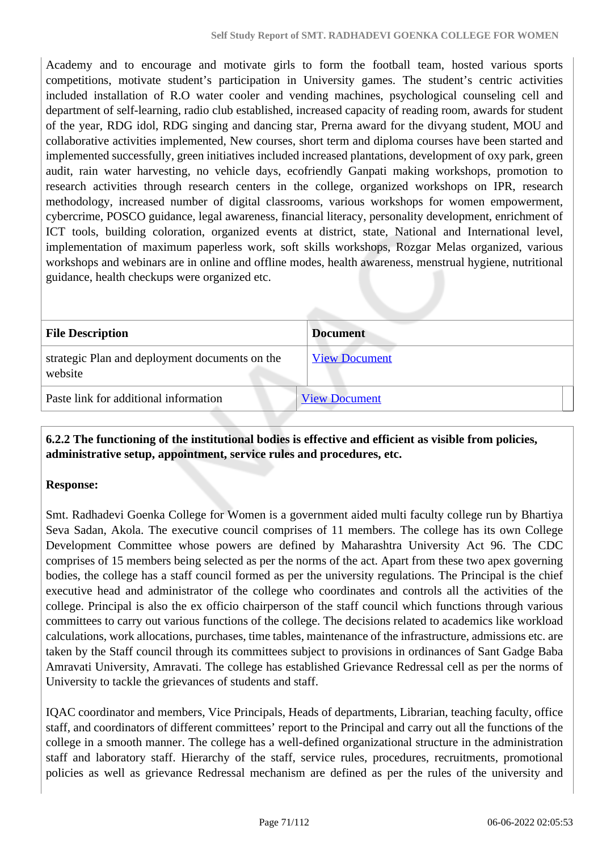Academy and to encourage and motivate girls to form the football team, hosted various sports competitions, motivate student's participation in University games. The student's centric activities included installation of R.O water cooler and vending machines, psychological counseling cell and department of self-learning, radio club established, increased capacity of reading room, awards for student of the year, RDG idol, RDG singing and dancing star, Prerna award for the divyang student, MOU and collaborative activities implemented, New courses, short term and diploma courses have been started and implemented successfully, green initiatives included increased plantations, development of oxy park, green audit, rain water harvesting, no vehicle days, ecofriendly Ganpati making workshops, promotion to research activities through research centers in the college, organized workshops on IPR, research methodology, increased number of digital classrooms, various workshops for women empowerment, cybercrime, POSCO guidance, legal awareness, financial literacy, personality development, enrichment of ICT tools, building coloration, organized events at district, state, National and International level, implementation of maximum paperless work, soft skills workshops, Rozgar Melas organized, various workshops and webinars are in online and offline modes, health awareness, menstrual hygiene, nutritional guidance, health checkups were organized etc.

| <b>File Description</b>                                   | <b>Document</b>      |
|-----------------------------------------------------------|----------------------|
| strategic Plan and deployment documents on the<br>website | <b>View Document</b> |
| Paste link for additional information                     | <b>View Document</b> |

 **6.2.2 The functioning of the institutional bodies is effective and efficient as visible from policies, administrative setup, appointment, service rules and procedures, etc.**

## **Response:**

Smt. Radhadevi Goenka College for Women is a government aided multi faculty college run by Bhartiya Seva Sadan, Akola. The executive council comprises of 11 members. The college has its own College Development Committee whose powers are defined by Maharashtra University Act 96. The CDC comprises of 15 members being selected as per the norms of the act. Apart from these two apex governing bodies, the college has a staff council formed as per the university regulations. The Principal is the chief executive head and administrator of the college who coordinates and controls all the activities of the college. Principal is also the ex officio chairperson of the staff council which functions through various committees to carry out various functions of the college. The decisions related to academics like workload calculations, work allocations, purchases, time tables, maintenance of the infrastructure, admissions etc. are taken by the Staff council through its committees subject to provisions in ordinances of Sant Gadge Baba Amravati University, Amravati. The college has established Grievance Redressal cell as per the norms of University to tackle the grievances of students and staff.

IQAC coordinator and members, Vice Principals, Heads of departments, Librarian, teaching faculty, office staff, and coordinators of different committees' report to the Principal and carry out all the functions of the college in a smooth manner. The college has a well-defined organizational structure in the administration staff and laboratory staff. Hierarchy of the staff, service rules, procedures, recruitments, promotional policies as well as grievance Redressal mechanism are defined as per the rules of the university and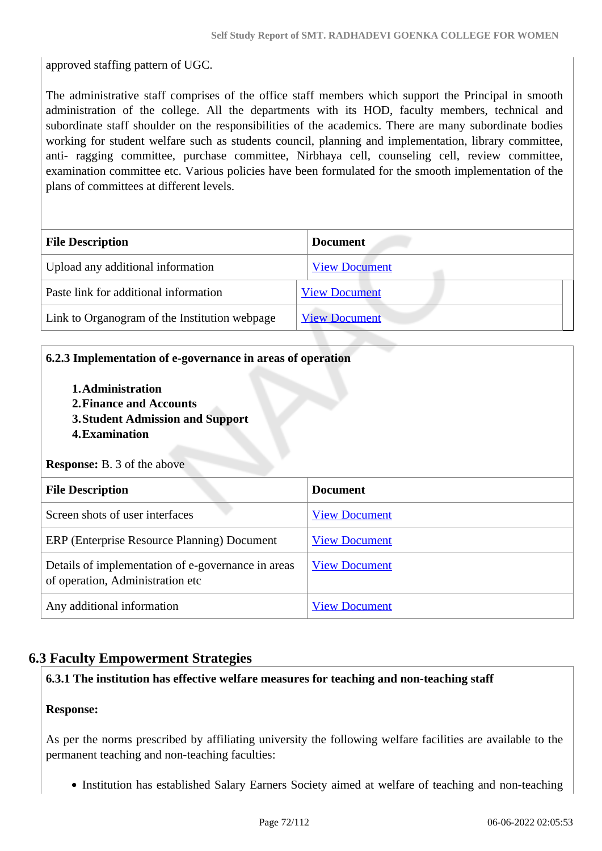approved staffing pattern of UGC.

The administrative staff comprises of the office staff members which support the Principal in smooth administration of the college. All the departments with its HOD, faculty members, technical and subordinate staff shoulder on the responsibilities of the academics. There are many subordinate bodies working for student welfare such as students council, planning and implementation, library committee, anti- ragging committee, purchase committee, Nirbhaya cell, counseling cell, review committee, examination committee etc. Various policies have been formulated for the smooth implementation of the plans of committees at different levels.

| <b>File Description</b>                       | <b>Document</b>      |  |
|-----------------------------------------------|----------------------|--|
| Upload any additional information             | <b>View Document</b> |  |
| Paste link for additional information         | <b>View Document</b> |  |
| Link to Organogram of the Institution webpage | <b>View Document</b> |  |

## **6.2.3 Implementation of e-governance in areas of operation**

- **1.Administration**
- **2.Finance and Accounts**
- **3.Student Admission and Support**
- **4.Examination**

#### **Response:** B. 3 of the above

| <b>File Description</b>                                                                | <b>Document</b>      |  |
|----------------------------------------------------------------------------------------|----------------------|--|
| Screen shots of user interfaces                                                        | <b>View Document</b> |  |
| ERP (Enterprise Resource Planning) Document                                            | <b>View Document</b> |  |
| Details of implementation of e-governance in areas<br>of operation, Administration etc | <b>View Document</b> |  |
| Any additional information                                                             | <b>View Document</b> |  |

# **6.3 Faculty Empowerment Strategies**

## **6.3.1 The institution has effective welfare measures for teaching and non-teaching staff**

## **Response:**

As per the norms prescribed by affiliating university the following welfare facilities are available to the permanent teaching and non-teaching faculties:

• Institution has established Salary Earners Society aimed at welfare of teaching and non-teaching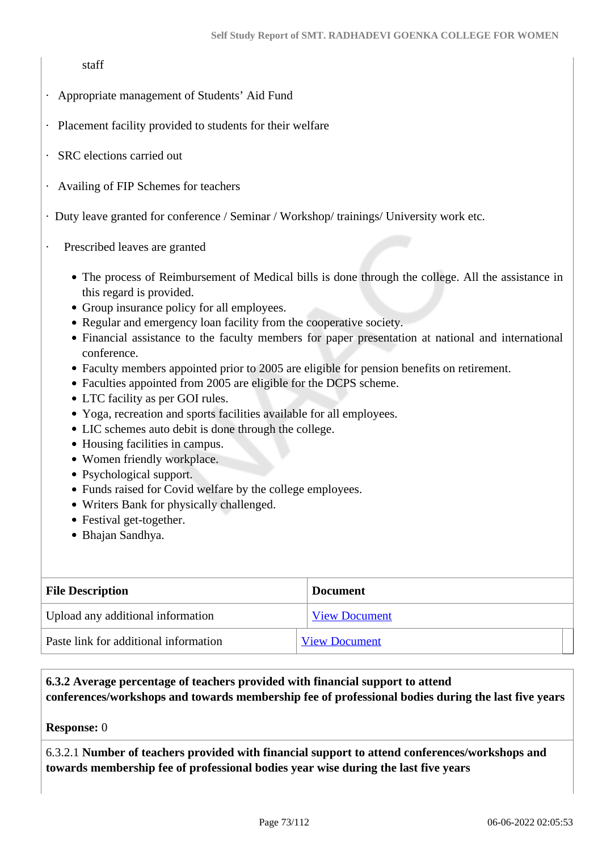staff

- · Appropriate management of Students' Aid Fund
- · Placement facility provided to students for their welfare
- SRC elections carried out
- · Availing of FIP Schemes for teachers

· Duty leave granted for conference / Seminar / Workshop/ trainings/ University work etc.

- Prescribed leaves are granted
	- The process of Reimbursement of Medical bills is done through the college. All the assistance in this regard is provided.
	- Group insurance policy for all employees.
	- Regular and emergency loan facility from the cooperative society.
	- Financial assistance to the faculty members for paper presentation at national and international conference.
	- Faculty members appointed prior to 2005 are eligible for pension benefits on retirement.
	- Faculties appointed from 2005 are eligible for the DCPS scheme.
	- LTC facility as per GOI rules.
	- Yoga, recreation and sports facilities available for all employees.
	- LIC schemes auto debit is done through the college.
	- Housing facilities in campus.
	- Women friendly workplace.
	- Psychological support.
	- Funds raised for Covid welfare by the college employees.
	- Writers Bank for physically challenged.
	- Festival get-together.
	- Bhajan Sandhya.

| <b>File Description</b>               | <b>Document</b>      |
|---------------------------------------|----------------------|
| Upload any additional information     | <b>View Document</b> |
| Paste link for additional information | <b>View Document</b> |

#### **6.3.2 Average percentage of teachers provided with financial support to attend conferences/workshops and towards membership fee of professional bodies during the last five years**

#### **Response:** 0

6.3.2.1 **Number of teachers provided with financial support to attend conferences/workshops and towards membership fee of professional bodies year wise during the last five years**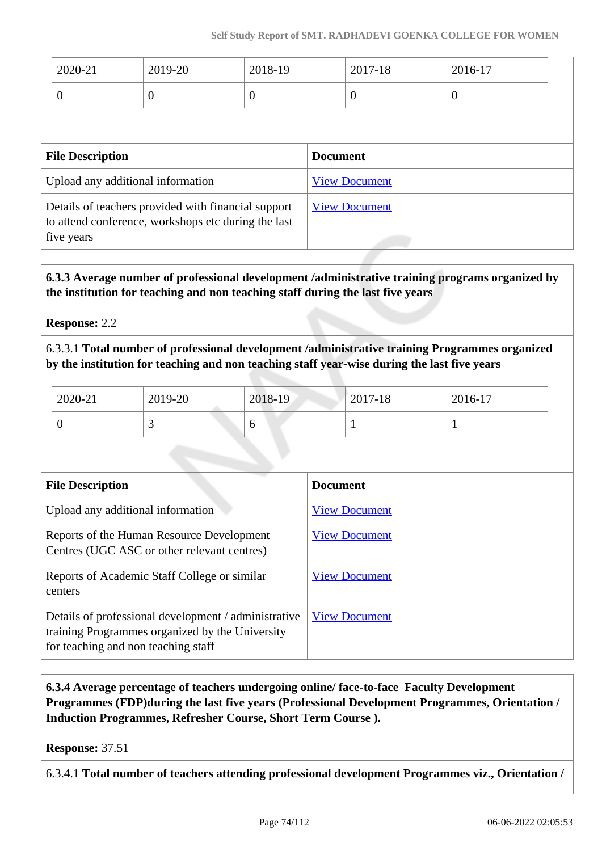| 2020-21                           | 2019-20                                                                                                                  | 2018-19  |                      | 2017-18 | 2016-17  |
|-----------------------------------|--------------------------------------------------------------------------------------------------------------------------|----------|----------------------|---------|----------|
| $\overline{0}$                    | $\theta$                                                                                                                 | $\theta$ | $\overline{0}$       |         | $\theta$ |
|                                   |                                                                                                                          |          |                      |         |          |
| <b>File Description</b>           |                                                                                                                          |          | <b>Document</b>      |         |          |
| Upload any additional information |                                                                                                                          |          | <b>View Document</b> |         |          |
|                                   | Details of teachers provided with financial support<br>to attend conference, workshops etc during the last<br>five years |          |                      |         |          |

 **6.3.3 Average number of professional development /administrative training programs organized by the institution for teaching and non teaching staff during the last five years**

**Response:** 2.2

6.3.3.1 **Total number of professional development /administrative training Programmes organized by the institution for teaching and non teaching staff year-wise during the last five years**

| 2020-21 | 2019-20 | 2018-19 | 2017-18 | 2016-17 |
|---------|---------|---------|---------|---------|
|         | ັ       | U       |         |         |

| <b>File Description</b>                                                                                                                        | <b>Document</b>      |
|------------------------------------------------------------------------------------------------------------------------------------------------|----------------------|
| Upload any additional information                                                                                                              | <b>View Document</b> |
| Reports of the Human Resource Development<br>Centres (UGC ASC or other relevant centres)                                                       | <b>View Document</b> |
| Reports of Academic Staff College or similar<br>centers                                                                                        | <b>View Document</b> |
| Details of professional development / administrative<br>training Programmes organized by the University<br>for teaching and non teaching staff | <b>View Document</b> |

## **6.3.4 Average percentage of teachers undergoing online/ face-to-face Faculty Development Programmes (FDP)during the last five years (Professional Development Programmes, Orientation / Induction Programmes, Refresher Course, Short Term Course ).**

**Response:** 37.51

6.3.4.1 **Total number of teachers attending professional development Programmes viz., Orientation /**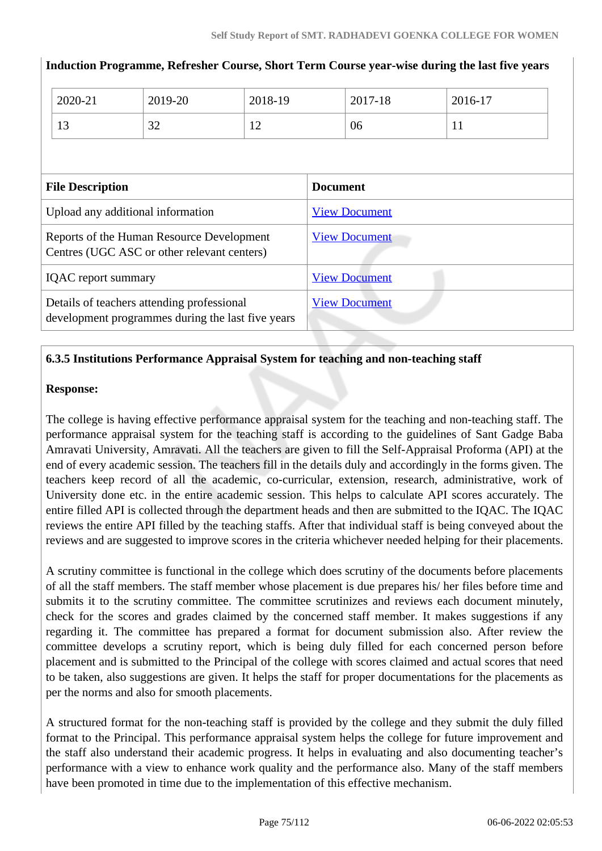|                                                                                                 | 2020-21                 | 2019-20 | 2018-19              |                      | 2017-18 | 2016-17 |
|-------------------------------------------------------------------------------------------------|-------------------------|---------|----------------------|----------------------|---------|---------|
|                                                                                                 | 13                      | 32      | 12                   |                      | 06      | 11      |
|                                                                                                 |                         |         |                      |                      |         |         |
|                                                                                                 | <b>File Description</b> |         |                      | <b>Document</b>      |         |         |
| Upload any additional information                                                               |                         |         | <b>View Document</b> |                      |         |         |
| Reports of the Human Resource Development<br>Centres (UGC ASC or other relevant centers)        |                         |         | <b>View Document</b> |                      |         |         |
| <b>IQAC</b> report summary                                                                      |                         |         | <b>View Document</b> |                      |         |         |
| Details of teachers attending professional<br>development programmes during the last five years |                         |         |                      | <b>View Document</b> |         |         |

#### **Induction Programme, Refresher Course, Short Term Course year-wise during the last five years**

## **6.3.5 Institutions Performance Appraisal System for teaching and non-teaching staff**

#### **Response:**

The college is having effective performance appraisal system for the teaching and non-teaching staff. The performance appraisal system for the teaching staff is according to the guidelines of Sant Gadge Baba Amravati University, Amravati. All the teachers are given to fill the Self-Appraisal Proforma (API) at the end of every academic session. The teachers fill in the details duly and accordingly in the forms given. The teachers keep record of all the academic, co-curricular, extension, research, administrative, work of University done etc. in the entire academic session. This helps to calculate API scores accurately. The entire filled API is collected through the department heads and then are submitted to the IQAC. The IQAC reviews the entire API filled by the teaching staffs. After that individual staff is being conveyed about the reviews and are suggested to improve scores in the criteria whichever needed helping for their placements.

A scrutiny committee is functional in the college which does scrutiny of the documents before placements of all the staff members. The staff member whose placement is due prepares his/ her files before time and submits it to the scrutiny committee. The committee scrutinizes and reviews each document minutely, check for the scores and grades claimed by the concerned staff member. It makes suggestions if any regarding it. The committee has prepared a format for document submission also. After review the committee develops a scrutiny report, which is being duly filled for each concerned person before placement and is submitted to the Principal of the college with scores claimed and actual scores that need to be taken, also suggestions are given. It helps the staff for proper documentations for the placements as per the norms and also for smooth placements.

A structured format for the non-teaching staff is provided by the college and they submit the duly filled format to the Principal. This performance appraisal system helps the college for future improvement and the staff also understand their academic progress. It helps in evaluating and also documenting teacher's performance with a view to enhance work quality and the performance also. Many of the staff members have been promoted in time due to the implementation of this effective mechanism.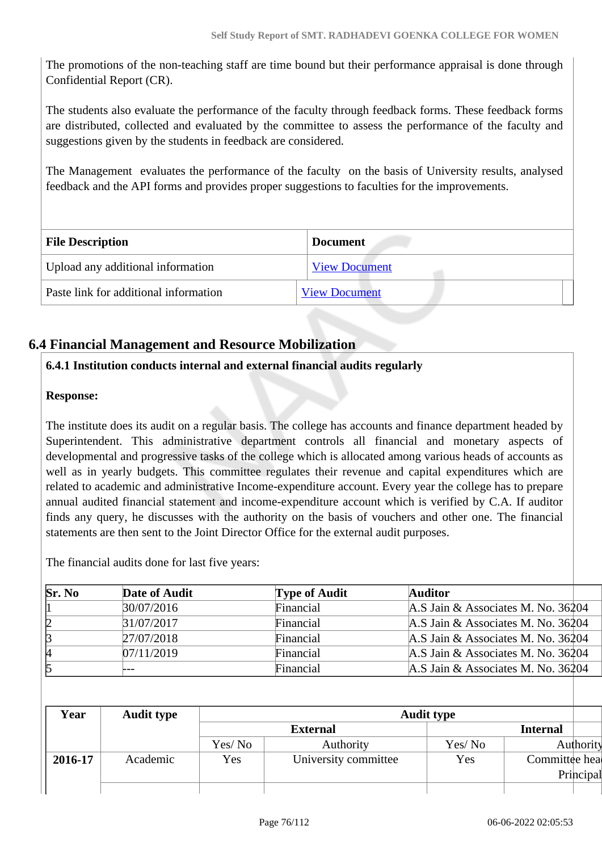The promotions of the non-teaching staff are time bound but their performance appraisal is done through Confidential Report (CR).

The students also evaluate the performance of the faculty through feedback forms. These feedback forms are distributed, collected and evaluated by the committee to assess the performance of the faculty and suggestions given by the students in feedback are considered.

The Management evaluates the performance of the faculty on the basis of University results, analysed feedback and the API forms and provides proper suggestions to faculties for the improvements.

| <b>File Description</b>               | <b>Document</b>      |
|---------------------------------------|----------------------|
| Upload any additional information     | <b>View Document</b> |
| Paste link for additional information | <b>View Document</b> |

## **6.4 Financial Management and Resource Mobilization**

#### **6.4.1 Institution conducts internal and external financial audits regularly**

#### **Response:**

The institute does its audit on a regular basis. The college has accounts and finance department headed by Superintendent. This administrative department controls all financial and monetary aspects of developmental and progressive tasks of the college which is allocated among various heads of accounts as well as in yearly budgets. This committee regulates their revenue and capital expenditures which are related to academic and administrative Income-expenditure account. Every year the college has to prepare annual audited financial statement and income-expenditure account which is verified by C.A. If auditor finds any query, he discusses with the authority on the basis of vouchers and other one. The financial statements are then sent to the Joint Director Office for the external audit purposes.

The financial audits done for last five years:

| Sr. No | Date of Audit | <b>Type of Audit</b> | <b>Auditor</b>                     |
|--------|---------------|----------------------|------------------------------------|
|        | 30/07/2016    | Financial            | A.S Jain & Associates M. No. 36204 |
| 12     | 31/07/2017    | Financial            | A.S Jain & Associates M. No. 36204 |
| B      | 27/07/2018    | Financial            | A.S Jain & Associates M. No. 36204 |
| И      | 07/11/2019    | Financial            | A.S Jain & Associates M. No. 36204 |
|        |               | Financial            | A.S Jain & Associates M. No. 36204 |

| Year    | <b>Audit type</b> | <b>Audit type</b> |                      |         |                 |           |
|---------|-------------------|-------------------|----------------------|---------|-----------------|-----------|
|         |                   |                   | <b>External</b>      |         | <b>Internal</b> |           |
|         |                   | Yes/No            | Authority            | Yes/ No |                 | Authority |
| 2016-17 | Academic          | Yes               | University committee | Yes     | Committee hea   |           |
|         |                   |                   |                      |         |                 | Principal |
|         |                   |                   |                      |         |                 |           |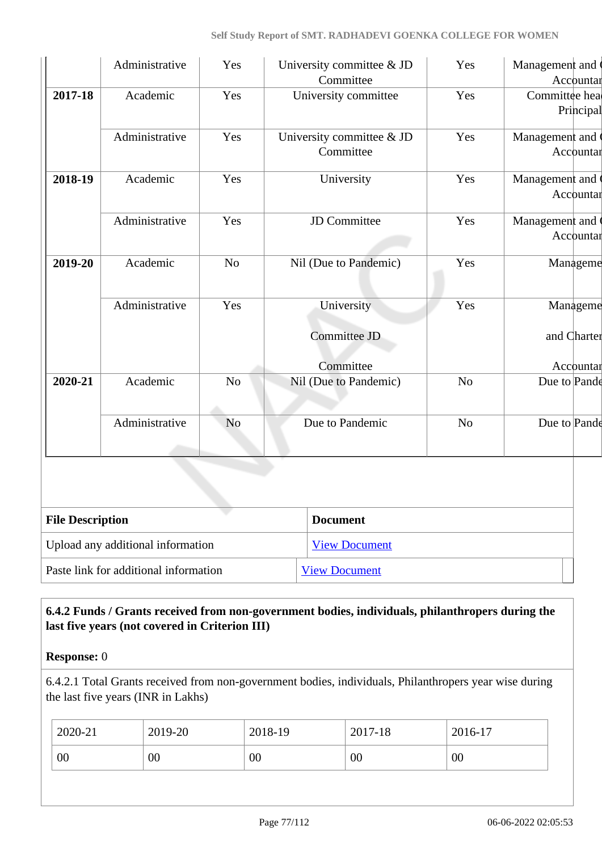|                         | Administrative | Yes            | University committee & JD<br>Committee  | Yes            | Management and          | Accountar |
|-------------------------|----------------|----------------|-----------------------------------------|----------------|-------------------------|-----------|
| 2017-18                 | Academic       | Yes            | University committee                    | Yes            | Committee hea           | Principal |
|                         | Administrative | Yes            | University committee & JD<br>Committee  | Yes            | Management and          | Accountar |
| 2018-19                 | Academic       | Yes            | University                              | Yes            | Management and          | Accountar |
|                         | Administrative | Yes            | <b>JD</b> Committee                     | Yes            | Management and          | Accountar |
| 2019-20                 | Academic       | N <sub>o</sub> | Nil (Due to Pandemic)                   | Yes            | Manageme                |           |
|                         | Administrative | Yes            | University<br>Committee JD<br>Committee | Yes            | Manageme<br>and Charter | Accountar |
| 2020-21                 | Academic       | N <sub>o</sub> | Nil (Due to Pandemic)                   | N <sub>o</sub> | Due to Pande            |           |
|                         | Administrative | N <sub>o</sub> | Due to Pandemic                         | N <sub>o</sub> | Due to Pande            |           |
|                         |                |                |                                         |                |                         |           |
| <b>File Description</b> |                |                | <b>Document</b>                         |                |                         |           |

Upload any additional information [View Document](https://assessmentonline.naac.gov.in/storage/app/hei/SSR/103783/6.4.1_1634729879_7066.pdf) Paste link for additional information [View Document](http://rdgakola.ac.in/naac/criteria/6.0/6.4.1/6.4.1%20Financial%20Audits.pdf)

## **6.4.2 Funds / Grants received from non-government bodies, individuals, philanthropers during the last five years (not covered in Criterion III)**

## **Response:** 0

6.4.2.1 Total Grants received from non-government bodies, individuals, Philanthropers year wise during the last five years (INR in Lakhs)

| $2020 - 21$ | 2019-20 | 2018-19 | 2017-18 | 2016-17 |
|-------------|---------|---------|---------|---------|
| 00          | 00      | 00      | 00      | 00      |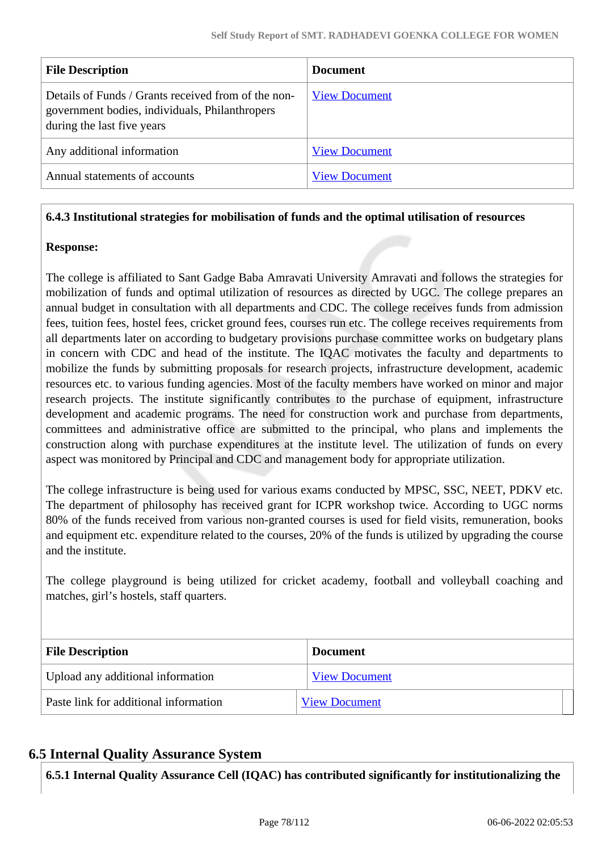| <b>File Description</b>                                                                                                             | <b>Document</b>      |
|-------------------------------------------------------------------------------------------------------------------------------------|----------------------|
| Details of Funds / Grants received from of the non-<br>government bodies, individuals, Philanthropers<br>during the last five years | <b>View Document</b> |
| Any additional information                                                                                                          | <b>View Document</b> |
| Annual statements of accounts                                                                                                       | <b>View Document</b> |

#### **6.4.3 Institutional strategies for mobilisation of funds and the optimal utilisation of resources**

#### **Response:**

The college is affiliated to Sant Gadge Baba Amravati University Amravati and follows the strategies for mobilization of funds and optimal utilization of resources as directed by UGC. The college prepares an annual budget in consultation with all departments and CDC. The college receives funds from admission fees, tuition fees, hostel fees, cricket ground fees, courses run etc. The college receives requirements from all departments later on according to budgetary provisions purchase committee works on budgetary plans in concern with CDC and head of the institute. The IQAC motivates the faculty and departments to mobilize the funds by submitting proposals for research projects, infrastructure development, academic resources etc. to various funding agencies. Most of the faculty members have worked on minor and major research projects. The institute significantly contributes to the purchase of equipment, infrastructure development and academic programs. The need for construction work and purchase from departments, committees and administrative office are submitted to the principal, who plans and implements the construction along with purchase expenditures at the institute level. The utilization of funds on every aspect was monitored by Principal and CDC and management body for appropriate utilization.

The college infrastructure is being used for various exams conducted by MPSC, SSC, NEET, PDKV etc. The department of philosophy has received grant for ICPR workshop twice. According to UGC norms 80% of the funds received from various non-granted courses is used for field visits, remuneration, books and equipment etc. expenditure related to the courses, 20% of the funds is utilized by upgrading the course and the institute.

The college playground is being utilized for cricket academy, football and volleyball coaching and matches, girl's hostels, staff quarters.

| <b>File Description</b>               | <b>Document</b>      |
|---------------------------------------|----------------------|
| Upload any additional information     | <b>View Document</b> |
| Paste link for additional information | <b>View Document</b> |

## **6.5 Internal Quality Assurance System**

**6.5.1 Internal Quality Assurance Cell (IQAC) has contributed significantly for institutionalizing the**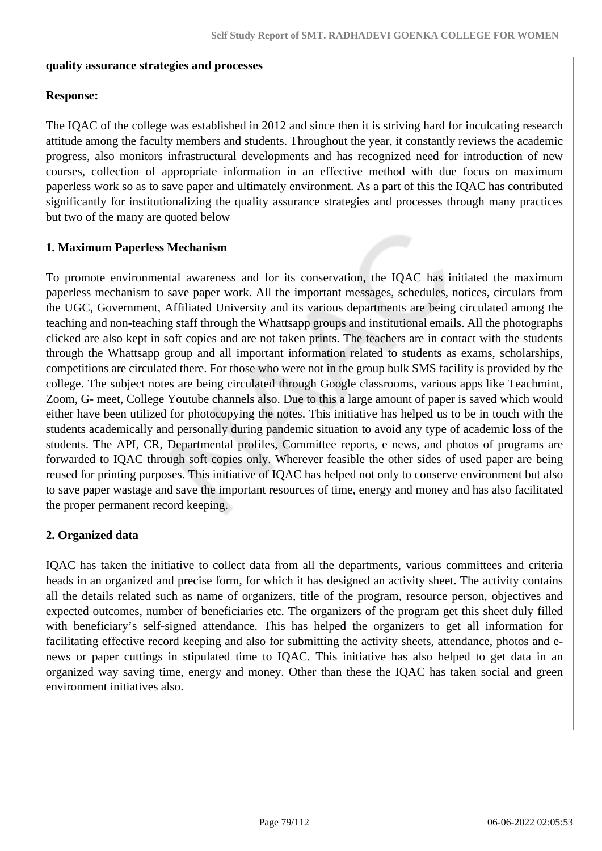#### **quality assurance strategies and processes**

#### **Response:**

The IQAC of the college was established in 2012 and since then it is striving hard for inculcating research attitude among the faculty members and students. Throughout the year, it constantly reviews the academic progress, also monitors infrastructural developments and has recognized need for introduction of new courses, collection of appropriate information in an effective method with due focus on maximum paperless work so as to save paper and ultimately environment. As a part of this the IQAC has contributed significantly for institutionalizing the quality assurance strategies and processes through many practices but two of the many are quoted below

### **1. Maximum Paperless Mechanism**

To promote environmental awareness and for its conservation, the IQAC has initiated the maximum paperless mechanism to save paper work. All the important messages, schedules, notices, circulars from the UGC, Government, Affiliated University and its various departments are being circulated among the teaching and non-teaching staff through the Whattsapp groups and institutional emails. All the photographs clicked are also kept in soft copies and are not taken prints. The teachers are in contact with the students through the Whattsapp group and all important information related to students as exams, scholarships, competitions are circulated there. For those who were not in the group bulk SMS facility is provided by the college. The subject notes are being circulated through Google classrooms, various apps like Teachmint, Zoom, G- meet, College Youtube channels also. Due to this a large amount of paper is saved which would either have been utilized for photocopying the notes. This initiative has helped us to be in touch with the students academically and personally during pandemic situation to avoid any type of academic loss of the students. The API, CR, Departmental profiles, Committee reports, e news, and photos of programs are forwarded to IQAC through soft copies only. Wherever feasible the other sides of used paper are being reused for printing purposes. This initiative of IQAC has helped not only to conserve environment but also to save paper wastage and save the important resources of time, energy and money and has also facilitated the proper permanent record keeping.

#### **2. Organized data**

IQAC has taken the initiative to collect data from all the departments, various committees and criteria heads in an organized and precise form, for which it has designed an activity sheet. The activity contains all the details related such as name of organizers, title of the program, resource person, objectives and expected outcomes, number of beneficiaries etc. The organizers of the program get this sheet duly filled with beneficiary's self-signed attendance. This has helped the organizers to get all information for facilitating effective record keeping and also for submitting the activity sheets, attendance, photos and enews or paper cuttings in stipulated time to IQAC. This initiative has also helped to get data in an organized way saving time, energy and money. Other than these the IQAC has taken social and green environment initiatives also.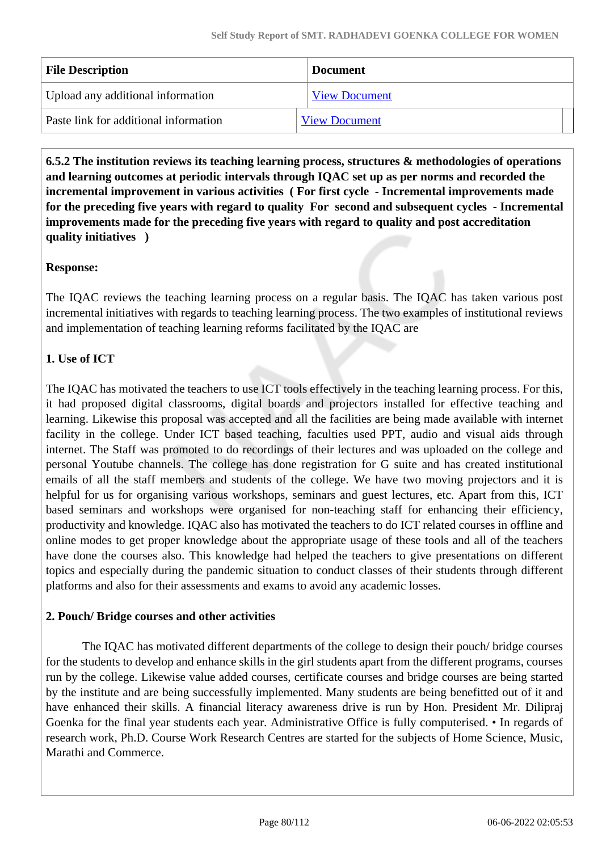| <b>File Description</b>               | <b>Document</b>      |
|---------------------------------------|----------------------|
| Upload any additional information     | <b>View Document</b> |
| Paste link for additional information | <b>View Document</b> |

 **6.5.2 The institution reviews its teaching learning process, structures & methodologies of operations and learning outcomes at periodic intervals through IQAC set up as per norms and recorded the incremental improvement in various activities ( For first cycle - Incremental improvements made for the preceding five years with regard to quality For second and subsequent cycles - Incremental improvements made for the preceding five years with regard to quality and post accreditation quality initiatives )** 

## **Response:**

The IQAC reviews the teaching learning process on a regular basis. The IQAC has taken various post incremental initiatives with regards to teaching learning process. The two examples of institutional reviews and implementation of teaching learning reforms facilitated by the IQAC are

## **1. Use of ICT**

The IQAC has motivated the teachers to use ICT tools effectively in the teaching learning process. For this, it had proposed digital classrooms, digital boards and projectors installed for effective teaching and learning. Likewise this proposal was accepted and all the facilities are being made available with internet facility in the college. Under ICT based teaching, faculties used PPT, audio and visual aids through internet. The Staff was promoted to do recordings of their lectures and was uploaded on the college and personal Youtube channels. The college has done registration for G suite and has created institutional emails of all the staff members and students of the college. We have two moving projectors and it is helpful for us for organising various workshops, seminars and guest lectures, etc. Apart from this, ICT based seminars and workshops were organised for non-teaching staff for enhancing their efficiency, productivity and knowledge. IQAC also has motivated the teachers to do ICT related courses in offline and online modes to get proper knowledge about the appropriate usage of these tools and all of the teachers have done the courses also. This knowledge had helped the teachers to give presentations on different topics and especially during the pandemic situation to conduct classes of their students through different platforms and also for their assessments and exams to avoid any academic losses.

#### **2. Pouch/ Bridge courses and other activities**

The IQAC has motivated different departments of the college to design their pouch/ bridge courses for the students to develop and enhance skills in the girl students apart from the different programs, courses run by the college. Likewise value added courses, certificate courses and bridge courses are being started by the institute and are being successfully implemented. Many students are being benefitted out of it and have enhanced their skills. A financial literacy awareness drive is run by Hon. President Mr. Dilipraj Goenka for the final year students each year. Administrative Office is fully computerised. • In regards of research work, Ph.D. Course Work Research Centres are started for the subjects of Home Science, Music, Marathi and Commerce.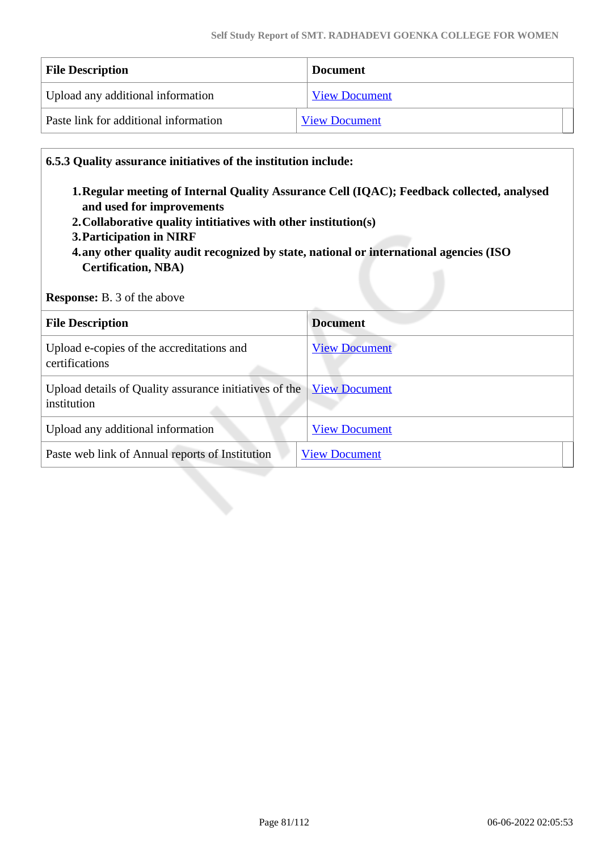| <b>File Description</b>               | <b>Document</b>      |
|---------------------------------------|----------------------|
| Upload any additional information     | <b>View Document</b> |
| Paste link for additional information | <b>View Document</b> |

#### **6.5.3 Quality assurance initiatives of the institution include:**

- **1.Regular meeting of Internal Quality Assurance Cell (IQAC); Feedback collected, analysed and used for improvements**
- **2.Collaborative quality intitiatives with other institution(s)**
- **3.Participation in NIRF**
- **4.any other quality audit recognized by state, national or international agencies (ISO Certification, NBA)**

**Response:** B. 3 of the above

| <b>File Description</b>                                               | <b>Document</b>      |
|-----------------------------------------------------------------------|----------------------|
| Upload e-copies of the accreditations and<br>certifications           | <b>View Document</b> |
| Upload details of Quality assurance initiatives of the<br>institution | <b>View Document</b> |
| Upload any additional information                                     | <b>View Document</b> |
| Paste web link of Annual reports of Institution                       | <b>View Document</b> |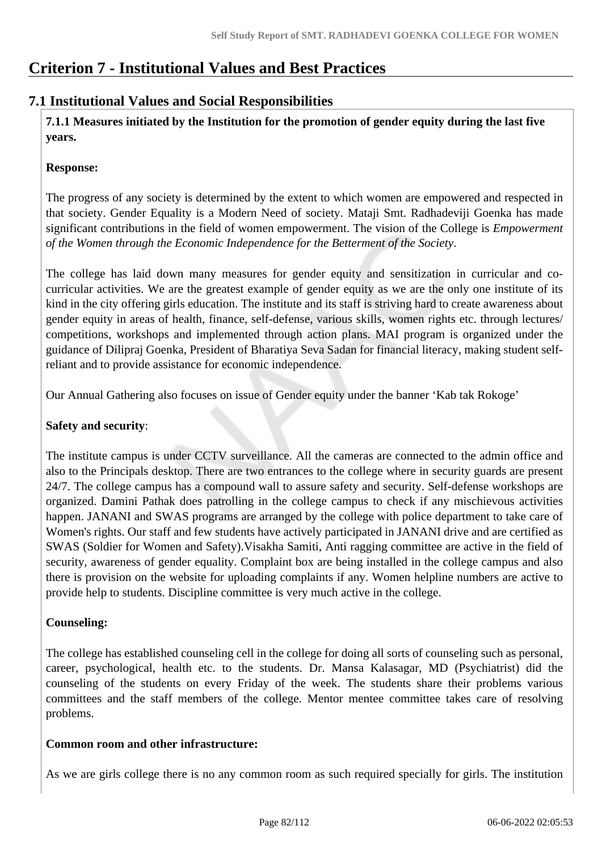## **Criterion 7 - Institutional Values and Best Practices**

## **7.1 Institutional Values and Social Responsibilities**

 **7.1.1 Measures initiated by the Institution for the promotion of gender equity during the last five years.**

### **Response:**

The progress of any society is determined by the extent to which women are empowered and respected in that society. Gender Equality is a Modern Need of society. Mataji Smt. Radhadeviji Goenka has made significant contributions in the field of women empowerment. The vision of the College is *Empowerment of the Women through the Economic Independence for the Betterment of the Society*.

The college has laid down many measures for gender equity and sensitization in curricular and cocurricular activities. We are the greatest example of gender equity as we are the only one institute of its kind in the city offering girls education. The institute and its staff is striving hard to create awareness about gender equity in areas of health, finance, self-defense, various skills, women rights etc. through lectures/ competitions, workshops and implemented through action plans. MAI program is organized under the guidance of Dilipraj Goenka, President of Bharatiya Seva Sadan for financial literacy, making student selfreliant and to provide assistance for economic independence.

Our Annual Gathering also focuses on issue of Gender equity under the banner 'Kab tak Rokoge'

#### **Safety and security**:

The institute campus is under CCTV surveillance. All the cameras are connected to the admin office and also to the Principals desktop. There are two entrances to the college where in security guards are present 24/7. The college campus has a compound wall to assure safety and security. Self-defense workshops are organized. Damini Pathak does patrolling in the college campus to check if any mischievous activities happen. JANANI and SWAS programs are arranged by the college with police department to take care of Women's rights. Our staff and few students have actively participated in JANANI drive and are certified as SWAS (Soldier for Women and Safety).Visakha Samiti, Anti ragging committee are active in the field of security, awareness of gender equality. Complaint box are being installed in the college campus and also there is provision on the website for uploading complaints if any. Women helpline numbers are active to provide help to students. Discipline committee is very much active in the college.

## **Counseling:**

The college has established counseling cell in the college for doing all sorts of counseling such as personal, career, psychological, health etc. to the students. Dr. Mansa Kalasagar, MD (Psychiatrist) did the counseling of the students on every Friday of the week. The students share their problems various committees and the staff members of the college. Mentor mentee committee takes care of resolving problems.

#### **Common room and other infrastructure:**

As we are girls college there is no any common room as such required specially for girls. The institution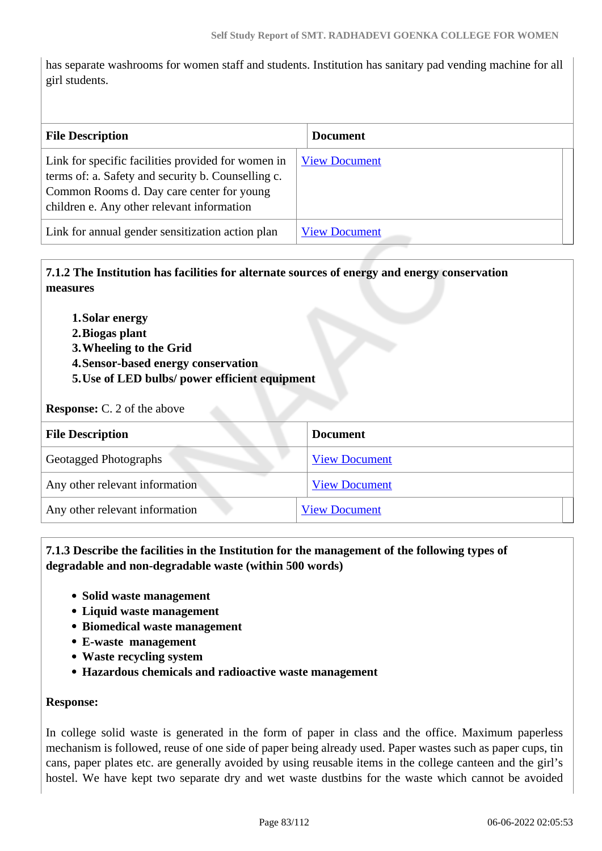has separate washrooms for women staff and students. Institution has sanitary pad vending machine for all girl students.

| <b>File Description</b>                                                                                                                                                                             | <b>Document</b>      |  |
|-----------------------------------------------------------------------------------------------------------------------------------------------------------------------------------------------------|----------------------|--|
| Link for specific facilities provided for women in<br>terms of: a. Safety and security b. Counselling c.<br>Common Rooms d. Day care center for young<br>children e. Any other relevant information | <b>View Document</b> |  |
| Link for annual gender sensitization action plan                                                                                                                                                    | <b>View Document</b> |  |

 **7.1.2 The Institution has facilities for alternate sources of energy and energy conservation measures** 

- **1.Solar energy**
- **2.Biogas plant**
- **3.Wheeling to the Grid**
- **4.Sensor-based energy conservation**
- **5.Use of LED bulbs/ power efficient equipment**

#### **Response:** C. 2 of the above

| <b>File Description</b>        | <b>Document</b>      |
|--------------------------------|----------------------|
| Geotagged Photographs          | <b>View Document</b> |
| Any other relevant information | <b>View Document</b> |
| Any other relevant information | <b>View Document</b> |

#### **7.1.3 Describe the facilities in the Institution for the management of the following types of degradable and non-degradable waste (within 500 words)**

- **Solid waste management**
- **Liquid waste management**
- **Biomedical waste management**
- **E-waste management**
- **Waste recycling system**
- **Hazardous chemicals and radioactive waste management**

#### **Response:**

In college solid waste is generated in the form of paper in class and the office. Maximum paperless mechanism is followed, reuse of one side of paper being already used. Paper wastes such as paper cups, tin cans, paper plates etc. are generally avoided by using reusable items in the college canteen and the girl's hostel. We have kept two separate dry and wet waste dustbins for the waste which cannot be avoided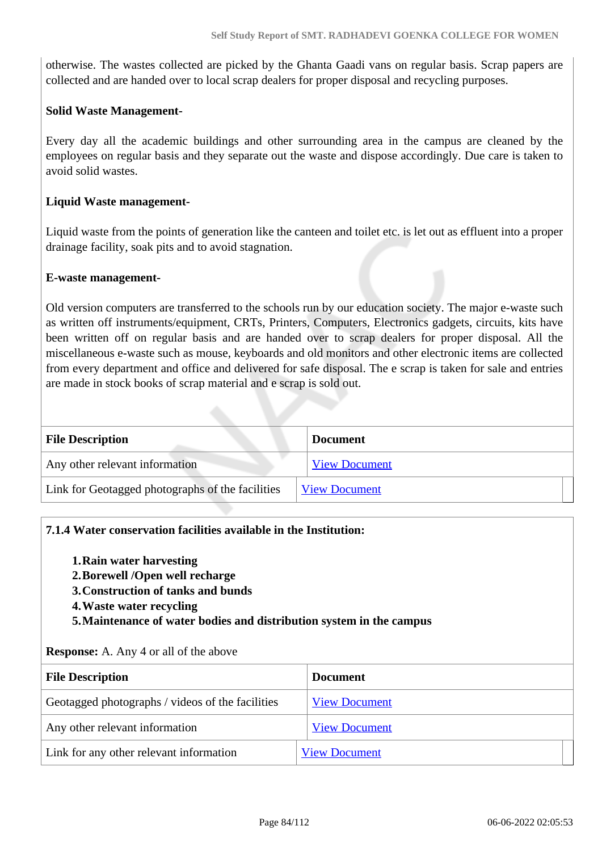otherwise. The wastes collected are picked by the Ghanta Gaadi vans on regular basis. Scrap papers are collected and are handed over to local scrap dealers for proper disposal and recycling purposes.

#### **Solid Waste Management-**

Every day all the academic buildings and other surrounding area in the campus are cleaned by the employees on regular basis and they separate out the waste and dispose accordingly. Due care is taken to avoid solid wastes.

#### **Liquid Waste management-**

Liquid waste from the points of generation like the canteen and toilet etc. is let out as effluent into a proper drainage facility, soak pits and to avoid stagnation.

#### **E-waste management-**

Old version computers are transferred to the schools run by our education society. The major e-waste such as written off instruments/equipment, CRTs, Printers, Computers, Electronics gadgets, circuits, kits have been written off on regular basis and are handed over to scrap dealers for proper disposal. All the miscellaneous e-waste such as mouse, keyboards and old monitors and other electronic items are collected from every department and office and delivered for safe disposal. The e scrap is taken for sale and entries are made in stock books of scrap material and e scrap is sold out.

| <b>File Description</b>                          | <b>Document</b>      |
|--------------------------------------------------|----------------------|
| Any other relevant information                   | <b>View Document</b> |
| Link for Geotagged photographs of the facilities | <b>View Document</b> |

#### **7.1.4 Water conservation facilities available in the Institution:**

- **1.Rain water harvesting**
- **2.Borewell /Open well recharge**
- **3.Construction of tanks and bunds**
- **4.Waste water recycling**
- **5.Maintenance of water bodies and distribution system in the campus**

#### **Response:** A. Any 4 or all of the above

| <b>File Description</b>                          | <b>Document</b>      |
|--------------------------------------------------|----------------------|
| Geotagged photographs / videos of the facilities | <b>View Document</b> |
| Any other relevant information                   | <b>View Document</b> |
| Link for any other relevant information          | <b>View Document</b> |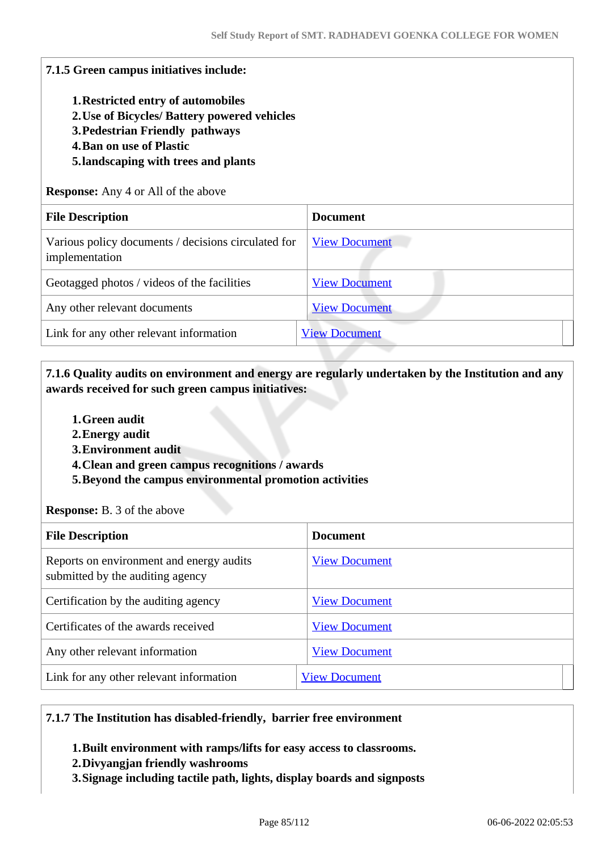| 7.1.5 Green campus initiatives include:<br><b>1. Restricted entry of automobiles</b><br>2. Use of Bicycles/ Battery powered vehicles<br>3. Pedestrian Friendly pathways<br><b>4. Ban on use of Plastic</b><br>5. landscaping with trees and plants<br><b>Response:</b> Any 4 or All of the above |                      |
|--------------------------------------------------------------------------------------------------------------------------------------------------------------------------------------------------------------------------------------------------------------------------------------------------|----------------------|
| <b>File Description</b>                                                                                                                                                                                                                                                                          | <b>Document</b>      |
| Various policy documents / decisions circulated for<br>implementation                                                                                                                                                                                                                            | <b>View Document</b> |
| Geotagged photos / videos of the facilities                                                                                                                                                                                                                                                      | <b>View Document</b> |
| Any other relevant documents                                                                                                                                                                                                                                                                     | <b>View Document</b> |
| Link for any other relevant information                                                                                                                                                                                                                                                          | <b>View Document</b> |

## **7.1.6 Quality audits on environment and energy are regularly undertaken by the Institution and any awards received for such green campus initiatives:**

- **1.Green audit**
- **2.Energy audit**
- **3.Environment audit**
- **4.Clean and green campus recognitions / awards**
- **5.Beyond the campus environmental promotion activities**

**Response:** B. 3 of the above

| <b>File Description</b>                                                      | <b>Document</b>      |
|------------------------------------------------------------------------------|----------------------|
| Reports on environment and energy audits<br>submitted by the auditing agency | <b>View Document</b> |
| Certification by the auditing agency                                         | <b>View Document</b> |
| Certificates of the awards received                                          | <b>View Document</b> |
| Any other relevant information                                               | <b>View Document</b> |
| Link for any other relevant information                                      | <b>View Document</b> |

#### **7.1.7 The Institution has disabled-friendly, barrier free environment**

- **1.Built environment with ramps/lifts for easy access to classrooms.**
- **2.Divyangjan friendly washrooms**
- **3.Signage including tactile path, lights, display boards and signposts**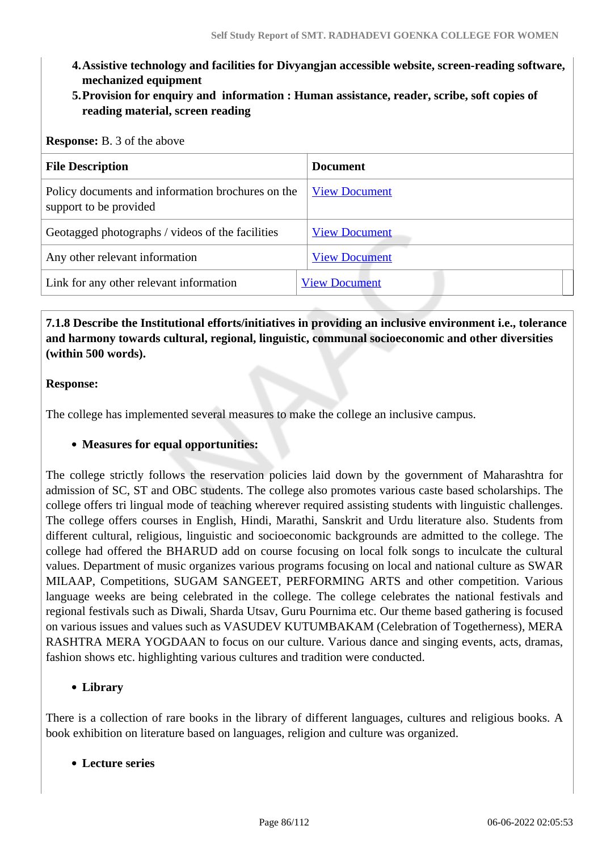- **4.Assistive technology and facilities for Divyangjan accessible website, screen-reading software, mechanized equipment**
- **5.Provision for enquiry and information : Human assistance, reader, scribe, soft copies of reading material, screen reading**

| <b>Response:</b> B. 3 of the above                                          |                      |
|-----------------------------------------------------------------------------|----------------------|
| <b>File Description</b>                                                     | <b>Document</b>      |
| Policy documents and information brochures on the<br>support to be provided | <b>View Document</b> |
| Geotagged photographs / videos of the facilities                            | <b>View Document</b> |
| Any other relevant information                                              | <b>View Document</b> |
| Link for any other relevant information                                     | <b>View Document</b> |

 **7.1.8 Describe the Institutional efforts/initiatives in providing an inclusive environment i.e., tolerance and harmony towards cultural, regional, linguistic, communal socioeconomic and other diversities (within 500 words).**

#### **Response:**

The college has implemented several measures to make the college an inclusive campus.

#### **Measures for equal opportunities:**

The college strictly follows the reservation policies laid down by the government of Maharashtra for admission of SC, ST and OBC students. The college also promotes various caste based scholarships. The college offers tri lingual mode of teaching wherever required assisting students with linguistic challenges. The college offers courses in English, Hindi, Marathi, Sanskrit and Urdu literature also. Students from different cultural, religious, linguistic and socioeconomic backgrounds are admitted to the college. The college had offered the BHARUD add on course focusing on local folk songs to inculcate the cultural values. Department of music organizes various programs focusing on local and national culture as SWAR MILAAP, Competitions, SUGAM SANGEET, PERFORMING ARTS and other competition. Various language weeks are being celebrated in the college. The college celebrates the national festivals and regional festivals such as Diwali, Sharda Utsav, Guru Pournima etc. Our theme based gathering is focused on various issues and values such as VASUDEV KUTUMBAKAM (Celebration of Togetherness), MERA RASHTRA MERA YOGDAAN to focus on our culture. Various dance and singing events, acts, dramas, fashion shows etc. highlighting various cultures and tradition were conducted.

#### **Library**

There is a collection of rare books in the library of different languages, cultures and religious books. A book exhibition on literature based on languages, religion and culture was organized.

#### **Lecture series**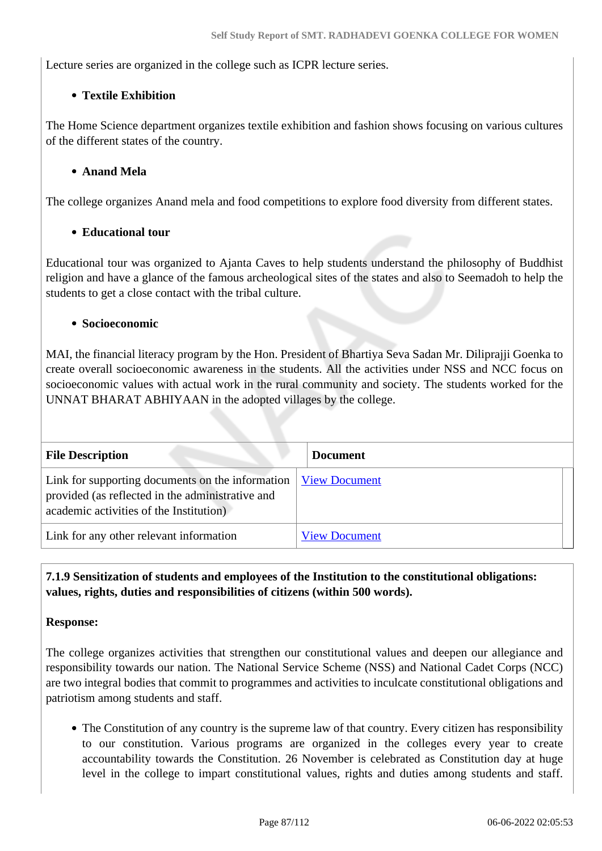Lecture series are organized in the college such as ICPR lecture series.

### **Textile Exhibition**

The Home Science department organizes textile exhibition and fashion shows focusing on various cultures of the different states of the country.

#### **Anand Mela**

The college organizes Anand mela and food competitions to explore food diversity from different states.

### **Educational tour**

Educational tour was organized to Ajanta Caves to help students understand the philosophy of Buddhist religion and have a glance of the famous archeological sites of the states and also to Seemadoh to help the students to get a close contact with the tribal culture.

#### **Socioeconomic**

MAI, the financial literacy program by the Hon. President of Bhartiya Seva Sadan Mr. Diliprajji Goenka to create overall socioeconomic awareness in the students. All the activities under NSS and NCC focus on socioeconomic values with actual work in the rural community and society. The students worked for the UNNAT BHARAT ABHIYAAN in the adopted villages by the college.

| <b>File Description</b>                                                                                                                         | <b>Document</b>      |  |
|-------------------------------------------------------------------------------------------------------------------------------------------------|----------------------|--|
| Link for supporting documents on the information<br>provided (as reflected in the administrative and<br>academic activities of the Institution) | <b>View Document</b> |  |
| Link for any other relevant information                                                                                                         | <b>View Document</b> |  |

 **7.1.9 Sensitization of students and employees of the Institution to the constitutional obligations: values, rights, duties and responsibilities of citizens (within 500 words).**

#### **Response:**

The college organizes activities that strengthen our constitutional values and deepen our allegiance and responsibility towards our nation. The National Service Scheme (NSS) and National Cadet Corps (NCC) are two integral bodies that commit to programmes and activities to inculcate constitutional obligations and patriotism among students and staff.

• The Constitution of any country is the supreme law of that country. Every citizen has responsibility to our constitution. Various programs are organized in the colleges every year to create accountability towards the Constitution. 26 November is celebrated as Constitution day at huge level in the college to impart constitutional values, rights and duties among students and staff.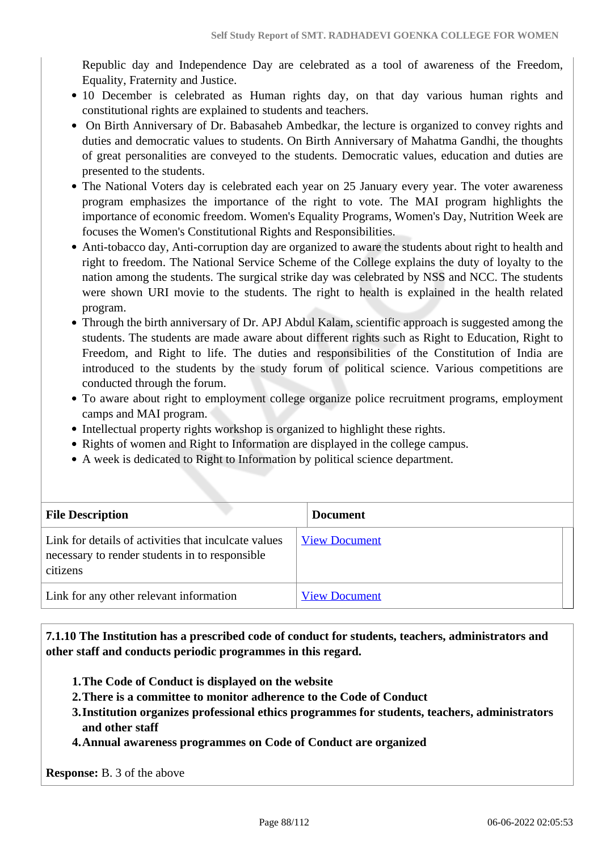Republic day and Independence Day are celebrated as a tool of awareness of the Freedom, Equality, Fraternity and Justice.

- 10 December is celebrated as Human rights day, on that day various human rights and constitutional rights are explained to students and teachers.
- On Birth Anniversary of Dr. Babasaheb Ambedkar, the lecture is organized to convey rights and duties and democratic values to students. On Birth Anniversary of Mahatma Gandhi, the thoughts of great personalities are conveyed to the students. Democratic values, education and duties are presented to the students.
- The National Voters day is celebrated each year on 25 January every year. The voter awareness program emphasizes the importance of the right to vote. The MAI program highlights the importance of economic freedom. Women's Equality Programs, Women's Day, Nutrition Week are focuses the Women's Constitutional Rights and Responsibilities.
- Anti-tobacco day, Anti-corruption day are organized to aware the students about right to health and right to freedom. The National Service Scheme of the College explains the duty of loyalty to the nation among the students. The surgical strike day was celebrated by NSS and NCC. The students were shown URI movie to the students. The right to health is explained in the health related program.
- Through the birth anniversary of Dr. APJ Abdul Kalam, scientific approach is suggested among the students. The students are made aware about different rights such as Right to Education, Right to Freedom, and Right to life. The duties and responsibilities of the Constitution of India are introduced to the students by the study forum of political science. Various competitions are conducted through the forum.
- To aware about right to employment college organize police recruitment programs, employment camps and MAI program.
- Intellectual property rights workshop is organized to highlight these rights.
- Rights of women and Right to Information are displayed in the college campus.
- A week is dedicated to Right to Information by political science department.

| <b>File Description</b>                                                                                            | <b>Document</b>      |
|--------------------------------------------------------------------------------------------------------------------|----------------------|
| Link for details of activities that inculcate values<br>necessary to render students in to responsible<br>citizens | <b>View Document</b> |
| Link for any other relevant information                                                                            | <b>View Document</b> |

 **7.1.10 The Institution has a prescribed code of conduct for students, teachers, administrators and other staff and conducts periodic programmes in this regard.** 

- **1.The Code of Conduct is displayed on the website**
- **2.There is a committee to monitor adherence to the Code of Conduct**
- **3.Institution organizes professional ethics programmes for students, teachers, administrators and other staff**
- **4.Annual awareness programmes on Code of Conduct are organized**

**Response:** B. 3 of the above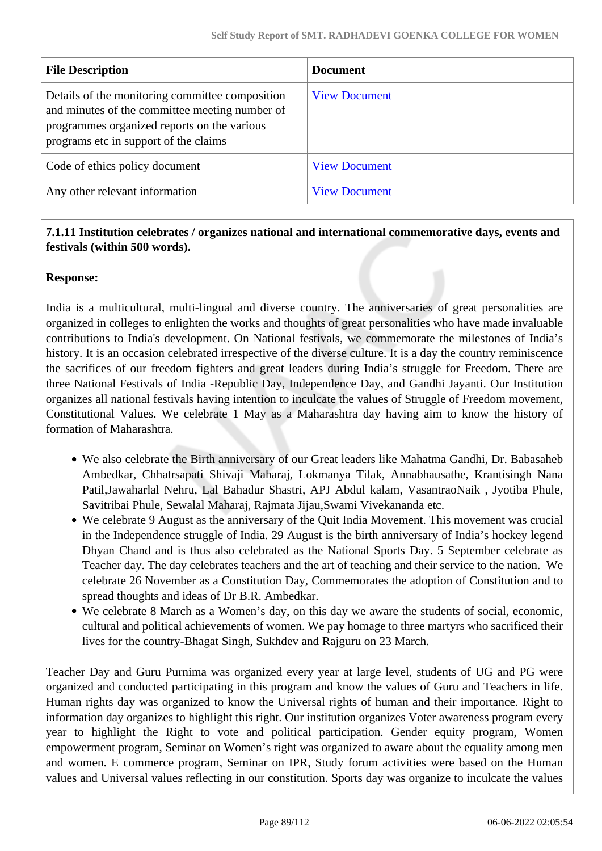| <b>File Description</b>                                                                                                                                                                   | <b>Document</b>      |
|-------------------------------------------------------------------------------------------------------------------------------------------------------------------------------------------|----------------------|
| Details of the monitoring committee composition<br>and minutes of the committee meeting number of<br>programmes organized reports on the various<br>programs etc in support of the claims | <b>View Document</b> |
| Code of ethics policy document                                                                                                                                                            | <b>View Document</b> |
| Any other relevant information                                                                                                                                                            | <b>View Document</b> |

### **7.1.11 Institution celebrates / organizes national and international commemorative days, events and festivals (within 500 words).**

#### **Response:**

India is a multicultural, multi-lingual and diverse country. The anniversaries of great personalities are organized in colleges to enlighten the works and thoughts of great personalities who have made invaluable contributions to India's development. On National festivals, we commemorate the milestones of India's history. It is an occasion celebrated irrespective of the diverse culture. It is a day the country reminiscence the sacrifices of our freedom fighters and great leaders during India's struggle for Freedom. There are three National Festivals of India -Republic Day, Independence Day, and Gandhi Jayanti. Our Institution organizes all national festivals having intention to inculcate the values of Struggle of Freedom movement, Constitutional Values. We celebrate 1 May as a Maharashtra day having aim to know the history of formation of Maharashtra.

- We also celebrate the Birth anniversary of our Great leaders like Mahatma Gandhi, Dr. Babasaheb Ambedkar, Chhatrsapati Shivaji Maharaj, Lokmanya Tilak, Annabhausathe, Krantisingh Nana Patil,Jawaharlal Nehru, Lal Bahadur Shastri, APJ Abdul kalam, VasantraoNaik , Jyotiba Phule, Savitribai Phule, Sewalal Maharaj, Rajmata Jijau,Swami Vivekananda etc.
- We celebrate 9 August as the anniversary of the Quit India Movement. This movement was crucial in the Independence struggle of India. 29 August is the birth anniversary of India's hockey legend Dhyan Chand and is thus also celebrated as the National Sports Day. 5 September celebrate as Teacher day. The day celebrates teachers and the art of teaching and their service to the nation. We celebrate 26 November as a Constitution Day, Commemorates the adoption of Constitution and to spread thoughts and ideas of Dr B.R. Ambedkar.
- We celebrate 8 March as a Women's day, on this day we aware the students of social, economic, cultural and political achievements of women. We pay homage to three martyrs who sacrificed their lives for the country-Bhagat Singh, Sukhdev and Rajguru on 23 March.

Teacher Day and Guru Purnima was organized every year at large level, students of UG and PG were organized and conducted participating in this program and know the values of Guru and Teachers in life. Human rights day was organized to know the Universal rights of human and their importance. Right to information day organizes to highlight this right. Our institution organizes Voter awareness program every year to highlight the Right to vote and political participation. Gender equity program, Women empowerment program, Seminar on Women's right was organized to aware about the equality among men and women. E commerce program, Seminar on IPR, Study forum activities were based on the Human values and Universal values reflecting in our constitution. Sports day was organize to inculcate the values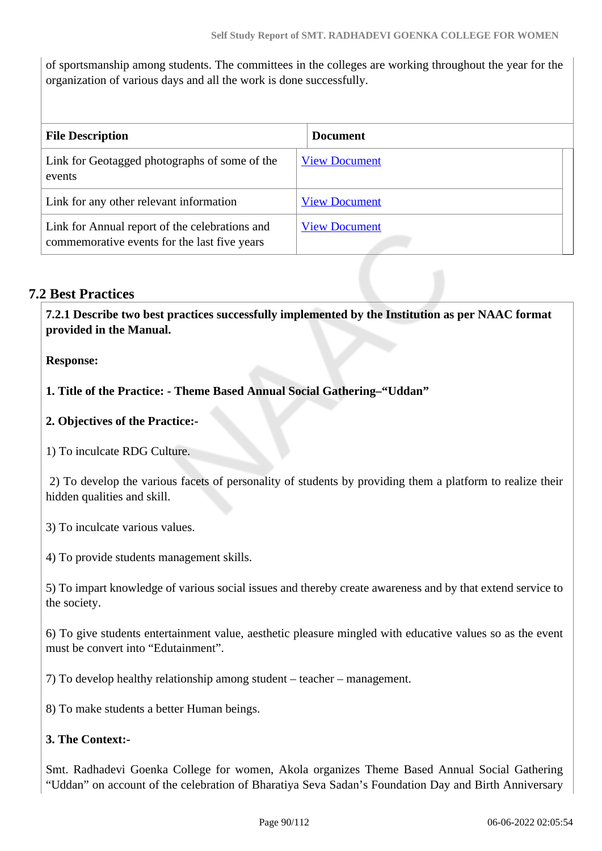of sportsmanship among students. The committees in the colleges are working throughout the year for the organization of various days and all the work is done successfully.

| <b>File Description</b>                                                                        | <b>Document</b>      |
|------------------------------------------------------------------------------------------------|----------------------|
| Link for Geotagged photographs of some of the<br>events                                        | <b>View Document</b> |
| Link for any other relevant information                                                        | <b>View Document</b> |
| Link for Annual report of the celebrations and<br>commemorative events for the last five years | <b>View Document</b> |

## **7.2 Best Practices**

 **7.2.1 Describe two best practices successfully implemented by the Institution as per NAAC format provided in the Manual.**

**Response:** 

**1. Title of the Practice: - Theme Based Annual Social Gathering–"Uddan"**

**2. Objectives of the Practice:-** 

1) To inculcate RDG Culture.

 2) To develop the various facets of personality of students by providing them a platform to realize their hidden qualities and skill.

3) To inculcate various values.

4) To provide students management skills.

5) To impart knowledge of various social issues and thereby create awareness and by that extend service to the society.

6) To give students entertainment value, aesthetic pleasure mingled with educative values so as the event must be convert into "Edutainment".

7) To develop healthy relationship among student – teacher – management.

8) To make students a better Human beings.

## **3. The Context:-**

Smt. Radhadevi Goenka College for women, Akola organizes Theme Based Annual Social Gathering "Uddan" on account of the celebration of Bharatiya Seva Sadan's Foundation Day and Birth Anniversary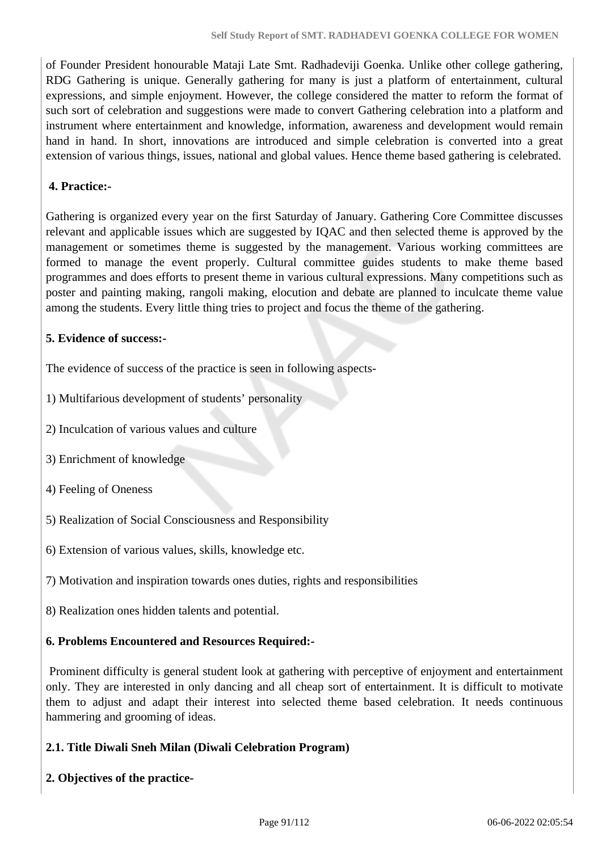of Founder President honourable Mataji Late Smt. Radhadeviji Goenka. Unlike other college gathering, RDG Gathering is unique. Generally gathering for many is just a platform of entertainment, cultural expressions, and simple enjoyment. However, the college considered the matter to reform the format of such sort of celebration and suggestions were made to convert Gathering celebration into a platform and instrument where entertainment and knowledge, information, awareness and development would remain hand in hand. In short, innovations are introduced and simple celebration is converted into a great extension of various things, issues, national and global values. Hence theme based gathering is celebrated.

#### **4. Practice:-**

Gathering is organized every year on the first Saturday of January. Gathering Core Committee discusses relevant and applicable issues which are suggested by IQAC and then selected theme is approved by the management or sometimes theme is suggested by the management. Various working committees are formed to manage the event properly. Cultural committee guides students to make theme based programmes and does efforts to present theme in various cultural expressions. Many competitions such as poster and painting making, rangoli making, elocution and debate are planned to inculcate theme value among the students. Every little thing tries to project and focus the theme of the gathering.

### **5. Evidence of success:-**

The evidence of success of the practice is seen in following aspects-

- 1) Multifarious development of students' personality
- 2) Inculcation of various values and culture
- 3) Enrichment of knowledge
- 4) Feeling of Oneness
- 5) Realization of Social Consciousness and Responsibility
- 6) Extension of various values, skills, knowledge etc.
- 7) Motivation and inspiration towards ones duties, rights and responsibilities
- 8) Realization ones hidden talents and potential.

#### **6. Problems Encountered and Resources Required:-**

 Prominent difficulty is general student look at gathering with perceptive of enjoyment and entertainment only. They are interested in only dancing and all cheap sort of entertainment. It is difficult to motivate them to adjust and adapt their interest into selected theme based celebration. It needs continuous hammering and grooming of ideas.

#### **2.1. Title Diwali Sneh Milan (Diwali Celebration Program)**

**2. Objectives of the practice-**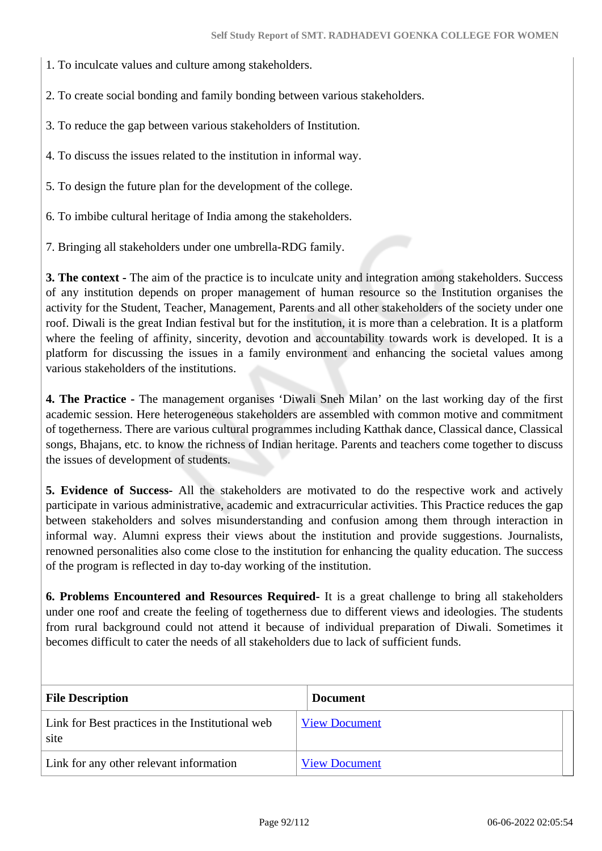1. To inculcate values and culture among stakeholders.

2. To create social bonding and family bonding between various stakeholders.

3. To reduce the gap between various stakeholders of Institution.

4. To discuss the issues related to the institution in informal way.

5. To design the future plan for the development of the college.

6. To imbibe cultural heritage of India among the stakeholders.

7. Bringing all stakeholders under one umbrella-RDG family.

**3. The context -** The aim of the practice is to inculcate unity and integration among stakeholders. Success of any institution depends on proper management of human resource so the Institution organises the activity for the Student, Teacher, Management, Parents and all other stakeholders of the society under one roof. Diwali is the great Indian festival but for the institution, it is more than a celebration. It is a platform where the feeling of affinity, sincerity, devotion and accountability towards work is developed. It is a platform for discussing the issues in a family environment and enhancing the societal values among various stakeholders of the institutions.

**4. The Practice -** The management organises 'Diwali Sneh Milan' on the last working day of the first academic session. Here heterogeneous stakeholders are assembled with common motive and commitment of togetherness. There are various cultural programmes including Katthak dance, Classical dance, Classical songs, Bhajans, etc. to know the richness of Indian heritage. Parents and teachers come together to discuss the issues of development of students.

**5. Evidence of Success-** All the stakeholders are motivated to do the respective work and actively participate in various administrative, academic and extracurricular activities. This Practice reduces the gap between stakeholders and solves misunderstanding and confusion among them through interaction in informal way. Alumni express their views about the institution and provide suggestions. Journalists, renowned personalities also come close to the institution for enhancing the quality education. The success of the program is reflected in day to-day working of the institution.

**6. Problems Encountered and Resources Required-** It is a great challenge to bring all stakeholders under one roof and create the feeling of togetherness due to different views and ideologies. The students from rural background could not attend it because of individual preparation of Diwali. Sometimes it becomes difficult to cater the needs of all stakeholders due to lack of sufficient funds.

| <b>File Description</b>                                  | <b>Document</b>      |
|----------------------------------------------------------|----------------------|
| Link for Best practices in the Institutional web<br>site | <b>View Document</b> |
| Link for any other relevant information                  | <b>View Document</b> |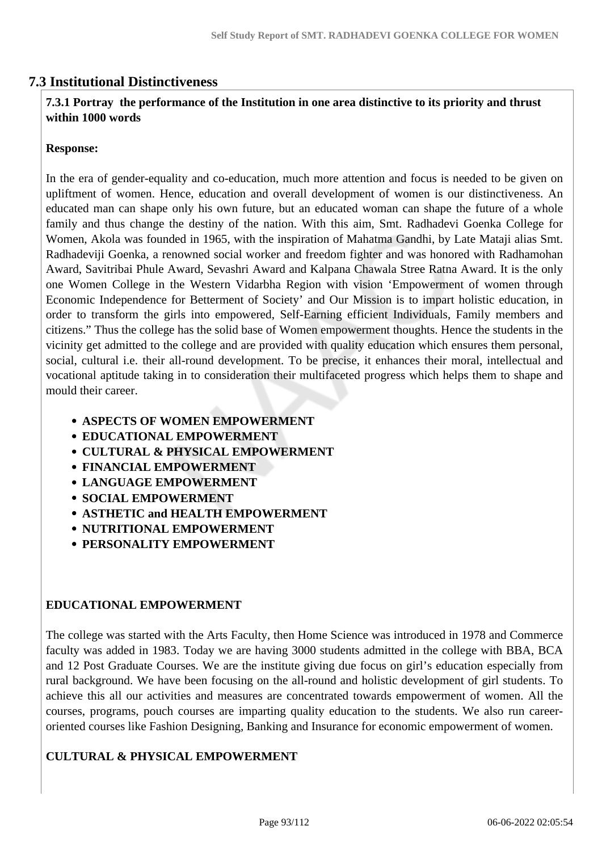## **7.3 Institutional Distinctiveness**

#### **7.3.1 Portray the performance of the Institution in one area distinctive to its priority and thrust within 1000 words**

#### **Response:**

In the era of gender-equality and co-education, much more attention and focus is needed to be given on upliftment of women. Hence, education and overall development of women is our distinctiveness. An educated man can shape only his own future, but an educated woman can shape the future of a whole family and thus change the destiny of the nation. With this aim, Smt. Radhadevi Goenka College for Women, Akola was founded in 1965, with the inspiration of Mahatma Gandhi, by Late Mataji alias Smt. Radhadeviji Goenka, a renowned social worker and freedom fighter and was honored with Radhamohan Award, Savitribai Phule Award, Sevashri Award and Kalpana Chawala Stree Ratna Award. It is the only one Women College in the Western Vidarbha Region with vision 'Empowerment of women through Economic Independence for Betterment of Society' and Our Mission is to impart holistic education, in order to transform the girls into empowered, Self-Earning efficient Individuals, Family members and citizens." Thus the college has the solid base of Women empowerment thoughts. Hence the students in the vicinity get admitted to the college and are provided with quality education which ensures them personal, social, cultural i.e. their all-round development. To be precise, it enhances their moral, intellectual and vocational aptitude taking in to consideration their multifaceted progress which helps them to shape and mould their career.

- **ASPECTS OF WOMEN EMPOWERMENT**
- **EDUCATIONAL EMPOWERMENT**
- **CULTURAL & PHYSICAL EMPOWERMENT**
- **FINANCIAL EMPOWERMENT**
- **LANGUAGE EMPOWERMENT**
- **SOCIAL EMPOWERMENT**
- **ASTHETIC and HEALTH EMPOWERMENT**
- **NUTRITIONAL EMPOWERMENT**
- **PERSONALITY EMPOWERMENT**

#### **EDUCATIONAL EMPOWERMENT**

The college was started with the Arts Faculty, then Home Science was introduced in 1978 and Commerce faculty was added in 1983. Today we are having 3000 students admitted in the college with BBA, BCA and 12 Post Graduate Courses. We are the institute giving due focus on girl's education especially from rural background. We have been focusing on the all-round and holistic development of girl students. To achieve this all our activities and measures are concentrated towards empowerment of women. All the courses, programs, pouch courses are imparting quality education to the students. We also run careeroriented courses like Fashion Designing, Banking and Insurance for economic empowerment of women.

#### **CULTURAL & PHYSICAL EMPOWERMENT**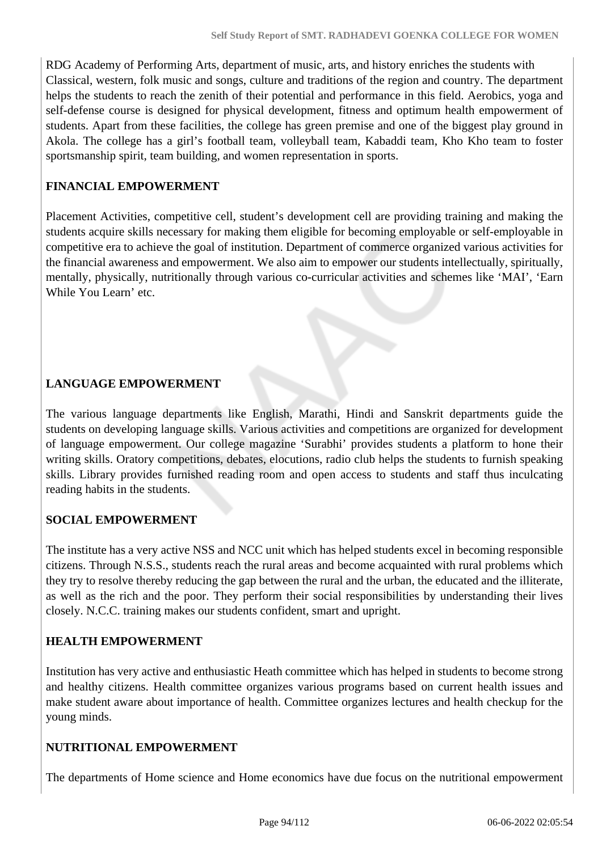RDG Academy of Performing Arts, department of music, arts, and history enriches the students with Classical, western, folk music and songs, culture and traditions of the region and country. The department helps the students to reach the zenith of their potential and performance in this field. Aerobics, yoga and self-defense course is designed for physical development, fitness and optimum health empowerment of students. Apart from these facilities, the college has green premise and one of the biggest play ground in Akola. The college has a girl's football team, volleyball team, Kabaddi team, Kho Kho team to foster sportsmanship spirit, team building, and women representation in sports.

### **FINANCIAL EMPOWERMENT**

Placement Activities, competitive cell, student's development cell are providing training and making the students acquire skills necessary for making them eligible for becoming employable or self-employable in competitive era to achieve the goal of institution. Department of commerce organized various activities for the financial awareness and empowerment. We also aim to empower our students intellectually, spiritually, mentally, physically, nutritionally through various co-curricular activities and schemes like 'MAI', 'Earn While You Learn' etc.

## **LANGUAGE EMPOWERMENT**

The various language departments like English, Marathi, Hindi and Sanskrit departments guide the students on developing language skills. Various activities and competitions are organized for development of language empowerment. Our college magazine 'Surabhi' provides students a platform to hone their writing skills. Oratory competitions, debates, elocutions, radio club helps the students to furnish speaking skills. Library provides furnished reading room and open access to students and staff thus inculcating reading habits in the students.

#### **SOCIAL EMPOWERMENT**

The institute has a very active NSS and NCC unit which has helped students excel in becoming responsible citizens. Through N.S.S., students reach the rural areas and become acquainted with rural problems which they try to resolve thereby reducing the gap between the rural and the urban, the educated and the illiterate, as well as the rich and the poor. They perform their social responsibilities by understanding their lives closely. N.C.C. training makes our students confident, smart and upright.

#### **HEALTH EMPOWERMENT**

Institution has very active and enthusiastic Heath committee which has helped in students to become strong and healthy citizens. Health committee organizes various programs based on current health issues and make student aware about importance of health. Committee organizes lectures and health checkup for the young minds.

#### **NUTRITIONAL EMPOWERMENT**

The departments of Home science and Home economics have due focus on the nutritional empowerment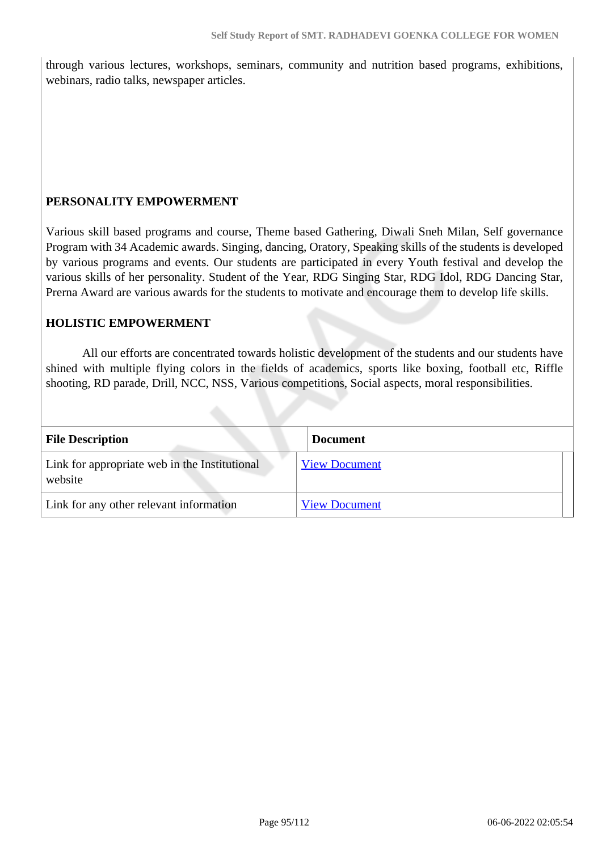through various lectures, workshops, seminars, community and nutrition based programs, exhibitions, webinars, radio talks, newspaper articles.

#### **PERSONALITY EMPOWERMENT**

Various skill based programs and course, Theme based Gathering, Diwali Sneh Milan, Self governance Program with 34 Academic awards. Singing, dancing, Oratory, Speaking skills of the students is developed by various programs and events. Our students are participated in every Youth festival and develop the various skills of her personality. Student of the Year, RDG Singing Star, RDG Idol, RDG Dancing Star, Prerna Award are various awards for the students to motivate and encourage them to develop life skills.

#### **HOLISTIC EMPOWERMENT**

 All our efforts are concentrated towards holistic development of the students and our students have shined with multiple flying colors in the fields of academics, sports like boxing, football etc, Riffle shooting, RD parade, Drill, NCC, NSS, Various competitions, Social aspects, moral responsibilities.

| <b>File Description</b>                                  | <b>Document</b>      |
|----------------------------------------------------------|----------------------|
| Link for appropriate web in the Institutional<br>website | <b>View Document</b> |
| Link for any other relevant information                  | <b>View Document</b> |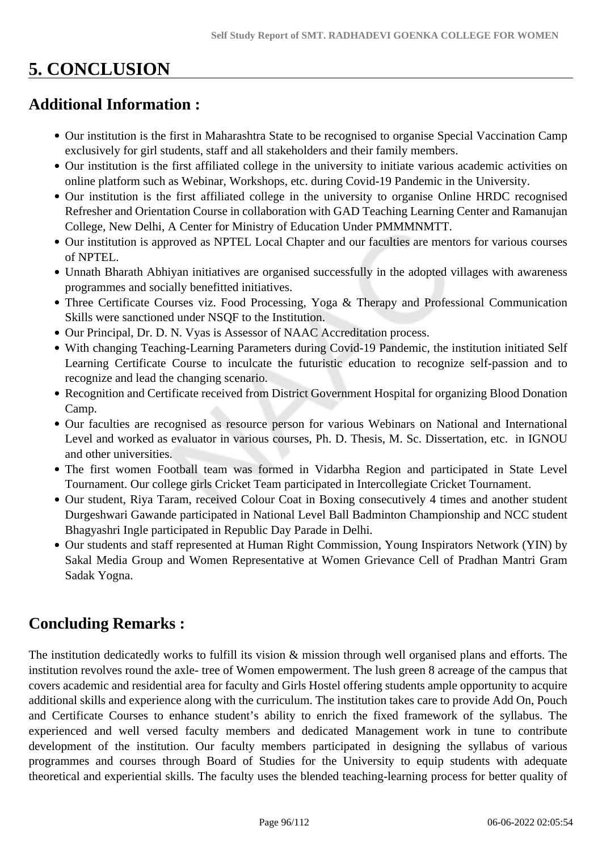# **5. CONCLUSION**

## **Additional Information :**

- Our institution is the first in Maharashtra State to be recognised to organise Special Vaccination Camp exclusively for girl students, staff and all stakeholders and their family members.
- Our institution is the first affiliated college in the university to initiate various academic activities on online platform such as Webinar, Workshops, etc. during Covid-19 Pandemic in the University.
- Our institution is the first affiliated college in the university to organise Online HRDC recognised Refresher and Orientation Course in collaboration with GAD Teaching Learning Center and Ramanujan College, New Delhi, A Center for Ministry of Education Under PMMMNMTT.
- Our institution is approved as NPTEL Local Chapter and our faculties are mentors for various courses of NPTEL.
- Unnath Bharath Abhiyan initiatives are organised successfully in the adopted villages with awareness programmes and socially benefitted initiatives.
- Three Certificate Courses viz. Food Processing, Yoga & Therapy and Professional Communication Skills were sanctioned under NSQF to the Institution.
- Our Principal, Dr. D. N. Vyas is Assessor of NAAC Accreditation process.
- With changing Teaching-Learning Parameters during Covid-19 Pandemic, the institution initiated Self Learning Certificate Course to inculcate the futuristic education to recognize self-passion and to recognize and lead the changing scenario.
- Recognition and Certificate received from District Government Hospital for organizing Blood Donation Camp.
- Our faculties are recognised as resource person for various Webinars on National and International Level and worked as evaluator in various courses, Ph. D. Thesis, M. Sc. Dissertation, etc. in IGNOU and other universities.
- The first women Football team was formed in Vidarbha Region and participated in State Level Tournament. Our college girls Cricket Team participated in Intercollegiate Cricket Tournament.
- Our student, Riya Taram, received Colour Coat in Boxing consecutively 4 times and another student Durgeshwari Gawande participated in National Level Ball Badminton Championship and NCC student Bhagyashri Ingle participated in Republic Day Parade in Delhi.
- Our students and staff represented at Human Right Commission, Young Inspirators Network (YIN) by Sakal Media Group and Women Representative at Women Grievance Cell of Pradhan Mantri Gram Sadak Yogna.

## **Concluding Remarks :**

The institution dedicatedly works to fulfill its vision & mission through well organised plans and efforts. The institution revolves round the axle- tree of Women empowerment. The lush green 8 acreage of the campus that covers academic and residential area for faculty and Girls Hostel offering students ample opportunity to acquire additional skills and experience along with the curriculum. The institution takes care to provide Add On, Pouch and Certificate Courses to enhance student's ability to enrich the fixed framework of the syllabus. The experienced and well versed faculty members and dedicated Management work in tune to contribute development of the institution. Our faculty members participated in designing the syllabus of various programmes and courses through Board of Studies for the University to equip students with adequate theoretical and experiential skills. The faculty uses the blended teaching-learning process for better quality of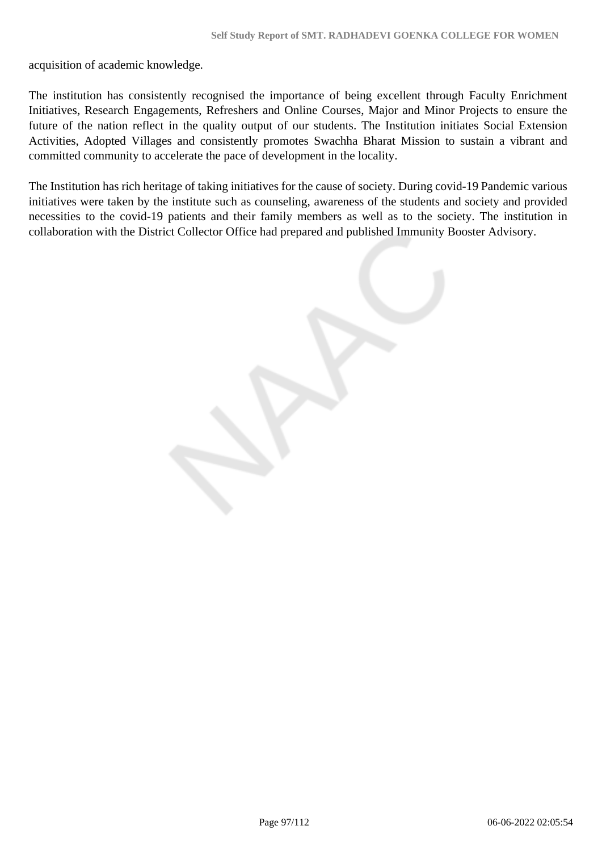acquisition of academic knowledge.

The institution has consistently recognised the importance of being excellent through Faculty Enrichment Initiatives, Research Engagements, Refreshers and Online Courses, Major and Minor Projects to ensure the future of the nation reflect in the quality output of our students. The Institution initiates Social Extension Activities, Adopted Villages and consistently promotes Swachha Bharat Mission to sustain a vibrant and committed community to accelerate the pace of development in the locality.

The Institution has rich heritage of taking initiatives for the cause of society. During covid-19 Pandemic various initiatives were taken by the institute such as counseling, awareness of the students and society and provided necessities to the covid-19 patients and their family members as well as to the society. The institution in collaboration with the District Collector Office had prepared and published Immunity Booster Advisory.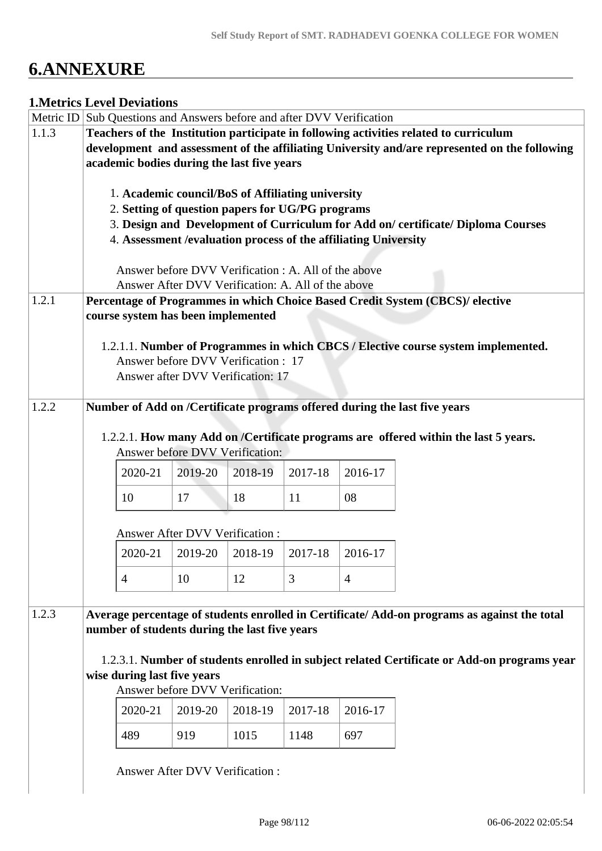# **6.ANNEXURE**

#### **1.Metrics Level Deviations**

|       | Metric ID Sub Questions and Answers before and after DVV Verification                         |                                                                 |         |         |                |                                                                                             |  |
|-------|-----------------------------------------------------------------------------------------------|-----------------------------------------------------------------|---------|---------|----------------|---------------------------------------------------------------------------------------------|--|
| 1.1.3 | Teachers of the Institution participate in following activities related to curriculum         |                                                                 |         |         |                |                                                                                             |  |
|       | development and assessment of the affiliating University and/are represented on the following |                                                                 |         |         |                |                                                                                             |  |
|       | academic bodies during the last five years                                                    |                                                                 |         |         |                |                                                                                             |  |
|       |                                                                                               | 1. Academic council/BoS of Affiliating university               |         |         |                |                                                                                             |  |
|       |                                                                                               | 2. Setting of question papers for UG/PG programs                |         |         |                |                                                                                             |  |
|       |                                                                                               |                                                                 |         |         |                | 3. Design and Development of Curriculum for Add on/certificate/Diploma Courses              |  |
|       |                                                                                               | 4. Assessment /evaluation process of the affiliating University |         |         |                |                                                                                             |  |
|       |                                                                                               | Answer before DVV Verification : A. All of the above            |         |         |                |                                                                                             |  |
|       |                                                                                               | Answer After DVV Verification: A. All of the above              |         |         |                |                                                                                             |  |
| 1.2.1 |                                                                                               |                                                                 |         |         |                | Percentage of Programmes in which Choice Based Credit System (CBCS)/ elective               |  |
|       |                                                                                               | course system has been implemented                              |         |         |                |                                                                                             |  |
|       |                                                                                               |                                                                 |         |         |                | 1.2.1.1. Number of Programmes in which CBCS / Elective course system implemented.           |  |
|       |                                                                                               | Answer before DVV Verification: 17                              |         |         |                |                                                                                             |  |
|       |                                                                                               | Answer after DVV Verification: 17                               |         |         |                |                                                                                             |  |
| 1.2.2 |                                                                                               |                                                                 |         |         |                | Number of Add on /Certificate programs offered during the last five years                   |  |
|       |                                                                                               |                                                                 |         |         |                |                                                                                             |  |
|       |                                                                                               | Answer before DVV Verification:                                 |         |         |                | 1.2.2.1. How many Add on /Certificate programs are offered within the last 5 years.         |  |
|       | 2020-21                                                                                       | 2019-20                                                         | 2018-19 | 2017-18 | 2016-17        |                                                                                             |  |
|       | 10                                                                                            | 17                                                              | 18      | 11      | 08             |                                                                                             |  |
|       |                                                                                               | <b>Answer After DVV Verification:</b>                           |         |         |                |                                                                                             |  |
|       | 2020-21                                                                                       | 2019-20                                                         | 2018-19 | 2017-18 | 2016-17        |                                                                                             |  |
|       | $\overline{4}$                                                                                | 10                                                              | 12      | 3       | $\overline{4}$ |                                                                                             |  |
| 1.2.3 |                                                                                               |                                                                 |         |         |                | Average percentage of students enrolled in Certificate/Add-on programs as against the total |  |
|       |                                                                                               | number of students during the last five years                   |         |         |                |                                                                                             |  |
|       |                                                                                               |                                                                 |         |         |                | 1.2.3.1. Number of students enrolled in subject related Certificate or Add-on programs year |  |
|       | wise during last five years                                                                   |                                                                 |         |         |                |                                                                                             |  |
|       |                                                                                               |                                                                 |         |         |                |                                                                                             |  |
|       |                                                                                               | Answer before DVV Verification:                                 |         |         |                |                                                                                             |  |
|       | 2020-21                                                                                       | 2019-20                                                         | 2018-19 | 2017-18 | 2016-17        |                                                                                             |  |
|       | 489                                                                                           | 919                                                             | 1015    | 1148    | 697            |                                                                                             |  |
|       |                                                                                               | <b>Answer After DVV Verification:</b>                           |         |         |                |                                                                                             |  |
|       |                                                                                               |                                                                 |         |         |                |                                                                                             |  |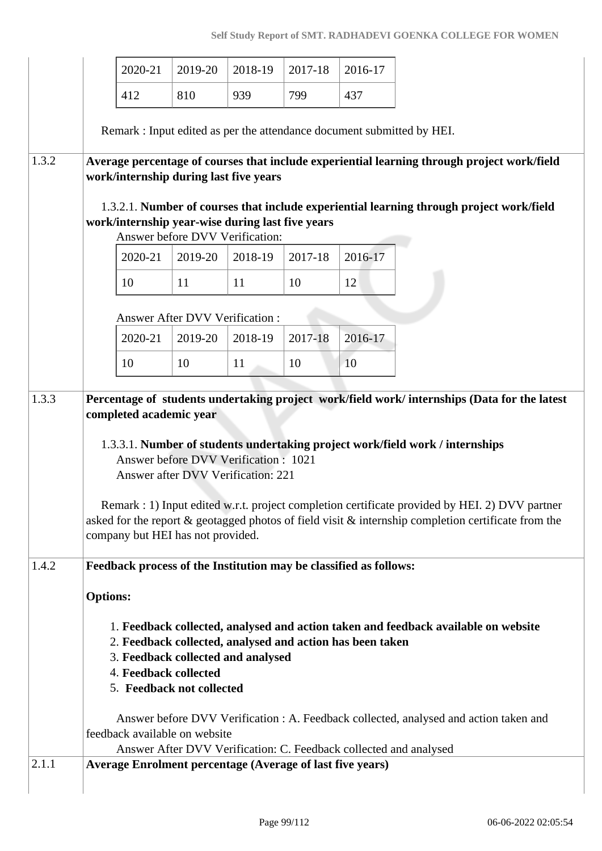|       |                                                                                                                                                                                                                                                                                                                                                                                                                                                                                                                                      | 2020-21 | 2019-20                                                                             | 2018-19 | 2017-18                                                           | 2016-17 |                                                                                             |  |
|-------|--------------------------------------------------------------------------------------------------------------------------------------------------------------------------------------------------------------------------------------------------------------------------------------------------------------------------------------------------------------------------------------------------------------------------------------------------------------------------------------------------------------------------------------|---------|-------------------------------------------------------------------------------------|---------|-------------------------------------------------------------------|---------|---------------------------------------------------------------------------------------------|--|
|       |                                                                                                                                                                                                                                                                                                                                                                                                                                                                                                                                      | 412     | 810                                                                                 | 939     | 799                                                               | 437     |                                                                                             |  |
|       |                                                                                                                                                                                                                                                                                                                                                                                                                                                                                                                                      |         |                                                                                     |         |                                                                   |         | Remark : Input edited as per the attendance document submitted by HEI.                      |  |
| 1.3.2 |                                                                                                                                                                                                                                                                                                                                                                                                                                                                                                                                      |         | work/internship during last five years                                              |         |                                                                   |         | Average percentage of courses that include experiential learning through project work/field |  |
|       |                                                                                                                                                                                                                                                                                                                                                                                                                                                                                                                                      |         | work/internship year-wise during last five years<br>Answer before DVV Verification: |         |                                                                   |         | 1.3.2.1. Number of courses that include experiential learning through project work/field    |  |
|       |                                                                                                                                                                                                                                                                                                                                                                                                                                                                                                                                      | 2020-21 | 2019-20                                                                             | 2018-19 | 2017-18                                                           | 2016-17 |                                                                                             |  |
|       |                                                                                                                                                                                                                                                                                                                                                                                                                                                                                                                                      | 10      | 11                                                                                  | 11      | 10                                                                | 12      |                                                                                             |  |
|       |                                                                                                                                                                                                                                                                                                                                                                                                                                                                                                                                      |         | <b>Answer After DVV Verification:</b>                                               |         |                                                                   |         |                                                                                             |  |
|       |                                                                                                                                                                                                                                                                                                                                                                                                                                                                                                                                      | 2020-21 | 2019-20                                                                             | 2018-19 | 2017-18                                                           | 2016-17 |                                                                                             |  |
|       |                                                                                                                                                                                                                                                                                                                                                                                                                                                                                                                                      | 10      | 10                                                                                  | 11      | 10                                                                | 10      |                                                                                             |  |
| 1.3.3 | Percentage of students undertaking project work/field work/ internships (Data for the latest<br>completed academic year<br>1.3.3.1. Number of students undertaking project work/field work / internships<br>Answer before DVV Verification: 1021<br>Answer after DVV Verification: 221<br>Remark : 1) Input edited w.r.t. project completion certificate provided by HEI. 2) DVV partner<br>asked for the report & geotagged photos of field visit & internship completion certificate from the<br>company but HEI has not provided. |         |                                                                                     |         |                                                                   |         |                                                                                             |  |
| 1.4.2 |                                                                                                                                                                                                                                                                                                                                                                                                                                                                                                                                      |         |                                                                                     |         | Feedback process of the Institution may be classified as follows: |         |                                                                                             |  |
|       | <b>Options:</b>                                                                                                                                                                                                                                                                                                                                                                                                                                                                                                                      |         |                                                                                     |         |                                                                   |         |                                                                                             |  |
|       | 1. Feedback collected, analysed and action taken and feedback available on website<br>2. Feedback collected, analysed and action has been taken<br>3. Feedback collected and analysed<br>4. Feedback collected<br>5. Feedback not collected<br>Answer before DVV Verification : A. Feedback collected, analysed and action taken and<br>feedback available on website<br>Answer After DVV Verification: C. Feedback collected and analysed                                                                                           |         |                                                                                     |         |                                                                   |         |                                                                                             |  |
| 2.1.1 |                                                                                                                                                                                                                                                                                                                                                                                                                                                                                                                                      |         |                                                                                     |         | <b>Average Enrolment percentage (Average of last five years)</b>  |         |                                                                                             |  |
|       |                                                                                                                                                                                                                                                                                                                                                                                                                                                                                                                                      |         |                                                                                     |         |                                                                   |         |                                                                                             |  |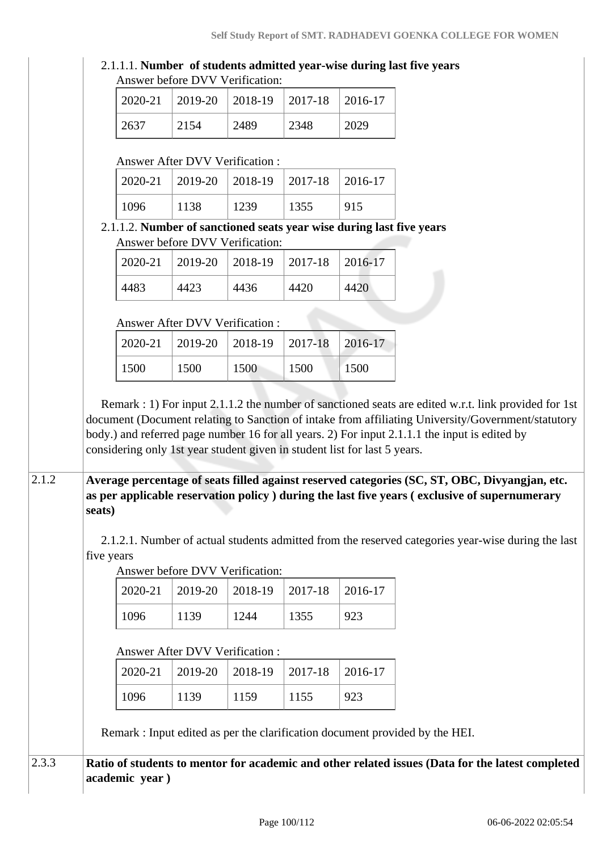#### 2.1.1.1. **Number of students admitted year-wise during last five years** Answer before DVV Verification:

|      | $2020-21$   2019-20   2018-19   2017-18   2016-17 |      |      |      |
|------|---------------------------------------------------|------|------|------|
| 2637 | 2154                                              | 2489 | 2348 | 2029 |

#### Answer After DVV Verification :

|      |      | $2020-21$   2019-20   2018-19   2017-18 |      | 2016-17 |
|------|------|-----------------------------------------|------|---------|
| 1096 | 1138 | 1239                                    | 1355 | 915     |

#### 2.1.1.2. **Number of sanctioned seats year wise during last five years** Answer before DVV Verification:

|      | $2020-21$   2019-20   2018-19   2017-18 |      |      | $2016-17$ |
|------|-----------------------------------------|------|------|-----------|
| 4483 | 4423                                    | 4436 | 4420 | 4420      |

### Answer After DVV Verification :

|      |      | $2020-21$   2019-20   2018-19   2017-18   2016-17 |      |      |
|------|------|---------------------------------------------------|------|------|
| 1500 | 1500 | 1500                                              | 1500 | 1500 |

 Remark : 1) For input 2.1.1.2 the number of sanctioned seats are edited w.r.t. link provided for 1st document (Document relating to Sanction of intake from affiliating University/Government/statutory body.) and referred page number 16 for all years. 2) For input 2.1.1.1 the input is edited by considering only 1st year student given in student list for last 5 years.

### 2.1.2 **Average percentage of seats filled against reserved categories (SC, ST, OBC, Divyangjan, etc. as per applicable reservation policy ) during the last five years ( exclusive of supernumerary seats)**

 2.1.2.1. Number of actual students admitted from the reserved categories year-wise during the last five years

Answer before DVV Verification:

|      | $2020-21$   2019-20   2018-19   2017-18   2016-17 |      |      |     |
|------|---------------------------------------------------|------|------|-----|
| 1096 | 1139                                              | 1244 | 1355 | 923 |

## Answer After DVV Verification :

|      |      | $2020-21$   2019-20   2018-19   2017-18   2016-17 |      |  |
|------|------|---------------------------------------------------|------|--|
| 1096 | 1139 | 1159                                              | 1155 |  |

Remark : Input edited as per the clarification document provided by the HEI.

## 2.3.3 **Ratio of students to mentor for academic and other related issues (Data for the latest completed academic year )**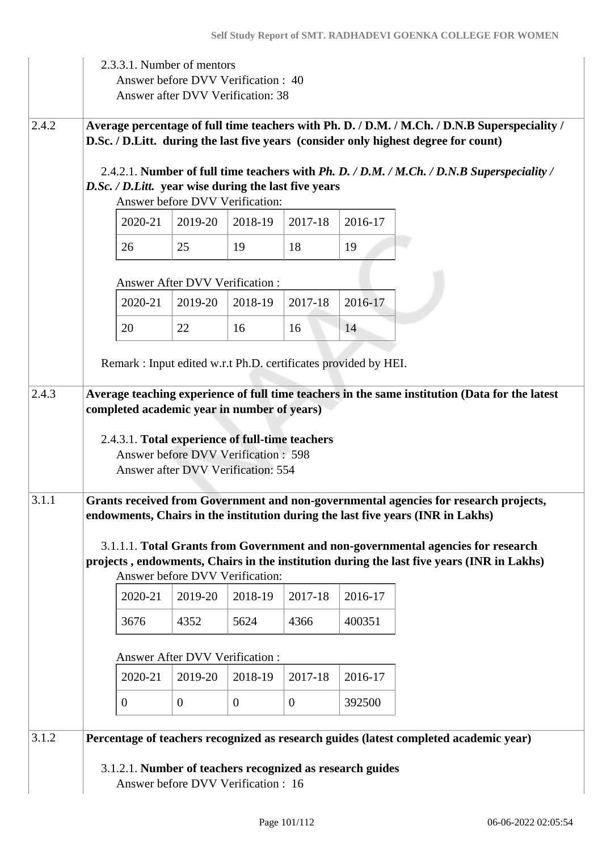|       |                                                                                                                                                                                                                                                |                                                                                                                                                                                      | 2.3.3.1. Number of mentors<br>Answer before DVV Verification: 40<br>Answer after DVV Verification: 38 |                |          |         |                                                                                                                                                                               |  |  |  |  |
|-------|------------------------------------------------------------------------------------------------------------------------------------------------------------------------------------------------------------------------------------------------|--------------------------------------------------------------------------------------------------------------------------------------------------------------------------------------|-------------------------------------------------------------------------------------------------------|----------------|----------|---------|-------------------------------------------------------------------------------------------------------------------------------------------------------------------------------|--|--|--|--|
| 2.4.2 |                                                                                                                                                                                                                                                | Average percentage of full time teachers with Ph. D. / D.M. / M.Ch. / D.N.B Superspeciality /<br>D.Sc. / D.Litt. during the last five years (consider only highest degree for count) |                                                                                                       |                |          |         |                                                                                                                                                                               |  |  |  |  |
|       |                                                                                                                                                                                                                                                |                                                                                                                                                                                      | D.Sc. / D.Litt. year wise during the last five years<br>Answer before DVV Verification:               |                |          |         | 2.4.2.1. Number of full time teachers with <i>Ph. D. / D.M. / M.Ch. / D.N.B Superspeciality</i> /                                                                             |  |  |  |  |
|       |                                                                                                                                                                                                                                                | 2020-21                                                                                                                                                                              | 2019-20                                                                                               | 2018-19        | 2017-18  | 2016-17 |                                                                                                                                                                               |  |  |  |  |
|       |                                                                                                                                                                                                                                                | 26                                                                                                                                                                                   | 25                                                                                                    | 19             | 18       | 19      |                                                                                                                                                                               |  |  |  |  |
|       |                                                                                                                                                                                                                                                |                                                                                                                                                                                      | <b>Answer After DVV Verification:</b>                                                                 |                |          |         |                                                                                                                                                                               |  |  |  |  |
|       |                                                                                                                                                                                                                                                | 2020-21                                                                                                                                                                              | 2019-20                                                                                               | 2018-19        | 2017-18  | 2016-17 |                                                                                                                                                                               |  |  |  |  |
|       |                                                                                                                                                                                                                                                | 20                                                                                                                                                                                   | 22                                                                                                    | 16             | 16       | 14      |                                                                                                                                                                               |  |  |  |  |
|       |                                                                                                                                                                                                                                                |                                                                                                                                                                                      | Remark: Input edited w.r.t Ph.D. certificates provided by HEI.                                        |                |          |         |                                                                                                                                                                               |  |  |  |  |
| 2.4.3 | Average teaching experience of full time teachers in the same institution (Data for the latest<br>completed academic year in number of years)<br>2.4.3.1. Total experience of full-time teachers<br><b>Answer before DVV Verification: 598</b> |                                                                                                                                                                                      |                                                                                                       |                |          |         |                                                                                                                                                                               |  |  |  |  |
| 3.1.1 |                                                                                                                                                                                                                                                |                                                                                                                                                                                      | Answer after DVV Verification: 554                                                                    |                |          |         | Grants received from Government and non-governmental agencies for research projects,<br>endowments, Chairs in the institution during the last five years (INR in Lakhs)       |  |  |  |  |
|       |                                                                                                                                                                                                                                                |                                                                                                                                                                                      | Answer before DVV Verification:                                                                       |                |          |         | 3.1.1.1. Total Grants from Government and non-governmental agencies for research<br>projects, endowments, Chairs in the institution during the last five years (INR in Lakhs) |  |  |  |  |
|       |                                                                                                                                                                                                                                                | 2020-21                                                                                                                                                                              | 2019-20                                                                                               | 2018-19        | 2017-18  | 2016-17 |                                                                                                                                                                               |  |  |  |  |
|       |                                                                                                                                                                                                                                                | 3676                                                                                                                                                                                 | 4352                                                                                                  | 5624           | 4366     | 400351  |                                                                                                                                                                               |  |  |  |  |
|       |                                                                                                                                                                                                                                                |                                                                                                                                                                                      | Answer After DVV Verification :                                                                       |                |          |         |                                                                                                                                                                               |  |  |  |  |
|       |                                                                                                                                                                                                                                                | 2020-21                                                                                                                                                                              | 2019-20                                                                                               | 2018-19        | 2017-18  | 2016-17 |                                                                                                                                                                               |  |  |  |  |
|       |                                                                                                                                                                                                                                                | $\mathbf{0}$                                                                                                                                                                         | $\overline{0}$                                                                                        | $\overline{0}$ | $\theta$ | 392500  |                                                                                                                                                                               |  |  |  |  |
| 3.1.2 |                                                                                                                                                                                                                                                |                                                                                                                                                                                      |                                                                                                       |                |          |         | Percentage of teachers recognized as research guides (latest completed academic year)                                                                                         |  |  |  |  |
|       |                                                                                                                                                                                                                                                |                                                                                                                                                                                      | 3.1.2.1. Number of teachers recognized as research guides<br>Answer before DVV Verification: 16       |                |          |         |                                                                                                                                                                               |  |  |  |  |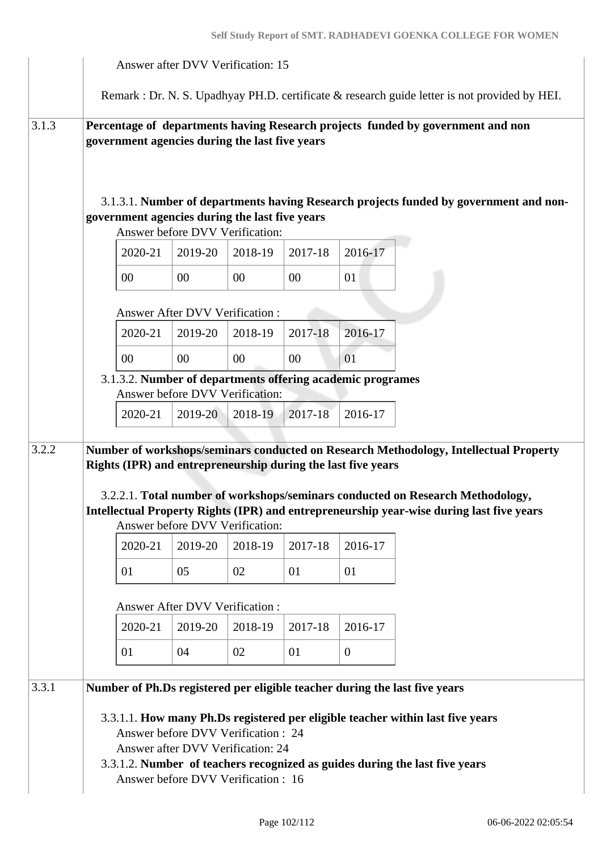|       | Answer after DVV Verification: 15 |                                                                                                                                                                                                                                                                                                                                     |                                            |         |         |                |                                                                                                                                                              |  |  |  |  |
|-------|-----------------------------------|-------------------------------------------------------------------------------------------------------------------------------------------------------------------------------------------------------------------------------------------------------------------------------------------------------------------------------------|--------------------------------------------|---------|---------|----------------|--------------------------------------------------------------------------------------------------------------------------------------------------------------|--|--|--|--|
|       |                                   |                                                                                                                                                                                                                                                                                                                                     |                                            |         |         |                | Remark : Dr. N. S. Upadhyay PH.D. certificate & research guide letter is not provided by HEI.                                                                |  |  |  |  |
| 3.1.3 |                                   | Percentage of departments having Research projects funded by government and non<br>government agencies during the last five years                                                                                                                                                                                                   |                                            |         |         |                |                                                                                                                                                              |  |  |  |  |
|       |                                   | 3.1.3.1. Number of departments having Research projects funded by government and non-<br>government agencies during the last five years<br>Answer before DVV Verification:                                                                                                                                                          |                                            |         |         |                |                                                                                                                                                              |  |  |  |  |
|       |                                   | 2020-21                                                                                                                                                                                                                                                                                                                             | 2019-20                                    | 2018-19 | 2017-18 | 2016-17        |                                                                                                                                                              |  |  |  |  |
|       |                                   | $00\,$                                                                                                                                                                                                                                                                                                                              | 00                                         | 00      | 00      | 01             |                                                                                                                                                              |  |  |  |  |
|       |                                   | <b>Answer After DVV Verification:</b>                                                                                                                                                                                                                                                                                               |                                            |         |         |                |                                                                                                                                                              |  |  |  |  |
|       |                                   | 2020-21                                                                                                                                                                                                                                                                                                                             | 2019-20                                    | 2018-19 | 2017-18 | 2016-17        |                                                                                                                                                              |  |  |  |  |
|       |                                   | $00\,$                                                                                                                                                                                                                                                                                                                              | 00                                         | 00      | 00      | 01             |                                                                                                                                                              |  |  |  |  |
|       |                                   | 3.1.3.2. Number of departments offering academic programes<br>Answer before DVV Verification:                                                                                                                                                                                                                                       |                                            |         |         |                |                                                                                                                                                              |  |  |  |  |
|       |                                   | 2020-21                                                                                                                                                                                                                                                                                                                             | 2019-20                                    | 2018-19 | 2017-18 | 2016-17        |                                                                                                                                                              |  |  |  |  |
| 3.2.2 |                                   | Number of workshops/seminars conducted on Research Methodology, Intellectual Property<br>Rights (IPR) and entrepreneurship during the last five years<br>3.2.2.1. Total number of workshops/seminars conducted on Research Methodology,<br>Intellectual Property Rights (IPR) and entrepreneurship year-wise during last five years |                                            |         |         |                |                                                                                                                                                              |  |  |  |  |
|       |                                   | 2020-21                                                                                                                                                                                                                                                                                                                             | Answer before DVV Verification:<br>2019-20 | 2018-19 | 2017-18 | 2016-17        |                                                                                                                                                              |  |  |  |  |
|       |                                   | 01                                                                                                                                                                                                                                                                                                                                  | 05                                         | 02      | 01      | 01             |                                                                                                                                                              |  |  |  |  |
|       |                                   |                                                                                                                                                                                                                                                                                                                                     | Answer After DVV Verification :            |         |         |                |                                                                                                                                                              |  |  |  |  |
|       |                                   | 2020-21                                                                                                                                                                                                                                                                                                                             | 2019-20                                    | 2018-19 | 2017-18 | 2016-17        |                                                                                                                                                              |  |  |  |  |
|       |                                   | 01                                                                                                                                                                                                                                                                                                                                  | 04                                         | 02      | 01      | $\overline{0}$ |                                                                                                                                                              |  |  |  |  |
| 3.3.1 |                                   |                                                                                                                                                                                                                                                                                                                                     | Answer before DVV Verification : 24        |         |         |                | Number of Ph.Ds registered per eligible teacher during the last five years<br>3.3.1.1. How many Ph.Ds registered per eligible teacher within last five years |  |  |  |  |
|       |                                   | Answer after DVV Verification: 24<br>3.3.1.2. Number of teachers recognized as guides during the last five years<br>Answer before DVV Verification : 16                                                                                                                                                                             |                                            |         |         |                |                                                                                                                                                              |  |  |  |  |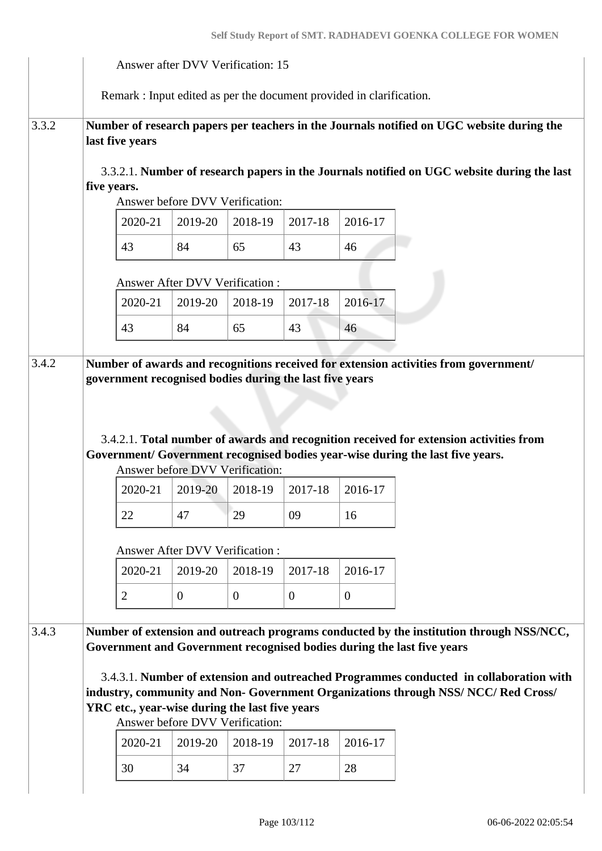|       |                                                                                                                                                                                                                                                                                                                                                                                                                                      |         |                | Answer after DVV Verification: 15                                    |                  |                |                                                                                                                                                                          |  |  |
|-------|--------------------------------------------------------------------------------------------------------------------------------------------------------------------------------------------------------------------------------------------------------------------------------------------------------------------------------------------------------------------------------------------------------------------------------------|---------|----------------|----------------------------------------------------------------------|------------------|----------------|--------------------------------------------------------------------------------------------------------------------------------------------------------------------------|--|--|
|       |                                                                                                                                                                                                                                                                                                                                                                                                                                      |         |                | Remark : Input edited as per the document provided in clarification. |                  |                |                                                                                                                                                                          |  |  |
| 3.3.2 | last five years                                                                                                                                                                                                                                                                                                                                                                                                                      |         |                |                                                                      |                  |                | Number of research papers per teachers in the Journals notified on UGC website during the                                                                                |  |  |
|       | five years.                                                                                                                                                                                                                                                                                                                                                                                                                          |         |                | Answer before DVV Verification:                                      |                  |                | 3.3.2.1. Number of research papers in the Journals notified on UGC website during the last                                                                               |  |  |
|       |                                                                                                                                                                                                                                                                                                                                                                                                                                      | 2020-21 | 2019-20        | 2018-19                                                              | 2017-18          | 2016-17        |                                                                                                                                                                          |  |  |
|       |                                                                                                                                                                                                                                                                                                                                                                                                                                      | 43      | 84             | 65                                                                   | 43               | 46             |                                                                                                                                                                          |  |  |
|       |                                                                                                                                                                                                                                                                                                                                                                                                                                      |         |                | <b>Answer After DVV Verification:</b>                                |                  |                |                                                                                                                                                                          |  |  |
|       |                                                                                                                                                                                                                                                                                                                                                                                                                                      | 2020-21 | 2019-20        | 2018-19                                                              | 2017-18          | 2016-17        |                                                                                                                                                                          |  |  |
|       |                                                                                                                                                                                                                                                                                                                                                                                                                                      | 43      | 84             | 65                                                                   | 43               | 46             |                                                                                                                                                                          |  |  |
|       |                                                                                                                                                                                                                                                                                                                                                                                                                                      |         |                |                                                                      |                  |                | 3.4.2.1. Total number of awards and recognition received for extension activities from<br>Government/ Government recognised bodies year-wise during the last five years. |  |  |
|       |                                                                                                                                                                                                                                                                                                                                                                                                                                      | 2020-21 | 2019-20        | Answer before DVV Verification:<br>2018-19                           | 2017-18          | 2016-17        |                                                                                                                                                                          |  |  |
|       |                                                                                                                                                                                                                                                                                                                                                                                                                                      | 22      | 47             | 29                                                                   | 09               | 16             |                                                                                                                                                                          |  |  |
|       |                                                                                                                                                                                                                                                                                                                                                                                                                                      |         |                | <b>Answer After DVV Verification:</b>                                |                  |                |                                                                                                                                                                          |  |  |
|       |                                                                                                                                                                                                                                                                                                                                                                                                                                      | 2020-21 | 2019-20        | 2018-19                                                              | 2017-18          | 2016-17        |                                                                                                                                                                          |  |  |
|       | $\overline{2}$                                                                                                                                                                                                                                                                                                                                                                                                                       |         | $\overline{0}$ | $\overline{0}$                                                       | $\boldsymbol{0}$ | $\overline{0}$ |                                                                                                                                                                          |  |  |
| 3.4.3 | Number of extension and outreach programs conducted by the institution through NSS/NCC,<br>Government and Government recognised bodies during the last five years<br>3.4.3.1. Number of extension and outreached Programmes conducted in collaboration with<br>industry, community and Non- Government Organizations through NSS/NCC/Red Cross/<br>YRC etc., year-wise during the last five years<br>Answer before DVV Verification: |         |                |                                                                      |                  |                |                                                                                                                                                                          |  |  |
|       |                                                                                                                                                                                                                                                                                                                                                                                                                                      | 2020-21 | 2019-20        | 2018-19                                                              | 2017-18          | 2016-17        |                                                                                                                                                                          |  |  |
|       |                                                                                                                                                                                                                                                                                                                                                                                                                                      | 30      | 34             | 37                                                                   | 27               | 28             |                                                                                                                                                                          |  |  |
|       |                                                                                                                                                                                                                                                                                                                                                                                                                                      |         |                |                                                                      |                  |                |                                                                                                                                                                          |  |  |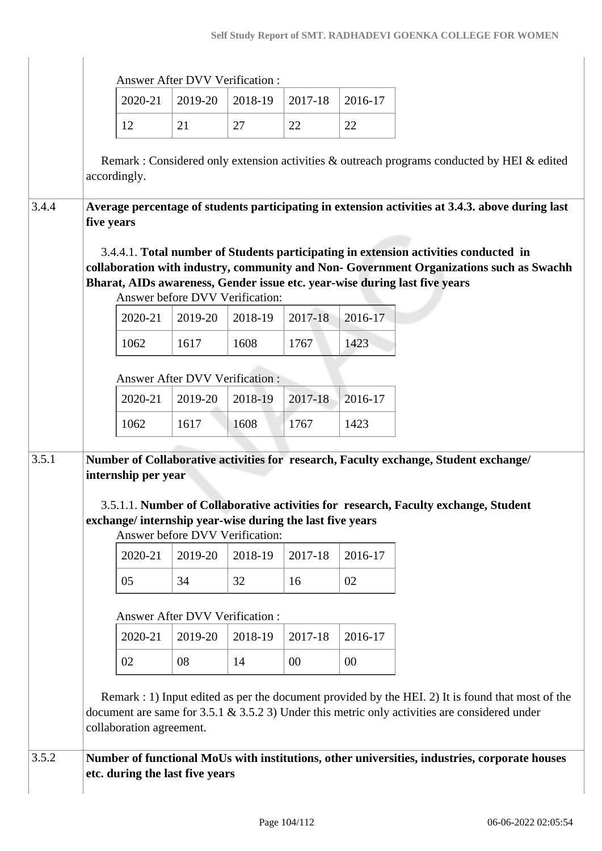|       |                                                                                                                                                                                                                                                                                                  |                                                          | <b>Answer After DVV Verification:</b> |                                 |         |         |                                                                                                                                                                                                        |  |  |  |
|-------|--------------------------------------------------------------------------------------------------------------------------------------------------------------------------------------------------------------------------------------------------------------------------------------------------|----------------------------------------------------------|---------------------------------------|---------------------------------|---------|---------|--------------------------------------------------------------------------------------------------------------------------------------------------------------------------------------------------------|--|--|--|
|       |                                                                                                                                                                                                                                                                                                  | 2020-21                                                  | 2019-20                               | 2018-19                         | 2017-18 | 2016-17 |                                                                                                                                                                                                        |  |  |  |
|       |                                                                                                                                                                                                                                                                                                  | 12                                                       | 21                                    | 27                              | 22      | 22      |                                                                                                                                                                                                        |  |  |  |
|       |                                                                                                                                                                                                                                                                                                  |                                                          |                                       |                                 |         |         | Remark: Considered only extension activities & outreach programs conducted by HEI & edited                                                                                                             |  |  |  |
|       |                                                                                                                                                                                                                                                                                                  | accordingly.                                             |                                       |                                 |         |         |                                                                                                                                                                                                        |  |  |  |
| 3.4.4 | five years                                                                                                                                                                                                                                                                                       |                                                          |                                       |                                 |         |         | Average percentage of students participating in extension activities at 3.4.3. above during last                                                                                                       |  |  |  |
|       | 3.4.4.1. Total number of Students participating in extension activities conducted in<br>collaboration with industry, community and Non- Government Organizations such as Swachh<br>Bharat, AIDs awareness, Gender issue etc. year-wise during last five years<br>Answer before DVV Verification: |                                                          |                                       |                                 |         |         |                                                                                                                                                                                                        |  |  |  |
|       |                                                                                                                                                                                                                                                                                                  | 2020-21                                                  | 2019-20                               | 2018-19                         | 2017-18 | 2016-17 |                                                                                                                                                                                                        |  |  |  |
|       |                                                                                                                                                                                                                                                                                                  | 1062                                                     | 1617                                  | 1608                            | 1767    | 1423    |                                                                                                                                                                                                        |  |  |  |
|       |                                                                                                                                                                                                                                                                                                  |                                                          | <b>Answer After DVV Verification:</b> |                                 |         |         |                                                                                                                                                                                                        |  |  |  |
|       |                                                                                                                                                                                                                                                                                                  | 2020-21                                                  | 2019-20                               | 2018-19                         | 2017-18 | 2016-17 |                                                                                                                                                                                                        |  |  |  |
|       |                                                                                                                                                                                                                                                                                                  | 1062                                                     | 1617                                  | 1608                            | 1767    | 1423    |                                                                                                                                                                                                        |  |  |  |
|       |                                                                                                                                                                                                                                                                                                  |                                                          |                                       |                                 |         |         |                                                                                                                                                                                                        |  |  |  |
| 3.5.1 |                                                                                                                                                                                                                                                                                                  | internship per year                                      |                                       |                                 |         |         | Number of Collaborative activities for research, Faculty exchange, Student exchange/                                                                                                                   |  |  |  |
|       |                                                                                                                                                                                                                                                                                                  | exchange/internship year-wise during the last five years |                                       | Answer before DVV Verification: |         |         | 3.5.1.1. Number of Collaborative activities for research, Faculty exchange, Student                                                                                                                    |  |  |  |
|       |                                                                                                                                                                                                                                                                                                  | 2020-21                                                  | 2019-20                               | 2018-19                         | 2017-18 | 2016-17 |                                                                                                                                                                                                        |  |  |  |
|       |                                                                                                                                                                                                                                                                                                  | 05                                                       | 34                                    | 32                              | 16      | 02      |                                                                                                                                                                                                        |  |  |  |
|       |                                                                                                                                                                                                                                                                                                  |                                                          | <b>Answer After DVV Verification:</b> |                                 |         |         |                                                                                                                                                                                                        |  |  |  |
|       |                                                                                                                                                                                                                                                                                                  | 2020-21                                                  | 2019-20                               | 2018-19                         | 2017-18 | 2016-17 |                                                                                                                                                                                                        |  |  |  |
|       |                                                                                                                                                                                                                                                                                                  | 02                                                       | 08                                    | 14                              | $00\,$  | 00      |                                                                                                                                                                                                        |  |  |  |
|       |                                                                                                                                                                                                                                                                                                  |                                                          |                                       |                                 |         |         |                                                                                                                                                                                                        |  |  |  |
|       |                                                                                                                                                                                                                                                                                                  | collaboration agreement.                                 |                                       |                                 |         |         | Remark : 1) Input edited as per the document provided by the HEI. 2) It is found that most of the<br>document are same for $3.5.1 \& 3.5.2 3$ ) Under this metric only activities are considered under |  |  |  |
| 3.5.2 |                                                                                                                                                                                                                                                                                                  |                                                          |                                       |                                 |         |         | Number of functional MoUs with institutions, other universities, industries, corporate houses                                                                                                          |  |  |  |
|       |                                                                                                                                                                                                                                                                                                  | etc. during the last five years                          |                                       |                                 |         |         |                                                                                                                                                                                                        |  |  |  |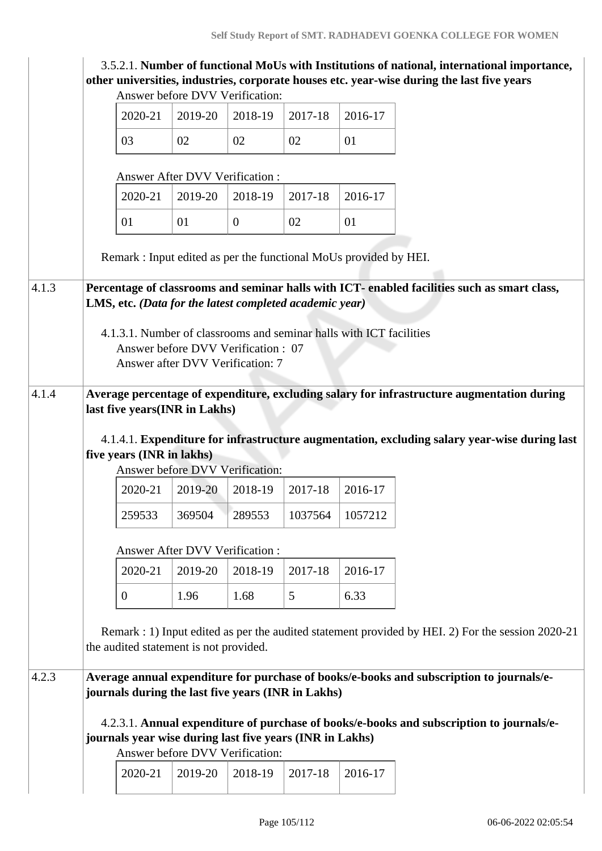|                                |  |                                                                                                                                                                                                                             |                                        | Answer before DVV Verification:                                                             |         |                                                                     | 3.5.2.1. Number of functional MoUs with Institutions of national, international importance,<br>other universities, industries, corporate houses etc. year-wise during the last five years |  |  |  |  |
|--------------------------------|--|-----------------------------------------------------------------------------------------------------------------------------------------------------------------------------------------------------------------------------|----------------------------------------|---------------------------------------------------------------------------------------------|---------|---------------------------------------------------------------------|-------------------------------------------------------------------------------------------------------------------------------------------------------------------------------------------|--|--|--|--|
|                                |  | 2020-21                                                                                                                                                                                                                     | 2019-20                                | 2018-19                                                                                     | 2017-18 | 2016-17                                                             |                                                                                                                                                                                           |  |  |  |  |
|                                |  | 03                                                                                                                                                                                                                          | 02                                     | 02                                                                                          | 02      | 01                                                                  |                                                                                                                                                                                           |  |  |  |  |
|                                |  |                                                                                                                                                                                                                             | <b>Answer After DVV Verification:</b>  |                                                                                             |         |                                                                     |                                                                                                                                                                                           |  |  |  |  |
|                                |  | 2020-21                                                                                                                                                                                                                     | 2019-20                                | 2018-19                                                                                     | 2017-18 | 2016-17                                                             |                                                                                                                                                                                           |  |  |  |  |
|                                |  | 01                                                                                                                                                                                                                          | 01                                     | $\overline{0}$                                                                              | 02      | 01                                                                  |                                                                                                                                                                                           |  |  |  |  |
|                                |  |                                                                                                                                                                                                                             |                                        |                                                                                             |         | Remark: Input edited as per the functional MoUs provided by HEI.    |                                                                                                                                                                                           |  |  |  |  |
| 4.1.3                          |  |                                                                                                                                                                                                                             |                                        | LMS, etc. (Data for the latest completed academic year)                                     |         |                                                                     | Percentage of classrooms and seminar halls with ICT- enabled facilities such as smart class,                                                                                              |  |  |  |  |
|                                |  |                                                                                                                                                                                                                             |                                        | Answer before DVV Verification: 07<br>Answer after DVV Verification: 7                      |         | 4.1.3.1. Number of classrooms and seminar halls with ICT facilities |                                                                                                                                                                                           |  |  |  |  |
| 4.1.4                          |  | Average percentage of expenditure, excluding salary for infrastructure augmentation during<br>last five years(INR in Lakhs)<br>4.1.4.1. Expenditure for infrastructure augmentation, excluding salary year-wise during last |                                        |                                                                                             |         |                                                                     |                                                                                                                                                                                           |  |  |  |  |
|                                |  | five years (INR in lakhs)<br>Answer before DVV Verification:                                                                                                                                                                |                                        |                                                                                             |         |                                                                     |                                                                                                                                                                                           |  |  |  |  |
|                                |  | 2020-21                                                                                                                                                                                                                     | 2019-20                                | 2018-19                                                                                     | 2017-18 | 2016-17                                                             |                                                                                                                                                                                           |  |  |  |  |
|                                |  | 259533                                                                                                                                                                                                                      | 369504                                 | 289553                                                                                      | 1037564 | 1057212                                                             |                                                                                                                                                                                           |  |  |  |  |
| Answer After DVV Verification: |  |                                                                                                                                                                                                                             |                                        |                                                                                             |         |                                                                     |                                                                                                                                                                                           |  |  |  |  |
|                                |  | 2020-21                                                                                                                                                                                                                     | 2019-20                                | 2018-19                                                                                     | 2017-18 | 2016-17                                                             |                                                                                                                                                                                           |  |  |  |  |
|                                |  | $\overline{0}$                                                                                                                                                                                                              | 1.96                                   | 1.68                                                                                        | 5       | 6.33                                                                |                                                                                                                                                                                           |  |  |  |  |
|                                |  |                                                                                                                                                                                                                             | the audited statement is not provided. |                                                                                             |         |                                                                     | Remark : 1) Input edited as per the audited statement provided by HEI. 2) For the session 2020-21                                                                                         |  |  |  |  |
| 4.2.3                          |  |                                                                                                                                                                                                                             |                                        | journals during the last five years (INR in Lakhs)                                          |         |                                                                     | Average annual expenditure for purchase of books/e-books and subscription to journals/e-                                                                                                  |  |  |  |  |
|                                |  |                                                                                                                                                                                                                             |                                        | journals year wise during last five years (INR in Lakhs)<br>Answer before DVV Verification: |         |                                                                     | 4.2.3.1. Annual expenditure of purchase of books/e-books and subscription to journals/e-                                                                                                  |  |  |  |  |
|                                |  | 2020-21                                                                                                                                                                                                                     | 2019-20                                | 2018-19                                                                                     | 2017-18 | 2016-17                                                             |                                                                                                                                                                                           |  |  |  |  |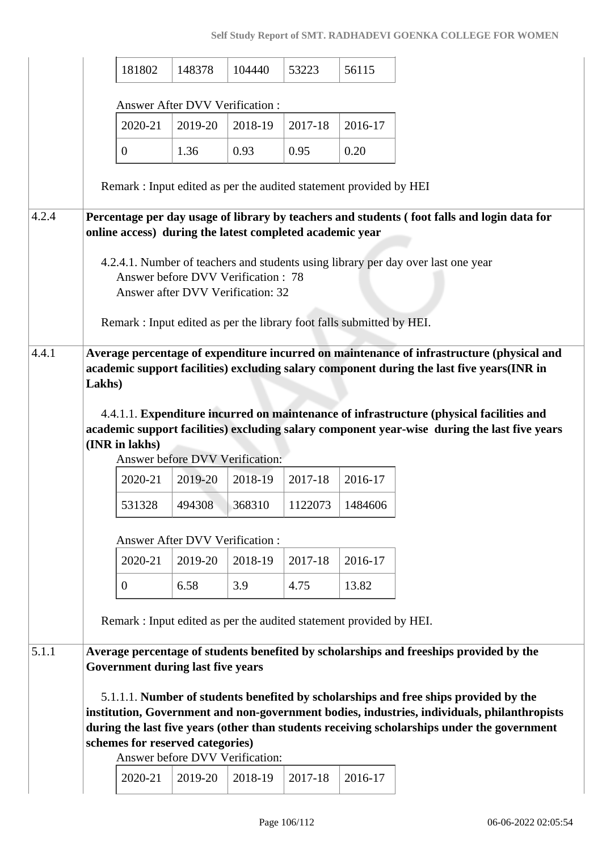#### **Self Study Report of SMT. RADHADEVI GOENKA COLLEGE FOR WOMEN**

|       | 181802                                                                                                                                                                                                                                                                                                                                                                                                        | 148378                                | 104440  | 53223   | 56115   |                                                                                                                                                                                                                                                                                    |  |  |  |
|-------|---------------------------------------------------------------------------------------------------------------------------------------------------------------------------------------------------------------------------------------------------------------------------------------------------------------------------------------------------------------------------------------------------------------|---------------------------------------|---------|---------|---------|------------------------------------------------------------------------------------------------------------------------------------------------------------------------------------------------------------------------------------------------------------------------------------|--|--|--|
|       |                                                                                                                                                                                                                                                                                                                                                                                                               | <b>Answer After DVV Verification:</b> |         |         |         |                                                                                                                                                                                                                                                                                    |  |  |  |
|       | 2020-21                                                                                                                                                                                                                                                                                                                                                                                                       | 2019-20                               | 2018-19 | 2017-18 | 2016-17 |                                                                                                                                                                                                                                                                                    |  |  |  |
|       | $\overline{0}$                                                                                                                                                                                                                                                                                                                                                                                                | 1.36                                  | 0.93    | 0.95    | 0.20    |                                                                                                                                                                                                                                                                                    |  |  |  |
|       | Remark: Input edited as per the audited statement provided by HEI                                                                                                                                                                                                                                                                                                                                             |                                       |         |         |         |                                                                                                                                                                                                                                                                                    |  |  |  |
| 4.2.4 | Percentage per day usage of library by teachers and students (foot falls and login data for<br>online access) during the latest completed academic year                                                                                                                                                                                                                                                       |                                       |         |         |         |                                                                                                                                                                                                                                                                                    |  |  |  |
|       | 4.2.4.1. Number of teachers and students using library per day over last one year<br>Answer before DVV Verification: 78<br>Answer after DVV Verification: 32                                                                                                                                                                                                                                                  |                                       |         |         |         |                                                                                                                                                                                                                                                                                    |  |  |  |
|       | Remark: Input edited as per the library foot falls submitted by HEI.                                                                                                                                                                                                                                                                                                                                          |                                       |         |         |         |                                                                                                                                                                                                                                                                                    |  |  |  |
| 4.4.1 | Average percentage of expenditure incurred on maintenance of infrastructure (physical and<br>academic support facilities) excluding salary component during the last five years(INR in<br>Lakhs)<br>4.4.1.1. Expenditure incurred on maintenance of infrastructure (physical facilities and<br>academic support facilities) excluding salary component year-wise during the last five years<br>(INR in lakhs) |                                       |         |         |         |                                                                                                                                                                                                                                                                                    |  |  |  |
|       |                                                                                                                                                                                                                                                                                                                                                                                                               | Answer before DVV Verification:       |         |         |         |                                                                                                                                                                                                                                                                                    |  |  |  |
|       | 2020-21                                                                                                                                                                                                                                                                                                                                                                                                       | 2019-20                               | 2018-19 | 2017-18 | 2016-17 |                                                                                                                                                                                                                                                                                    |  |  |  |
|       | 531328                                                                                                                                                                                                                                                                                                                                                                                                        | 494308                                | 368310  | 1122073 | 1484606 |                                                                                                                                                                                                                                                                                    |  |  |  |
|       |                                                                                                                                                                                                                                                                                                                                                                                                               | Answer After DVV Verification :       |         |         |         |                                                                                                                                                                                                                                                                                    |  |  |  |
|       | 2020-21                                                                                                                                                                                                                                                                                                                                                                                                       | 2019-20                               | 2018-19 | 2017-18 | 2016-17 |                                                                                                                                                                                                                                                                                    |  |  |  |
|       | $\boldsymbol{0}$                                                                                                                                                                                                                                                                                                                                                                                              | 6.58                                  | 3.9     | 4.75    | 13.82   |                                                                                                                                                                                                                                                                                    |  |  |  |
|       | Remark : Input edited as per the audited statement provided by HEI.                                                                                                                                                                                                                                                                                                                                           |                                       |         |         |         |                                                                                                                                                                                                                                                                                    |  |  |  |
| 5.1.1 | <b>Government during last five years</b>                                                                                                                                                                                                                                                                                                                                                                      |                                       |         |         |         | Average percentage of students benefited by scholarships and freeships provided by the                                                                                                                                                                                             |  |  |  |
|       |                                                                                                                                                                                                                                                                                                                                                                                                               |                                       |         |         |         | 5.1.1.1. Number of students benefited by scholarships and free ships provided by the<br>institution, Government and non-government bodies, industries, individuals, philanthropists<br>during the last five years (other than students receiving scholarships under the government |  |  |  |
|       | schemes for reserved categories)                                                                                                                                                                                                                                                                                                                                                                              | Answer before DVV Verification:       |         |         |         |                                                                                                                                                                                                                                                                                    |  |  |  |
|       | 2020-21                                                                                                                                                                                                                                                                                                                                                                                                       | 2019-20                               | 2018-19 | 2017-18 | 2016-17 |                                                                                                                                                                                                                                                                                    |  |  |  |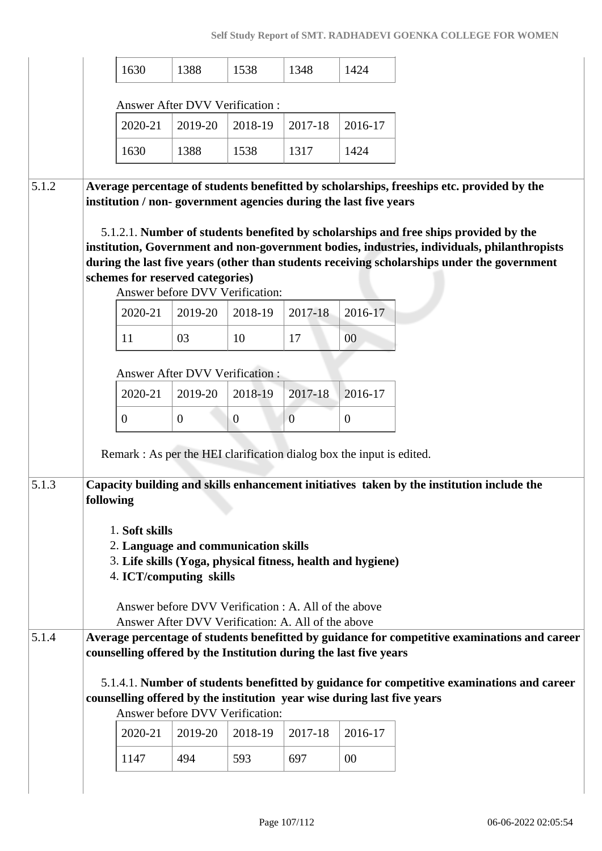|       | 1630                                                                    | 1388                                                                                                                                                               | 1538             | 1348           | 1424           |                                                                                                                                                                                                                                                                                  |  |  |  |  |  |
|-------|-------------------------------------------------------------------------|--------------------------------------------------------------------------------------------------------------------------------------------------------------------|------------------|----------------|----------------|----------------------------------------------------------------------------------------------------------------------------------------------------------------------------------------------------------------------------------------------------------------------------------|--|--|--|--|--|
|       |                                                                         | Answer After DVV Verification :                                                                                                                                    |                  |                |                |                                                                                                                                                                                                                                                                                  |  |  |  |  |  |
|       | 2020-21                                                                 | 2019-20                                                                                                                                                            | 2018-19          | 2017-18        | 2016-17        |                                                                                                                                                                                                                                                                                  |  |  |  |  |  |
|       | 1630                                                                    | 1388                                                                                                                                                               | 1538             | 1317           | 1424           |                                                                                                                                                                                                                                                                                  |  |  |  |  |  |
| 5.1.2 | institution / non-government agencies during the last five years        |                                                                                                                                                                    |                  |                |                | Average percentage of students benefitted by scholarships, freeships etc. provided by the<br>5.1.2.1. Number of students benefited by scholarships and free ships provided by the<br>institution, Government and non-government bodies, industries, individuals, philanthropists |  |  |  |  |  |
|       | schemes for reserved categories)                                        |                                                                                                                                                                    |                  |                |                | during the last five years (other than students receiving scholarships under the government                                                                                                                                                                                      |  |  |  |  |  |
|       |                                                                         | Answer before DVV Verification:                                                                                                                                    |                  |                |                |                                                                                                                                                                                                                                                                                  |  |  |  |  |  |
|       | 2020-21                                                                 | 2019-20                                                                                                                                                            | 2018-19          | 2017-18        | 2016-17        |                                                                                                                                                                                                                                                                                  |  |  |  |  |  |
|       | 11                                                                      | 03                                                                                                                                                                 | 10               | 17             | 00             |                                                                                                                                                                                                                                                                                  |  |  |  |  |  |
|       |                                                                         | <b>Answer After DVV Verification:</b>                                                                                                                              |                  |                |                |                                                                                                                                                                                                                                                                                  |  |  |  |  |  |
|       | 2020-21                                                                 | 2019-20                                                                                                                                                            | 2018-19          | 2017-18        | 2016-17        |                                                                                                                                                                                                                                                                                  |  |  |  |  |  |
|       | $\boldsymbol{0}$                                                        | $\overline{0}$                                                                                                                                                     | $\boldsymbol{0}$ | $\overline{0}$ | $\overline{0}$ |                                                                                                                                                                                                                                                                                  |  |  |  |  |  |
|       | Remark : As per the HEI clarification dialog box the input is edited.   |                                                                                                                                                                    |                  |                |                |                                                                                                                                                                                                                                                                                  |  |  |  |  |  |
| 5.1.3 | following                                                               |                                                                                                                                                                    |                  |                |                | Capacity building and skills enhancement initiatives taken by the institution include the                                                                                                                                                                                        |  |  |  |  |  |
|       |                                                                         |                                                                                                                                                                    |                  |                |                |                                                                                                                                                                                                                                                                                  |  |  |  |  |  |
|       | 1. Soft skills<br>2. Language and communication skills                  |                                                                                                                                                                    |                  |                |                |                                                                                                                                                                                                                                                                                  |  |  |  |  |  |
|       | 3. Life skills (Yoga, physical fitness, health and hygiene)             |                                                                                                                                                                    |                  |                |                |                                                                                                                                                                                                                                                                                  |  |  |  |  |  |
|       | 4. ICT/computing skills                                                 |                                                                                                                                                                    |                  |                |                |                                                                                                                                                                                                                                                                                  |  |  |  |  |  |
|       |                                                                         | Answer before DVV Verification : A. All of the above                                                                                                               |                  |                |                |                                                                                                                                                                                                                                                                                  |  |  |  |  |  |
|       |                                                                         | Answer After DVV Verification: A. All of the above                                                                                                                 |                  |                |                |                                                                                                                                                                                                                                                                                  |  |  |  |  |  |
| 5.1.4 |                                                                         | Average percentage of students benefitted by guidance for competitive examinations and career<br>counselling offered by the Institution during the last five years |                  |                |                |                                                                                                                                                                                                                                                                                  |  |  |  |  |  |
|       | counselling offered by the institution year wise during last five years | Answer before DVV Verification:                                                                                                                                    |                  |                |                | 5.1.4.1. Number of students benefitted by guidance for competitive examinations and career                                                                                                                                                                                       |  |  |  |  |  |
|       | 2020-21                                                                 | 2019-20                                                                                                                                                            | 2018-19          | 2017-18        | 2016-17        |                                                                                                                                                                                                                                                                                  |  |  |  |  |  |
|       | 1147                                                                    | 494                                                                                                                                                                | 593              | 697            | 00             |                                                                                                                                                                                                                                                                                  |  |  |  |  |  |
|       |                                                                         |                                                                                                                                                                    |                  |                |                |                                                                                                                                                                                                                                                                                  |  |  |  |  |  |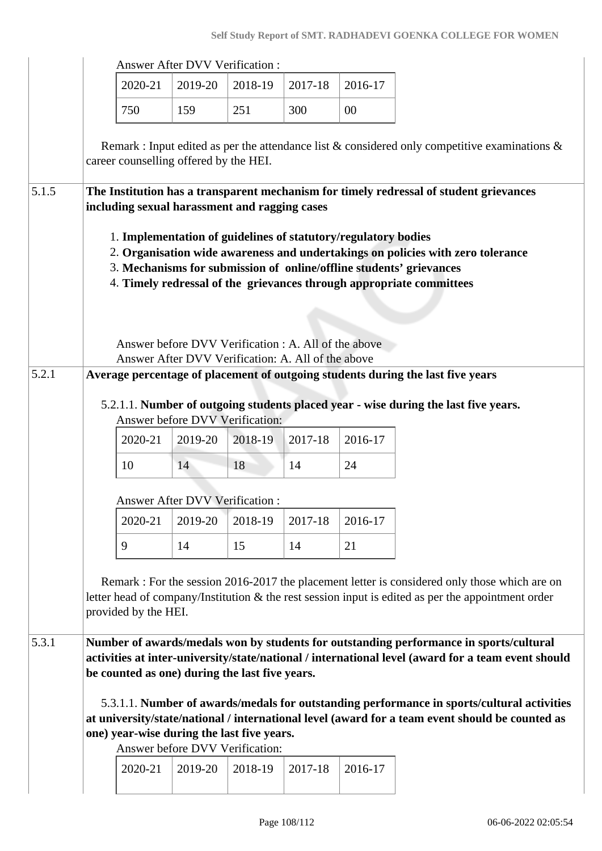|       |                                                                                                                                                                                                                                                                                                                                                          |                                                | <b>Answer After DVV Verification:</b>              |               |               |               |                                                                                                                                                                                                     |  |  |  |
|-------|----------------------------------------------------------------------------------------------------------------------------------------------------------------------------------------------------------------------------------------------------------------------------------------------------------------------------------------------------------|------------------------------------------------|----------------------------------------------------|---------------|---------------|---------------|-----------------------------------------------------------------------------------------------------------------------------------------------------------------------------------------------------|--|--|--|
|       |                                                                                                                                                                                                                                                                                                                                                          | 2020-21                                        | 2019-20                                            | 2018-19       | 2017-18       | 2016-17       |                                                                                                                                                                                                     |  |  |  |
|       |                                                                                                                                                                                                                                                                                                                                                          | 750                                            | 159                                                | 251           | 300           | $00\,$        |                                                                                                                                                                                                     |  |  |  |
|       |                                                                                                                                                                                                                                                                                                                                                          | career counselling offered by the HEI.         |                                                    |               |               |               | Remark : Input edited as per the attendance list $\&$ considered only competitive examinations $\&$                                                                                                 |  |  |  |
| 5.1.5 | The Institution has a transparent mechanism for timely redressal of student grievances<br>including sexual harassment and ragging cases                                                                                                                                                                                                                  |                                                |                                                    |               |               |               |                                                                                                                                                                                                     |  |  |  |
|       | 1. Implementation of guidelines of statutory/regulatory bodies<br>2. Organisation wide awareness and undertakings on policies with zero tolerance<br>3. Mechanisms for submission of online/offline students' grievances<br>4. Timely redressal of the grievances through appropriate committees<br>Answer before DVV Verification : A. All of the above |                                                |                                                    |               |               |               |                                                                                                                                                                                                     |  |  |  |
| 5.2.1 |                                                                                                                                                                                                                                                                                                                                                          |                                                | Answer After DVV Verification: A. All of the above |               |               |               | Average percentage of placement of outgoing students during the last five years                                                                                                                     |  |  |  |
|       |                                                                                                                                                                                                                                                                                                                                                          | 2020-21<br>10                                  | Answer before DVV Verification:<br>2019-20<br>14   | 2018-19<br>18 | 2017-18<br>14 | 2016-17<br>24 | 5.2.1.1. Number of outgoing students placed year - wise during the last five years.                                                                                                                 |  |  |  |
|       |                                                                                                                                                                                                                                                                                                                                                          |                                                | <b>Answer After DVV Verification:</b>              |               |               |               |                                                                                                                                                                                                     |  |  |  |
|       |                                                                                                                                                                                                                                                                                                                                                          | 2020-21                                        | 2019-20                                            | 2018-19       | 2017-18       | 2016-17       |                                                                                                                                                                                                     |  |  |  |
|       |                                                                                                                                                                                                                                                                                                                                                          | 9                                              | 14                                                 | 15            | 14            | 21            |                                                                                                                                                                                                     |  |  |  |
|       |                                                                                                                                                                                                                                                                                                                                                          | provided by the HEI.                           |                                                    |               |               |               | Remark : For the session 2016-2017 the placement letter is considered only those which are on<br>letter head of company/Institution & the rest session input is edited as per the appointment order |  |  |  |
| 5.3.1 |                                                                                                                                                                                                                                                                                                                                                          | be counted as one) during the last five years. |                                                    |               |               |               | Number of awards/medals won by students for outstanding performance in sports/cultural<br>activities at inter-university/state/national / international level (award for a team event should        |  |  |  |
|       |                                                                                                                                                                                                                                                                                                                                                          | one) year-wise during the last five years.     | Answer before DVV Verification:                    |               |               |               | 5.3.1.1. Number of awards/medals for outstanding performance in sports/cultural activities<br>at university/state/national / international level (award for a team event should be counted as       |  |  |  |
|       |                                                                                                                                                                                                                                                                                                                                                          | 2020-21                                        | 2019-20                                            | 2018-19       | 2017-18       | 2016-17       |                                                                                                                                                                                                     |  |  |  |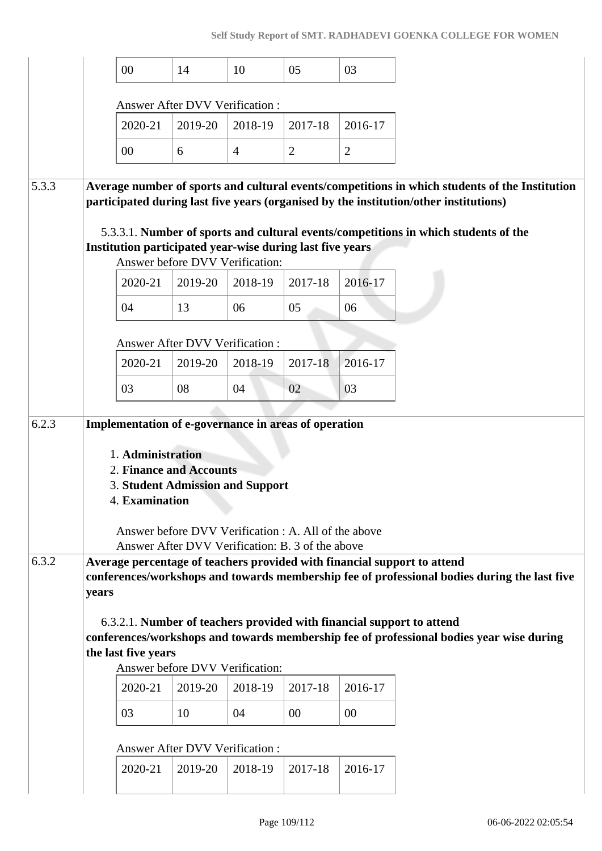|       |       | 00                  | 14                                                                                                                                                                                      | 10             | 05             | 03             |
|-------|-------|---------------------|-----------------------------------------------------------------------------------------------------------------------------------------------------------------------------------------|----------------|----------------|----------------|
|       |       |                     |                                                                                                                                                                                         |                |                |                |
|       |       | 2020-21             | <b>Answer After DVV Verification:</b><br>2019-20                                                                                                                                        | 2018-19        | 2017-18        | 2016-17        |
|       |       | $00\,$              | 6                                                                                                                                                                                       | $\overline{4}$ | $\overline{2}$ | $\overline{2}$ |
|       |       |                     |                                                                                                                                                                                         |                |                |                |
| 5.3.3 |       |                     | Average number of sports and cultural events/competitions in which students of the Institution<br>participated during last five years (organised by the institution/other institutions) |                |                |                |
|       |       |                     | 5.3.3.1. Number of sports and cultural events/competitions in which students of the                                                                                                     |                |                |                |
|       |       |                     | Institution participated year-wise during last five years                                                                                                                               |                |                |                |
|       |       | 2020-21             | Answer before DVV Verification:<br>2019-20                                                                                                                                              | 2018-19        | 2017-18        | 2016-17        |
|       |       | 04                  | 13                                                                                                                                                                                      | 06             | 05             | 06             |
|       |       |                     |                                                                                                                                                                                         |                |                |                |
|       |       |                     | <b>Answer After DVV Verification:</b>                                                                                                                                                   |                |                |                |
|       |       | 2020-21             | 2019-20                                                                                                                                                                                 | 2018-19        | $2017 - 18$    | 2016-17        |
|       |       | 03                  | 08                                                                                                                                                                                      | 04             | 02             | 03             |
| 6.2.3 |       |                     | Implementation of e-governance in areas of operation                                                                                                                                    |                |                |                |
|       |       | 1. Administration   |                                                                                                                                                                                         |                |                |                |
|       |       |                     | 2. Finance and Accounts<br><b>3. Student Admission and Support</b>                                                                                                                      |                |                |                |
|       |       | 4. Examination      |                                                                                                                                                                                         |                |                |                |
|       |       |                     | Answer before DVV Verification : A. All of the above                                                                                                                                    |                |                |                |
|       |       |                     | Answer After DVV Verification: B. 3 of the above                                                                                                                                        |                |                |                |
| 6.3.2 |       |                     | Average percentage of teachers provided with financial support to attend<br>conferences/workshops and towards membership fee of professional bodies during the last five                |                |                |                |
|       | years |                     |                                                                                                                                                                                         |                |                |                |
|       |       |                     | 6.3.2.1. Number of teachers provided with financial support to attend                                                                                                                   |                |                |                |
|       |       | the last five years | conferences/workshops and towards membership fee of professional bodies year wise during                                                                                                |                |                |                |
|       |       |                     | Answer before DVV Verification:                                                                                                                                                         |                |                |                |
|       |       | 2020-21             | 2019-20                                                                                                                                                                                 | 2018-19        | 2017-18        | 2016-17        |
|       |       | 03                  | 10                                                                                                                                                                                      | 04             | 00             | $00\,$         |
|       |       |                     | <b>Answer After DVV Verification:</b>                                                                                                                                                   |                |                |                |
|       |       |                     |                                                                                                                                                                                         |                |                |                |
|       |       | 2020-21             | 2019-20                                                                                                                                                                                 | 2018-19        | 2017-18        | 2016-17        |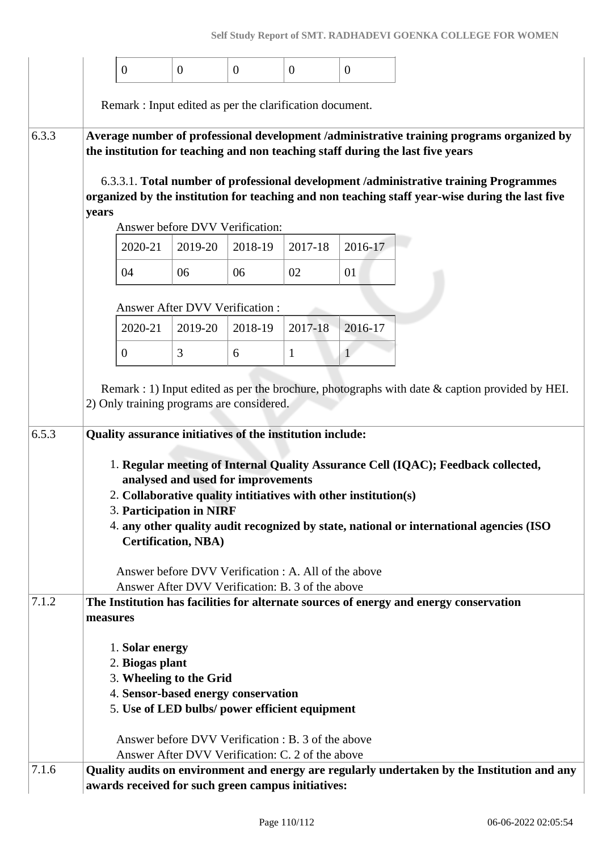|       | $\overline{0}$                                                                 | $\mathbf{0}$                          | $\boldsymbol{0}$ | $\overline{0}$                                       | $\overline{0}$ |                                                                                                                                                                                          |
|-------|--------------------------------------------------------------------------------|---------------------------------------|------------------|------------------------------------------------------|----------------|------------------------------------------------------------------------------------------------------------------------------------------------------------------------------------------|
|       |                                                                                |                                       |                  |                                                      |                |                                                                                                                                                                                          |
|       | Remark : Input edited as per the clarification document.                       |                                       |                  |                                                      |                |                                                                                                                                                                                          |
| 6.3.3 | the institution for teaching and non teaching staff during the last five years |                                       |                  |                                                      |                | Average number of professional development /administrative training programs organized by                                                                                                |
|       |                                                                                |                                       |                  |                                                      |                | 6.3.3.1. Total number of professional development /administrative training Programmes<br>organized by the institution for teaching and non teaching staff year-wise during the last five |
|       | years                                                                          |                                       |                  |                                                      |                |                                                                                                                                                                                          |
|       |                                                                                | Answer before DVV Verification:       |                  |                                                      |                |                                                                                                                                                                                          |
|       | 2020-21                                                                        | 2019-20                               | 2018-19          | 2017-18                                              | 2016-17        |                                                                                                                                                                                          |
|       | 04                                                                             | 06                                    | 06               | 02                                                   | 01             |                                                                                                                                                                                          |
|       |                                                                                | <b>Answer After DVV Verification:</b> |                  |                                                      |                |                                                                                                                                                                                          |
|       | 2020-21                                                                        | 2019-20                               | 2018-19          | 2017-18                                              | 2016-17        |                                                                                                                                                                                          |
|       | $\mathbf{0}$                                                                   | 3                                     | 6                | $\mathbf{1}$                                         | $\mathbf{1}$   |                                                                                                                                                                                          |
|       | 2) Only training programs are considered.                                      |                                       |                  |                                                      |                | Remark : 1) Input edited as per the brochure, photographs with date $\&$ caption provided by HEI.                                                                                        |
| 6.5.3 | Quality assurance initiatives of the institution include:                      |                                       |                  |                                                      |                |                                                                                                                                                                                          |
|       |                                                                                |                                       |                  |                                                      |                |                                                                                                                                                                                          |
|       |                                                                                | analysed and used for improvements    |                  |                                                      |                | 1. Regular meeting of Internal Quality Assurance Cell (IQAC); Feedback collected,                                                                                                        |
|       | 2. Collaborative quality intitiatives with other institution(s)                |                                       |                  |                                                      |                |                                                                                                                                                                                          |
|       | 3. Participation in NIRF                                                       |                                       |                  |                                                      |                |                                                                                                                                                                                          |
|       |                                                                                | <b>Certification, NBA)</b>            |                  |                                                      |                | 4. any other quality audit recognized by state, national or international agencies (ISO                                                                                                  |
|       |                                                                                |                                       |                  | Answer before DVV Verification : A. All of the above |                |                                                                                                                                                                                          |
| 7.1.2 |                                                                                |                                       |                  | Answer After DVV Verification: B. 3 of the above     |                |                                                                                                                                                                                          |
|       | measures                                                                       |                                       |                  |                                                      |                | The Institution has facilities for alternate sources of energy and energy conservation                                                                                                   |
|       | 1. Solar energy                                                                |                                       |                  |                                                      |                |                                                                                                                                                                                          |
|       | 2. Biogas plant<br>3. Wheeling to the Grid                                     |                                       |                  |                                                      |                |                                                                                                                                                                                          |
|       | 4. Sensor-based energy conservation                                            |                                       |                  |                                                      |                |                                                                                                                                                                                          |
|       | 5. Use of LED bulbs/ power efficient equipment                                 |                                       |                  |                                                      |                |                                                                                                                                                                                          |
|       |                                                                                |                                       |                  | Answer before DVV Verification : B. 3 of the above   |                |                                                                                                                                                                                          |
|       |                                                                                |                                       |                  | Answer After DVV Verification: C. 2 of the above     |                |                                                                                                                                                                                          |
| 7.1.6 | awards received for such green campus initiatives:                             |                                       |                  |                                                      |                | Quality audits on environment and energy are regularly undertaken by the Institution and any                                                                                             |
|       |                                                                                |                                       |                  |                                                      |                |                                                                                                                                                                                          |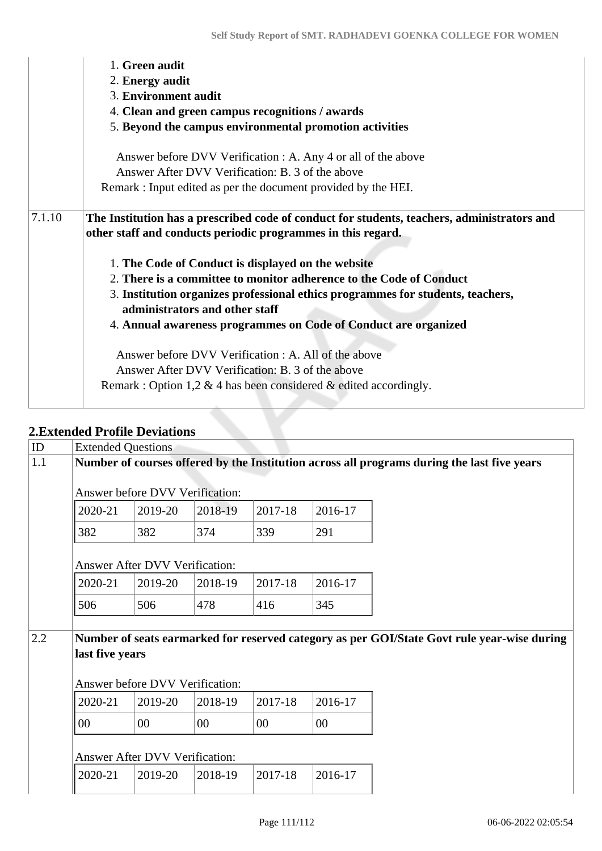|        | 1. Green audit<br>2. Energy audit                                                                                                                                             |  |  |  |  |  |  |  |
|--------|-------------------------------------------------------------------------------------------------------------------------------------------------------------------------------|--|--|--|--|--|--|--|
|        | 3. Environment audit                                                                                                                                                          |  |  |  |  |  |  |  |
|        | 4. Clean and green campus recognitions / awards                                                                                                                               |  |  |  |  |  |  |  |
|        | 5. Beyond the campus environmental promotion activities                                                                                                                       |  |  |  |  |  |  |  |
|        | Answer before DVV Verification : A. Any 4 or all of the above<br>Answer After DVV Verification: B. 3 of the above                                                             |  |  |  |  |  |  |  |
|        | Remark : Input edited as per the document provided by the HEI.                                                                                                                |  |  |  |  |  |  |  |
| 7.1.10 | The Institution has a prescribed code of conduct for students, teachers, administrators and<br>other staff and conducts periodic programmes in this regard.                   |  |  |  |  |  |  |  |
|        | 1. The Code of Conduct is displayed on the website                                                                                                                            |  |  |  |  |  |  |  |
|        | 2. There is a committee to monitor adherence to the Code of Conduct                                                                                                           |  |  |  |  |  |  |  |
|        | 3. Institution organizes professional ethics programmes for students, teachers,<br>administrators and other staff                                                             |  |  |  |  |  |  |  |
|        | 4. Annual awareness programmes on Code of Conduct are organized                                                                                                               |  |  |  |  |  |  |  |
|        | Answer before DVV Verification : A. All of the above<br>Answer After DVV Verification: B. 3 of the above<br>Remark : Option 1,2 & 4 has been considered & edited accordingly. |  |  |  |  |  |  |  |

## **2.Extended Profile Deviations**

| ID  | <b>Extended Questions</b>                                                                   |                                 |         |         |         |                                                                                             |  |
|-----|---------------------------------------------------------------------------------------------|---------------------------------|---------|---------|---------|---------------------------------------------------------------------------------------------|--|
| 1.1 | Number of courses offered by the Institution across all programs during the last five years |                                 |         |         |         |                                                                                             |  |
|     |                                                                                             | Answer before DVV Verification: |         |         |         |                                                                                             |  |
|     | 2020-21                                                                                     | 2019-20                         | 2018-19 | 2017-18 | 2016-17 |                                                                                             |  |
|     | 382                                                                                         | 382                             | 374     | 339     | 291     |                                                                                             |  |
|     |                                                                                             | Answer After DVV Verification:  |         |         |         |                                                                                             |  |
|     | 2020-21                                                                                     | 2019-20                         | 2018-19 | 2017-18 | 2016-17 |                                                                                             |  |
|     | 506                                                                                         | 506                             | 478     | 416     | 345     |                                                                                             |  |
|     |                                                                                             |                                 |         |         |         |                                                                                             |  |
| 2.2 |                                                                                             |                                 |         |         |         | Number of seats earmarked for reserved category as per GOI/State Govt rule year-wise during |  |
|     | last five years                                                                             |                                 |         |         |         |                                                                                             |  |
|     |                                                                                             | Answer before DVV Verification: |         |         |         |                                                                                             |  |
|     | 2020-21                                                                                     | 2019-20                         | 2018-19 | 2017-18 | 2016-17 |                                                                                             |  |
|     | 00                                                                                          | $00\,$                          | $00\,$  | $00\,$  | $00\,$  |                                                                                             |  |
|     |                                                                                             | Answer After DVV Verification:  |         |         |         |                                                                                             |  |
|     | 2020-21                                                                                     | 2019-20                         | 2018-19 | 2017-18 | 2016-17 |                                                                                             |  |